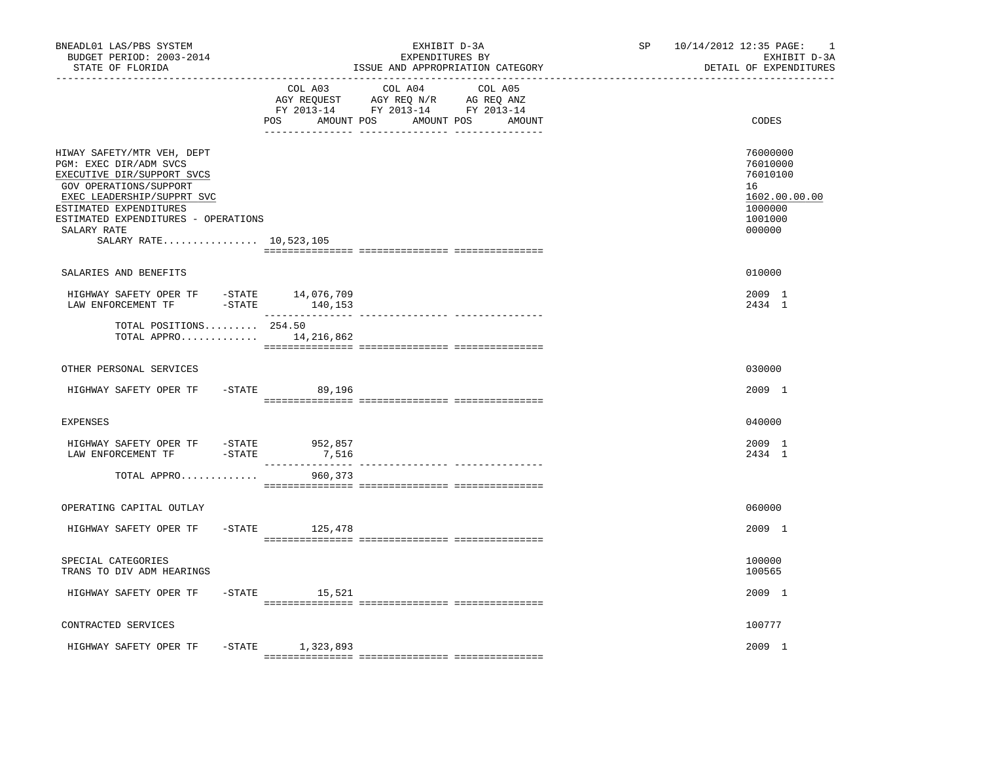| BNEADL01 LAS/PBS SYSTEM<br>BUDGET PERIOD: 2003-2014<br>STATE OF FLORIDA                                                                                                                                                                              |                              | EXHIBIT D-3A<br>EXPENDITURES BY<br>ISSUE AND APPROPRIATION CATEGORY                                                                                                                                                                                              | SP <sub>2</sub><br>_____________________________ | 10/14/2012 12:35 PAGE:<br>$\overline{\phantom{0}}$<br>EXHIBIT D-3A<br>DETAIL OF EXPENDITURES |
|------------------------------------------------------------------------------------------------------------------------------------------------------------------------------------------------------------------------------------------------------|------------------------------|------------------------------------------------------------------------------------------------------------------------------------------------------------------------------------------------------------------------------------------------------------------|--------------------------------------------------|----------------------------------------------------------------------------------------------|
| ----------------                                                                                                                                                                                                                                     | COL A03<br>POS<br>AMOUNT POS | COL A04<br>COL A05<br>$\begin{tabular}{lllllllll} \bf{AGY} & \bf{REQUEST} & \bf{AGY} & \bf{REQ} & \bf{N/R} & \bf{AG} & \bf{REQ} & \bf{ANZ} \\ \bf{FY} & \bf{2013-14} & \bf{FY} & \bf{2013-14} & \bf{FY} & \bf{2013-14} \\ \end{tabular}$<br>AMOUNT POS<br>AMOUNT |                                                  | CODES                                                                                        |
| HIWAY SAFETY/MTR VEH, DEPT<br>PGM: EXEC DIR/ADM SVCS<br>EXECUTIVE DIR/SUPPORT SVCS<br>GOV OPERATIONS/SUPPORT<br>EXEC LEADERSHIP/SUPPRT SVC<br>ESTIMATED EXPENDITURES<br>ESTIMATED EXPENDITURES - OPERATIONS<br>SALARY RATE<br>SALARY RATE 10,523,105 |                              |                                                                                                                                                                                                                                                                  |                                                  | 76000000<br>76010000<br>76010100<br>16<br>1602.00.00.00<br>1000000<br>1001000<br>000000      |
| SALARIES AND BENEFITS                                                                                                                                                                                                                                |                              |                                                                                                                                                                                                                                                                  |                                                  | 010000                                                                                       |
| HIGHWAY SAFETY OPER TF -STATE 14,076,709<br>LAW ENFORCEMENT TF<br>$-$ STATE                                                                                                                                                                          | 140,153                      |                                                                                                                                                                                                                                                                  |                                                  | 2009 1<br>2434 1                                                                             |
| TOTAL POSITIONS 254.50<br>TOTAL APPRO $14,216,862$                                                                                                                                                                                                   |                              |                                                                                                                                                                                                                                                                  |                                                  |                                                                                              |
| OTHER PERSONAL SERVICES                                                                                                                                                                                                                              |                              |                                                                                                                                                                                                                                                                  |                                                  | 030000                                                                                       |
| HIGHWAY SAFETY OPER TF                                                                                                                                                                                                                               | $-STATE$ 89,196              |                                                                                                                                                                                                                                                                  |                                                  | 2009 1                                                                                       |
| <b>EXPENSES</b>                                                                                                                                                                                                                                      |                              |                                                                                                                                                                                                                                                                  |                                                  | 040000                                                                                       |
| HIGHWAY SAFETY OPER TF -STATE 952,857<br>$-STATE$<br>LAW ENFORCEMENT TF                                                                                                                                                                              | 7,516<br>________________    | ______________________________________                                                                                                                                                                                                                           |                                                  | 2009 1<br>2434 1                                                                             |
| TOTAL APPRO                                                                                                                                                                                                                                          | 960,373                      |                                                                                                                                                                                                                                                                  |                                                  |                                                                                              |
| OPERATING CAPITAL OUTLAY                                                                                                                                                                                                                             |                              |                                                                                                                                                                                                                                                                  |                                                  | 060000                                                                                       |
| HIGHWAY SAFETY OPER TF                                                                                                                                                                                                                               | $-$ STATE<br>125,478         |                                                                                                                                                                                                                                                                  |                                                  | 2009 1                                                                                       |
| SPECIAL CATEGORIES<br>TRANS TO DIV ADM HEARINGS                                                                                                                                                                                                      |                              |                                                                                                                                                                                                                                                                  |                                                  | 100000<br>100565                                                                             |
| HIGHWAY SAFETY OPER TF                                                                                                                                                                                                                               | $-STATE$ 15,521              |                                                                                                                                                                                                                                                                  |                                                  | 2009 1                                                                                       |
| CONTRACTED SERVICES                                                                                                                                                                                                                                  |                              |                                                                                                                                                                                                                                                                  |                                                  | 100777                                                                                       |
| HIGHWAY SAFETY OPER TF                                                                                                                                                                                                                               | -STATE 1,323,893             |                                                                                                                                                                                                                                                                  |                                                  | 2009 1                                                                                       |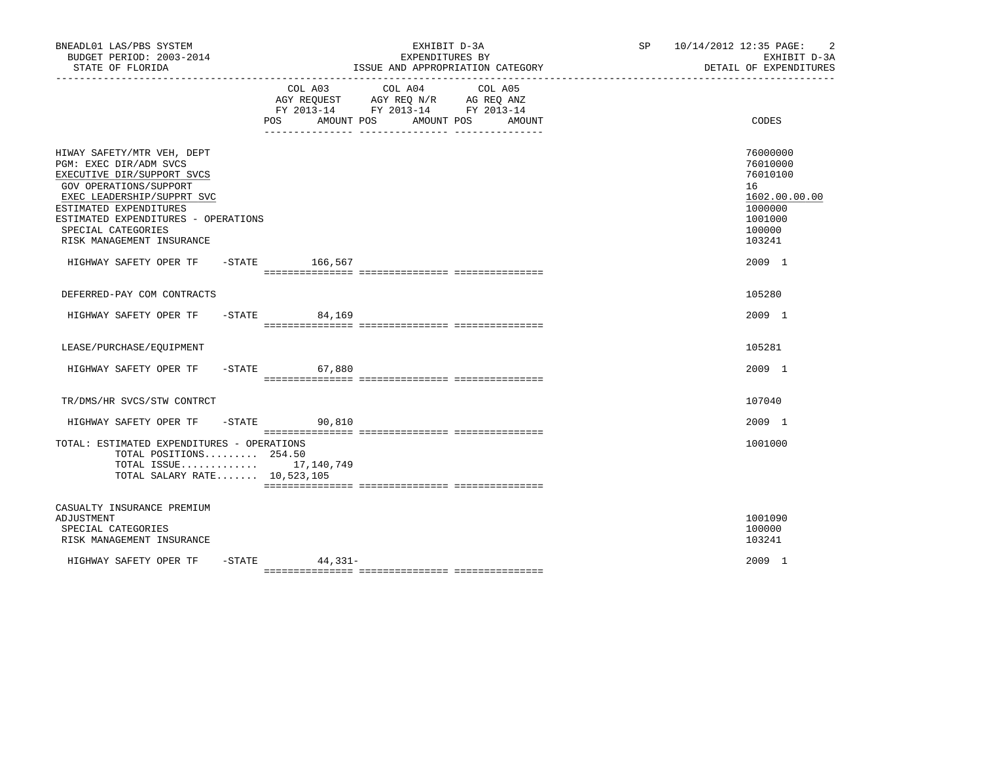| BNEADL01 LAS/PBS SYSTEM<br>BUDGET PERIOD: 2003-2014<br>STATE OF FLORIDA                                                                                                                                                                                        |                    | EXHIBIT D-3A<br>EXPENDITURES BY<br>ISSUE AND APPROPRIATION CATEGORY | $\overline{2}$<br>SP<br>10/14/2012 12:35 PAGE:<br>EXHIBIT D-3A<br>DETAIL OF EXPENDITURES          |
|----------------------------------------------------------------------------------------------------------------------------------------------------------------------------------------------------------------------------------------------------------------|--------------------|---------------------------------------------------------------------|---------------------------------------------------------------------------------------------------|
|                                                                                                                                                                                                                                                                | COL A03<br>POS     | COL A04<br>COL A05<br>AMOUNT POS<br>AMOUNT POS<br>AMOUNT            | CODES                                                                                             |
| HIWAY SAFETY/MTR VEH, DEPT<br>PGM: EXEC DIR/ADM SVCS<br>EXECUTIVE DIR/SUPPORT SVCS<br>GOV OPERATIONS/SUPPORT<br>EXEC LEADERSHIP/SUPPRT SVC<br>ESTIMATED EXPENDITURES<br>ESTIMATED EXPENDITURES - OPERATIONS<br>SPECIAL CATEGORIES<br>RISK MANAGEMENT INSURANCE |                    |                                                                     | 76000000<br>76010000<br>76010100<br>16<br>1602.00.00.00<br>1000000<br>1001000<br>100000<br>103241 |
| HIGHWAY SAFETY OPER TF -STATE 166,567                                                                                                                                                                                                                          |                    |                                                                     | 2009 1                                                                                            |
| DEFERRED-PAY COM CONTRACTS                                                                                                                                                                                                                                     |                    |                                                                     | 105280                                                                                            |
| HIGHWAY SAFETY OPER TF                                                                                                                                                                                                                                         | $-STATE$<br>84,169 |                                                                     | 2009 1                                                                                            |
| LEASE/PURCHASE/EQUIPMENT                                                                                                                                                                                                                                       |                    |                                                                     | 105281                                                                                            |
| HIGHWAY SAFETY OPER TF                                                                                                                                                                                                                                         | $-STATE$<br>67,880 |                                                                     | 2009 1                                                                                            |
| TR/DMS/HR SVCS/STW CONTRCT                                                                                                                                                                                                                                     |                    |                                                                     | 107040                                                                                            |
| HIGHWAY SAFETY OPER TF                                                                                                                                                                                                                                         | $-$ STATE 90,810   |                                                                     | 2009 1                                                                                            |
| TOTAL: ESTIMATED EXPENDITURES - OPERATIONS<br>TOTAL POSITIONS $254.50$<br>TOTAL ISSUE 17,140,749<br>TOTAL SALARY RATE 10,523,105                                                                                                                               |                    |                                                                     | 1001000                                                                                           |
| CASUALTY INSURANCE PREMIUM<br>ADJUSTMENT<br>SPECIAL CATEGORIES<br>RISK MANAGEMENT INSURANCE                                                                                                                                                                    |                    |                                                                     | 1001090<br>100000<br>103241                                                                       |
| $-$ STATE<br>HIGHWAY SAFETY OPER TF                                                                                                                                                                                                                            | $44,331-$          |                                                                     | 2009 1                                                                                            |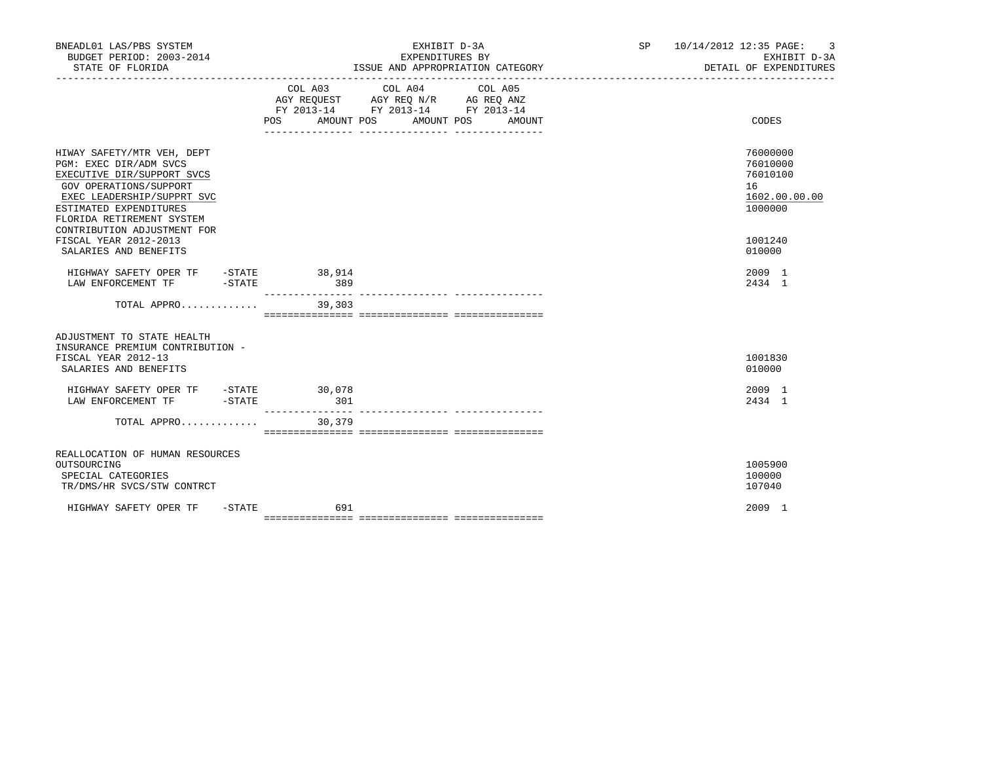| BNEADL01 LAS/PBS SYSTEM<br>BUDGET PERIOD: 2003-2014<br>STATE OF FLORIDA                                                                                                                                                          | EXHIBIT D-3A<br>EXPENDITURES BY<br>ISSUE AND APPROPRIATION CATEGORY                                                          |                   | SP 10/14/2012 12:35 PAGE: 3<br>EXHIBIT D-3A<br>DETAIL OF EXPENDITURES |
|----------------------------------------------------------------------------------------------------------------------------------------------------------------------------------------------------------------------------------|------------------------------------------------------------------------------------------------------------------------------|-------------------|-----------------------------------------------------------------------|
|                                                                                                                                                                                                                                  | COL A03 COL A04<br>AGY REQUEST AGY REQ N/R AG REQ ANZ<br>FY 2013-14 FY 2013-14 FY 2013-14<br>POS<br>AMOUNT POS<br>AMOUNT POS | COL A05<br>AMOUNT | CODES                                                                 |
| HIWAY SAFETY/MTR VEH, DEPT<br>PGM: EXEC DIR/ADM SVCS<br>EXECUTIVE DIR/SUPPORT SVCS<br>GOV OPERATIONS/SUPPORT<br>EXEC LEADERSHIP/SUPPRT SVC<br>ESTIMATED EXPENDITURES<br>FLORIDA RETIREMENT SYSTEM<br>CONTRIBUTION ADJUSTMENT FOR |                                                                                                                              |                   | 76000000<br>76010000<br>76010100<br>16<br>1602.00.00.00<br>1000000    |
| FISCAL YEAR 2012-2013<br>SALARIES AND BENEFITS                                                                                                                                                                                   |                                                                                                                              |                   | 1001240<br>010000                                                     |
| HIGHWAY SAFETY OPER TF - STATE 38,914<br>$-STATE$<br>LAW ENFORCEMENT TF                                                                                                                                                          | 389<br>-----------                                                                                                           |                   | 2009 1<br>2434 1                                                      |
| TOTAL APPRO                                                                                                                                                                                                                      | 39,303                                                                                                                       |                   |                                                                       |
| ADJUSTMENT TO STATE HEALTH<br>INSURANCE PREMIUM CONTRIBUTION -<br>FISCAL YEAR 2012-13<br>SALARIES AND BENEFITS                                                                                                                   |                                                                                                                              |                   | 1001830<br>010000                                                     |
| HIGHWAY SAFETY OPER TF -STATE 30,078<br>LAW ENFORCEMENT TF -STATE                                                                                                                                                                | 301<br>_______________                                                                                                       |                   | 2009 1<br>2434 1                                                      |
| TOTAL APPRO                                                                                                                                                                                                                      | 30,379                                                                                                                       |                   |                                                                       |
| REALLOCATION OF HUMAN RESOURCES<br>OUTSOURCING<br>SPECIAL CATEGORIES<br>TR/DMS/HR SVCS/STW CONTRCT                                                                                                                               |                                                                                                                              |                   | 1005900<br>100000<br>107040                                           |
| HIGHWAY SAFETY OPER TF<br>$-$ STATE                                                                                                                                                                                              | 691                                                                                                                          |                   | 2009 1                                                                |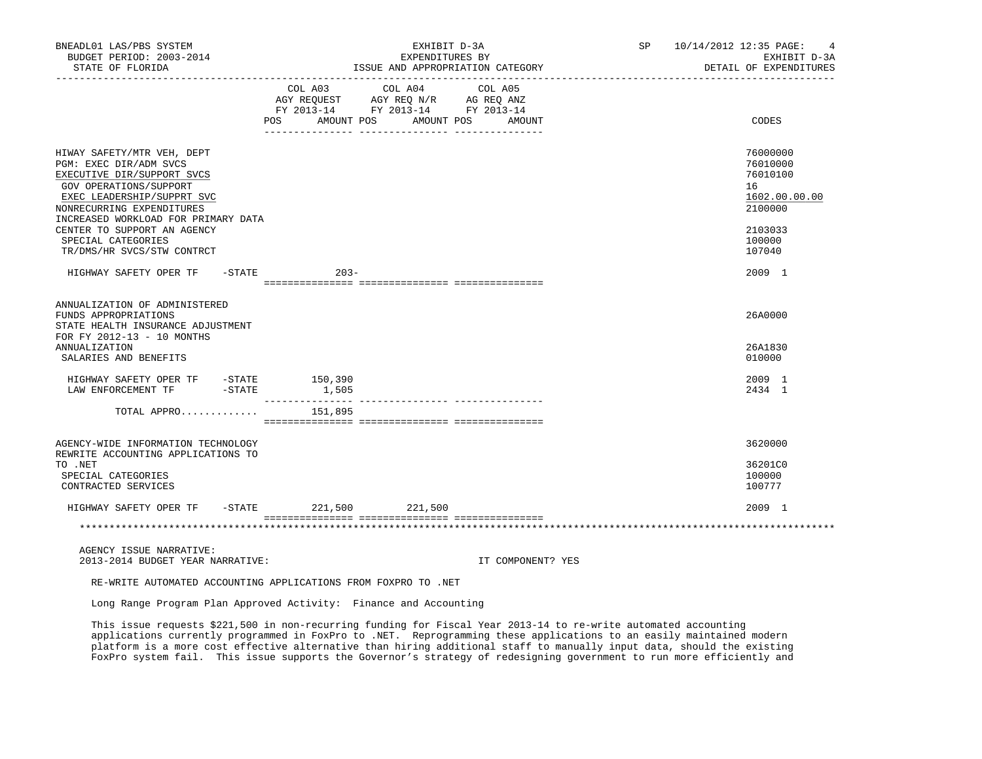| BNEADL01 LAS/PBS SYSTEM<br>BUDGET PERIOD: 2003-2014<br>STATE OF FLORIDA<br>----------------                                                                                                                    |         | EXHIBIT D-3A<br>EXPENDITURES BY<br>ISSUE AND APPROPRIATION CATEGORY                               |                   | SP 10/14/2012 12:35 PAGE: 4 | EXHIBIT D-3A<br>DETAIL OF EXPENDITURES                             |
|----------------------------------------------------------------------------------------------------------------------------------------------------------------------------------------------------------------|---------|---------------------------------------------------------------------------------------------------|-------------------|-----------------------------|--------------------------------------------------------------------|
|                                                                                                                                                                                                                |         | COL A03 COL A04 COL A05<br>AGY REQUEST AGY REQ N/R AG REQ ANZ<br>FY 2013-14 FY 2013-14 FY 2013-14 |                   |                             |                                                                    |
|                                                                                                                                                                                                                |         | POS AMOUNT POS AMOUNT POS AMOUNT                                                                  |                   |                             | CODES                                                              |
| HIWAY SAFETY/MTR VEH, DEPT<br>PGM: EXEC DIR/ADM SVCS<br>EXECUTIVE DIR/SUPPORT SVCS<br>GOV OPERATIONS/SUPPORT<br>EXEC LEADERSHIP/SUPPRT SVC<br>NONRECURRING EXPENDITURES<br>INCREASED WORKLOAD FOR PRIMARY DATA |         |                                                                                                   |                   |                             | 76000000<br>76010000<br>76010100<br>16<br>1602.00.00.00<br>2100000 |
| CENTER TO SUPPORT AN AGENCY<br>SPECIAL CATEGORIES<br>TR/DMS/HR SVCS/STW CONTRCT                                                                                                                                |         |                                                                                                   |                   |                             | 2103033<br>100000<br>107040                                        |
| HIGHWAY SAFETY OPER TF - STATE                                                                                                                                                                                 | $203 -$ |                                                                                                   |                   |                             | 2009 1                                                             |
| ANNUALIZATION OF ADMINISTERED<br>FUNDS APPROPRIATIONS<br>STATE HEALTH INSURANCE ADJUSTMENT<br>FOR FY 2012-13 - 10 MONTHS                                                                                       |         |                                                                                                   |                   |                             | 26A0000                                                            |
| <b>ANNUALIZATION</b><br>SALARIES AND BENEFITS                                                                                                                                                                  |         |                                                                                                   |                   |                             | 26A1830<br>010000                                                  |
| HIGHWAY SAFETY OPER TF - STATE 150,390<br>LAW ENFORCEMENT TF -STATE                                                                                                                                            | 1,505   |                                                                                                   |                   |                             | 2009 1<br>2434 1                                                   |
| TOTAL APPRO                                                                                                                                                                                                    | 151,895 |                                                                                                   |                   |                             |                                                                    |
| AGENCY-WIDE INFORMATION TECHNOLOGY<br>REWRITE ACCOUNTING APPLICATIONS TO                                                                                                                                       |         |                                                                                                   |                   |                             | 3620000                                                            |
| TO .NET<br>SPECIAL CATEGORIES<br>CONTRACTED SERVICES                                                                                                                                                           |         |                                                                                                   |                   |                             | 36201C0<br>100000<br>100777                                        |
| HIGHWAY SAFETY OPER TF - STATE                                                                                                                                                                                 |         | 221,500 221,500                                                                                   |                   |                             | 2009 1                                                             |
|                                                                                                                                                                                                                |         |                                                                                                   |                   |                             |                                                                    |
| AGENCY ISSUE NARRATIVE:<br>2013-2014 BUDGET YEAR NARRATIVE:                                                                                                                                                    |         |                                                                                                   | IT COMPONENT? YES |                             |                                                                    |
| RE-WRITE AUTOMATED ACCOUNTING APPLICATIONS FROM FOXPRO TO .NET                                                                                                                                                 |         |                                                                                                   |                   |                             |                                                                    |
| Long Range Program Plan Approved Activity: Finance and Accounting                                                                                                                                              |         |                                                                                                   |                   |                             |                                                                    |
| mile leave accurate 4001 FAO la casa accuración facilidad for miseri vice 0010 14 por accuración descubido descubido                                                                                           |         |                                                                                                   |                   |                             |                                                                    |

 This issue requests \$221,500 in non-recurring funding for Fiscal Year 2013-14 to re-write automated accounting applications currently programmed in FoxPro to .NET. Reprogramming these applications to an easily maintained modern platform is a more cost effective alternative than hiring additional staff to manually input data, should the existing FoxPro system fail. This issue supports the Governor's strategy of redesigning government to run more efficiently and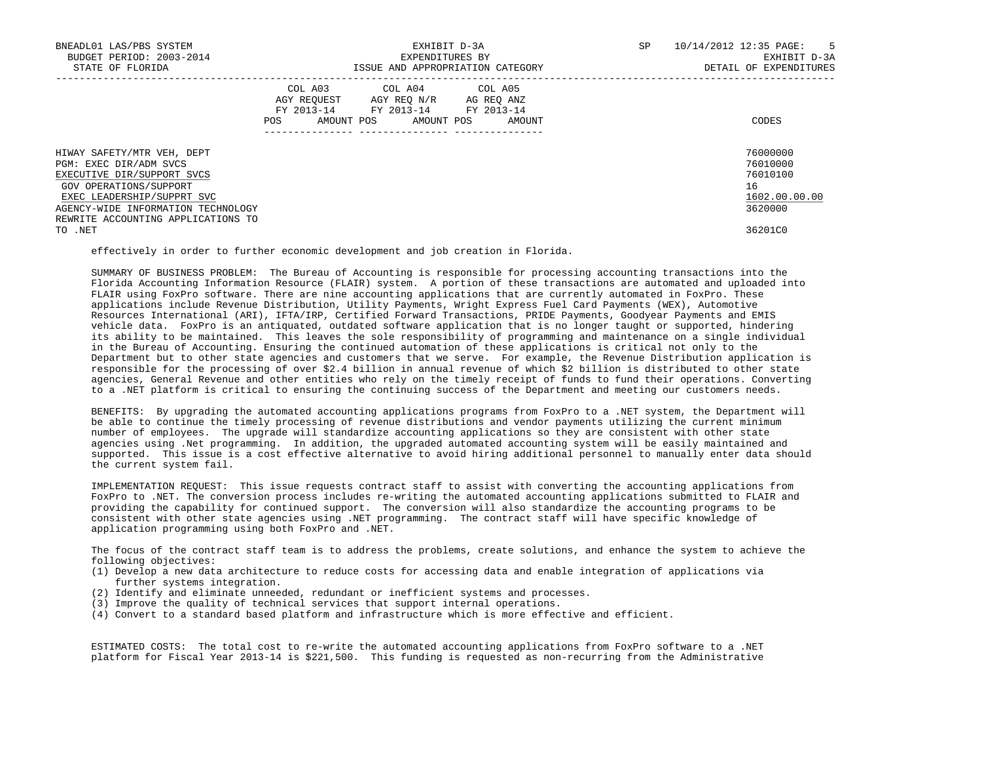| BNEADL01 LAS/PBS SYSTEM<br>BUDGET PERIOD: 2003-2014<br>STATE OF FLORIDA                                                                                                                                                | EXHIBIT D-3A<br>EXPENDITURES BY<br>ISSUE AND APPROPRIATION CATEGORY                                                                                                          | SP<br>10/14/2012 12:35 PAGE: 5<br>EXHIBIT D-3A<br>DETAIL OF EXPENDITURES |
|------------------------------------------------------------------------------------------------------------------------------------------------------------------------------------------------------------------------|------------------------------------------------------------------------------------------------------------------------------------------------------------------------------|--------------------------------------------------------------------------|
|                                                                                                                                                                                                                        | COL A03 COL A04 COL A05<br>AGY REQUEST AGY REQ N/R AG REQ ANZ<br>FY 2013-14 FY 2013-14 FY 2013-14<br>AMOUNT POS AMOUNT POS<br>POS<br>AMOUNT<br>_____________ _______________ | CODES                                                                    |
| HIWAY SAFETY/MTR VEH, DEPT<br>PGM: EXEC DIR/ADM SVCS<br>EXECUTIVE DIR/SUPPORT SVCS<br>GOV OPERATIONS/SUPPORT<br>EXEC LEADERSHIP/SUPPRT SVC<br>AGENCY-WIDE INFORMATION TECHNOLOGY<br>REWRITE ACCOUNTING APPLICATIONS TO |                                                                                                                                                                              | 76000000<br>76010000<br>76010100<br>16<br>1602.00.00.00<br>3620000       |
| TO .NET                                                                                                                                                                                                                |                                                                                                                                                                              | 36201C0                                                                  |

effectively in order to further economic development and job creation in Florida.

 SUMMARY OF BUSINESS PROBLEM: The Bureau of Accounting is responsible for processing accounting transactions into the Florida Accounting Information Resource (FLAIR) system. A portion of these transactions are automated and uploaded into FLAIR using FoxPro software. There are nine accounting applications that are currently automated in FoxPro. These applications include Revenue Distribution, Utility Payments, Wright Express Fuel Card Payments (WEX), Automotive Resources International (ARI), IFTA/IRP, Certified Forward Transactions, PRIDE Payments, Goodyear Payments and EMIS vehicle data. FoxPro is an antiquated, outdated software application that is no longer taught or supported, hindering its ability to be maintained. This leaves the sole responsibility of programming and maintenance on a single individual in the Bureau of Accounting. Ensuring the continued automation of these applications is critical not only to the Department but to other state agencies and customers that we serve. For example, the Revenue Distribution application is responsible for the processing of over \$2.4 billion in annual revenue of which \$2 billion is distributed to other state agencies, General Revenue and other entities who rely on the timely receipt of funds to fund their operations. Converting to a .NET platform is critical to ensuring the continuing success of the Department and meeting our customers needs.

 BENEFITS: By upgrading the automated accounting applications programs from FoxPro to a .NET system, the Department will be able to continue the timely processing of revenue distributions and vendor payments utilizing the current minimum number of employees. The upgrade will standardize accounting applications so they are consistent with other state agencies using .Net programming. In addition, the upgraded automated accounting system will be easily maintained and supported. This issue is a cost effective alternative to avoid hiring additional personnel to manually enter data should the current system fail.

 IMPLEMENTATION REQUEST: This issue requests contract staff to assist with converting the accounting applications from FoxPro to .NET. The conversion process includes re-writing the automated accounting applications submitted to FLAIR and providing the capability for continued support. The conversion will also standardize the accounting programs to be consistent with other state agencies using .NET programming. The contract staff will have specific knowledge of application programming using both FoxPro and .NET.

 The focus of the contract staff team is to address the problems, create solutions, and enhance the system to achieve the following objectives:

- (1) Develop a new data architecture to reduce costs for accessing data and enable integration of applications via further systems integration.
- (2) Identify and eliminate unneeded, redundant or inefficient systems and processes.
- (3) Improve the quality of technical services that support internal operations.
- (4) Convert to a standard based platform and infrastructure which is more effective and efficient.

 ESTIMATED COSTS: The total cost to re-write the automated accounting applications from FoxPro software to a .NET platform for Fiscal Year 2013-14 is \$221,500. This funding is requested as non-recurring from the Administrative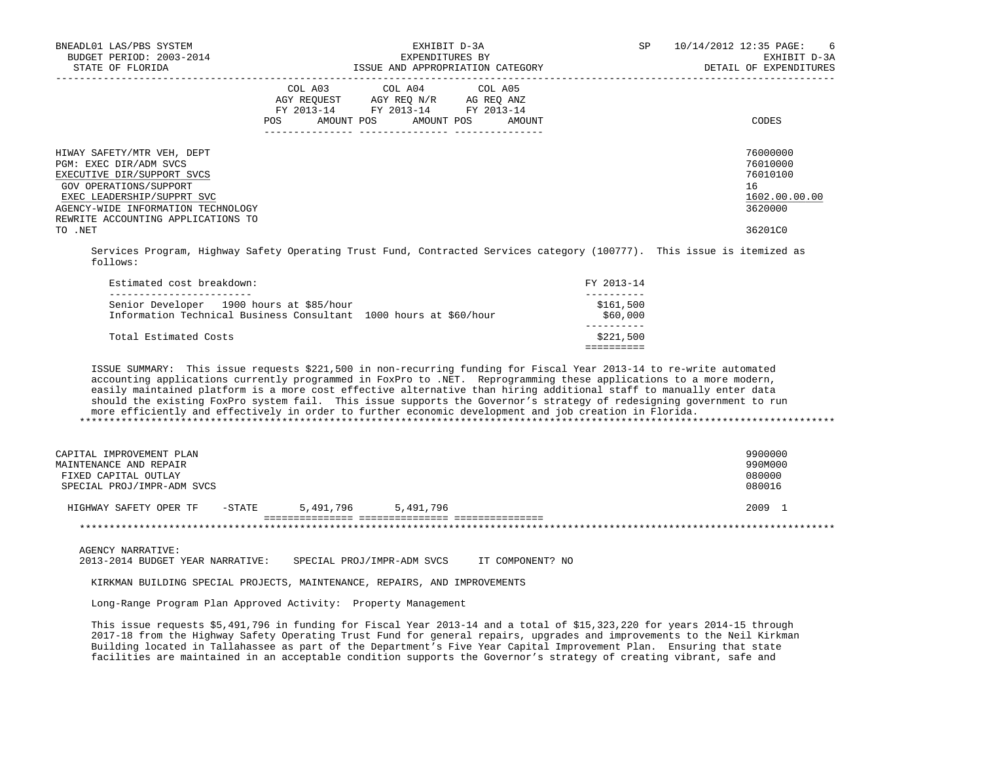| BNEADL01 LAS/PBS SYSTEM<br>BUDGET PERIOD: 2003-2014<br>STATE OF FLORIDA                                                                                                                                                |     | EXPENDITURES BY                                                                                                            | EXHIBIT D-3A<br>ISSUE AND APPROPRIATION CATEGORY | SP | 10/14/2012 12:35 PAGE:<br>6<br>EXHIBIT D-3A<br>DETAIL OF EXPENDITURES |
|------------------------------------------------------------------------------------------------------------------------------------------------------------------------------------------------------------------------|-----|----------------------------------------------------------------------------------------------------------------------------|--------------------------------------------------|----|-----------------------------------------------------------------------|
|                                                                                                                                                                                                                        | POS | COL A03 COL A04 COL A05<br>AGY REOUEST AGY REO N/R AG REO ANZ<br>FY 2013-14 FY 2013-14 FY 2013-14<br>AMOUNT POS AMOUNT POS | AMOUNT                                           |    | CODES                                                                 |
| HIWAY SAFETY/MTR VEH, DEPT<br>PGM: EXEC DIR/ADM SVCS<br>EXECUTIVE DIR/SUPPORT SVCS<br>GOV OPERATIONS/SUPPORT<br>EXEC LEADERSHIP/SUPPRT SVC<br>AGENCY-WIDE INFORMATION TECHNOLOGY<br>REWRITE ACCOUNTING APPLICATIONS TO |     |                                                                                                                            |                                                  |    | 76000000<br>76010000<br>76010100<br>16<br>1602.00.00.00<br>3620000    |
| TO .NET                                                                                                                                                                                                                |     |                                                                                                                            |                                                  |    | 36201C0                                                               |

 Services Program, Highway Safety Operating Trust Fund, Contracted Services category (100777). This issue is itemized as follows:

| Estimated cost breakdown:                                                                                     | FY 2013-14            |
|---------------------------------------------------------------------------------------------------------------|-----------------------|
| Senior Developer 1900 hours at \$85/hour<br>Information Technical Business Consultant 1000 hours at \$60/hour | \$161,500<br>\$60,000 |
| Total Estimated Costs                                                                                         | \$221,500             |
|                                                                                                               |                       |

 ISSUE SUMMARY: This issue requests \$221,500 in non-recurring funding for Fiscal Year 2013-14 to re-write automated accounting applications currently programmed in FoxPro to .NET. Reprogramming these applications to a more modern, easily maintained platform is a more cost effective alternative than hiring additional staff to manually enter data should the existing FoxPro system fail. This issue supports the Governor's strategy of redesigning government to run more efficiently and effectively in order to further economic development and job creation in Florida. \*\*\*\*\*\*\*\*\*\*\*\*\*\*\*\*\*\*\*\*\*\*\*\*\*\*\*\*\*\*\*\*\*\*\*\*\*\*\*\*\*\*\*\*\*\*\*\*\*\*\*\*\*\*\*\*\*\*\*\*\*\*\*\*\*\*\*\*\*\*\*\*\*\*\*\*\*\*\*\*\*\*\*\*\*\*\*\*\*\*\*\*\*\*\*\*\*\*\*\*\*\*\*\*\*\*\*\*\*\*\*\*\*\*\*\*\*\*\*\*\*\*\*\*\*\*\*

| CAPITAL IMPROVEMENT PLAN<br>MAINTENANCE AND REPAIR<br>FIXED CAPITAL OUTLAY<br>SPECIAL PROJ/IMPR-ADM SVCS |          |           |           | 9900000<br>990M000<br>080000<br>080016 |
|----------------------------------------------------------------------------------------------------------|----------|-----------|-----------|----------------------------------------|
| HIGHWAY SAFETY OPER TF                                                                                   | $-STATE$ | 5,491,796 | 5,491,796 | 2009                                   |
|                                                                                                          |          |           |           |                                        |

AGENCY NARRATIVE:

2013-2014 BUDGET YEAR NARRATIVE: SPECIAL PROJ/IMPR-ADM SVCS IT COMPONENT? NO

KIRKMAN BUILDING SPECIAL PROJECTS, MAINTENANCE, REPAIRS, AND IMPROVEMENTS

Long-Range Program Plan Approved Activity: Property Management

 This issue requests \$5,491,796 in funding for Fiscal Year 2013-14 and a total of \$15,323,220 for years 2014-15 through 2017-18 from the Highway Safety Operating Trust Fund for general repairs, upgrades and improvements to the Neil Kirkman Building located in Tallahassee as part of the Department's Five Year Capital Improvement Plan. Ensuring that state facilities are maintained in an acceptable condition supports the Governor's strategy of creating vibrant, safe and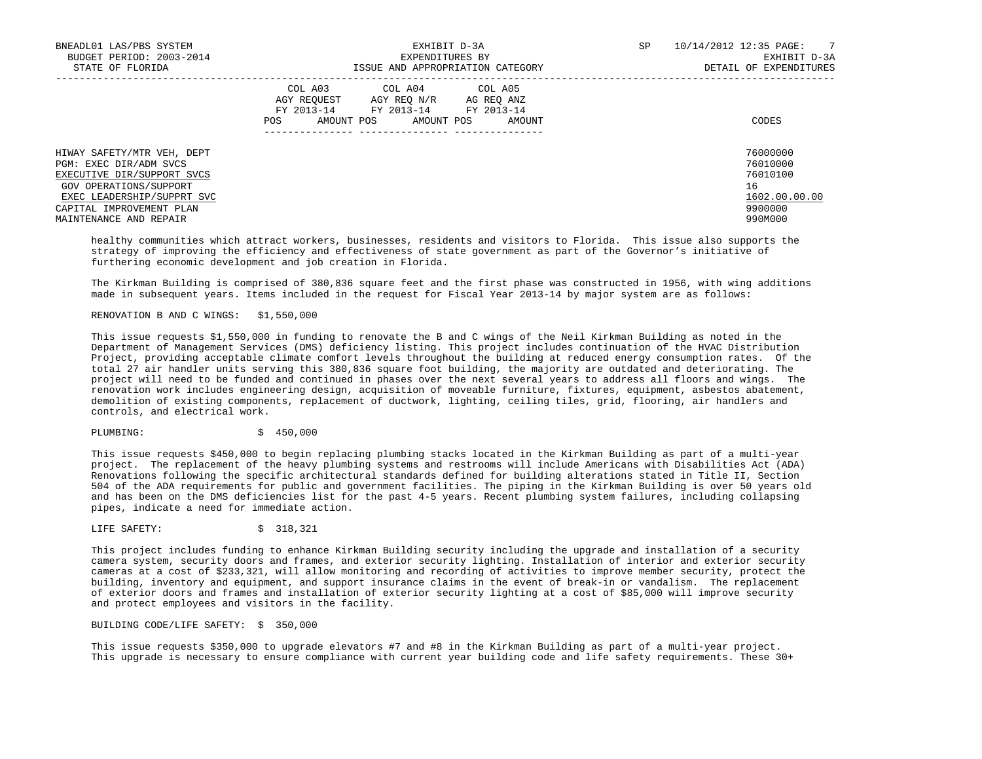| BNEADL01 LAS/PBS SYSTEM<br>BUDGET PERIOD: 2003-2014<br>STATE OF FLORIDA            | EXHIBIT D-3A<br>EXPENDITURES BY<br>ISSUE AND APPROPRIATION CATEGORY                                                                                     | $\overline{7}$<br>10/14/2012 12:35 PAGE:<br>SP<br>EXHIBIT D-3A<br>DETAIL OF EXPENDITURES |
|------------------------------------------------------------------------------------|---------------------------------------------------------------------------------------------------------------------------------------------------------|------------------------------------------------------------------------------------------|
|                                                                                    | COL A03 COL A04 COL A05<br>AGY REOUEST<br>AGY REO N/R<br>AG REO ANZ<br>FY 2013-14 FY 2013-14<br>FY 2013-14<br>AMOUNT POS<br>AMOUNT POS<br>POS<br>AMOUNT | CODES                                                                                    |
| HIWAY SAFETY/MTR VEH, DEPT<br>PGM: EXEC DIR/ADM SVCS<br>EXECUTIVE DIR/SUPPORT SVCS |                                                                                                                                                         | 76000000<br>76010000<br>76010100                                                         |
| GOV OPERATIONS/SUPPORT<br>EXEC LEADERSHIP/SUPPRT SVC                               |                                                                                                                                                         | 16<br>1602.00.00.00                                                                      |
| CAPITAL IMPROVEMENT PLAN<br>MAINTENANCE AND REPAIR                                 |                                                                                                                                                         | 9900000<br>990M000                                                                       |

 healthy communities which attract workers, businesses, residents and visitors to Florida. This issue also supports the strategy of improving the efficiency and effectiveness of state government as part of the Governor's initiative of furthering economic development and job creation in Florida.

 The Kirkman Building is comprised of 380,836 square feet and the first phase was constructed in 1956, with wing additions made in subsequent years. Items included in the request for Fiscal Year 2013-14 by major system are as follows:

# RENOVATION B AND C WINGS: \$1,550,000

 This issue requests \$1,550,000 in funding to renovate the B and C wings of the Neil Kirkman Building as noted in the Department of Management Services (DMS) deficiency listing. This project includes continuation of the HVAC Distribution Project, providing acceptable climate comfort levels throughout the building at reduced energy consumption rates. Of the total 27 air handler units serving this 380,836 square foot building, the majority are outdated and deteriorating. The project will need to be funded and continued in phases over the next several years to address all floors and wings. The renovation work includes engineering design, acquisition of moveable furniture, fixtures, equipment, asbestos abatement, demolition of existing components, replacement of ductwork, lighting, ceiling tiles, grid, flooring, air handlers and controls, and electrical work.

PLUMBING: \$ 450,000

 This issue requests \$450,000 to begin replacing plumbing stacks located in the Kirkman Building as part of a multi-year project. The replacement of the heavy plumbing systems and restrooms will include Americans with Disabilities Act (ADA) Renovations following the specific architectural standards defined for building alterations stated in Title II, Section 504 of the ADA requirements for public and government facilities. The piping in the Kirkman Building is over 50 years old and has been on the DMS deficiencies list for the past 4-5 years. Recent plumbing system failures, including collapsing pipes, indicate a need for immediate action.

LIFE SAFETY: \$ 318,321

 This project includes funding to enhance Kirkman Building security including the upgrade and installation of a security camera system, security doors and frames, and exterior security lighting. Installation of interior and exterior security cameras at a cost of \$233,321, will allow monitoring and recording of activities to improve member security, protect the building, inventory and equipment, and support insurance claims in the event of break-in or vandalism. The replacement of exterior doors and frames and installation of exterior security lighting at a cost of \$85,000 will improve security and protect employees and visitors in the facility.

### BUILDING CODE/LIFE SAFETY: \$ 350,000

 This issue requests \$350,000 to upgrade elevators #7 and #8 in the Kirkman Building as part of a multi-year project. This upgrade is necessary to ensure compliance with current year building code and life safety requirements. These 30+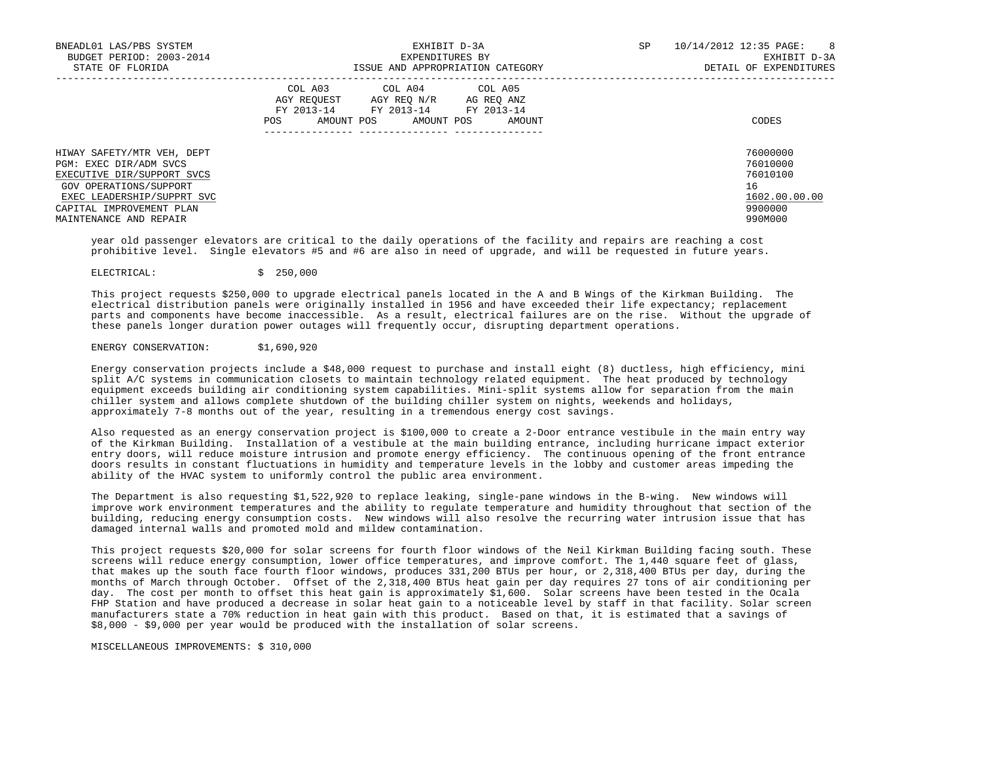| BNEADL01 LAS/PBS SYSTEM    | EXHIBIT D-3A                                                                                                                                         | SP | 10/14/2012 12:35 PAGE:<br>8 <sup>8</sup> |
|----------------------------|------------------------------------------------------------------------------------------------------------------------------------------------------|----|------------------------------------------|
| BUDGET PERIOD: 2003-2014   | EXPENDITURES BY                                                                                                                                      |    | EXHIBIT D-3A                             |
| STATE OF FLORIDA           | ISSUE AND APPROPRIATION CATEGORY                                                                                                                     |    | DETAIL OF EXPENDITURES                   |
|                            | COL A03 COL A04 COL A05<br>AGY REOUEST<br>AGY REO N/R<br>AG REO ANZ<br>FY 2013-14<br>FY 2013-14 FY 2013-14<br>AMOUNT POS AMOUNT POS<br>POS<br>AMOUNT |    | CODES                                    |
|                            |                                                                                                                                                      |    | 76000000                                 |
| HIWAY SAFETY/MTR VEH, DEPT |                                                                                                                                                      |    | 76010000                                 |
| PGM: EXEC DIR/ADM SVCS     |                                                                                                                                                      |    |                                          |
| EXECUTIVE DIR/SUPPORT SVCS |                                                                                                                                                      |    | 76010100                                 |
| GOV OPERATIONS/SUPPORT     |                                                                                                                                                      |    | 16                                       |
| EXEC LEADERSHIP/SUPPRT SVC |                                                                                                                                                      |    | 1602.00.00.00                            |
| CAPITAL IMPROVEMENT PLAN   |                                                                                                                                                      |    | 9900000                                  |
| MAINTENANCE AND REPAIR     |                                                                                                                                                      |    | 990M000                                  |

 year old passenger elevators are critical to the daily operations of the facility and repairs are reaching a cost prohibitive level. Single elevators #5 and #6 are also in need of upgrade, and will be requested in future years.

### ELECTRICAL: \$ 250,000

 This project requests \$250,000 to upgrade electrical panels located in the A and B Wings of the Kirkman Building. The electrical distribution panels were originally installed in 1956 and have exceeded their life expectancy; replacement parts and components have become inaccessible. As a result, electrical failures are on the rise. Without the upgrade of these panels longer duration power outages will frequently occur, disrupting department operations.

# ENERGY CONSERVATION: \$1,690,920

 Energy conservation projects include a \$48,000 request to purchase and install eight (8) ductless, high efficiency, mini split A/C systems in communication closets to maintain technology related equipment. The heat produced by technology equipment exceeds building air conditioning system capabilities. Mini-split systems allow for separation from the main chiller system and allows complete shutdown of the building chiller system on nights, weekends and holidays, approximately 7-8 months out of the year, resulting in a tremendous energy cost savings.

 Also requested as an energy conservation project is \$100,000 to create a 2-Door entrance vestibule in the main entry way of the Kirkman Building. Installation of a vestibule at the main building entrance, including hurricane impact exterior entry doors, will reduce moisture intrusion and promote energy efficiency. The continuous opening of the front entrance doors results in constant fluctuations in humidity and temperature levels in the lobby and customer areas impeding the ability of the HVAC system to uniformly control the public area environment.

 The Department is also requesting \$1,522,920 to replace leaking, single-pane windows in the B-wing. New windows will improve work environment temperatures and the ability to regulate temperature and humidity throughout that section of the building, reducing energy consumption costs. New windows will also resolve the recurring water intrusion issue that has damaged internal walls and promoted mold and mildew contamination.

 This project requests \$20,000 for solar screens for fourth floor windows of the Neil Kirkman Building facing south. These screens will reduce energy consumption, lower office temperatures, and improve comfort. The 1,440 square feet of glass, that makes up the south face fourth floor windows, produces 331,200 BTUs per hour, or 2,318,400 BTUs per day, during the months of March through October. Offset of the 2,318,400 BTUs heat gain per day requires 27 tons of air conditioning per day. The cost per month to offset this heat gain is approximately \$1,600. Solar screens have been tested in the Ocala FHP Station and have produced a decrease in solar heat gain to a noticeable level by staff in that facility. Solar screen manufacturers state a 70% reduction in heat gain with this product. Based on that, it is estimated that a savings of \$8,000 - \$9,000 per year would be produced with the installation of solar screens.

MISCELLANEOUS IMPROVEMENTS: \$ 310,000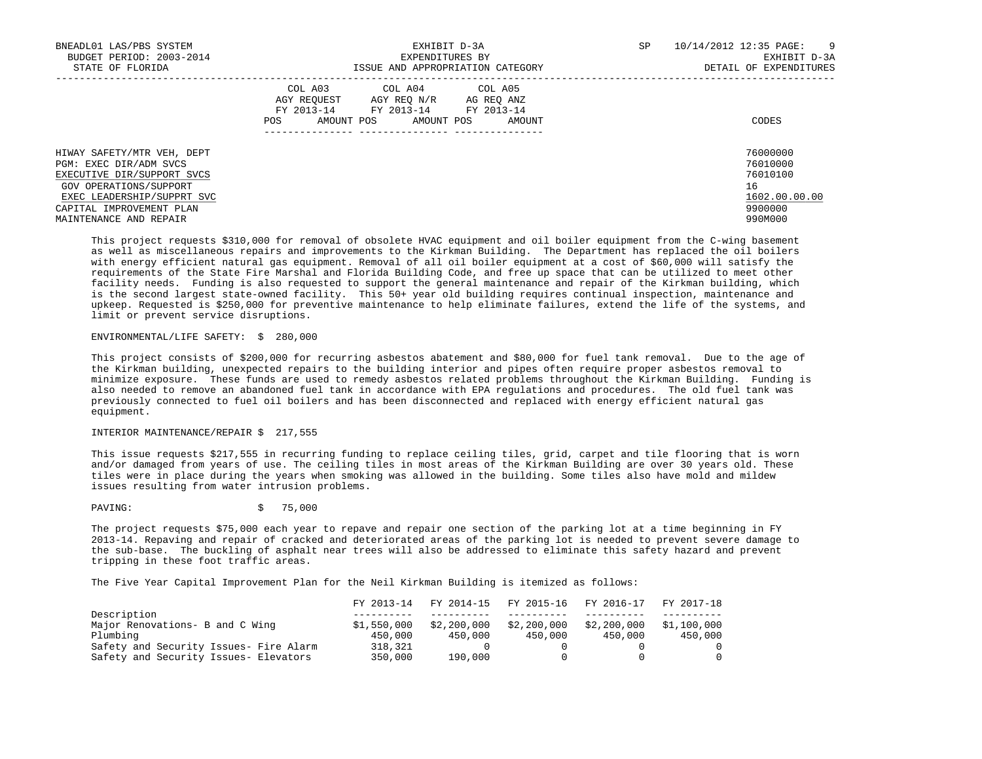| BNEADL01 LAS/PBS SYSTEM<br>BUDGET PERIOD: 2003-2014<br>STATE OF FLORIDA                                                                                                                          | EXHIBIT D-3A<br>EXPENDITURES BY<br>ISSUE AND APPROPRIATION CATEGORY                                                                                  | 10/14/2012 12:35 PAGE:<br>SP<br>- 9<br>EXHIBIT D-3A<br>DETAIL OF EXPENDITURES |
|--------------------------------------------------------------------------------------------------------------------------------------------------------------------------------------------------|------------------------------------------------------------------------------------------------------------------------------------------------------|-------------------------------------------------------------------------------|
|                                                                                                                                                                                                  | COL A03 COL A04 COL A05<br>AGY REOUEST<br>AGY REO N/R<br>AG REQ ANZ<br>FY 2013-14 FY 2013-14 FY 2013-14<br>AMOUNT<br>POS<br>AMOUNT POS<br>AMOUNT POS | CODES                                                                         |
| HIWAY SAFETY/MTR VEH, DEPT<br>PGM: EXEC DIR/ADM SVCS<br>EXECUTIVE DIR/SUPPORT SVCS<br>GOV OPERATIONS/SUPPORT<br>EXEC LEADERSHIP/SUPPRT SVC<br>CAPITAL IMPROVEMENT PLAN<br>MAINTENANCE AND REPAIR |                                                                                                                                                      | 76000000<br>76010000<br>76010100<br>16<br>1602.00.00.00<br>9900000<br>990M000 |

 This project requests \$310,000 for removal of obsolete HVAC equipment and oil boiler equipment from the C-wing basement as well as miscellaneous repairs and improvements to the Kirkman Building. The Department has replaced the oil boilers with energy efficient natural gas equipment. Removal of all oil boiler equipment at a cost of \$60,000 will satisfy the requirements of the State Fire Marshal and Florida Building Code, and free up space that can be utilized to meet other facility needs. Funding is also requested to support the general maintenance and repair of the Kirkman building, which is the second largest state-owned facility. This 50+ year old building requires continual inspection, maintenance and upkeep. Requested is \$250,000 for preventive maintenance to help eliminate failures, extend the life of the systems, and limit or prevent service disruptions.

# ENVIRONMENTAL/LIFE SAFETY: \$ 280,000

 This project consists of \$200,000 for recurring asbestos abatement and \$80,000 for fuel tank removal. Due to the age of the Kirkman building, unexpected repairs to the building interior and pipes often require proper asbestos removal to minimize exposure. These funds are used to remedy asbestos related problems throughout the Kirkman Building. Funding is also needed to remove an abandoned fuel tank in accordance with EPA regulations and procedures. The old fuel tank was previously connected to fuel oil boilers and has been disconnected and replaced with energy efficient natural gas equipment.

## INTERIOR MAINTENANCE/REPAIR \$ 217,555

 This issue requests \$217,555 in recurring funding to replace ceiling tiles, grid, carpet and tile flooring that is worn and/or damaged from years of use. The ceiling tiles in most areas of the Kirkman Building are over 30 years old. These tiles were in place during the years when smoking was allowed in the building. Some tiles also have mold and mildew issues resulting from water intrusion problems.

PAVING: \$ 75,000

 The project requests \$75,000 each year to repave and repair one section of the parking lot at a time beginning in FY 2013-14. Repaving and repair of cracked and deteriorated areas of the parking lot is needed to prevent severe damage to the sub-base. The buckling of asphalt near trees will also be addressed to eliminate this safety hazard and prevent tripping in these foot traffic areas.

The Five Year Capital Improvement Plan for the Neil Kirkman Building is itemized as follows:

|                                        | FY 2013-14  |             |             | FY 2014-15 FY 2015-16 FY 2016-17 | FY 2017-18  |
|----------------------------------------|-------------|-------------|-------------|----------------------------------|-------------|
| Description                            |             |             |             |                                  |             |
| Major Renovations- B and C Wing        | \$1,550,000 | \$2,200,000 | \$2,200,000 | \$2,200,000                      | \$1,100,000 |
| Plumbing                               | 450,000     | 450,000     | 450,000     | 450.000                          | 450,000     |
| Safety and Security Issues- Fire Alarm | 318,321     |             |             |                                  |             |
| Safety and Security Issues- Elevators  | 350,000     | 190,000     |             |                                  |             |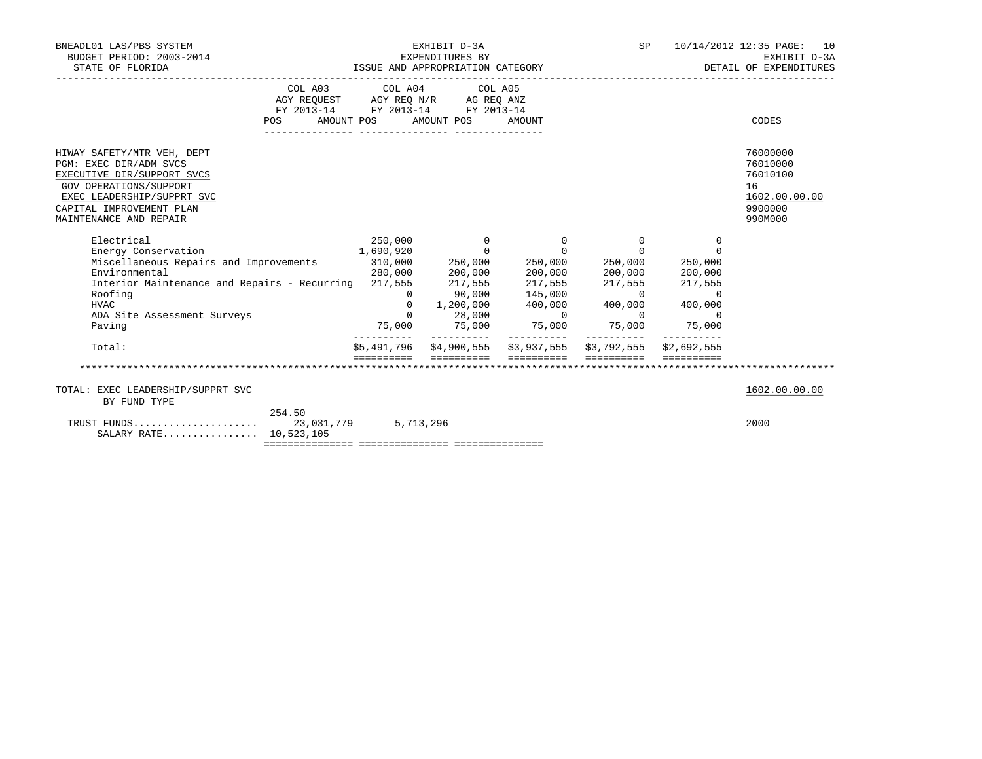| BNEADL01 LAS/PBS SYSTEM<br>BUDGET PERIOD: 2003-2014<br>STATE OF FLORIDA                                                                                                                                                                                                                                                                                                    | EXHIBIT D-3A<br>EXPENDITURES BY<br>  ISSUE AND APPROPRIATION CATEGORY<br>  DETAIL OF DETAIL OF DETAIL OF APPROPRIATION CATEGORY |                                                                                                   |                                                                                                                                                                         |  |                      | 10/14/2012 12:35 PAGE: 10<br>EXHIBIT D-3A<br>DETAIL OF EXPENDITURES           |
|----------------------------------------------------------------------------------------------------------------------------------------------------------------------------------------------------------------------------------------------------------------------------------------------------------------------------------------------------------------------------|---------------------------------------------------------------------------------------------------------------------------------|---------------------------------------------------------------------------------------------------|-------------------------------------------------------------------------------------------------------------------------------------------------------------------------|--|----------------------|-------------------------------------------------------------------------------|
|                                                                                                                                                                                                                                                                                                                                                                            |                                                                                                                                 | COL A03 COL A04 COL A05<br>AGY REQUEST AGY REQ N/R AG REQ ANZ<br>FY 2013-14 FY 2013-14 FY 2013-14 |                                                                                                                                                                         |  |                      |                                                                               |
| <b>POS</b>                                                                                                                                                                                                                                                                                                                                                                 |                                                                                                                                 | AMOUNT POS AMOUNT POS                                                                             | AMOUNT                                                                                                                                                                  |  |                      | CODES                                                                         |
| HIWAY SAFETY/MTR VEH, DEPT<br>PGM: EXEC DIR/ADM SVCS<br>EXECUTIVE DIR/SUPPORT SVCS<br>GOV OPERATIONS/SUPPORT<br>EXEC LEADERSHIP/SUPPRT SVC<br>CAPITAL IMPROVEMENT PLAN<br>MAINTENANCE AND REPAIR                                                                                                                                                                           |                                                                                                                                 |                                                                                                   |                                                                                                                                                                         |  |                      | 76000000<br>76010000<br>76010100<br>16<br>1602.00.00.00<br>9900000<br>990M000 |
| Electrical<br>Energy Conservation 1,690,920 0<br>Miscellaneous Repairs and Improvements 310,000 250,000 250,000 250,000 250,000<br>$280,000$ $200,000$ $200,000$ $200,000$ $200,000$ $200,000$<br>Environmental<br>Interior Maintenance and Repairs - Recurring 217,555 217,555 217,555 217,555 217,555<br>Roofing<br><b>HVAC</b><br>ADA Site Assessment Surveys<br>Paving | ----------                                                                                                                      |                                                                                                   | $250,000$ $0$ $0$ $0$ $0$<br>$\begin{array}{cccccccc} 0 & 90\,,000 & 145\,,000 & & & 0 & & 0 \ 0 & 1\,,200\,,000 & 400\,,000 & & 400\,,000 & & & 400\,,000 \end{array}$ |  | $\Omega$<br>$\Omega$ |                                                                               |
| Total:                                                                                                                                                                                                                                                                                                                                                                     |                                                                                                                                 |                                                                                                   | \$5,491,796    \$4,900,555    \$3,937,555    \$3,792,555    \$2,692,555                                                                                                 |  |                      |                                                                               |
|                                                                                                                                                                                                                                                                                                                                                                            |                                                                                                                                 |                                                                                                   |                                                                                                                                                                         |  |                      |                                                                               |
| TOTAL: EXEC LEADERSHIP/SUPPRT SVC<br>BY FUND TYPE                                                                                                                                                                                                                                                                                                                          |                                                                                                                                 |                                                                                                   |                                                                                                                                                                         |  |                      | 1602.00.00.00                                                                 |
| 254.50<br>SALARY RATE 10,523,105                                                                                                                                                                                                                                                                                                                                           |                                                                                                                                 |                                                                                                   |                                                                                                                                                                         |  |                      | 2000                                                                          |
|                                                                                                                                                                                                                                                                                                                                                                            |                                                                                                                                 |                                                                                                   |                                                                                                                                                                         |  |                      |                                                                               |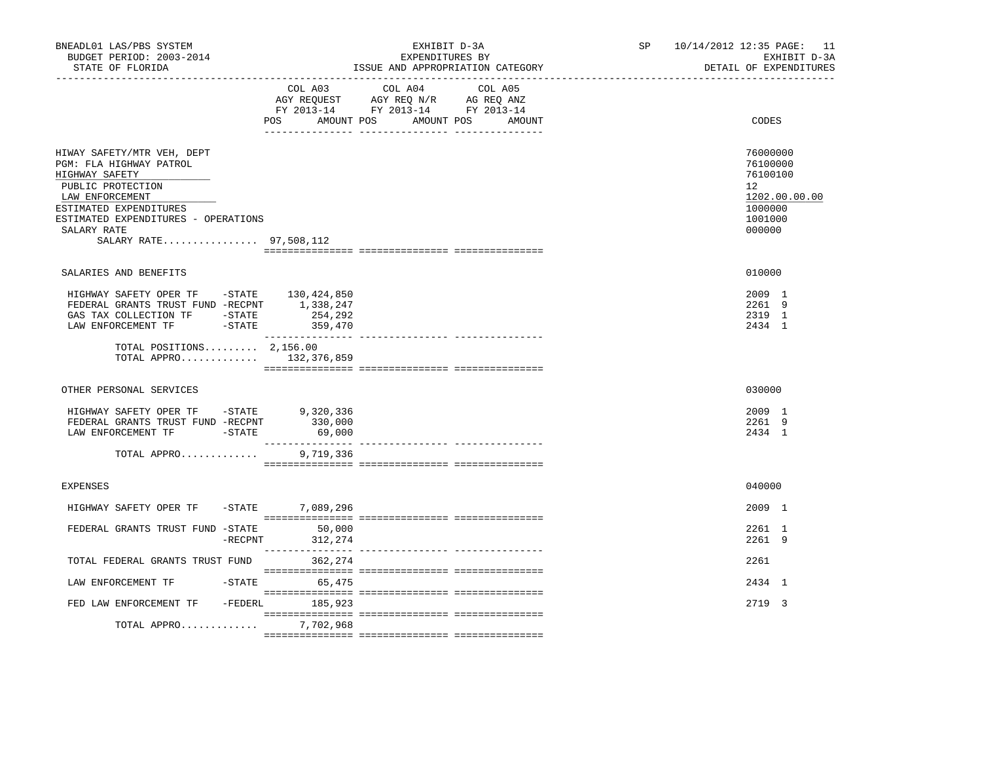| BNEADL01 LAS/PBS SYSTEM<br>BUDGET PERIOD: 2003-2014<br>STATE OF FLORIDA                                                                                                                                                   | EXHIBIT D-3A<br>EXPENDITURES BY<br>ISSUE AND APPROPRIATION CATEGORY |                   |                                                                                                                                   | 10/14/2012 12:35 PAGE: 11<br>SP<br>EXHIBIT D-3A<br>DETAIL OF EXPENDITURES |                                                                                                      |  |
|---------------------------------------------------------------------------------------------------------------------------------------------------------------------------------------------------------------------------|---------------------------------------------------------------------|-------------------|-----------------------------------------------------------------------------------------------------------------------------------|---------------------------------------------------------------------------|------------------------------------------------------------------------------------------------------|--|
|                                                                                                                                                                                                                           |                                                                     | POS               | COL A03 COL A04 COL A05<br>AGY REQUEST AGY REQ N/R AG REQ ANZ<br>FY 2013-14 FY 2013-14 FY 2013-14<br>AMOUNT POS AMOUNT POS AMOUNT |                                                                           | CODES                                                                                                |  |
| HIWAY SAFETY/MTR VEH, DEPT<br>PGM: FLA HIGHWAY PATROL<br>HIGHWAY SAFETY<br>PUBLIC PROTECTION<br>LAW ENFORCEMENT<br>ESTIMATED EXPENDITURES<br>ESTIMATED EXPENDITURES - OPERATIONS<br>SALARY RATE<br>SALARY RATE 97,508,112 |                                                                     |                   |                                                                                                                                   |                                                                           | 76000000<br>76100000<br>76100100<br>12 <sup>°</sup><br>1202.00.00.00<br>1000000<br>1001000<br>000000 |  |
| SALARIES AND BENEFITS                                                                                                                                                                                                     |                                                                     |                   |                                                                                                                                   |                                                                           | 010000                                                                                               |  |
| HIGHWAY SAFETY OPER TF -STATE 130,424,850<br>FEDERAL GRANTS TRUST FUND -RECPNT 1,338,247<br>GAS TAX COLLECTION TF -STATE<br>LAW ENFORCEMENT TF -STATE 359,470<br>TOTAL POSITIONS $2,156.00$<br>TOTAL APPRO 132,376,859    |                                                                     | 254,292           |                                                                                                                                   |                                                                           | 2009 1<br>2261 9<br>2319 1<br>2434 1                                                                 |  |
|                                                                                                                                                                                                                           |                                                                     |                   |                                                                                                                                   |                                                                           |                                                                                                      |  |
| OTHER PERSONAL SERVICES                                                                                                                                                                                                   |                                                                     |                   |                                                                                                                                   |                                                                           | 030000                                                                                               |  |
| HIGHWAY SAFETY OPER TF -STATE 9,320,336<br>FEDERAL GRANTS TRUST FUND -RECPNT<br>LAW ENFORCEMENT TF -STATE                                                                                                                 |                                                                     | 330,000<br>69,000 |                                                                                                                                   |                                                                           | 2009 1<br>2261 9<br>2434 1                                                                           |  |
| TOTAL APPRO                                                                                                                                                                                                               |                                                                     | 9,719,336         |                                                                                                                                   |                                                                           |                                                                                                      |  |
| <b>EXPENSES</b>                                                                                                                                                                                                           |                                                                     |                   |                                                                                                                                   |                                                                           | 040000                                                                                               |  |
| HIGHWAY SAFETY OPER TF                                                                                                                                                                                                    |                                                                     | -STATE 7,089,296  |                                                                                                                                   |                                                                           | 2009 1                                                                                               |  |
| FEDERAL GRANTS TRUST FUND -STATE 50,000                                                                                                                                                                                   | $-$ RECPNT                                                          | 312,274           |                                                                                                                                   |                                                                           | 2261 1<br>2261 9                                                                                     |  |
| TOTAL FEDERAL GRANTS TRUST FUND                                                                                                                                                                                           |                                                                     | 362,274           |                                                                                                                                   |                                                                           | 2261                                                                                                 |  |
| LAW ENFORCEMENT TF                                                                                                                                                                                                        |                                                                     | $-STATE$ 65,475   |                                                                                                                                   |                                                                           | 2434 1                                                                                               |  |
| FED LAW ENFORCEMENT TF                                                                                                                                                                                                    |                                                                     | -FEDERL 185,923   |                                                                                                                                   |                                                                           | 2719 3                                                                                               |  |
| TOTAL APPRO                                                                                                                                                                                                               |                                                                     | 7,702,968         |                                                                                                                                   |                                                                           |                                                                                                      |  |
|                                                                                                                                                                                                                           |                                                                     |                   |                                                                                                                                   |                                                                           |                                                                                                      |  |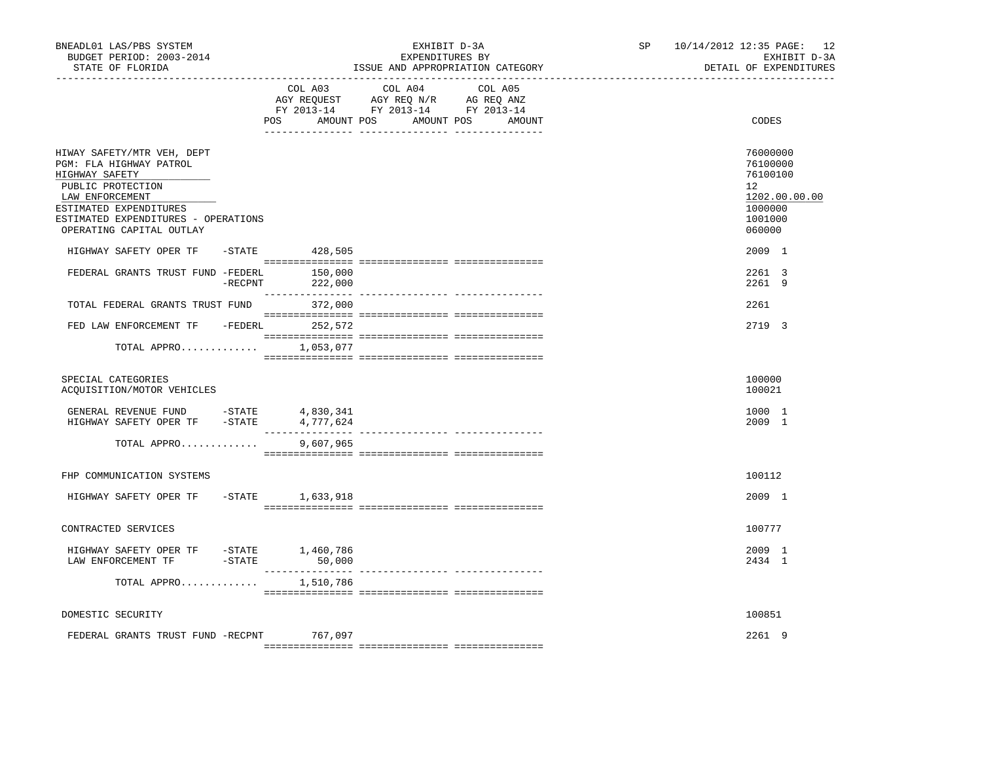| BNEADL01 LAS/PBS SYSTEM<br>BUDGET PERIOD: 2003-2014<br>STATE OF FLORIDA                                         |         |                                                                                                                                                                                                                                                                    | EXHIBIT D-3A<br>EXPENDITURES BY<br>ISSUE AND APPROPRIATION CATEGORY | SP | 10/14/2012 12:35 PAGE: 12<br>EXHIBIT D-3A<br>DETAIL OF EXPENDITURES |                                                                      |
|-----------------------------------------------------------------------------------------------------------------|---------|--------------------------------------------------------------------------------------------------------------------------------------------------------------------------------------------------------------------------------------------------------------------|---------------------------------------------------------------------|----|---------------------------------------------------------------------|----------------------------------------------------------------------|
| ___________________________________                                                                             | COL A03 | COL A04<br>$\begin{tabular}{lllllllll} \bf{AGY} & \bf{REQUEST} & \bf{AGY} & \bf{REQ} & \bf{IN/R} & \bf{AG} & \bf{REQ} & \bf{ANZ} \\ \bf{FY} & \bf{2013-14} & \bf{FY} & \bf{2013-14} & \bf{FY} & \bf{2013-14} \\ \end{tabular}$<br>POS AMOUNT POS AMOUNT POS AMOUNT | COL A05                                                             |    | CODES                                                               |                                                                      |
| HIWAY SAFETY/MTR VEH, DEPT<br>PGM: FLA HIGHWAY PATROL<br>HIGHWAY SAFETY<br>PUBLIC PROTECTION<br>LAW ENFORCEMENT |         |                                                                                                                                                                                                                                                                    |                                                                     |    |                                                                     | 76000000<br>76100000<br>76100100<br>12 <sup>°</sup><br>1202.00.00.00 |
| ESTIMATED EXPENDITURES<br>ESTIMATED EXPENDITURES - OPERATIONS<br>OPERATING CAPITAL OUTLAY                       |         |                                                                                                                                                                                                                                                                    |                                                                     |    |                                                                     | 1000000<br>1001000<br>060000                                         |
| HIGHWAY SAFETY OPER TF                                                                                          |         | $-$ STATE 428,505                                                                                                                                                                                                                                                  |                                                                     |    |                                                                     | 2009 1                                                               |
| FEDERAL GRANTS TRUST FUND -FEDERL 150,000                                                                       |         | $-RECPNT$ 222,000                                                                                                                                                                                                                                                  |                                                                     |    |                                                                     | 2261 3<br>2261 9                                                     |
| TOTAL FEDERAL GRANTS TRUST FUND 372,000                                                                         |         |                                                                                                                                                                                                                                                                    |                                                                     |    |                                                                     | 2261                                                                 |
| FED LAW ENFORCEMENT TF -FEDERL 252,572                                                                          |         |                                                                                                                                                                                                                                                                    |                                                                     |    |                                                                     | 2719 3                                                               |
| TOTAL APPRO $1,053,077$                                                                                         |         |                                                                                                                                                                                                                                                                    |                                                                     |    |                                                                     |                                                                      |
| SPECIAL CATEGORIES<br>ACQUISITION/MOTOR VEHICLES                                                                |         |                                                                                                                                                                                                                                                                    |                                                                     |    |                                                                     | 100000<br>100021                                                     |
| GENERAL REVENUE FUND -STATE<br>HIGHWAY SAFETY OPER TF -STATE 4,777,624                                          |         | 4,830,341                                                                                                                                                                                                                                                          |                                                                     |    |                                                                     | 1000 1<br>2009 1                                                     |
| TOTAL APPRO                                                                                                     |         | 9,607,965                                                                                                                                                                                                                                                          |                                                                     |    |                                                                     |                                                                      |
| FHP COMMUNICATION SYSTEMS                                                                                       |         |                                                                                                                                                                                                                                                                    |                                                                     |    |                                                                     | 100112                                                               |
| HIGHWAY SAFETY OPER TF - STATE 1,633,918                                                                        |         |                                                                                                                                                                                                                                                                    |                                                                     |    |                                                                     | 2009 1                                                               |
| CONTRACTED SERVICES                                                                                             |         |                                                                                                                                                                                                                                                                    |                                                                     |    |                                                                     | 100777                                                               |
| HIGHWAY SAFETY OPER TF - STATE 1,460,786                                                                        |         |                                                                                                                                                                                                                                                                    |                                                                     |    |                                                                     | 2009 1<br>2434 1                                                     |
| TOTAL APPRO $1,510,786$                                                                                         |         |                                                                                                                                                                                                                                                                    |                                                                     |    |                                                                     |                                                                      |
| DOMESTIC SECURITY                                                                                               |         |                                                                                                                                                                                                                                                                    |                                                                     |    |                                                                     | 100851                                                               |
| FEDERAL GRANTS TRUST FUND -RECPNT 767,097                                                                       |         |                                                                                                                                                                                                                                                                    |                                                                     |    |                                                                     | 2261 9                                                               |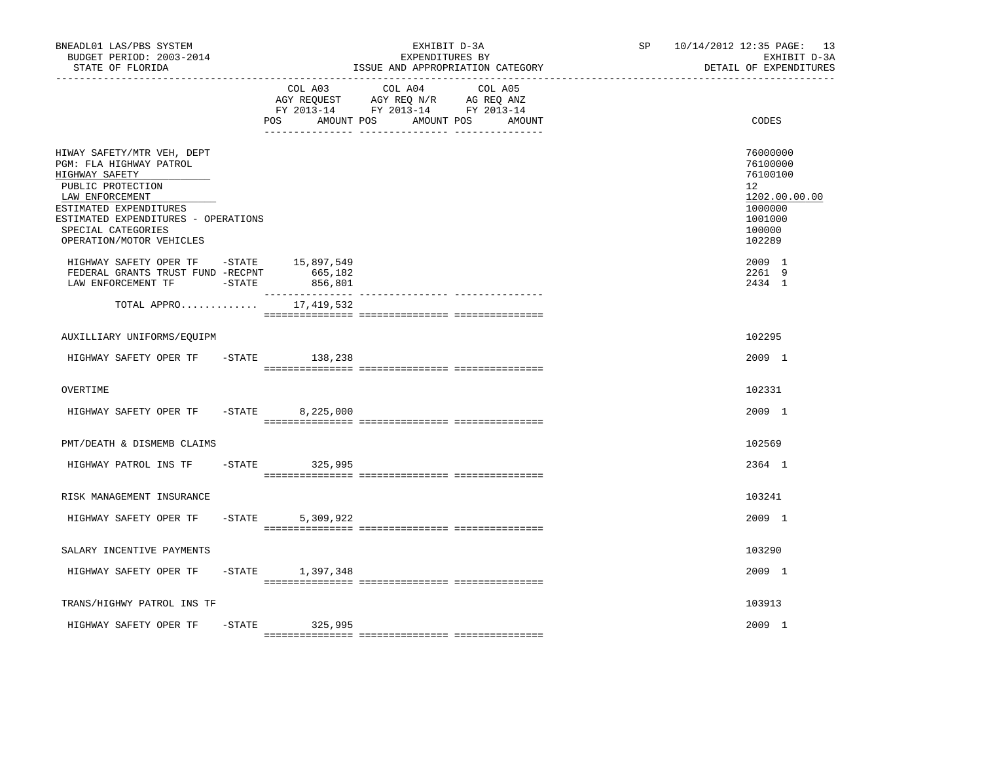| BNEADL01 LAS/PBS SYSTEM<br>BUDGET PERIOD: 2003-2014<br>STATE OF FLORIDA                                                                                                                                                            | EXHIBIT D-3A<br>EXPENDITURES BY<br>ISSUE AND APPROPRIATION CATEGORY |                      |                                                                                                                           | SP 10/14/2012 12:35 PAGE: 13<br>EXHIBIT D-3A<br>DETAIL OF EXPENDITURES                                         |
|------------------------------------------------------------------------------------------------------------------------------------------------------------------------------------------------------------------------------------|---------------------------------------------------------------------|----------------------|---------------------------------------------------------------------------------------------------------------------------|----------------------------------------------------------------------------------------------------------------|
|                                                                                                                                                                                                                                    |                                                                     | POS<br>AMOUNT POS    | COL A03 COL A04<br>COL A05<br>AGY REQUEST AGY REQ N/R AG REQ ANZ<br>FY 2013-14 FY 2013-14 FY 2013-14<br>AMOUNT POS AMOUNT | CODES                                                                                                          |
| HIWAY SAFETY/MTR VEH, DEPT<br>PGM: FLA HIGHWAY PATROL<br>HIGHWAY SAFETY<br>PUBLIC PROTECTION<br>LAW ENFORCEMENT<br>ESTIMATED EXPENDITURES<br>ESTIMATED EXPENDITURES - OPERATIONS<br>SPECIAL CATEGORIES<br>OPERATION/MOTOR VEHICLES |                                                                     |                      |                                                                                                                           | 76000000<br>76100000<br>76100100<br>12 <sup>°</sup><br>1202.00.00.00<br>1000000<br>1001000<br>100000<br>102289 |
| HIGHWAY SAFETY OPER TF -STATE 15,897,549<br>FEDERAL GRANTS TRUST FUND -RECPNT<br>LAW ENFORCEMENT TF -STATE                                                                                                                         |                                                                     | 665,182<br>856,801   |                                                                                                                           | 2009 1<br>2261 9<br>2434 1                                                                                     |
| TOTAL APPRO                                                                                                                                                                                                                        |                                                                     | 17,419,532           |                                                                                                                           |                                                                                                                |
| AUXILLIARY UNIFORMS/EQUIPM                                                                                                                                                                                                         |                                                                     |                      |                                                                                                                           | 102295                                                                                                         |
| HIGHWAY SAFETY OPER TF -STATE 138,238                                                                                                                                                                                              |                                                                     |                      |                                                                                                                           | 2009 1                                                                                                         |
| OVERTIME                                                                                                                                                                                                                           |                                                                     |                      |                                                                                                                           | 102331                                                                                                         |
| HIGHWAY SAFETY OPER TF                                                                                                                                                                                                             |                                                                     | $-STATE$ 8, 225, 000 |                                                                                                                           | 2009 1                                                                                                         |
| PMT/DEATH & DISMEMB CLAIMS                                                                                                                                                                                                         |                                                                     |                      |                                                                                                                           | 102569                                                                                                         |
| HIGHWAY PATROL INS TF - STATE                                                                                                                                                                                                      |                                                                     | 325,995              |                                                                                                                           | 2364 1                                                                                                         |
| RISK MANAGEMENT INSURANCE                                                                                                                                                                                                          |                                                                     |                      |                                                                                                                           | 103241                                                                                                         |
| HIGHWAY SAFETY OPER TF                                                                                                                                                                                                             | $-STATE$                                                            | 5,309,922            |                                                                                                                           | 2009 1                                                                                                         |
| SALARY INCENTIVE PAYMENTS                                                                                                                                                                                                          |                                                                     |                      |                                                                                                                           | 103290                                                                                                         |
| HIGHWAY SAFETY OPER TF                                                                                                                                                                                                             |                                                                     | -STATE 1,397,348     |                                                                                                                           | 2009 1                                                                                                         |
| TRANS/HIGHWY PATROL INS TF                                                                                                                                                                                                         |                                                                     |                      |                                                                                                                           | 103913                                                                                                         |
| HIGHWAY SAFETY OPER TF                                                                                                                                                                                                             |                                                                     | -STATE 325,995       |                                                                                                                           | 2009 1                                                                                                         |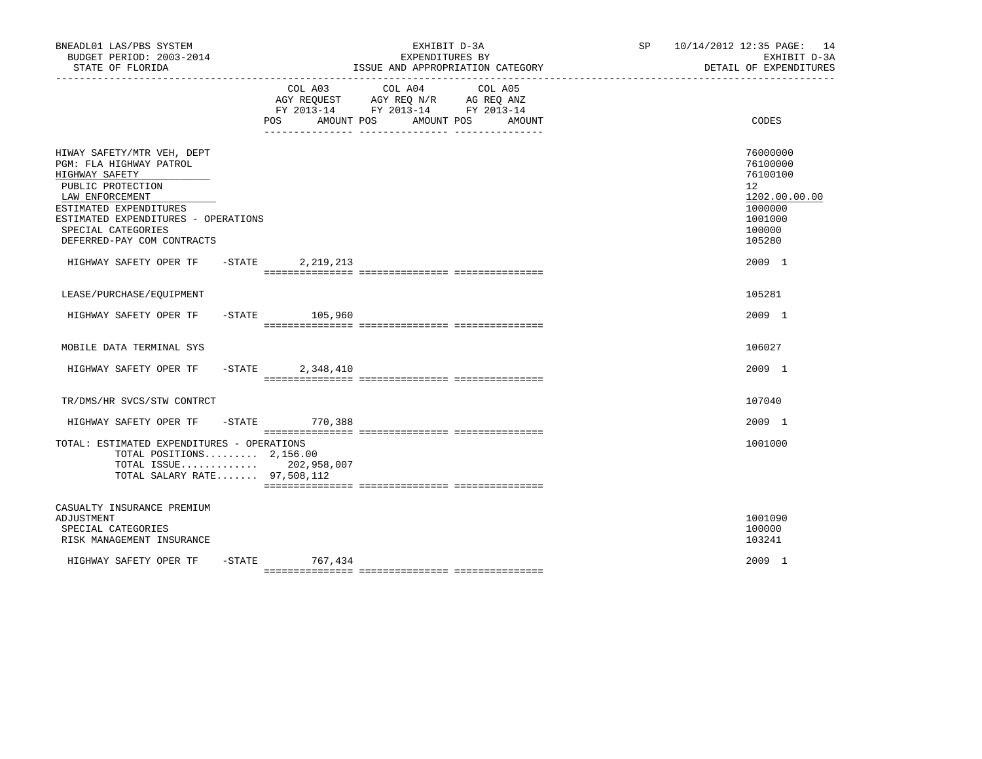| BNEADL01 LAS/PBS SYSTEM<br>BUDGET PERIOD: 2003-2014<br>STATE OF FLORIDA                                                                                                                                                              |           |                    | EXHIBIT D-3A<br>EXPENDITURES BY<br>ISSUE AND APPROPRIATION CATEGORY                                     | SP 10/14/2012 12:35 PAGE: 14<br>EXHIBIT D-3A<br>DETAIL OF EXPENDITURES |                                                                                                   |
|--------------------------------------------------------------------------------------------------------------------------------------------------------------------------------------------------------------------------------------|-----------|--------------------|---------------------------------------------------------------------------------------------------------|------------------------------------------------------------------------|---------------------------------------------------------------------------------------------------|
|                                                                                                                                                                                                                                      |           | POS<br>AMOUNT POS  | COL A03 COL A04<br>AGY REQUEST AGY REQ N/R AG REQ ANZ<br>FY 2013-14 FY 2013-14 FY 2013-14<br>AMOUNT POS | COL A05<br>AMOUNT<br>_____ ________________ _____________              | CODES                                                                                             |
| HIWAY SAFETY/MTR VEH, DEPT<br>PGM: FLA HIGHWAY PATROL<br>HIGHWAY SAFETY<br>PUBLIC PROTECTION<br>LAW ENFORCEMENT<br>ESTIMATED EXPENDITURES<br>ESTIMATED EXPENDITURES - OPERATIONS<br>SPECIAL CATEGORIES<br>DEFERRED-PAY COM CONTRACTS |           |                    |                                                                                                         |                                                                        | 76000000<br>76100000<br>76100100<br>12<br>1202.00.00.00<br>1000000<br>1001000<br>100000<br>105280 |
| HIGHWAY SAFETY OPER TF - STATE                                                                                                                                                                                                       |           | 2,219,213          |                                                                                                         |                                                                        | $2009$ 1                                                                                          |
| LEASE/PURCHASE/EQUIPMENT                                                                                                                                                                                                             |           |                    |                                                                                                         |                                                                        | 105281                                                                                            |
| HIGHWAY SAFETY OPER TF                                                                                                                                                                                                               |           | $-$ STATE 105,960  |                                                                                                         |                                                                        | 2009 1                                                                                            |
| MOBILE DATA TERMINAL SYS                                                                                                                                                                                                             |           |                    |                                                                                                         |                                                                        | 106027                                                                                            |
| HIGHWAY SAFETY OPER TF                                                                                                                                                                                                               | $-$ STATE | 2,348,410          |                                                                                                         |                                                                        | 2009 1                                                                                            |
| TR/DMS/HR SVCS/STW CONTRCT                                                                                                                                                                                                           |           |                    |                                                                                                         |                                                                        | 107040                                                                                            |
| HIGHWAY SAFETY OPER TF                                                                                                                                                                                                               |           | -STATE 770,388     |                                                                                                         |                                                                        | 2009 1                                                                                            |
| TOTAL: ESTIMATED EXPENDITURES - OPERATIONS<br>TOTAL POSITIONS $2,156.00$<br>TOTAL ISSUE 202,958,007<br>TOTAL SALARY RATE 97,508,112                                                                                                  |           |                    |                                                                                                         |                                                                        | 1001000                                                                                           |
| CASUALTY INSURANCE PREMIUM<br>ADJUSTMENT<br>SPECIAL CATEGORIES<br>RISK MANAGEMENT INSURANCE                                                                                                                                          |           |                    |                                                                                                         |                                                                        | 1001090<br>100000<br>103241                                                                       |
| HIGHWAY SAFETY OPER TF                                                                                                                                                                                                               |           | $-$ STATE 767, 434 |                                                                                                         |                                                                        | 2009 1                                                                                            |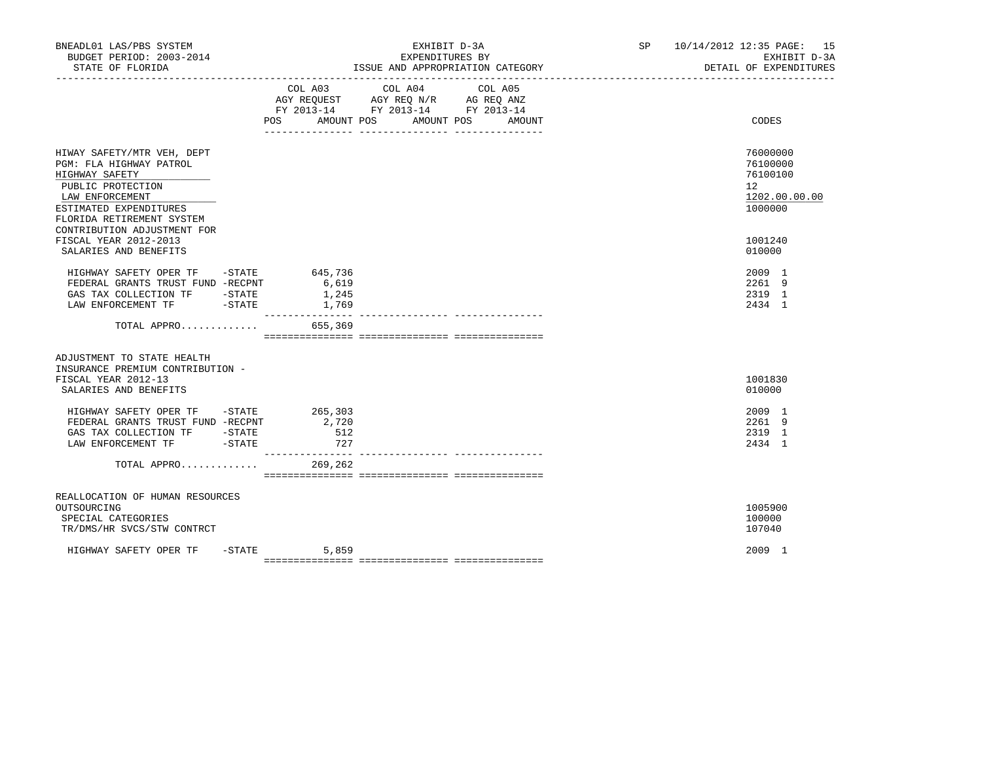| BNEADL01 LAS/PBS SYSTEM<br>BUDGET PERIOD: 2003-2014<br>STATE OF FLORIDA                                                                                                                                                                                      |                                             | EXHIBIT D-3A<br>EXPENDITURES BY<br>ISSUE AND APPROPRIATION CATEGORY<br>____________________________________                                                                                            | SP 10/14/2012 12:35 PAGE: 15<br>EXHIBIT D-3A<br>DETAIL OF EXPENDITURES          |
|--------------------------------------------------------------------------------------------------------------------------------------------------------------------------------------------------------------------------------------------------------------|---------------------------------------------|--------------------------------------------------------------------------------------------------------------------------------------------------------------------------------------------------------|---------------------------------------------------------------------------------|
|                                                                                                                                                                                                                                                              | POS AMOUNT POS                              | COL A03 COL A04<br>COL A05<br>$\begin{tabular}{lllllll} AGY & \texttt{REQUEST} & \texttt{AGY REQ N/R} & \texttt{AG REQ ANZ} \end{tabular}$<br>FY 2013-14 FY 2013-14 FY 2013-14<br>AMOUNT POS<br>AMOUNT | CODES                                                                           |
| HIWAY SAFETY/MTR VEH, DEPT<br>PGM: FLA HIGHWAY PATROL<br>HIGHWAY SAFETY<br>PUBLIC PROTECTION<br>LAW ENFORCEMENT<br>ESTIMATED EXPENDITURES<br>FLORIDA RETIREMENT SYSTEM<br>CONTRIBUTION ADJUSTMENT FOR                                                        |                                             |                                                                                                                                                                                                        | 76000000<br>76100000<br>76100100<br>12 <sup>°</sup><br>1202.00.00.00<br>1000000 |
| FISCAL YEAR 2012-2013<br>SALARIES AND BENEFITS                                                                                                                                                                                                               |                                             |                                                                                                                                                                                                        | 1001240<br>010000                                                               |
| HIGHWAY SAFETY OPER TF -STATE 645,736<br>FEDERAL GRANTS TRUST FUND -RECPNT<br>GAS TAX COLLECTION TF -STATE<br>LAW ENFORCEMENT TF -STATE                                                                                                                      | 6,619<br>1,245<br>1,769<br>________________ |                                                                                                                                                                                                        | $2009$ 1<br>2261 9<br>2319 1<br>2434 1                                          |
| TOTAL APPRO 655,369                                                                                                                                                                                                                                          |                                             |                                                                                                                                                                                                        |                                                                                 |
| ADJUSTMENT TO STATE HEALTH<br>INSURANCE PREMIUM CONTRIBUTION -<br>FISCAL YEAR 2012-13<br>SALARIES AND BENEFITS                                                                                                                                               |                                             |                                                                                                                                                                                                        | 1001830<br>010000                                                               |
| HIGHWAY SAFETY OPER TF - STATE 265,303<br>FEDERAL GRANTS TRUST FUND -RECPNT<br>$\begin{tabular}{lllllll} {\it GAS} & {\it TAX} & {\it COLLECTION} & {\it TF} & & -{\it STATE} \\ {\it LAN} & {\it ENFORCEMENT} & {\it TF} & & -{\it STATE} \\ \end{tabular}$ | 2,720<br>512<br>727                         |                                                                                                                                                                                                        | 2009 1<br>2261 9<br>2319 1<br>2434 1                                            |
| TOTAL APPRO                                                                                                                                                                                                                                                  | 269,262                                     |                                                                                                                                                                                                        |                                                                                 |
| REALLOCATION OF HUMAN RESOURCES<br>OUTSOURCING<br>SPECIAL CATEGORIES<br>TR/DMS/HR SVCS/STW CONTRCT                                                                                                                                                           |                                             |                                                                                                                                                                                                        | 1005900<br>100000<br>107040                                                     |
| HIGHWAY SAFETY OPER TF                                                                                                                                                                                                                                       | $-STATE$<br>5,859                           |                                                                                                                                                                                                        | 2009 1                                                                          |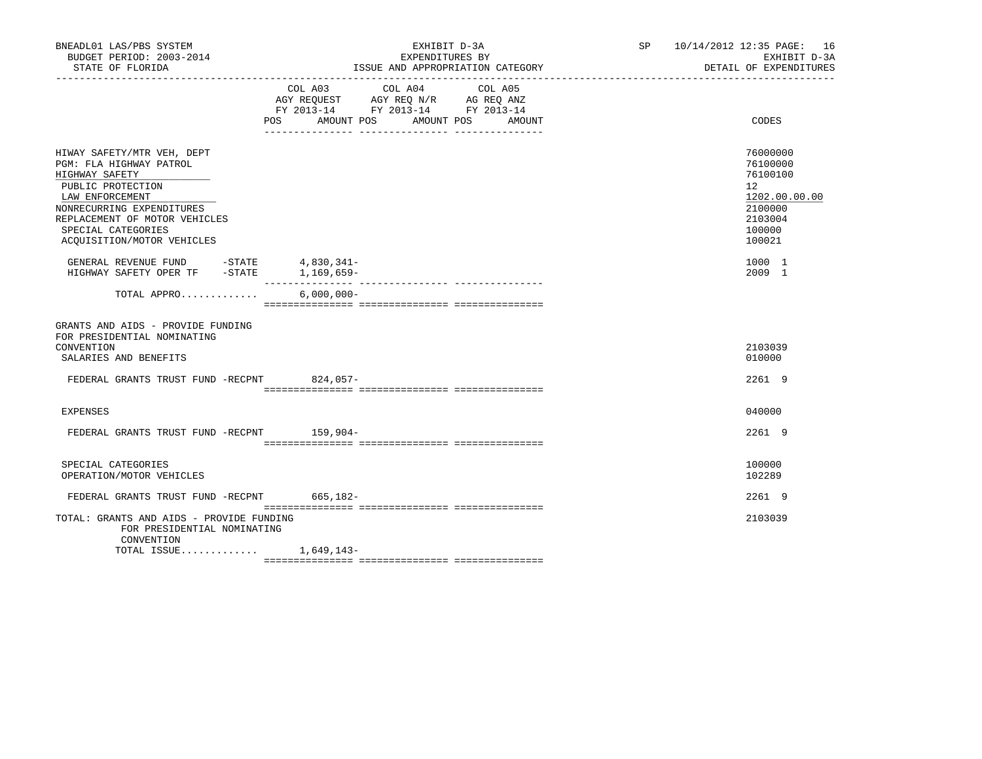| BNEADL01 LAS/PBS SYSTEM<br>BUDGET PERIOD: 2003-2014<br>STATE OF FLORIDA                                                                                                                                                           |                                                                        | EXHIBIT D-3A<br>EXPENDITURES BY<br>ISSUE AND APPROPRIATION CATEGORY | SP 10/14/2012 12:35 PAGE: 16<br>EXHIBIT D-3A<br>DETAIL OF EXPENDITURES |                                                                                                   |
|-----------------------------------------------------------------------------------------------------------------------------------------------------------------------------------------------------------------------------------|------------------------------------------------------------------------|---------------------------------------------------------------------|------------------------------------------------------------------------|---------------------------------------------------------------------------------------------------|
|                                                                                                                                                                                                                                   | AGY REQUEST AGY REQ N/R AG REQ ANZ<br>FY 2013-14 FY 2013-14 FY 2013-14 | COL A03 COL A04                                                     | COL A05<br>POS AMOUNT POS AMOUNT POS AMOUNT                            | CODES                                                                                             |
| HIWAY SAFETY/MTR VEH, DEPT<br>PGM: FLA HIGHWAY PATROL<br>HIGHWAY SAFETY<br>PUBLIC PROTECTION<br>LAW ENFORCEMENT<br>NONRECURRING EXPENDITURES<br>REPLACEMENT OF MOTOR VEHICLES<br>SPECIAL CATEGORIES<br>ACOUISITION/MOTOR VEHICLES |                                                                        |                                                                     |                                                                        | 76000000<br>76100000<br>76100100<br>12<br>1202.00.00.00<br>2100000<br>2103004<br>100000<br>100021 |
| GENERAL REVENUE FUND -STATE 4,830,341-<br>HIGHWAY SAFETY OPER TF -STATE 1,169,659-                                                                                                                                                |                                                                        |                                                                     |                                                                        | 1000 1<br>2009 1                                                                                  |
| TOTAL APPRO                                                                                                                                                                                                                       | $6,000,000 -$                                                          |                                                                     |                                                                        |                                                                                                   |
| GRANTS AND AIDS - PROVIDE FUNDING<br>FOR PRESIDENTIAL NOMINATING<br>CONVENTION<br>SALARIES AND BENEFITS<br>FEDERAL GRANTS TRUST FUND -RECPNT 824,057-                                                                             |                                                                        |                                                                     |                                                                        | 2103039<br>010000<br>2261 9                                                                       |
|                                                                                                                                                                                                                                   |                                                                        |                                                                     |                                                                        |                                                                                                   |
| EXPENSES                                                                                                                                                                                                                          |                                                                        |                                                                     |                                                                        | 040000                                                                                            |
| FEDERAL GRANTS TRUST FUND -RECPNT 159,904-                                                                                                                                                                                        |                                                                        |                                                                     |                                                                        | 2261 9                                                                                            |
| SPECIAL CATEGORIES<br>OPERATION/MOTOR VEHICLES                                                                                                                                                                                    |                                                                        |                                                                     |                                                                        | 100000<br>102289                                                                                  |
| FEDERAL GRANTS TRUST FUND -RECPNT 665,182-                                                                                                                                                                                        |                                                                        |                                                                     |                                                                        | 2261 9                                                                                            |
| TOTAL: GRANTS AND AIDS - PROVIDE FUNDING<br>FOR PRESIDENTIAL NOMINATING<br>CONVENTION                                                                                                                                             |                                                                        |                                                                     |                                                                        | 2103039                                                                                           |
| TOTAL ISSUE 1,649,143-                                                                                                                                                                                                            |                                                                        |                                                                     |                                                                        |                                                                                                   |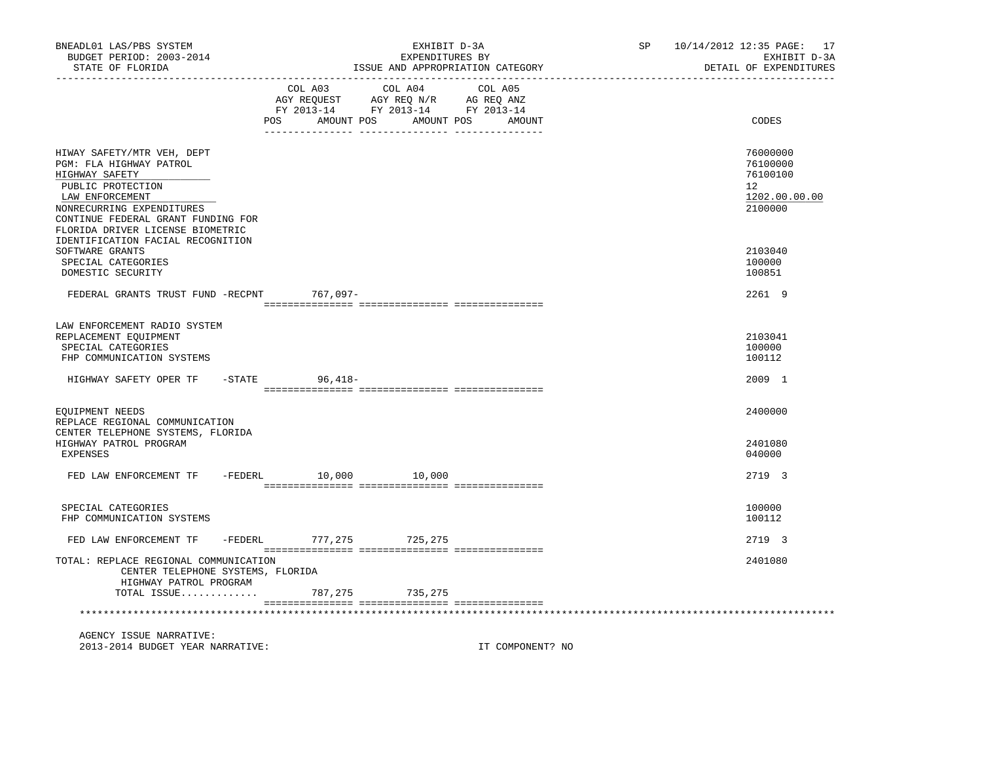| BNEADL01 LAS/PBS SYSTEM<br>BUDGET PERIOD: 2003-2014<br>STATE OF FLORIDA                                                                                                                                                | EXHIBIT D-3A<br>EXPENDITURES BY<br>ISSUE AND APPROPRIATION CATEGORY                                                                   |                  | SP 10/14/2012 12:35 PAGE: 17<br>EXHIBIT D-3A<br>DETAIL OF EXPENDITURES |
|------------------------------------------------------------------------------------------------------------------------------------------------------------------------------------------------------------------------|---------------------------------------------------------------------------------------------------------------------------------------|------------------|------------------------------------------------------------------------|
|                                                                                                                                                                                                                        | COL A03 COL A04 COL A05<br>AGY REQUEST AGY REQ N/R AG REQ ANZ<br>FY 2013-14 FY 2013-14 FY 2013-14<br>POS AMOUNT POS AMOUNT POS AMOUNT |                  | CODES                                                                  |
| HIWAY SAFETY/MTR VEH, DEPT<br>PGM: FLA HIGHWAY PATROL<br>HIGHWAY SAFETY<br>PUBLIC PROTECTION<br>LAW ENFORCEMENT<br>NONRECURRING EXPENDITURES<br>CONTINUE FEDERAL GRANT FUNDING FOR<br>FLORIDA DRIVER LICENSE BIOMETRIC |                                                                                                                                       |                  | 76000000<br>76100000<br>76100100<br>12<br>1202.00.00.00<br>2100000     |
| IDENTIFICATION FACIAL RECOGNITION<br>SOFTWARE GRANTS<br>SPECIAL CATEGORIES<br>DOMESTIC SECURITY                                                                                                                        |                                                                                                                                       |                  | 2103040<br>100000<br>100851                                            |
| FEDERAL GRANTS TRUST FUND -RECPNT 767,097-                                                                                                                                                                             |                                                                                                                                       |                  | 2261 9                                                                 |
| LAW ENFORCEMENT RADIO SYSTEM<br>REPLACEMENT EQUIPMENT<br>SPECIAL CATEGORIES<br>FHP COMMUNICATION SYSTEMS<br>HIGHWAY SAFETY OPER TF -STATE 96,418-                                                                      |                                                                                                                                       |                  | 2103041<br>100000<br>100112<br>2009 1                                  |
| EQUIPMENT NEEDS<br>REPLACE REGIONAL COMMUNICATION<br>CENTER TELEPHONE SYSTEMS, FLORIDA                                                                                                                                 |                                                                                                                                       |                  | 2400000                                                                |
| HIGHWAY PATROL PROGRAM<br>EXPENSES                                                                                                                                                                                     |                                                                                                                                       |                  | 2401080<br>040000                                                      |
| FED LAW ENFORCEMENT TF -FEDERL 10,000 10,000                                                                                                                                                                           |                                                                                                                                       |                  | 2719 3                                                                 |
| SPECIAL CATEGORIES<br>FHP COMMUNICATION SYSTEMS                                                                                                                                                                        |                                                                                                                                       |                  | 100000<br>100112                                                       |
| FED LAW ENFORCEMENT TF -FEDERL 777, 275 725, 275                                                                                                                                                                       |                                                                                                                                       |                  | 2719 3                                                                 |
| TOTAL: REPLACE REGIONAL COMMUNICATION<br>CENTER TELEPHONE SYSTEMS, FLORIDA<br>HIGHWAY PATROL PROGRAM<br>TOTAL ISSUE                                                                                                    |                                                                                                                                       |                  | 2401080                                                                |
| ***********************************                                                                                                                                                                                    | 787, 275 735, 275                                                                                                                     |                  |                                                                        |
| AGENCY ISSUE NARRATIVE:<br>2013-2014 BUDGET YEAR NARRATIVE:                                                                                                                                                            |                                                                                                                                       | IT COMPONENT? NO |                                                                        |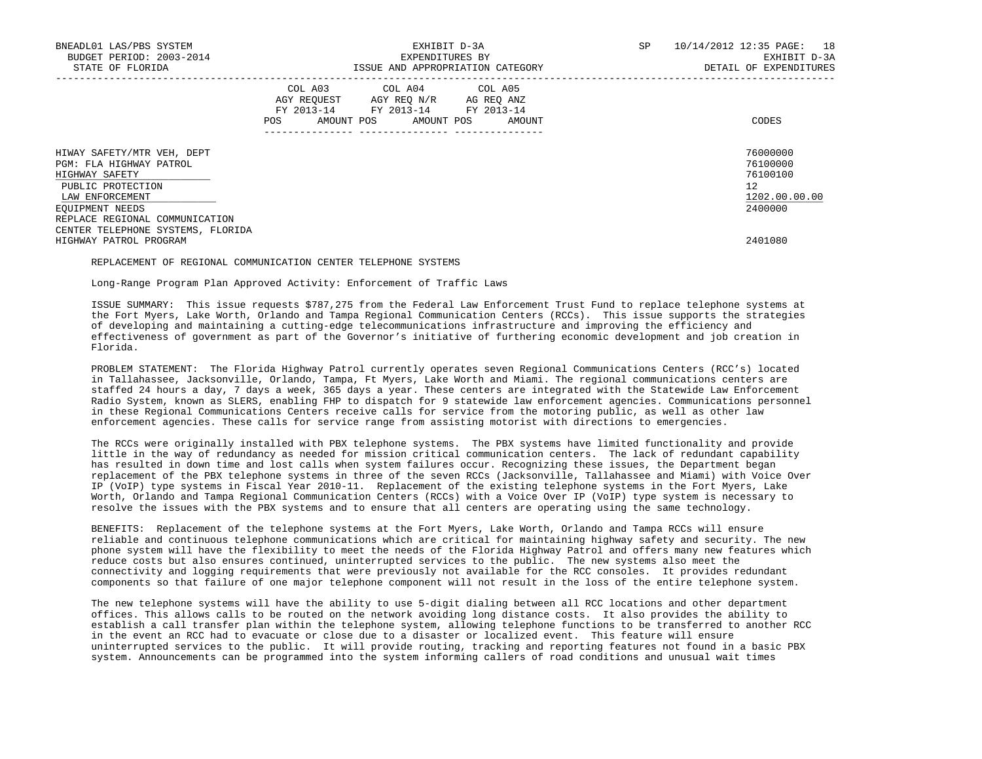| BNEADL01 LAS/PBS SYSTEM<br>BUDGET PERIOD: 2003-2014<br>STATE OF FLORIDA                                                                                              | EXHIBIT D-3A<br>EXPENDITURES BY<br>ISSUE AND APPROPRIATION CATEGORY                                                                                             | SP<br>10/14/2012 12:35 PAGE: 18<br>EXHIBIT D-3A<br>DETAIL OF EXPENDITURES       |
|----------------------------------------------------------------------------------------------------------------------------------------------------------------------|-----------------------------------------------------------------------------------------------------------------------------------------------------------------|---------------------------------------------------------------------------------|
|                                                                                                                                                                      | COL A03 COL A04 COL A05<br>AGY REOUEST AGY REO N/R AG REO ANZ<br>FY 2013-14 FY 2013-14 FY 2013-14<br>POS<br>AMOUNT POS AMOUNT POS<br>AMOUNT<br>---------------- | CODES                                                                           |
| HIWAY SAFETY/MTR VEH, DEPT<br>PGM: FLA HIGHWAY PATROL<br>HIGHWAY SAFETY<br>PUBLIC PROTECTION<br>LAW ENFORCEMENT<br>EQUIPMENT NEEDS<br>REPLACE REGIONAL COMMUNICATION |                                                                                                                                                                 | 76000000<br>76100000<br>76100100<br>12 <sup>°</sup><br>1202.00.00.00<br>2400000 |
| CENTER TELEPHONE SYSTEMS, FLORIDA<br>HIGHWAY PATROL PROGRAM                                                                                                          |                                                                                                                                                                 | 2401080                                                                         |

#### REPLACEMENT OF REGIONAL COMMUNICATION CENTER TELEPHONE SYSTEMS

Long-Range Program Plan Approved Activity: Enforcement of Traffic Laws

 ISSUE SUMMARY: This issue requests \$787,275 from the Federal Law Enforcement Trust Fund to replace telephone systems at the Fort Myers, Lake Worth, Orlando and Tampa Regional Communication Centers (RCCs). This issue supports the strategies of developing and maintaining a cutting-edge telecommunications infrastructure and improving the efficiency and effectiveness of government as part of the Governor's initiative of furthering economic development and job creation in Florida.

 PROBLEM STATEMENT: The Florida Highway Patrol currently operates seven Regional Communications Centers (RCC's) located in Tallahassee, Jacksonville, Orlando, Tampa, Ft Myers, Lake Worth and Miami. The regional communications centers are staffed 24 hours a day, 7 days a week, 365 days a year. These centers are integrated with the Statewide Law Enforcement Radio System, known as SLERS, enabling FHP to dispatch for 9 statewide law enforcement agencies. Communications personnel in these Regional Communications Centers receive calls for service from the motoring public, as well as other law enforcement agencies. These calls for service range from assisting motorist with directions to emergencies.

 The RCCs were originally installed with PBX telephone systems. The PBX systems have limited functionality and provide little in the way of redundancy as needed for mission critical communication centers. The lack of redundant capability has resulted in down time and lost calls when system failures occur. Recognizing these issues, the Department began replacement of the PBX telephone systems in three of the seven RCCs (Jacksonville, Tallahassee and Miami) with Voice Over IP (VoIP) type systems in Fiscal Year 2010-11. Replacement of the existing telephone systems in the Fort Myers, Lake Worth, Orlando and Tampa Regional Communication Centers (RCCs) with a Voice Over IP (VoIP) type system is necessary to resolve the issues with the PBX systems and to ensure that all centers are operating using the same technology.

 BENEFITS: Replacement of the telephone systems at the Fort Myers, Lake Worth, Orlando and Tampa RCCs will ensure reliable and continuous telephone communications which are critical for maintaining highway safety and security. The new phone system will have the flexibility to meet the needs of the Florida Highway Patrol and offers many new features which reduce costs but also ensures continued, uninterrupted services to the public. The new systems also meet the connectivity and logging requirements that were previously not available for the RCC consoles. It provides redundant components so that failure of one major telephone component will not result in the loss of the entire telephone system.

 The new telephone systems will have the ability to use 5-digit dialing between all RCC locations and other department offices. This allows calls to be routed on the network avoiding long distance costs. It also provides the ability to establish a call transfer plan within the telephone system, allowing telephone functions to be transferred to another RCC in the event an RCC had to evacuate or close due to a disaster or localized event. This feature will ensure uninterrupted services to the public. It will provide routing, tracking and reporting features not found in a basic PBX system. Announcements can be programmed into the system informing callers of road conditions and unusual wait times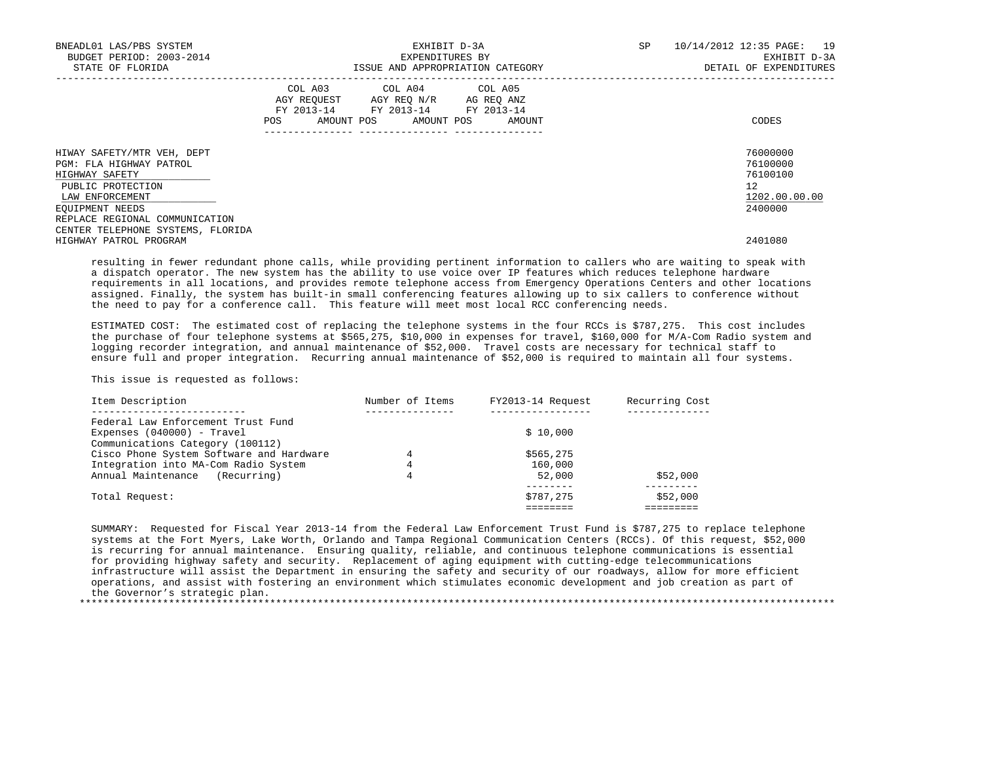| BNEADL01 LAS/PBS SYSTEM<br>BUDGET PERIOD: 2003-2014<br>STATE OF FLORIDA                                                                                              | EXHIBIT D-3A<br>EXPENDITURES BY<br>ISSUE AND APPROPRIATION CATEGORY                                                                   | SP | 10/14/2012 12:35 PAGE: 19<br>EXHIBIT D-3A<br>DETAIL OF EXPENDITURES |                                                                    |
|----------------------------------------------------------------------------------------------------------------------------------------------------------------------|---------------------------------------------------------------------------------------------------------------------------------------|----|---------------------------------------------------------------------|--------------------------------------------------------------------|
|                                                                                                                                                                      | COL A03 COL A04 COL A05<br>AGY REQUEST AGY REQ N/R AG REQ ANZ<br>FY 2013-14 FY 2013-14 FY 2013-14<br>POS AMOUNT POS AMOUNT POS AMOUNT |    |                                                                     | CODES                                                              |
| HIWAY SAFETY/MTR VEH, DEPT<br>PGM: FLA HIGHWAY PATROL<br>HIGHWAY SAFETY<br>PUBLIC PROTECTION<br>LAW ENFORCEMENT<br>EQUIPMENT NEEDS<br>REPLACE REGIONAL COMMUNICATION |                                                                                                                                       |    |                                                                     | 76000000<br>76100000<br>76100100<br>12<br>1202.00.00.00<br>2400000 |
| CENTER TELEPHONE SYSTEMS, FLORIDA<br>HIGHWAY PATROL PROGRAM                                                                                                          |                                                                                                                                       |    |                                                                     | 2401080                                                            |

 resulting in fewer redundant phone calls, while providing pertinent information to callers who are waiting to speak with a dispatch operator. The new system has the ability to use voice over IP features which reduces telephone hardware requirements in all locations, and provides remote telephone access from Emergency Operations Centers and other locations assigned. Finally, the system has built-in small conferencing features allowing up to six callers to conference without the need to pay for a conference call. This feature will meet most local RCC conferencing needs.

 ESTIMATED COST: The estimated cost of replacing the telephone systems in the four RCCs is \$787,275. This cost includes the purchase of four telephone systems at \$565,275, \$10,000 in expenses for travel, \$160,000 for M/A-Com Radio system and logging recorder integration, and annual maintenance of \$52,000. Travel costs are necessary for technical staff to ensure full and proper integration. Recurring annual maintenance of \$52,000 is required to maintain all four systems.

This issue is requested as follows:

| Item Description                                                             | Number of Items | FY2013-14 Request | Recurring Cost |
|------------------------------------------------------------------------------|-----------------|-------------------|----------------|
| Federal Law Enforcement Trust Fund                                           |                 |                   |                |
| Expenses $(040000)$ - Travel                                                 |                 | \$10,000          |                |
| Communications Category (100112)<br>Cisco Phone System Software and Hardware | 4               | \$565,275         |                |
| Integration into MA-Com Radio System                                         | 4               | 160,000           |                |
| (Recurring)<br>Annual Maintenance                                            | 4               | 52,000            | \$52,000       |
| Total Request:                                                               |                 | \$787,275         | \$52,000       |
|                                                                              |                 |                   |                |

 SUMMARY: Requested for Fiscal Year 2013-14 from the Federal Law Enforcement Trust Fund is \$787,275 to replace telephone systems at the Fort Myers, Lake Worth, Orlando and Tampa Regional Communication Centers (RCCs). Of this request, \$52,000 is recurring for annual maintenance. Ensuring quality, reliable, and continuous telephone communications is essential for providing highway safety and security. Replacement of aging equipment with cutting-edge telecommunications infrastructure will assist the Department in ensuring the safety and security of our roadways, allow for more efficient operations, and assist with fostering an environment which stimulates economic development and job creation as part of the Governor's strategic plan. \*\*\*\*\*\*\*\*\*\*\*\*\*\*\*\*\*\*\*\*\*\*\*\*\*\*\*\*\*\*\*\*\*\*\*\*\*\*\*\*\*\*\*\*\*\*\*\*\*\*\*\*\*\*\*\*\*\*\*\*\*\*\*\*\*\*\*\*\*\*\*\*\*\*\*\*\*\*\*\*\*\*\*\*\*\*\*\*\*\*\*\*\*\*\*\*\*\*\*\*\*\*\*\*\*\*\*\*\*\*\*\*\*\*\*\*\*\*\*\*\*\*\*\*\*\*\*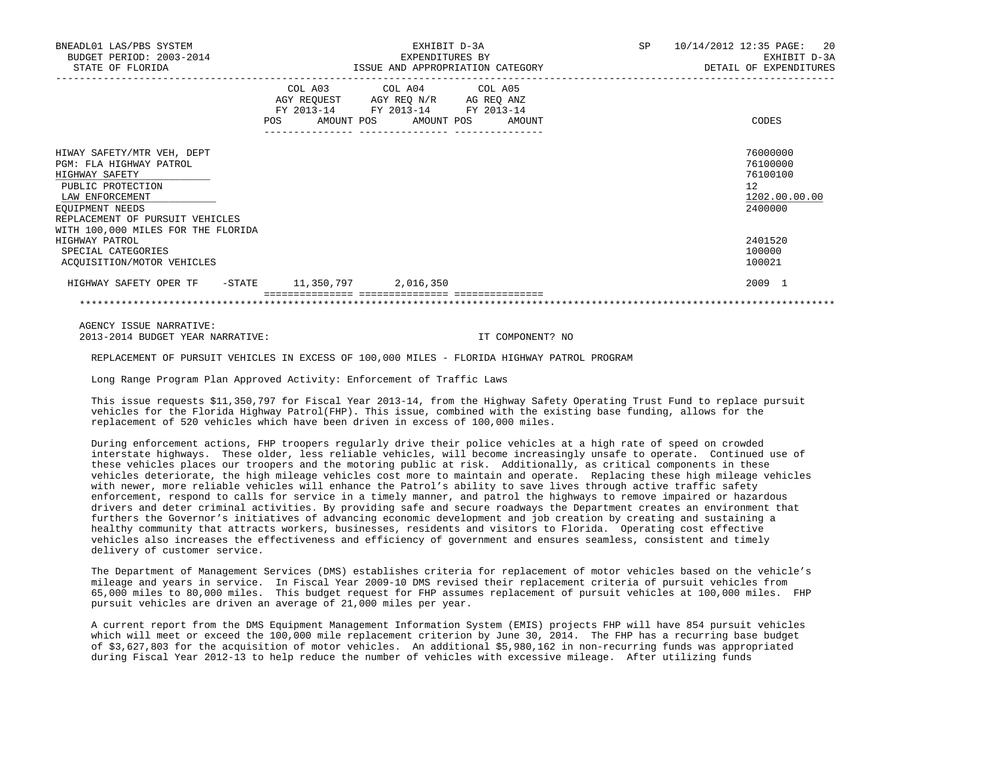| BNEADL01 LAS/PBS SYSTEM<br>BUDGET PERIOD: 2003-2014<br>STATE OF FLORIDA                                                                                               |     | EXHIBIT D-3A<br>EXPENDITURES BY<br>ISSUE AND APPROPRIATION CATEGORY                                                                  | SP 10/14/2012 12:35 PAGE: 20<br>EXHIBIT D-3A<br>DETAIL OF EXPENDITURES |  |  |
|-----------------------------------------------------------------------------------------------------------------------------------------------------------------------|-----|--------------------------------------------------------------------------------------------------------------------------------------|------------------------------------------------------------------------|--|--|
|                                                                                                                                                                       | POS | COL A03 COL A04 COL A05<br>AGY REQUEST AGY REQ N/R AG REQ ANZ<br>FY 2013-14 FY 2013-14 FY 2013-14<br>AMOUNT POS AMOUNT POS<br>AMOUNT | CODES                                                                  |  |  |
| HIWAY SAFETY/MTR VEH, DEPT<br>PGM: FLA HIGHWAY PATROL<br>HIGHWAY SAFETY<br>PUBLIC PROTECTION<br>LAW ENFORCEMENT<br>EOUIPMENT NEEDS<br>REPLACEMENT OF PURSUIT VEHICLES |     |                                                                                                                                      | 76000000<br>76100000<br>76100100<br>12<br>1202.00.00.00<br>2400000     |  |  |
| WITH 100,000 MILES FOR THE FLORIDA<br>HIGHWAY PATROL<br>SPECIAL CATEGORIES<br>ACOUISITION/MOTOR VEHICLES                                                              |     |                                                                                                                                      | 2401520<br>100000<br>100021                                            |  |  |
| HIGHWAY SAFETY OPER TF - STATE 11,350,797 2,016,350                                                                                                                   |     |                                                                                                                                      | 2009 1                                                                 |  |  |
|                                                                                                                                                                       |     |                                                                                                                                      |                                                                        |  |  |

 AGENCY ISSUE NARRATIVE: 2013-2014 BUDGET YEAR NARRATIVE: IT COMPONENT? NO

REPLACEMENT OF PURSUIT VEHICLES IN EXCESS OF 100,000 MILES - FLORIDA HIGHWAY PATROL PROGRAM

Long Range Program Plan Approved Activity: Enforcement of Traffic Laws

 This issue requests \$11,350,797 for Fiscal Year 2013-14, from the Highway Safety Operating Trust Fund to replace pursuit vehicles for the Florida Highway Patrol(FHP). This issue, combined with the existing base funding, allows for the replacement of 520 vehicles which have been driven in excess of 100,000 miles.

 During enforcement actions, FHP troopers regularly drive their police vehicles at a high rate of speed on crowded interstate highways. These older, less reliable vehicles, will become increasingly unsafe to operate. Continued use of these vehicles places our troopers and the motoring public at risk. Additionally, as critical components in these vehicles deteriorate, the high mileage vehicles cost more to maintain and operate. Replacing these high mileage vehicles with newer, more reliable vehicles will enhance the Patrol's ability to save lives through active traffic safety enforcement, respond to calls for service in a timely manner, and patrol the highways to remove impaired or hazardous drivers and deter criminal activities. By providing safe and secure roadways the Department creates an environment that furthers the Governor's initiatives of advancing economic development and job creation by creating and sustaining a healthy community that attracts workers, businesses, residents and visitors to Florida. Operating cost effective vehicles also increases the effectiveness and efficiency of government and ensures seamless, consistent and timely delivery of customer service.

 The Department of Management Services (DMS) establishes criteria for replacement of motor vehicles based on the vehicle's mileage and years in service. In Fiscal Year 2009-10 DMS revised their replacement criteria of pursuit vehicles from 65,000 miles to 80,000 miles. This budget request for FHP assumes replacement of pursuit vehicles at 100,000 miles. FHP pursuit vehicles are driven an average of 21,000 miles per year.

 A current report from the DMS Equipment Management Information System (EMIS) projects FHP will have 854 pursuit vehicles which will meet or exceed the 100,000 mile replacement criterion by June 30, 2014. The FHP has a recurring base budget of \$3,627,803 for the acquisition of motor vehicles. An additional \$5,980,162 in non-recurring funds was appropriated during Fiscal Year 2012-13 to help reduce the number of vehicles with excessive mileage. After utilizing funds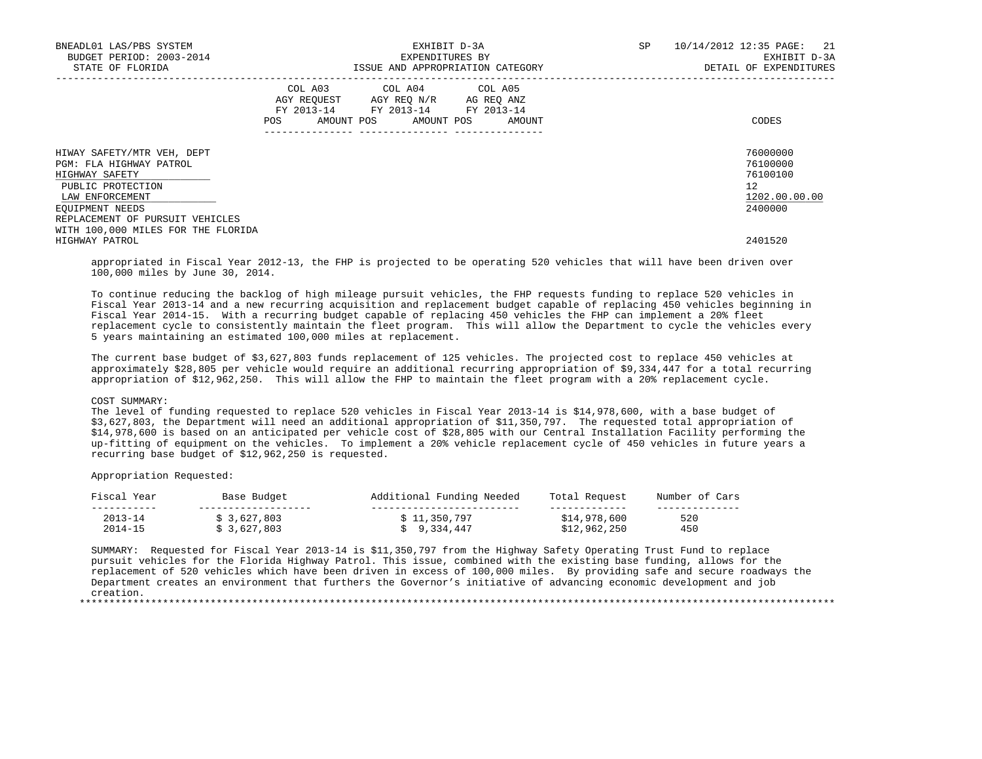| BNEADL01 LAS/PBS SYSTEM<br>BUDGET PERIOD: 2003-2014<br>STATE OF FLORIDA                                                                                               | EXHIBIT D-3A<br>EXPENDITURES BY<br>ISSUE AND APPROPRIATION CATEGORY                                                                                             | SP<br>10/14/2012 12:35 PAGE: 21<br>EXHIBIT D-3A<br>DETAIL OF EXPENDITURES       |
|-----------------------------------------------------------------------------------------------------------------------------------------------------------------------|-----------------------------------------------------------------------------------------------------------------------------------------------------------------|---------------------------------------------------------------------------------|
|                                                                                                                                                                       | COL A03 COL A04 COL A05<br>AGY REOUEST AGY REO N/R AG REO ANZ<br>FY 2013-14 FY 2013-14 FY 2013-14<br>AMOUNT POS AMOUNT POS<br>POS<br>AMOUNT<br>________________ | CODES                                                                           |
| HIWAY SAFETY/MTR VEH, DEPT<br>PGM: FLA HIGHWAY PATROL<br>HIGHWAY SAFETY<br>PUBLIC PROTECTION<br>LAW ENFORCEMENT<br>EQUIPMENT NEEDS<br>REPLACEMENT OF PURSUIT VEHICLES |                                                                                                                                                                 | 76000000<br>76100000<br>76100100<br>12 <sup>°</sup><br>1202.00.00.00<br>2400000 |
| WITH 100,000 MILES FOR THE FLORIDA<br>HIGHWAY PATROL                                                                                                                  |                                                                                                                                                                 | 2401520                                                                         |

 appropriated in Fiscal Year 2012-13, the FHP is projected to be operating 520 vehicles that will have been driven over 100,000 miles by June 30, 2014.

 To continue reducing the backlog of high mileage pursuit vehicles, the FHP requests funding to replace 520 vehicles in Fiscal Year 2013-14 and a new recurring acquisition and replacement budget capable of replacing 450 vehicles beginning in Fiscal Year 2014-15. With a recurring budget capable of replacing 450 vehicles the FHP can implement a 20% fleet replacement cycle to consistently maintain the fleet program. This will allow the Department to cycle the vehicles every 5 years maintaining an estimated 100,000 miles at replacement.

 The current base budget of \$3,627,803 funds replacement of 125 vehicles. The projected cost to replace 450 vehicles at approximately \$28,805 per vehicle would require an additional recurring appropriation of \$9,334,447 for a total recurring appropriation of \$12,962,250. This will allow the FHP to maintain the fleet program with a 20% replacement cycle.

## COST SUMMARY:

 The level of funding requested to replace 520 vehicles in Fiscal Year 2013-14 is \$14,978,600, with a base budget of \$3,627,803, the Department will need an additional appropriation of \$11,350,797. The requested total appropriation of \$14,978,600 is based on an anticipated per vehicle cost of \$28,805 with our Central Installation Facility performing the up-fitting of equipment on the vehicles. To implement a 20% vehicle replacement cycle of 450 vehicles in future years a recurring base budget of \$12,962,250 is requested.

Appropriation Requested:

| Fiscal<br>Year | Base Budget | Additional Funding Needed | Total Request | Number of Cars |
|----------------|-------------|---------------------------|---------------|----------------|
|                |             |                           |               |                |
| $2013 - 14$    | \$3,627,803 | \$11,350,797              | \$14,978,600  | 520            |
| $2014 - 15$    | 3,627,803   | 9,334,447                 | \$12,962,250  | 450            |

 SUMMARY: Requested for Fiscal Year 2013-14 is \$11,350,797 from the Highway Safety Operating Trust Fund to replace pursuit vehicles for the Florida Highway Patrol. This issue, combined with the existing base funding, allows for the replacement of 520 vehicles which have been driven in excess of 100,000 miles. By providing safe and secure roadways the Department creates an environment that furthers the Governor's initiative of advancing economic development and job creation.

\*\*\*\*\*\*\*\*\*\*\*\*\*\*\*\*\*\*\*\*\*\*\*\*\*\*\*\*\*\*\*\*\*\*\*\*\*\*\*\*\*\*\*\*\*\*\*\*\*\*\*\*\*\*\*\*\*\*\*\*\*\*\*\*\*\*\*\*\*\*\*\*\*\*\*\*\*\*\*\*\*\*\*\*\*\*\*\*\*\*\*\*\*\*\*\*\*\*\*\*\*\*\*\*\*\*\*\*\*\*\*\*\*\*\*\*\*\*\*\*\*\*\*\*\*\*\*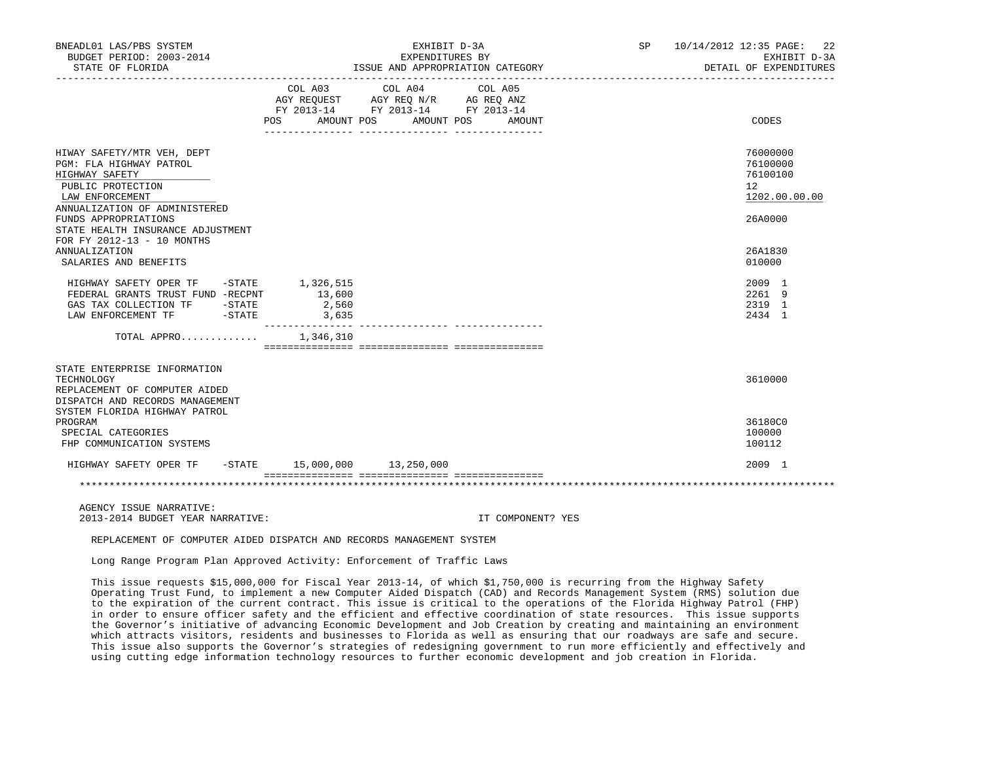| BNEADL01 LAS/PBS SYSTEM<br>BUDGET PERIOD: 2003-2014<br>STATE OF FLORIDA                                                                                                                                                                     |                                    | EXHIBIT D-3A<br>EXPENDITURES BY<br>ISSUE AND APPROPRIATION CATEGORY<br>____________________________________                                                                                                                                                                                                                                               | 22<br>SP 10/14/2012 12:35 PAGE:<br>EXHIBIT D-3A<br>DETAIL OF EXPENDITURES                  |  |
|---------------------------------------------------------------------------------------------------------------------------------------------------------------------------------------------------------------------------------------------|------------------------------------|-----------------------------------------------------------------------------------------------------------------------------------------------------------------------------------------------------------------------------------------------------------------------------------------------------------------------------------------------------------|--------------------------------------------------------------------------------------------|--|
|                                                                                                                                                                                                                                             |                                    | $\begin{tabular}{lllllllllll} &\multicolumn{4}{c}{\text{COL A03}} &\multicolumn{4}{c}{\text{COL A04}} &\multicolumn{4}{c}{\text{COL A05}} \\ \multicolumn{4}{c}{\text{AGY REQUEST}} &\multicolumn{4}{c}{\text{AGY REQ N/R}} &\multicolumn{4}{c}{\text{AG REQ ANZ}} \end{tabular}$<br>FY 2013-14 FY 2013-14 FY 2013-14<br>POS AMOUNT POS AMOUNT POS AMOUNT | CODES                                                                                      |  |
| HIWAY SAFETY/MTR VEH, DEPT<br>PGM: FLA HIGHWAY PATROL<br>HIGHWAY SAFETY<br>PUBLIC PROTECTION<br>LAW ENFORCEMENT<br>ANNUALIZATION OF ADMINISTERED<br>FUNDS APPROPRIATIONS<br>STATE HEALTH INSURANCE ADJUSTMENT<br>FOR FY 2012-13 - 10 MONTHS |                                    |                                                                                                                                                                                                                                                                                                                                                           | 76000000<br>76100000<br>76100100<br>12 <sup>°</sup><br>1202.00.00.00<br>26A0000<br>26A1830 |  |
| ANNUALIZATION<br>SALARIES AND BENEFITS<br>HIGHWAY SAFETY OPER TF - STATE 1,326,515<br>FEDERAL GRANTS TRUST FUND -RECPNT                                                                                                                     | 13,600                             |                                                                                                                                                                                                                                                                                                                                                           | 010000<br>2009 1<br>2261 9                                                                 |  |
|                                                                                                                                                                                                                                             | 2,560<br>3,635<br>---------------- |                                                                                                                                                                                                                                                                                                                                                           | 2319 1<br>2434 1                                                                           |  |
| TOTAL APPRO $1,346,310$                                                                                                                                                                                                                     |                                    |                                                                                                                                                                                                                                                                                                                                                           |                                                                                            |  |
| STATE ENTERPRISE INFORMATION<br>TECHNOLOGY<br>REPLACEMENT OF COMPUTER AIDED<br>DISPATCH AND RECORDS MANAGEMENT<br>SYSTEM FLORIDA HIGHWAY PATROL                                                                                             |                                    |                                                                                                                                                                                                                                                                                                                                                           | 3610000                                                                                    |  |
| PROGRAM<br>SPECIAL CATEGORIES<br>FHP COMMUNICATION SYSTEMS                                                                                                                                                                                  |                                    |                                                                                                                                                                                                                                                                                                                                                           | 36180C0<br>100000<br>100112                                                                |  |
| HIGHWAY SAFETY OPER TF - STATE 15,000,000 13,250,000                                                                                                                                                                                        |                                    |                                                                                                                                                                                                                                                                                                                                                           | 2009 1                                                                                     |  |
|                                                                                                                                                                                                                                             |                                    |                                                                                                                                                                                                                                                                                                                                                           |                                                                                            |  |

 AGENCY ISSUE NARRATIVE: 2013-2014 BUDGET YEAR NARRATIVE: IT COMPONENT? YES

REPLACEMENT OF COMPUTER AIDED DISPATCH AND RECORDS MANAGEMENT SYSTEM

Long Range Program Plan Approved Activity: Enforcement of Traffic Laws

 This issue requests \$15,000,000 for Fiscal Year 2013-14, of which \$1,750,000 is recurring from the Highway Safety Operating Trust Fund, to implement a new Computer Aided Dispatch (CAD) and Records Management System (RMS) solution due to the expiration of the current contract. This issue is critical to the operations of the Florida Highway Patrol (FHP) in order to ensure officer safety and the efficient and effective coordination of state resources. This issue supports the Governor's initiative of advancing Economic Development and Job Creation by creating and maintaining an environment which attracts visitors, residents and businesses to Florida as well as ensuring that our roadways are safe and secure. This issue also supports the Governor's strategies of redesigning government to run more efficiently and effectively and using cutting edge information technology resources to further economic development and job creation in Florida.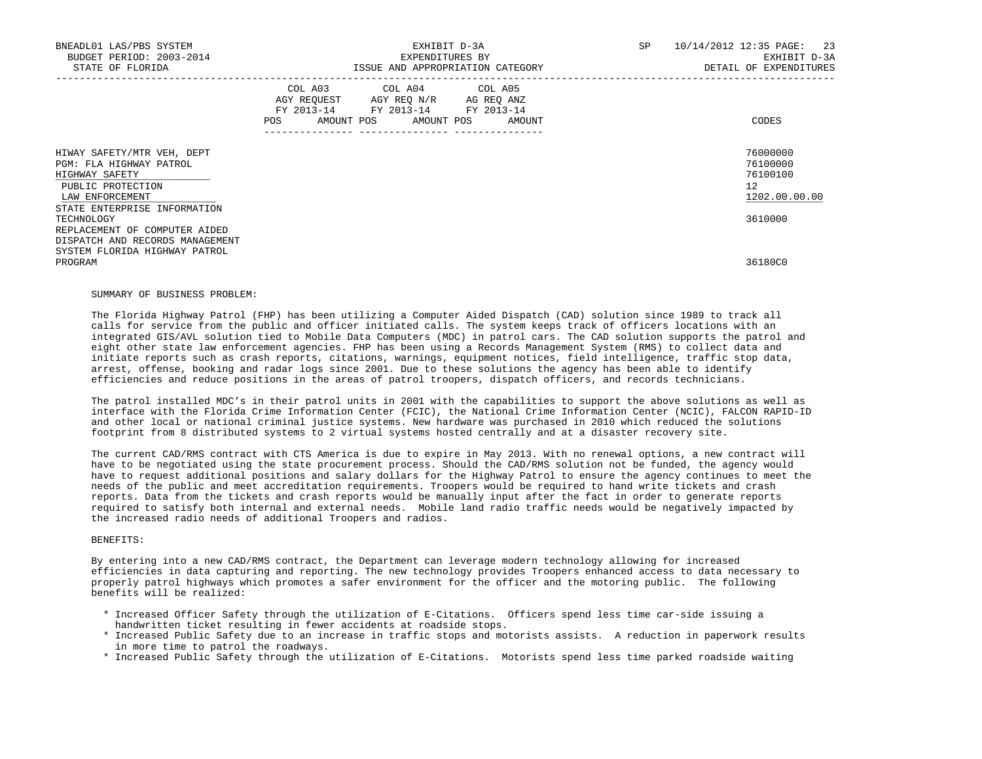| BNEADL01 LAS/PBS SYSTEM<br>BUDGET PERIOD: 2003-2014<br>STATE OF FLORIDA                                                                         | EXHIBIT D-3A<br>EXPENDITURES BY<br>ISSUE AND APPROPRIATION CATEGORY                                                                                                                                                                                                     | SP<br>10/14/2012 12:35 PAGE: 23<br>EXHIBIT D-3A<br>DETAIL OF EXPENDITURES |
|-------------------------------------------------------------------------------------------------------------------------------------------------|-------------------------------------------------------------------------------------------------------------------------------------------------------------------------------------------------------------------------------------------------------------------------|---------------------------------------------------------------------------|
|                                                                                                                                                 | COL A03 COL A04 COL A05<br>AGY REQUEST AGY REQ N/R AG REQ ANZ<br>FY 2013-14 FY 2013-14 FY 2013-14<br>AMOUNT POS AMOUNT POS AMOUNT<br>POS FOR THE POST OF THE STATE STATE STATE STATE STATE STATE STATE STATE STATE STATE STATE STATE STATE STATE ST<br>---------------- | CODES                                                                     |
| HIWAY SAFETY/MTR VEH, DEPT<br>PGM: FLA HIGHWAY PATROL<br>HIGHWAY SAFETY<br>PUBLIC PROTECTION<br>LAW ENFORCEMENT<br>STATE ENTERPRISE INFORMATION |                                                                                                                                                                                                                                                                         | 76000000<br>76100000<br>76100100<br>12 <sup>°</sup><br>1202.00.00.00      |
| TECHNOLOGY<br>REPLACEMENT OF COMPUTER AIDED<br>DISPATCH AND RECORDS MANAGEMENT                                                                  |                                                                                                                                                                                                                                                                         | 3610000                                                                   |
| SYSTEM FLORIDA HIGHWAY PATROL<br>PROGRAM                                                                                                        |                                                                                                                                                                                                                                                                         | 36180C0                                                                   |

#### SUMMARY OF BUSINESS PROBLEM:

 The Florida Highway Patrol (FHP) has been utilizing a Computer Aided Dispatch (CAD) solution since 1989 to track all calls for service from the public and officer initiated calls. The system keeps track of officers locations with an integrated GIS/AVL solution tied to Mobile Data Computers (MDC) in patrol cars. The CAD solution supports the patrol and eight other state law enforcement agencies. FHP has been using a Records Management System (RMS) to collect data and initiate reports such as crash reports, citations, warnings, equipment notices, field intelligence, traffic stop data, arrest, offense, booking and radar logs since 2001. Due to these solutions the agency has been able to identify efficiencies and reduce positions in the areas of patrol troopers, dispatch officers, and records technicians.

 The patrol installed MDC's in their patrol units in 2001 with the capabilities to support the above solutions as well as interface with the Florida Crime Information Center (FCIC), the National Crime Information Center (NCIC), FALCON RAPID-ID and other local or national criminal justice systems. New hardware was purchased in 2010 which reduced the solutions footprint from 8 distributed systems to 2 virtual systems hosted centrally and at a disaster recovery site.

 The current CAD/RMS contract with CTS America is due to expire in May 2013. With no renewal options, a new contract will have to be negotiated using the state procurement process. Should the CAD/RMS solution not be funded, the agency would have to request additional positions and salary dollars for the Highway Patrol to ensure the agency continues to meet the needs of the public and meet accreditation requirements. Troopers would be required to hand write tickets and crash reports. Data from the tickets and crash reports would be manually input after the fact in order to generate reports required to satisfy both internal and external needs. Mobile land radio traffic needs would be negatively impacted by the increased radio needs of additional Troopers and radios.

# BENEFITS:

 By entering into a new CAD/RMS contract, the Department can leverage modern technology allowing for increased efficiencies in data capturing and reporting. The new technology provides Troopers enhanced access to data necessary to properly patrol highways which promotes a safer environment for the officer and the motoring public. The following benefits will be realized:

- \* Increased Officer Safety through the utilization of E-Citations. Officers spend less time car-side issuing a handwritten ticket resulting in fewer accidents at roadside stops.
- \* Increased Public Safety due to an increase in traffic stops and motorists assists. A reduction in paperwork results in more time to patrol the roadways.
- \* Increased Public Safety through the utilization of E-Citations. Motorists spend less time parked roadside waiting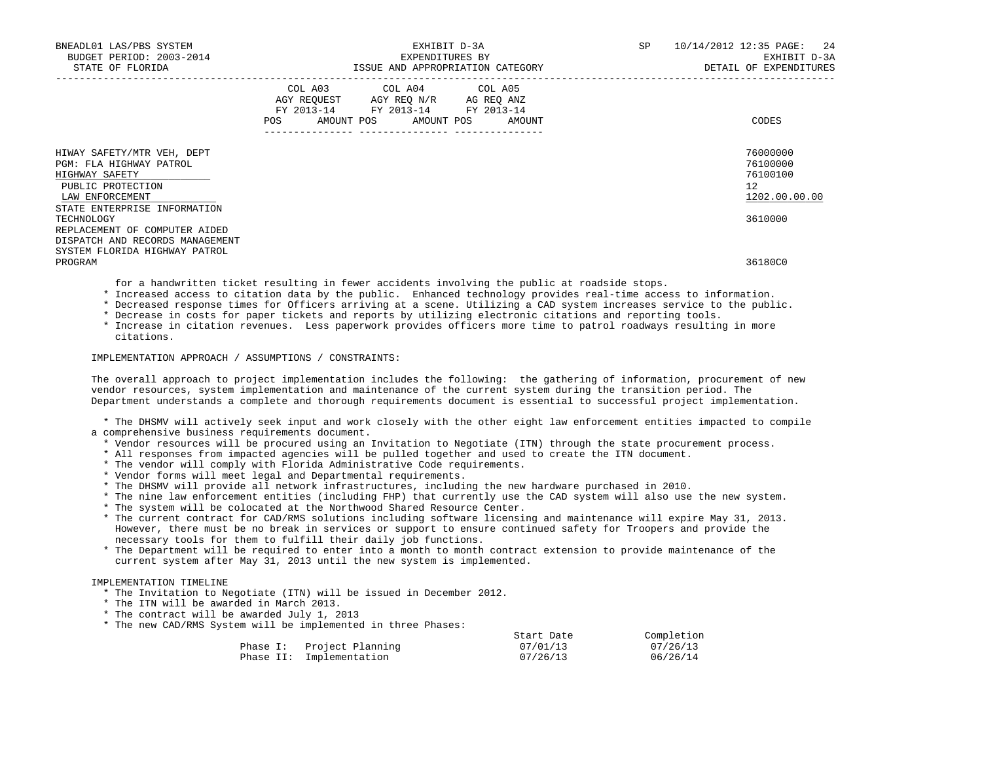| BNEADL01 LAS/PBS SYSTEM<br>BUDGET PERIOD: 2003-2014<br>STATE OF FLORIDA                                                                         | EXHIBIT D-3A<br>EXPENDITURES BY<br>ISSUE AND APPROPRIATION CATEGORY                                                                                                       | SP | 10/14/2012 12:35 PAGE: 24<br>EXHIBIT D-3A<br>DETAIL OF EXPENDITURES |  |
|-------------------------------------------------------------------------------------------------------------------------------------------------|---------------------------------------------------------------------------------------------------------------------------------------------------------------------------|----|---------------------------------------------------------------------|--|
|                                                                                                                                                 | COL A03 COL A04 COL A05<br>AGY REQUEST AGY REQ N/R AG REQ ANZ<br>FY 2013-14 FY 2013-14 FY 2013-14<br>POS AMOUNT POS AMOUNT POS AMOUNT<br>--------------- ---------------- |    | CODES                                                               |  |
| HIWAY SAFETY/MTR VEH, DEPT<br>PGM: FLA HIGHWAY PATROL<br>HIGHWAY SAFETY<br>PUBLIC PROTECTION<br>LAW ENFORCEMENT<br>STATE ENTERPRISE INFORMATION |                                                                                                                                                                           |    | 76000000<br>76100000<br>76100100<br>12<br>1202.00.00.00             |  |
| TECHNOLOGY<br>REPLACEMENT OF COMPUTER AIDED<br>DISPATCH AND RECORDS MANAGEMENT<br>SYSTEM FLORIDA HIGHWAY PATROL                                 |                                                                                                                                                                           |    | 3610000                                                             |  |
| PROGRAM                                                                                                                                         |                                                                                                                                                                           |    | 36180C0                                                             |  |

for a handwritten ticket resulting in fewer accidents involving the public at roadside stops.

\* Increased access to citation data by the public. Enhanced technology provides real-time access to information.

\* Decreased response times for Officers arriving at a scene. Utilizing a CAD system increases service to the public.

\* Decrease in costs for paper tickets and reports by utilizing electronic citations and reporting tools.

 \* Increase in citation revenues. Less paperwork provides officers more time to patrol roadways resulting in more citations.

### IMPLEMENTATION APPROACH / ASSUMPTIONS / CONSTRAINTS:

 The overall approach to project implementation includes the following: the gathering of information, procurement of new vendor resources, system implementation and maintenance of the current system during the transition period. The Department understands a complete and thorough requirements document is essential to successful project implementation.

 \* The DHSMV will actively seek input and work closely with the other eight law enforcement entities impacted to compile a comprehensive business requirements document.

\* Vendor resources will be procured using an Invitation to Negotiate (ITN) through the state procurement process.

- \* All responses from impacted agencies will be pulled together and used to create the ITN document.
- \* The vendor will comply with Florida Administrative Code requirements.
- \* Vendor forms will meet legal and Departmental requirements.
- \* The DHSMV will provide all network infrastructures, including the new hardware purchased in 2010.
- \* The nine law enforcement entities (including FHP) that currently use the CAD system will also use the new system.
- \* The system will be colocated at the Northwood Shared Resource Center.
- \* The current contract for CAD/RMS solutions including software licensing and maintenance will expire May 31, 2013. However, there must be no break in services or support to ensure continued safety for Troopers and provide the necessary tools for them to fulfill their daily job functions.
- \* The Department will be required to enter into a month to month contract extension to provide maintenance of the current system after May 31, 2013 until the new system is implemented.

# IMPLEMENTATION TIMELINE

- \* The Invitation to Negotiate (ITN) will be issued in December 2012.
- \* The ITN will be awarded in March 2013.
- \* The contract will be awarded July 1, 2013
- \* The new CAD/RMS System will be implemented in three Phases:

|                           | Start Date | Completion |
|---------------------------|------------|------------|
| Phase I: Project Planning | 07/01/13   | 07/26/13   |
| Phase II: Implementation  | 07/26/13   | 06/26/14   |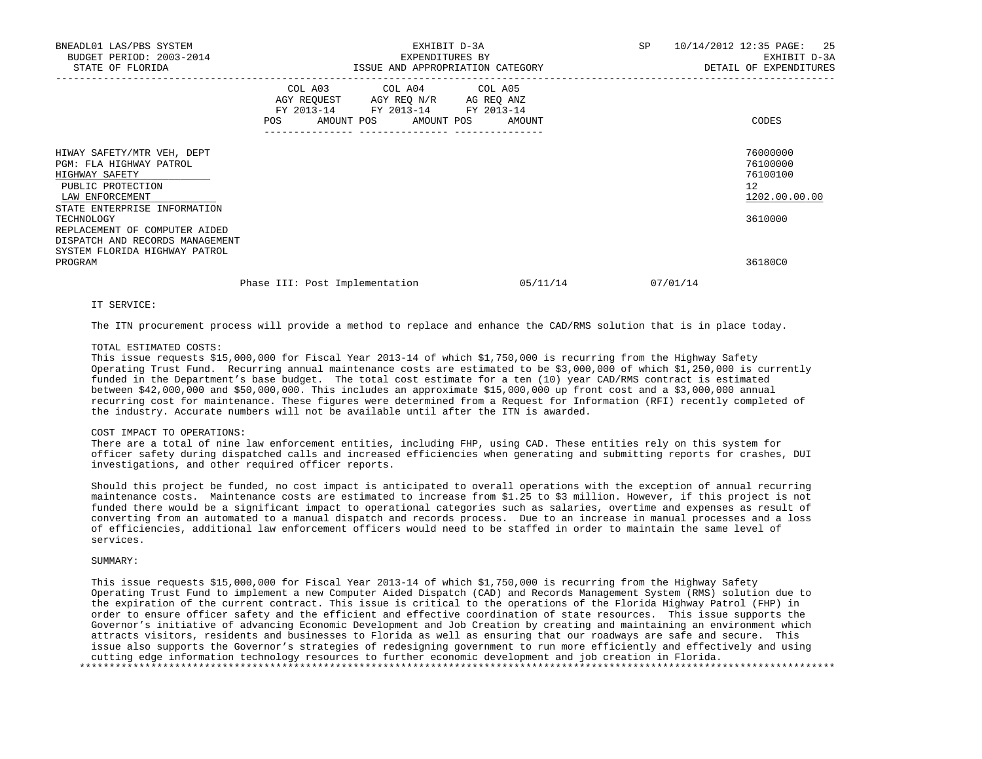| BNEADL01 LAS/PBS SYSTEM<br>BUDGET PERIOD: 2003-2014<br>STATE OF FLORIDA                                                                                                                                                                                                       |                                                                                                                                                      | EXHIBIT D-3A<br>EXPENDITURES BY<br>ISSUE AND APPROPRIATION CATEGORY | SP       | 10/14/2012 12:35 PAGE: 25<br>EXHIBIT D-3A<br>DETAIL OF EXPENDITURES           |
|-------------------------------------------------------------------------------------------------------------------------------------------------------------------------------------------------------------------------------------------------------------------------------|------------------------------------------------------------------------------------------------------------------------------------------------------|---------------------------------------------------------------------|----------|-------------------------------------------------------------------------------|
|                                                                                                                                                                                                                                                                               | COL A03 COL A04 COL A05<br>AGY REQUEST AGY REQ N/R AG REQ ANZ<br>FY 2013-14 FY 2013-14 FY 2013-14<br>POS<br>AMOUNT POS AMOUNT POS<br>--------------- | AMOUNT                                                              |          | CODES                                                                         |
| HIWAY SAFETY/MTR VEH, DEPT<br>PGM: FLA HIGHWAY PATROL<br>HIGHWAY SAFETY<br>PUBLIC PROTECTION<br>LAW ENFORCEMENT<br>STATE ENTERPRISE INFORMATION<br>TECHNOLOGY<br>REPLACEMENT OF COMPUTER AIDED<br>DISPATCH AND RECORDS MANAGEMENT<br>SYSTEM FLORIDA HIGHWAY PATROL<br>PROGRAM |                                                                                                                                                      |                                                                     |          | 76000000<br>76100000<br>76100100<br>12<br>1202.00.00.00<br>3610000<br>36180C0 |
|                                                                                                                                                                                                                                                                               | Phase III: Post Implementation                                                                                                                       | 05/11/14                                                            | 07/01/14 |                                                                               |

IT SERVICE:

The ITN procurement process will provide a method to replace and enhance the CAD/RMS solution that is in place today.

## TOTAL ESTIMATED COSTS:

 This issue requests \$15,000,000 for Fiscal Year 2013-14 of which \$1,750,000 is recurring from the Highway Safety Operating Trust Fund. Recurring annual maintenance costs are estimated to be \$3,000,000 of which \$1,250,000 is currently funded in the Department's base budget. The total cost estimate for a ten (10) year CAD/RMS contract is estimated between \$42,000,000 and \$50,000,000. This includes an approximate \$15,000,000 up front cost and a \$3,000,000 annual recurring cost for maintenance. These figures were determined from a Request for Information (RFI) recently completed of the industry. Accurate numbers will not be available until after the ITN is awarded.

## COST IMPACT TO OPERATIONS:

 There are a total of nine law enforcement entities, including FHP, using CAD. These entities rely on this system for officer safety during dispatched calls and increased efficiencies when generating and submitting reports for crashes, DUI investigations, and other required officer reports.

 Should this project be funded, no cost impact is anticipated to overall operations with the exception of annual recurring maintenance costs. Maintenance costs are estimated to increase from \$1.25 to \$3 million. However, if this project is not funded there would be a significant impact to operational categories such as salaries, overtime and expenses as result of converting from an automated to a manual dispatch and records process. Due to an increase in manual processes and a loss of efficiencies, additional law enforcement officers would need to be staffed in order to maintain the same level of services.

## SUMMARY:

 This issue requests \$15,000,000 for Fiscal Year 2013-14 of which \$1,750,000 is recurring from the Highway Safety Operating Trust Fund to implement a new Computer Aided Dispatch (CAD) and Records Management System (RMS) solution due to the expiration of the current contract. This issue is critical to the operations of the Florida Highway Patrol (FHP) in order to ensure officer safety and the efficient and effective coordination of state resources. This issue supports the Governor's initiative of advancing Economic Development and Job Creation by creating and maintaining an environment which attracts visitors, residents and businesses to Florida as well as ensuring that our roadways are safe and secure. This issue also supports the Governor's strategies of redesigning government to run more efficiently and effectively and using cutting edge information technology resources to further economic development and job creation in Florida. \*\*\*\*\*\*\*\*\*\*\*\*\*\*\*\*\*\*\*\*\*\*\*\*\*\*\*\*\*\*\*\*\*\*\*\*\*\*\*\*\*\*\*\*\*\*\*\*\*\*\*\*\*\*\*\*\*\*\*\*\*\*\*\*\*\*\*\*\*\*\*\*\*\*\*\*\*\*\*\*\*\*\*\*\*\*\*\*\*\*\*\*\*\*\*\*\*\*\*\*\*\*\*\*\*\*\*\*\*\*\*\*\*\*\*\*\*\*\*\*\*\*\*\*\*\*\*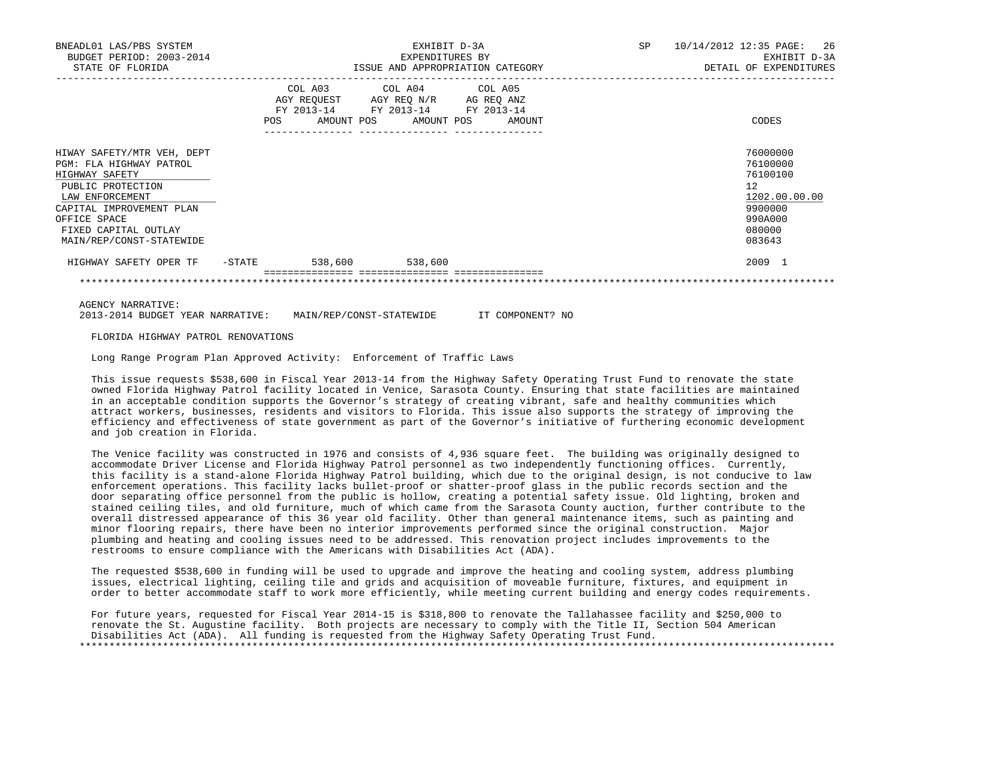| BNEADL01 LAS/PBS SYSTEM<br>BUDGET PERIOD: 2003-2014<br>STATE OF FLORIDA                                                                                                                                         |        |                                                                                                   | EXHIBIT D-3A<br>EXPENDITURES BY | SP<br>ISSUE AND APPROPRIATION CATEGORY | 10/14/2012 12:35 PAGE: 26<br>EXHIBIT D-3A<br>DETAIL OF EXPENDITURES |                                                                                                                |
|-----------------------------------------------------------------------------------------------------------------------------------------------------------------------------------------------------------------|--------|---------------------------------------------------------------------------------------------------|---------------------------------|----------------------------------------|---------------------------------------------------------------------|----------------------------------------------------------------------------------------------------------------|
|                                                                                                                                                                                                                 |        | COL A03 COL A04 COL A05<br>AGY REQUEST AGY REQ N/R AG REQ ANZ<br>FY 2013-14 FY 2013-14 FY 2013-14 |                                 | POS AMOUNT POS AMOUNT POS AMOUNT       |                                                                     | CODES                                                                                                          |
| HIWAY SAFETY/MTR VEH, DEPT<br>PGM: FLA HIGHWAY PATROL<br>HIGHWAY SAFETY<br>PUBLIC PROTECTION<br>LAW ENFORCEMENT<br>CAPITAL IMPROVEMENT PLAN<br>OFFICE SPACE<br>FIXED CAPITAL OUTLAY<br>MAIN/REP/CONST-STATEWIDE |        |                                                                                                   |                                 |                                        |                                                                     | 76000000<br>76100000<br>76100100<br>12 <sup>7</sup><br>1202.00.00.00<br>9900000<br>990A000<br>080000<br>083643 |
| HIGHWAY SAFETY OPER TF                                                                                                                                                                                          | -STATE | 538,600                                                                                           | 538,600                         |                                        |                                                                     | 2009 1                                                                                                         |
|                                                                                                                                                                                                                 |        |                                                                                                   |                                 |                                        |                                                                     |                                                                                                                |

\*\*\*\*\*\*\*\*\*\*\*\*\*\*\*\*\*\*\*\*\*\*\*\*\*\*\*\*\*\*\*\*\*\*\*\*\*\*\*\*\*\*\*\*\*\*\*\*\*\*\*\*\*\*\*\*\*\*\*\*\*\*\*\*\*\*\*\*\*\*\*\*\*\*\*\*\*\*\*\*\*\*\*\*\*\*\*\*\*\*\*\*\*\*\*\*\*\*\*\*\*\*\*\*\*\*\*\*\*\*\*\*\*\*\*\*\*\*\*\*\*\*\*\*\*\*\*

AGENCY NARRATIVE:

2013-2014 BUDGET YEAR NARRATIVE: MAIN/REP/CONST-STATEWIDE IT COMPONENT? NO

FLORIDA HIGHWAY PATROL RENOVATIONS

Long Range Program Plan Approved Activity: Enforcement of Traffic Laws

 This issue requests \$538,600 in Fiscal Year 2013-14 from the Highway Safety Operating Trust Fund to renovate the state owned Florida Highway Patrol facility located in Venice, Sarasota County. Ensuring that state facilities are maintained in an acceptable condition supports the Governor's strategy of creating vibrant, safe and healthy communities which attract workers, businesses, residents and visitors to Florida. This issue also supports the strategy of improving the efficiency and effectiveness of state government as part of the Governor's initiative of furthering economic development and job creation in Florida.

 The Venice facility was constructed in 1976 and consists of 4,936 square feet. The building was originally designed to accommodate Driver License and Florida Highway Patrol personnel as two independently functioning offices. Currently, this facility is a stand-alone Florida Highway Patrol building, which due to the original design, is not conducive to law enforcement operations. This facility lacks bullet-proof or shatter-proof glass in the public records section and the door separating office personnel from the public is hollow, creating a potential safety issue. Old lighting, broken and stained ceiling tiles, and old furniture, much of which came from the Sarasota County auction, further contribute to the overall distressed appearance of this 36 year old facility. Other than general maintenance items, such as painting and minor flooring repairs, there have been no interior improvements performed since the original construction. Major plumbing and heating and cooling issues need to be addressed. This renovation project includes improvements to the restrooms to ensure compliance with the Americans with Disabilities Act (ADA).

 The requested \$538,600 in funding will be used to upgrade and improve the heating and cooling system, address plumbing issues, electrical lighting, ceiling tile and grids and acquisition of moveable furniture, fixtures, and equipment in order to better accommodate staff to work more efficiently, while meeting current building and energy codes requirements.

 For future years, requested for Fiscal Year 2014-15 is \$318,800 to renovate the Tallahassee facility and \$250,000 to renovate the St. Augustine facility. Both projects are necessary to comply with the Title II, Section 504 American Disabilities Act (ADA). All funding is requested from the Highway Safety Operating Trust Fund. \*\*\*\*\*\*\*\*\*\*\*\*\*\*\*\*\*\*\*\*\*\*\*\*\*\*\*\*\*\*\*\*\*\*\*\*\*\*\*\*\*\*\*\*\*\*\*\*\*\*\*\*\*\*\*\*\*\*\*\*\*\*\*\*\*\*\*\*\*\*\*\*\*\*\*\*\*\*\*\*\*\*\*\*\*\*\*\*\*\*\*\*\*\*\*\*\*\*\*\*\*\*\*\*\*\*\*\*\*\*\*\*\*\*\*\*\*\*\*\*\*\*\*\*\*\*\*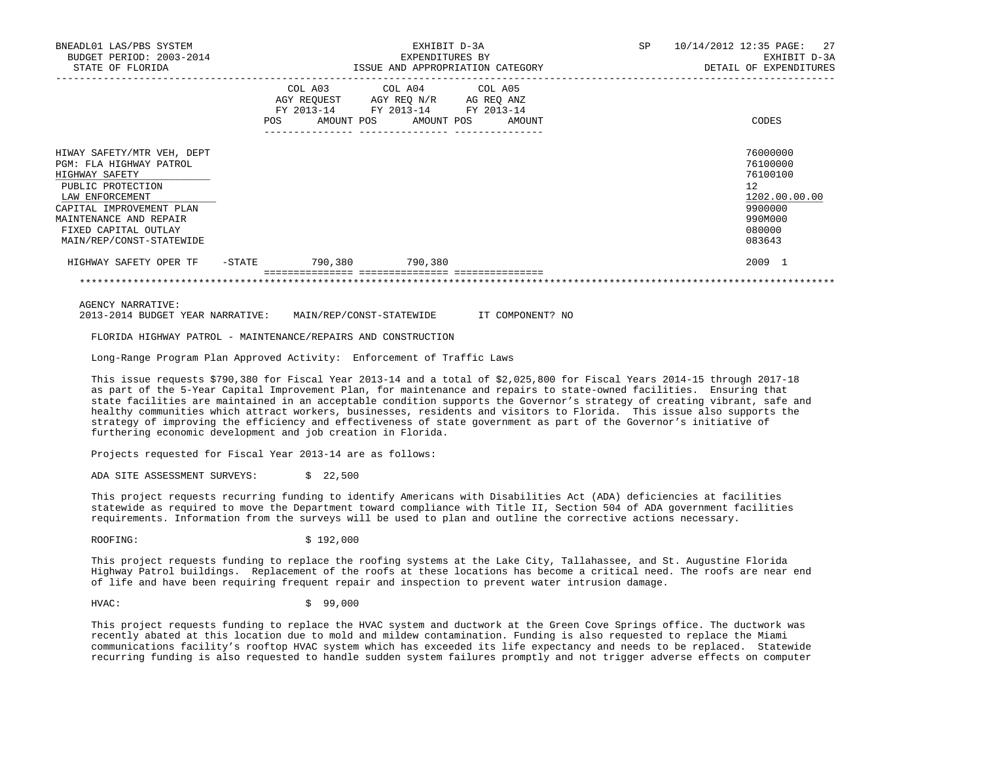| BNEADL01 LAS/PBS SYSTEM<br>BUDGET PERIOD: 2003-2014<br>STATE OF FLORIDA                                                                                                                                                   |        |                         | EXPENDITURES BY | EXHIBIT D-3A<br>ISSUE AND APPROPRIATION CATEGORY                                                       | SP | 10/14/2012 12:35 PAGE: 27<br>EXHIBIT D-3A<br>DETAIL OF EXPENDITURES                                            |
|---------------------------------------------------------------------------------------------------------------------------------------------------------------------------------------------------------------------------|--------|-------------------------|-----------------|--------------------------------------------------------------------------------------------------------|----|----------------------------------------------------------------------------------------------------------------|
|                                                                                                                                                                                                                           | POS    | COL A03 COL A04 COL A05 |                 | AGY REQUEST AGY REQ N/R AG REQ ANZ<br>FY 2013-14 FY 2013-14 FY 2013-14<br>AMOUNT POS AMOUNT POS AMOUNT |    | CODES                                                                                                          |
| HIWAY SAFETY/MTR VEH, DEPT<br>PGM: FLA HIGHWAY PATROL<br>HIGHWAY SAFETY<br>PUBLIC PROTECTION<br>LAW ENFORCEMENT<br>CAPITAL IMPROVEMENT PLAN<br>MAINTENANCE AND REPAIR<br>FIXED CAPITAL OUTLAY<br>MAIN/REP/CONST-STATEWIDE |        |                         |                 |                                                                                                        |    | 76000000<br>76100000<br>76100100<br>12 <sup>°</sup><br>1202.00.00.00<br>9900000<br>990M000<br>080000<br>083643 |
| HIGHWAY SAFETY OPER TF                                                                                                                                                                                                    | -STATE | 790,380 790,380         |                 |                                                                                                        |    | 2009 1                                                                                                         |

\*\*\*\*\*\*\*\*\*\*\*\*\*\*\*\*\*\*\*\*\*\*\*\*\*\*\*\*\*\*\*\*\*\*\*\*\*\*\*\*\*\*\*\*\*\*\*\*\*\*\*\*\*\*\*\*\*\*\*\*\*\*\*\*\*\*\*\*\*\*\*\*\*\*\*\*\*\*\*\*\*\*\*\*\*\*\*\*\*\*\*\*\*\*\*\*\*\*\*\*\*\*\*\*\*\*\*\*\*\*\*\*\*\*\*\*\*\*\*\*\*\*\*\*\*\*\*

AGENCY NARRATIVE:

2013-2014 BUDGET YEAR NARRATIVE: MAIN/REP/CONST-STATEWIDE IT COMPONENT? NO

FLORIDA HIGHWAY PATROL - MAINTENANCE/REPAIRS AND CONSTRUCTION

Long-Range Program Plan Approved Activity: Enforcement of Traffic Laws

 This issue requests \$790,380 for Fiscal Year 2013-14 and a total of \$2,025,800 for Fiscal Years 2014-15 through 2017-18 as part of the 5-Year Capital Improvement Plan, for maintenance and repairs to state-owned facilities. Ensuring that state facilities are maintained in an acceptable condition supports the Governor's strategy of creating vibrant, safe and healthy communities which attract workers, businesses, residents and visitors to Florida. This issue also supports the strategy of improving the efficiency and effectiveness of state government as part of the Governor's initiative of furthering economic development and job creation in Florida.

Projects requested for Fiscal Year 2013-14 are as follows:

ADA SITE ASSESSMENT SURVEYS: \$ 22,500

 This project requests recurring funding to identify Americans with Disabilities Act (ADA) deficiencies at facilities statewide as required to move the Department toward compliance with Title II, Section 504 of ADA government facilities requirements. Information from the surveys will be used to plan and outline the corrective actions necessary.

ROOFING: \$192,000

 This project requests funding to replace the roofing systems at the Lake City, Tallahassee, and St. Augustine Florida Highway Patrol buildings. Replacement of the roofs at these locations has become a critical need. The roofs are near end of life and have been requiring frequent repair and inspection to prevent water intrusion damage.

HVAC: \$ 99,000

 This project requests funding to replace the HVAC system and ductwork at the Green Cove Springs office. The ductwork was recently abated at this location due to mold and mildew contamination. Funding is also requested to replace the Miami communications facility's rooftop HVAC system which has exceeded its life expectancy and needs to be replaced. Statewide recurring funding is also requested to handle sudden system failures promptly and not trigger adverse effects on computer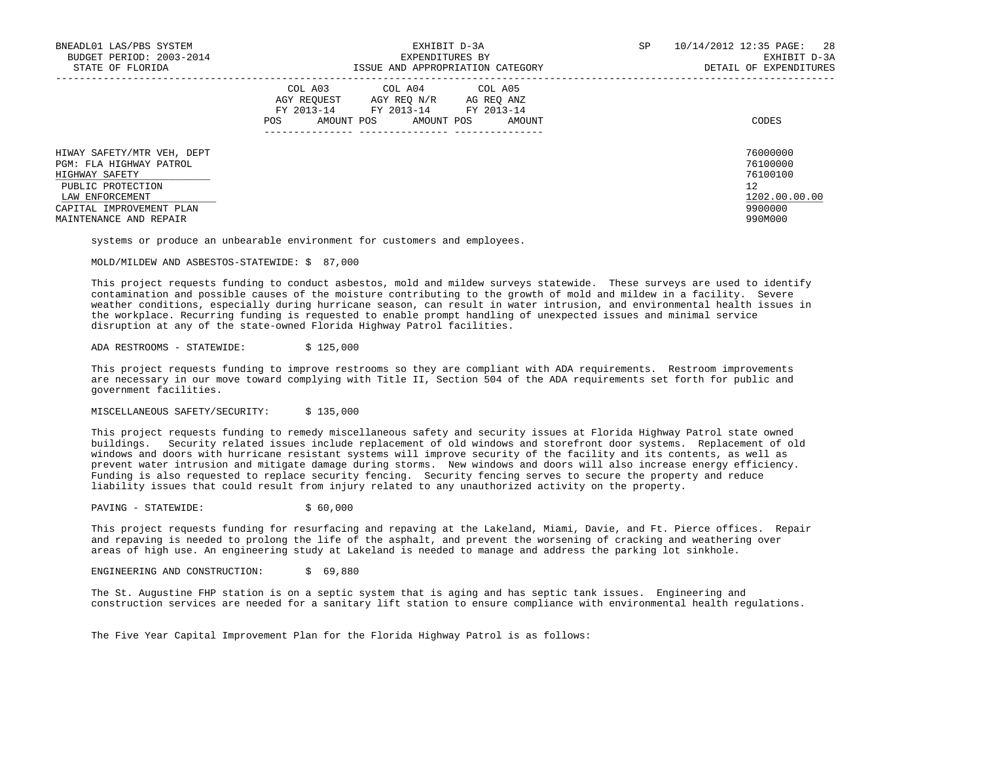| BNEADL01 LAS/PBS SYSTEM<br>BUDGET PERIOD: 2003-2014<br>STATE OF FLORIDA                                                                                               | EXHIBIT D-3A<br>EXPENDITURES BY<br>ISSUE AND APPROPRIATION CATEGORY                                                                                     | SP<br>10/14/2012 12:35 PAGE: 28<br>EXHIBIT D-3A<br>DETAIL OF EXPENDITURES     |
|-----------------------------------------------------------------------------------------------------------------------------------------------------------------------|---------------------------------------------------------------------------------------------------------------------------------------------------------|-------------------------------------------------------------------------------|
|                                                                                                                                                                       | COL A03<br>COL A04 COL A05<br>AGY REOUEST<br>AGY REO N/R<br>AG REO ANZ<br>FY 2013-14 FY 2013-14 FY 2013-14<br>AMOUNT POS<br>AMOUNT POS<br>AMOUNT<br>POS | CODES                                                                         |
| HIWAY SAFETY/MTR VEH, DEPT<br>PGM: FLA HIGHWAY PATROL<br>HIGHWAY SAFETY<br>PUBLIC PROTECTION<br>LAW ENFORCEMENT<br>CAPITAL IMPROVEMENT PLAN<br>MAINTENANCE AND REPAIR |                                                                                                                                                         | 76000000<br>76100000<br>76100100<br>12<br>1202.00.00.00<br>9900000<br>990M000 |

systems or produce an unbearable environment for customers and employees.

MOLD/MILDEW AND ASBESTOS-STATEWIDE: \$ 87,000

 This project requests funding to conduct asbestos, mold and mildew surveys statewide. These surveys are used to identify contamination and possible causes of the moisture contributing to the growth of mold and mildew in a facility. Severe weather conditions, especially during hurricane season, can result in water intrusion, and environmental health issues in the workplace. Recurring funding is requested to enable prompt handling of unexpected issues and minimal service disruption at any of the state-owned Florida Highway Patrol facilities.

ADA RESTROOMS - STATEWIDE: \$ 125,000

 This project requests funding to improve restrooms so they are compliant with ADA requirements. Restroom improvements are necessary in our move toward complying with Title II, Section 504 of the ADA requirements set forth for public and government facilities.

MISCELLANEOUS SAFETY/SECURITY: \$ 135,000

 This project requests funding to remedy miscellaneous safety and security issues at Florida Highway Patrol state owned buildings. Security related issues include replacement of old windows and storefront door systems. Replacement of old windows and doors with hurricane resistant systems will improve security of the facility and its contents, as well as prevent water intrusion and mitigate damage during storms. New windows and doors will also increase energy efficiency. Funding is also requested to replace security fencing. Security fencing serves to secure the property and reduce liability issues that could result from injury related to any unauthorized activity on the property.

PAVING - STATEWIDE:  $\angle$  \$ 60,000

 This project requests funding for resurfacing and repaving at the Lakeland, Miami, Davie, and Ft. Pierce offices. Repair and repaving is needed to prolong the life of the asphalt, and prevent the worsening of cracking and weathering over areas of high use. An engineering study at Lakeland is needed to manage and address the parking lot sinkhole.

ENGINEERING AND CONSTRUCTION: \$ 69,880

 The St. Augustine FHP station is on a septic system that is aging and has septic tank issues. Engineering and construction services are needed for a sanitary lift station to ensure compliance with environmental health regulations.

The Five Year Capital Improvement Plan for the Florida Highway Patrol is as follows: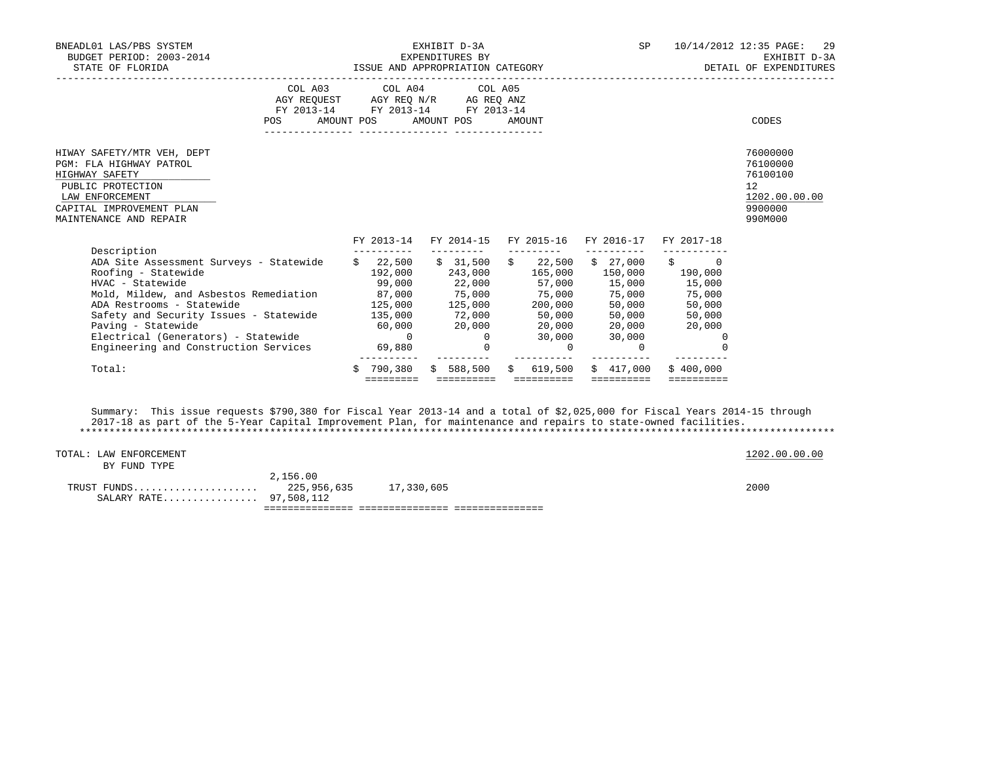| BNEADL01 LAS/PBS SYSTEM<br>BUDGET PERIOD: 2003-2014<br>STATE OF FLORIDA                                                                                                                                                                                                                                                                                                                                                                                                                                        |                                                                                                            |                         | EXHIBIT D-3A<br>EXPENDITURES BY |                                                                  | SP and the set of the set of the set of the set of the set of the set of the set of the set of the set of the s |                                                                      | 10/14/2012 12:35 PAGE: 29<br>EXHIBIT D-3A<br>EXHIBIT D-3A EXHIBIT D-3A المستقيمة المستوى المستوى المستوى المستوى المستوى المستوى المستوى المستوى المستوى ال<br>DETAIL OF EXPENDITURES |
|----------------------------------------------------------------------------------------------------------------------------------------------------------------------------------------------------------------------------------------------------------------------------------------------------------------------------------------------------------------------------------------------------------------------------------------------------------------------------------------------------------------|------------------------------------------------------------------------------------------------------------|-------------------------|---------------------------------|------------------------------------------------------------------|-----------------------------------------------------------------------------------------------------------------|----------------------------------------------------------------------|---------------------------------------------------------------------------------------------------------------------------------------------------------------------------------------|
|                                                                                                                                                                                                                                                                                                                                                                                                                                                                                                                | AGY REQUEST AGY REQ N/R AG REQ ANZ<br>FY 2013-14 FY 2013-14 FY 2013-14<br>POS AMOUNT POS AMOUNT POS AMOUNT | COL A03 COL A04 COL A05 |                                 |                                                                  |                                                                                                                 |                                                                      | CODES                                                                                                                                                                                 |
| HIWAY SAFETY/MTR VEH, DEPT<br>PGM: FLA HIGHWAY PATROL<br>HIGHWAY SAFETY<br>PUBLIC PROTECTION<br>LAW ENFORCEMENT<br>CAPITAL IMPROVEMENT PLAN<br>MAINTENANCE AND REPAIR                                                                                                                                                                                                                                                                                                                                          |                                                                                                            |                         |                                 |                                                                  |                                                                                                                 |                                                                      | 76000000<br>76100000<br>76100100<br>12<br>1202.00.00.00<br>9900000<br>990M000                                                                                                         |
|                                                                                                                                                                                                                                                                                                                                                                                                                                                                                                                |                                                                                                            |                         |                                 |                                                                  |                                                                                                                 | FY 2013-14 FY 2014-15 FY 2015-16 FY 2016-17 FY 2017-18               |                                                                                                                                                                                       |
| Description<br>ADA Site Assessment Surveys - Statewide \$ 22,500 \$ 31,500 \$ 22,500 \$ 27,000 \$ 0<br>Roofing - Statewide<br>ADA Restrooms - Statewide<br>Safety and Security Issues - Statewide $\begin{array}{cccc} 135,000 & 72,000 & 50,000 & 50,000 & 50,000 \\ \text{Paving} - \text{Statewide} & 60,000 & 20,000 & 20,000 & 20,000 & 20,000 \\ \text{Electrical (Generators) - \text{Statewide} } & 0 & 0 & 30,000 & 30,000 & 0 \\ \end{array}$<br>Engineering and Construction Services 69,880 69,880 | $125,000$ $125,000$ $200,000$ $50,000$ $50,000$                                                            | ____________            |                                 | __________<br>$\begin{array}{ccc} & & 0 & \quad & 0 \end{array}$ | ___________                                                                                                     | $192,000$ $243,000$ $165,000$ $150,000$ $190,000$<br>- 0<br>$\Omega$ |                                                                                                                                                                                       |
| Total:                                                                                                                                                                                                                                                                                                                                                                                                                                                                                                         |                                                                                                            | $$790,380$ $$588,500$   | _________                       | -------------<br>\$619.500                                       | \$417.000                                                                                                       | \$400.000<br><b>BEBBEBBBBB</b>                                       |                                                                                                                                                                                       |

 Summary: This issue requests \$790,380 for Fiscal Year 2013-14 and a total of \$2,025,000 for Fiscal Years 2014-15 through 2017-18 as part of the 5-Year Capital Improvement Plan, for maintenance and repairs to state-owned facilities. \*\*\*\*\*\*\*\*\*\*\*\*\*\*\*\*\*\*\*\*\*\*\*\*\*\*\*\*\*\*\*\*\*\*\*\*\*\*\*\*\*\*\*\*\*\*\*\*\*\*\*\*\*\*\*\*\*\*\*\*\*\*\*\*\*\*\*\*\*\*\*\*\*\*\*\*\*\*\*\*\*\*\*\*\*\*\*\*\*\*\*\*\*\*\*\*\*\*\*\*\*\*\*\*\*\*\*\*\*\*\*\*\*\*\*\*\*\*\*\*\*\*\*\*\*\*\*

| TOTAL: LAW ENFORCEMENT |             |            | 1202.00.00.00 |
|------------------------|-------------|------------|---------------|
| BY FUND TYPE           |             |            |               |
|                        | 2,156.00    |            |               |
| TRUST FUNDS            | 225,956,635 | 17,330,605 | 2000          |
| SALARY RATE 97,508,112 |             |            |               |
|                        |             |            |               |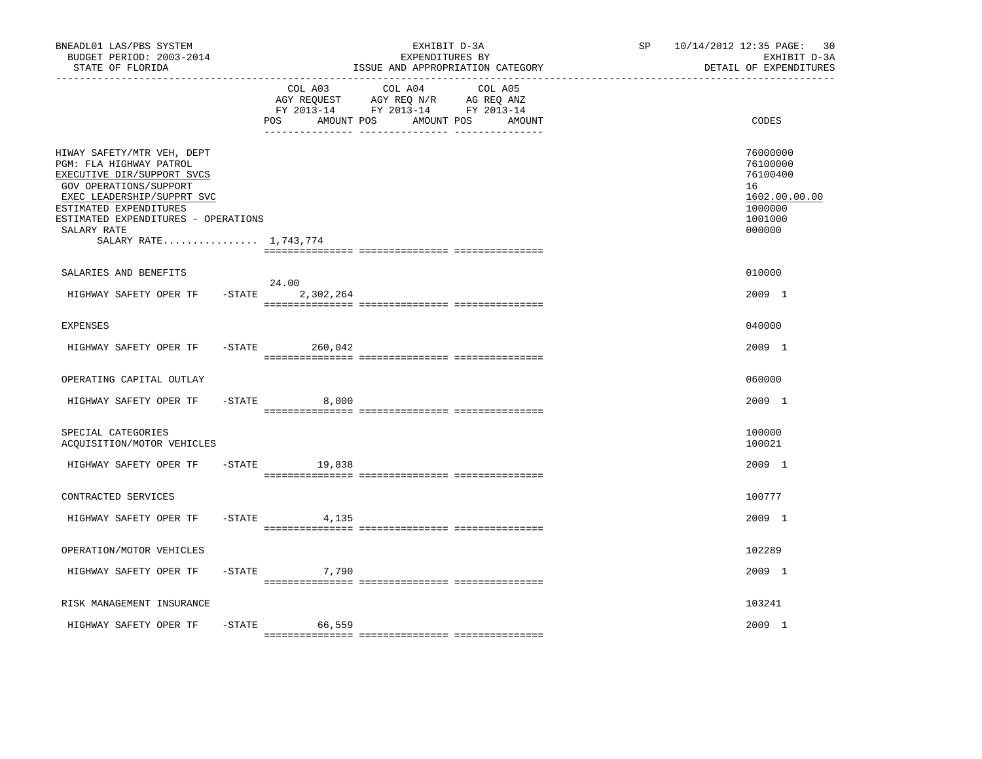| BNEADL01 LAS/PBS SYSTEM<br>BUDGET PERIOD: 2003-2014<br>STATE OF FLORIDA                                                                                                                                                                              |           |                               | EXHIBIT D-3A<br>EXPENDITURES BY<br>ISSUE AND APPROPRIATION CATEGORY                                                  | SP | 10/14/2012 12:35 PAGE:<br>30<br>EXHIBIT D-3A<br>DETAIL OF EXPENDITURES                  |
|------------------------------------------------------------------------------------------------------------------------------------------------------------------------------------------------------------------------------------------------------|-----------|-------------------------------|----------------------------------------------------------------------------------------------------------------------|----|-----------------------------------------------------------------------------------------|
|                                                                                                                                                                                                                                                      |           | COL A03<br>AMOUNT POS<br>POS. | COL A04<br>COL A05<br>AGY REQUEST AGY REQ N/R AG REQ ANZ<br>FY 2013-14 FY 2013-14 FY 2013-14<br>AMOUNT POS<br>AMOUNT |    | CODES                                                                                   |
| HIWAY SAFETY/MTR VEH, DEPT<br>PGM: FLA HIGHWAY PATROL<br>EXECUTIVE DIR/SUPPORT SVCS<br>GOV OPERATIONS/SUPPORT<br>EXEC LEADERSHIP/SUPPRT SVC<br>ESTIMATED EXPENDITURES<br>ESTIMATED EXPENDITURES - OPERATIONS<br>SALARY RATE<br>SALARY RATE 1,743,774 |           |                               |                                                                                                                      |    | 76000000<br>76100000<br>76100400<br>16<br>1602.00.00.00<br>1000000<br>1001000<br>000000 |
| SALARIES AND BENEFITS                                                                                                                                                                                                                                |           |                               |                                                                                                                      |    | 010000                                                                                  |
| HIGHWAY SAFETY OPER TF                                                                                                                                                                                                                               | $-$ STATE | 24.00<br>2,302,264            |                                                                                                                      |    | 2009 1                                                                                  |
| <b>EXPENSES</b>                                                                                                                                                                                                                                      |           |                               |                                                                                                                      |    | 040000                                                                                  |
| HIGHWAY SAFETY OPER TF                                                                                                                                                                                                                               |           | $-STATE$ 260,042              |                                                                                                                      |    | 2009 1                                                                                  |
| OPERATING CAPITAL OUTLAY                                                                                                                                                                                                                             |           |                               |                                                                                                                      |    | 060000                                                                                  |
| HIGHWAY SAFETY OPER TF                                                                                                                                                                                                                               | -STATE    | 8,000                         |                                                                                                                      |    | 2009 1                                                                                  |
| SPECIAL CATEGORIES<br>ACQUISITION/MOTOR VEHICLES                                                                                                                                                                                                     |           |                               |                                                                                                                      |    | 100000<br>100021                                                                        |
| HIGHWAY SAFETY OPER TF                                                                                                                                                                                                                               | $-$ STATE | 19,838                        |                                                                                                                      |    | 2009 1                                                                                  |
| CONTRACTED SERVICES                                                                                                                                                                                                                                  |           |                               |                                                                                                                      |    | 100777                                                                                  |
| HIGHWAY SAFETY OPER TF                                                                                                                                                                                                                               |           | $-STATE$<br>4,135             |                                                                                                                      |    | 2009 1                                                                                  |
| OPERATION/MOTOR VEHICLES                                                                                                                                                                                                                             |           |                               |                                                                                                                      |    | 102289                                                                                  |
| HIGHWAY SAFETY OPER TF                                                                                                                                                                                                                               | -STATE    | 7,790                         |                                                                                                                      |    | 2009 1                                                                                  |
| RISK MANAGEMENT INSURANCE                                                                                                                                                                                                                            |           |                               |                                                                                                                      |    | 103241                                                                                  |
| HIGHWAY SAFETY OPER TF                                                                                                                                                                                                                               | $-$ STATE | 66,559                        |                                                                                                                      |    | 2009 1                                                                                  |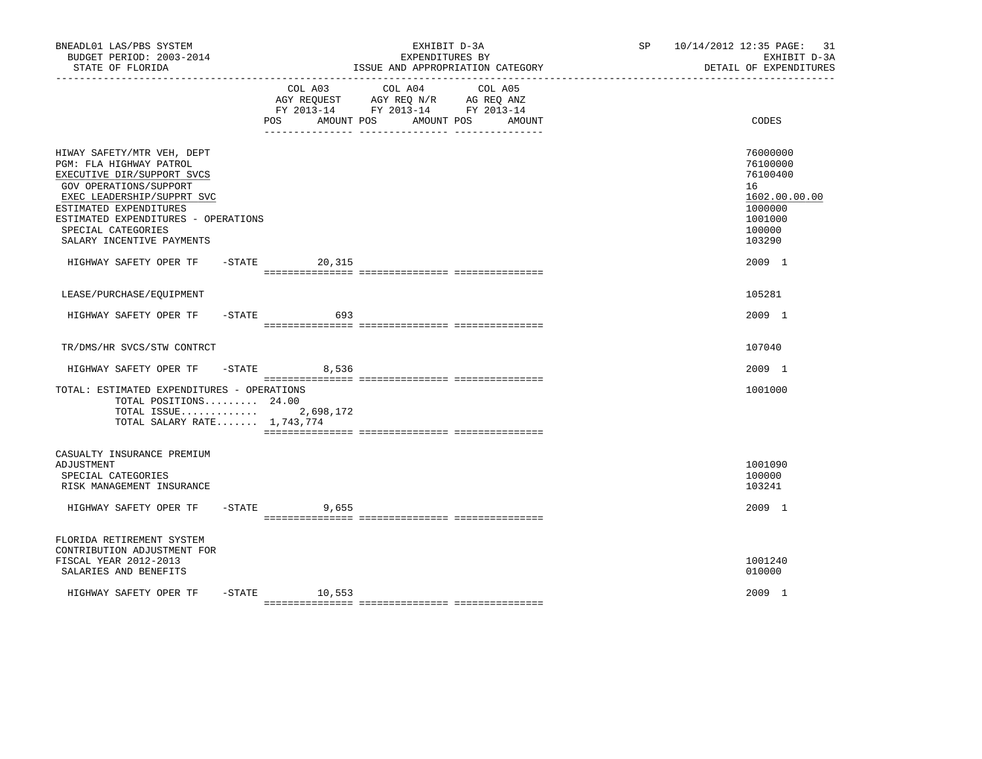| BNEADL01 LAS/PBS SYSTEM<br>BUDGET PERIOD: 2003-2014<br>STATE OF FLORIDA                                                                                                                                                                                         |           |                   | EXHIBIT D-3A<br>EXPENDITURES BY<br>ISSUE AND APPROPRIATION CATEGORY                                     |                   | SP 10/14/2012 12:35 PAGE: 31<br>EXHIBIT D-3A<br>DETAIL OF EXPENDITURES                            |
|-----------------------------------------------------------------------------------------------------------------------------------------------------------------------------------------------------------------------------------------------------------------|-----------|-------------------|---------------------------------------------------------------------------------------------------------|-------------------|---------------------------------------------------------------------------------------------------|
|                                                                                                                                                                                                                                                                 |           | AMOUNT POS<br>POS | COL A03 COL A04<br>AGY REQUEST AGY REQ N/R AG REQ ANZ<br>FY 2013-14 FY 2013-14 FY 2013-14<br>AMOUNT POS | COL A05<br>AMOUNT | CODES                                                                                             |
| HIWAY SAFETY/MTR VEH, DEPT<br>PGM: FLA HIGHWAY PATROL<br>EXECUTIVE DIR/SUPPORT SVCS<br>GOV OPERATIONS/SUPPORT<br>EXEC LEADERSHIP/SUPPRT SVC<br>ESTIMATED EXPENDITURES<br>ESTIMATED EXPENDITURES - OPERATIONS<br>SPECIAL CATEGORIES<br>SALARY INCENTIVE PAYMENTS |           |                   |                                                                                                         |                   | 76000000<br>76100000<br>76100400<br>16<br>1602.00.00.00<br>1000000<br>1001000<br>100000<br>103290 |
| HIGHWAY SAFETY OPER TF - STATE 20,315                                                                                                                                                                                                                           |           |                   |                                                                                                         |                   | 2009 1                                                                                            |
| LEASE/PURCHASE/EOUIPMENT                                                                                                                                                                                                                                        |           |                   |                                                                                                         |                   | 105281                                                                                            |
| HIGHWAY SAFETY OPER TF                                                                                                                                                                                                                                          | $-$ STATE | 693               |                                                                                                         |                   | 2009 1                                                                                            |
| TR/DMS/HR SVCS/STW CONTRCT                                                                                                                                                                                                                                      |           |                   |                                                                                                         |                   | 107040                                                                                            |
| HIGHWAY SAFETY OPER TF - STATE                                                                                                                                                                                                                                  |           | 8,536             |                                                                                                         |                   | 2009 1                                                                                            |
| TOTAL: ESTIMATED EXPENDITURES - OPERATIONS<br>TOTAL POSITIONS $24.00$<br>TOTAL ISSUE $2,698,172$<br>TOTAL SALARY RATE $1,743,774$                                                                                                                               |           |                   |                                                                                                         |                   | 1001000                                                                                           |
| CASUALTY INSURANCE PREMIUM<br>ADJUSTMENT<br>SPECIAL CATEGORIES<br>RISK MANAGEMENT INSURANCE                                                                                                                                                                     |           |                   |                                                                                                         |                   | 1001090<br>100000<br>103241                                                                       |
| HIGHWAY SAFETY OPER TF                                                                                                                                                                                                                                          |           | $-STATE$<br>9,655 |                                                                                                         |                   | 2009 1                                                                                            |
| FLORIDA RETIREMENT SYSTEM<br>CONTRIBUTION ADJUSTMENT FOR<br>FISCAL YEAR 2012-2013<br>SALARIES AND BENEFITS                                                                                                                                                      |           |                   |                                                                                                         |                   | 1001240<br>010000                                                                                 |
| HIGHWAY SAFETY OPER TF                                                                                                                                                                                                                                          |           | $-$ STATE 10,553  |                                                                                                         |                   | 2009 1                                                                                            |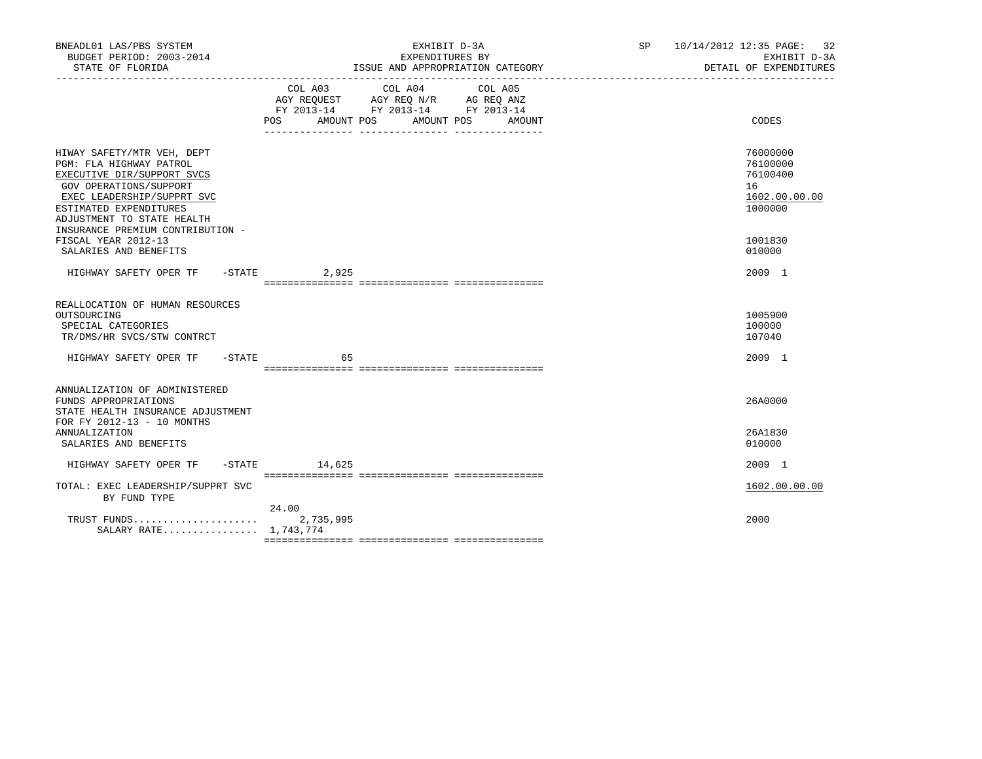| COL A03 COL A04 COL A05<br>AGY REQUEST AGY REQ N/R AG REQ ANZ<br>FY 2013-14 FY 2013-14 FY 2013-14<br>POS<br>AMOUNT POS AMOUNT POS AMOUNT<br>CODES<br>76000000<br>HIWAY SAFETY/MTR VEH, DEPT<br>PGM: FLA HIGHWAY PATROL<br>76100000<br>76100400<br>EXECUTIVE DIR/SUPPORT SVCS<br>16<br>GOV OPERATIONS/SUPPORT<br>EXEC LEADERSHIP/SUPPRT SVC<br>1602.00.00.00<br>1000000<br>ESTIMATED EXPENDITURES<br>ADJUSTMENT TO STATE HEALTH<br>INSURANCE PREMIUM CONTRIBUTION -<br>FISCAL YEAR 2012-13<br>1001830<br>SALARIES AND BENEFITS<br>010000<br>HIGHWAY SAFETY OPER TF -STATE 3,925<br>2009 1<br>REALLOCATION OF HUMAN RESOURCES<br>1005900<br>OUTSOURCING<br>SPECIAL CATEGORIES<br>100000<br>107040<br>TR/DMS/HR SVCS/STW CONTRCT<br>HIGHWAY SAFETY OPER TF -STATE<br>65<br>2009 1<br>ANNUALIZATION OF ADMINISTERED<br>FUNDS APPROPRIATIONS<br>26A0000<br>STATE HEALTH INSURANCE ADJUSTMENT<br>FOR FY 2012-13 - 10 MONTHS<br>26A1830<br>ANNUALIZATION<br>SALARIES AND BENEFITS<br>010000<br>HIGHWAY SAFETY OPER TF -STATE 14,625<br>2009 1<br>TOTAL: EXEC LEADERSHIP/SUPPRT SVC<br>1602.00.00.00<br>BY FUND TYPE<br>24.00<br>TRUST FUNDS<br>2000<br>2,735,995<br>SALARY RATE 1,743,774 | BNEADL01 LAS/PBS SYSTEM<br>BUDGET PERIOD: 2003-2014<br>STATE OF FLORIDA | EXHIBIT D-3A<br>EXPENDITURES BY<br>ISSUE AND APPROPRIATION CATEGORY | SP 10/14/2012 12:35 PAGE: 32<br>EXHIBIT D-3A<br>DETAIL OF EXPENDITURES |
|------------------------------------------------------------------------------------------------------------------------------------------------------------------------------------------------------------------------------------------------------------------------------------------------------------------------------------------------------------------------------------------------------------------------------------------------------------------------------------------------------------------------------------------------------------------------------------------------------------------------------------------------------------------------------------------------------------------------------------------------------------------------------------------------------------------------------------------------------------------------------------------------------------------------------------------------------------------------------------------------------------------------------------------------------------------------------------------------------------------------------------------------------------------------------------|-------------------------------------------------------------------------|---------------------------------------------------------------------|------------------------------------------------------------------------|
|                                                                                                                                                                                                                                                                                                                                                                                                                                                                                                                                                                                                                                                                                                                                                                                                                                                                                                                                                                                                                                                                                                                                                                                    |                                                                         |                                                                     |                                                                        |
|                                                                                                                                                                                                                                                                                                                                                                                                                                                                                                                                                                                                                                                                                                                                                                                                                                                                                                                                                                                                                                                                                                                                                                                    |                                                                         |                                                                     |                                                                        |
|                                                                                                                                                                                                                                                                                                                                                                                                                                                                                                                                                                                                                                                                                                                                                                                                                                                                                                                                                                                                                                                                                                                                                                                    |                                                                         |                                                                     |                                                                        |
|                                                                                                                                                                                                                                                                                                                                                                                                                                                                                                                                                                                                                                                                                                                                                                                                                                                                                                                                                                                                                                                                                                                                                                                    |                                                                         |                                                                     |                                                                        |
|                                                                                                                                                                                                                                                                                                                                                                                                                                                                                                                                                                                                                                                                                                                                                                                                                                                                                                                                                                                                                                                                                                                                                                                    |                                                                         |                                                                     |                                                                        |
|                                                                                                                                                                                                                                                                                                                                                                                                                                                                                                                                                                                                                                                                                                                                                                                                                                                                                                                                                                                                                                                                                                                                                                                    |                                                                         |                                                                     |                                                                        |
|                                                                                                                                                                                                                                                                                                                                                                                                                                                                                                                                                                                                                                                                                                                                                                                                                                                                                                                                                                                                                                                                                                                                                                                    |                                                                         |                                                                     |                                                                        |
|                                                                                                                                                                                                                                                                                                                                                                                                                                                                                                                                                                                                                                                                                                                                                                                                                                                                                                                                                                                                                                                                                                                                                                                    |                                                                         |                                                                     |                                                                        |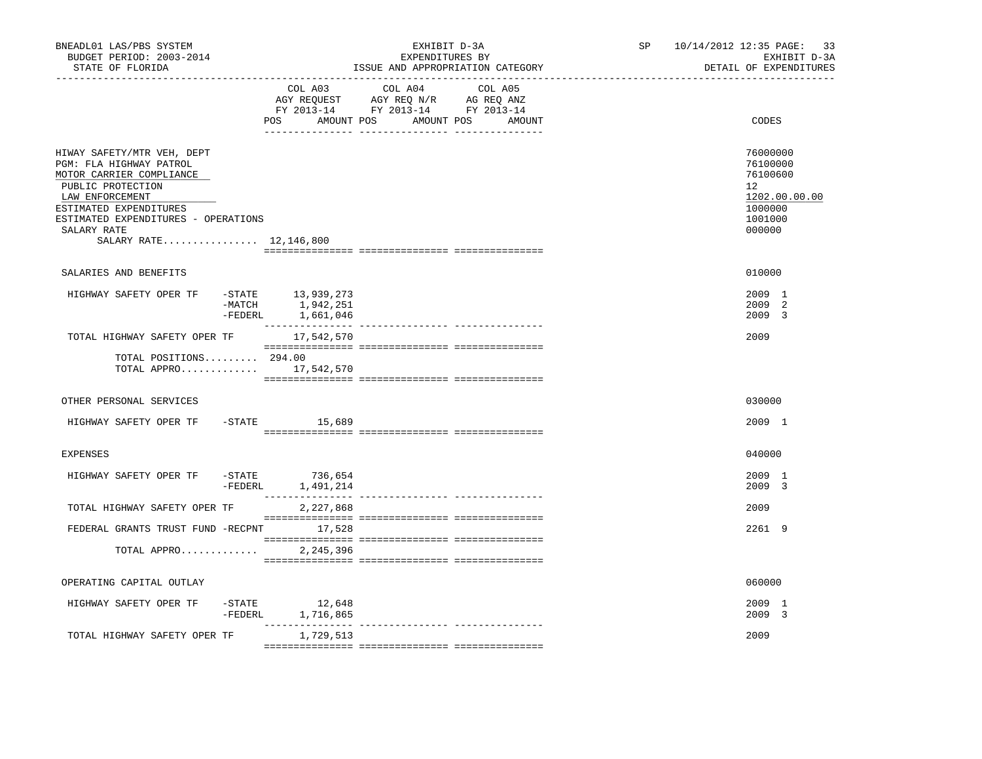| BNEADL01 LAS/PBS SYSTEM<br>BUDGET PERIOD: 2003-2014<br>STATE OF FLORIDA                                                                                                                                                             |                 |                                                    | EXHIBIT D-3A<br>EXPENDITURES BY<br>ISSUE AND APPROPRIATION CATEGORY                                                                   | SP <sub>2</sub> | 10/14/2012 12:35 PAGE:<br>33<br>EXHIBIT D-3A<br>DETAIL OF EXPENDITURES                  |
|-------------------------------------------------------------------------------------------------------------------------------------------------------------------------------------------------------------------------------------|-----------------|----------------------------------------------------|---------------------------------------------------------------------------------------------------------------------------------------|-----------------|-----------------------------------------------------------------------------------------|
|                                                                                                                                                                                                                                     |                 |                                                    | COL A03 COL A04 COL A05<br>AGY REQUEST AGY REQ N/R AG REQ ANZ<br>FY 2013-14 FY 2013-14 FY 2013-14<br>POS AMOUNT POS AMOUNT POS AMOUNT |                 | CODES                                                                                   |
| HIWAY SAFETY/MTR VEH, DEPT<br>PGM: FLA HIGHWAY PATROL<br>MOTOR CARRIER COMPLIANCE<br>PUBLIC PROTECTION<br>LAW ENFORCEMENT<br>ESTIMATED EXPENDITURES<br>ESTIMATED EXPENDITURES - OPERATIONS<br>SALARY RATE<br>SALARY RATE 12,146,800 |                 |                                                    |                                                                                                                                       |                 | 76000000<br>76100000<br>76100600<br>12<br>1202.00.00.00<br>1000000<br>1001000<br>000000 |
| SALARIES AND BENEFITS                                                                                                                                                                                                               |                 |                                                    |                                                                                                                                       |                 | 010000                                                                                  |
| HIGHWAY SAFETY OPER TF                                                                                                                                                                                                              | -FEDERL         | -STATE 13,939,273<br>-MATCH 1,942,251<br>1,661,046 |                                                                                                                                       |                 | 2009 1<br>2009 2<br>2009 3                                                              |
| TOTAL HIGHWAY SAFETY OPER TF                                                                                                                                                                                                        |                 | 17,542,570                                         |                                                                                                                                       |                 | 2009                                                                                    |
| TOTAL POSITIONS 294.00<br>TOTAL APPRO $17,542,570$                                                                                                                                                                                  |                 |                                                    |                                                                                                                                       |                 |                                                                                         |
| OTHER PERSONAL SERVICES                                                                                                                                                                                                             |                 |                                                    |                                                                                                                                       |                 | 030000                                                                                  |
| HIGHWAY SAFETY OPER TF - STATE 15,689                                                                                                                                                                                               |                 |                                                    |                                                                                                                                       |                 | 2009 1                                                                                  |
| <b>EXPENSES</b>                                                                                                                                                                                                                     |                 |                                                    |                                                                                                                                       |                 | 040000                                                                                  |
| HIGHWAY SAFETY OPER TF                                                                                                                                                                                                              | $-{\tt FEDERL}$ | $-STATE$ 736,654<br>1,491,214                      |                                                                                                                                       |                 | 2009 1<br>2009 3                                                                        |
| TOTAL HIGHWAY SAFETY OPER TF                                                                                                                                                                                                        |                 | 2,227,868                                          |                                                                                                                                       |                 | 2009                                                                                    |
| FEDERAL GRANTS TRUST FUND -RECPNT 17,528<br>TOTAL APPRO                                                                                                                                                                             |                 | 2,245,396                                          |                                                                                                                                       |                 | 2261 9                                                                                  |
|                                                                                                                                                                                                                                     |                 |                                                    |                                                                                                                                       |                 |                                                                                         |
| OPERATING CAPITAL OUTLAY                                                                                                                                                                                                            |                 |                                                    |                                                                                                                                       |                 | 060000                                                                                  |
| HIGHWAY SAFETY OPER TF                                                                                                                                                                                                              | $-$ STATE       | 12,648<br>-FEDERL 1,716,865                        |                                                                                                                                       |                 | 2009 1<br>2009 3                                                                        |
| TOTAL HIGHWAY SAFETY OPER TF                                                                                                                                                                                                        |                 | 1,729,513                                          |                                                                                                                                       |                 | 2009                                                                                    |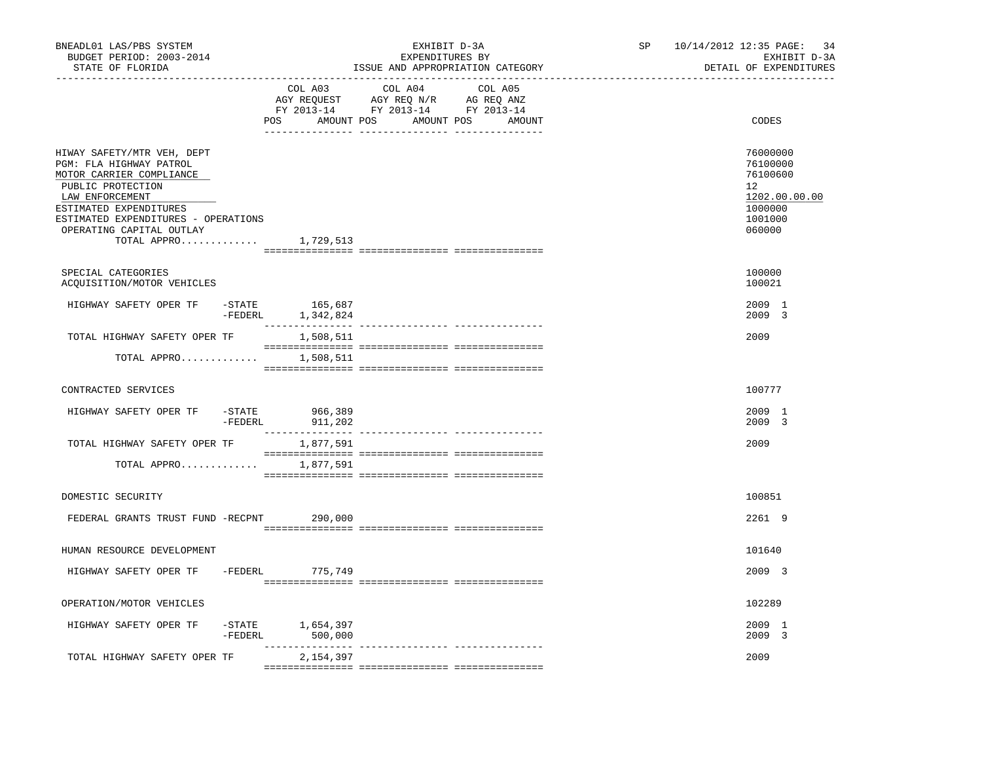| BNEADL01 LAS/PBS SYSTEM<br>BUDGET PERIOD: 2003-2014<br>STATE OF FLORIDA                                                                                                                                                                           |                      |                               | EXHIBIT D-3A<br>EXPENDITURES BY<br>ISSUE AND APPROPRIATION CATEGORY                                                              | SP<br>------------------------ | 10/14/2012 12:35 PAGE:<br>34<br>EXHIBIT D-3A<br>DETAIL OF EXPENDITURES                               |
|---------------------------------------------------------------------------------------------------------------------------------------------------------------------------------------------------------------------------------------------------|----------------------|-------------------------------|----------------------------------------------------------------------------------------------------------------------------------|--------------------------------|------------------------------------------------------------------------------------------------------|
|                                                                                                                                                                                                                                                   |                      | COL A03                       | COL A04<br>COL A05<br>AGY REQUEST AGY REQ N/R AG REQ ANZ<br>FY 2013-14 FY 2013-14 FY 2013-14<br>POS AMOUNT POS AMOUNT POS AMOUNT |                                | CODES                                                                                                |
| HIWAY SAFETY/MTR VEH, DEPT<br>PGM: FLA HIGHWAY PATROL<br>MOTOR CARRIER COMPLIANCE<br>PUBLIC PROTECTION<br>LAW ENFORCEMENT<br>ESTIMATED EXPENDITURES<br>ESTIMATED EXPENDITURES - OPERATIONS<br>OPERATING CAPITAL OUTLAY<br>TOTAL APPRO $1,729,513$ |                      |                               |                                                                                                                                  |                                | 76000000<br>76100000<br>76100600<br>12 <sup>°</sup><br>1202.00.00.00<br>1000000<br>1001000<br>060000 |
| SPECIAL CATEGORIES<br>ACQUISITION/MOTOR VEHICLES                                                                                                                                                                                                  |                      |                               |                                                                                                                                  |                                | 100000<br>100021                                                                                     |
| HIGHWAY SAFETY OPER TF                                                                                                                                                                                                                            | -FEDERL              | $-STATE$ 165,687<br>1,342,824 |                                                                                                                                  |                                | 2009 1<br>2009 3                                                                                     |
| TOTAL HIGHWAY SAFETY OPER TF<br>TOTAL APPRO $1,508,511$                                                                                                                                                                                           |                      | 1,508,511                     |                                                                                                                                  |                                | 2009                                                                                                 |
| CONTRACTED SERVICES                                                                                                                                                                                                                               |                      |                               |                                                                                                                                  |                                | 100777                                                                                               |
| HIGHWAY SAFETY OPER TF                                                                                                                                                                                                                            | $-$ STATE<br>-FEDERL | 966,389<br>911,202            |                                                                                                                                  |                                | 2009 1<br>2009 3                                                                                     |
| TOTAL HIGHWAY SAFETY OPER TF<br>TOTAL APPRO 1,877,591                                                                                                                                                                                             |                      | 1,877,591                     |                                                                                                                                  |                                | 2009                                                                                                 |
|                                                                                                                                                                                                                                                   |                      |                               |                                                                                                                                  |                                |                                                                                                      |
| DOMESTIC SECURITY<br>FEDERAL GRANTS TRUST FUND -RECPNT 290,000                                                                                                                                                                                    |                      |                               |                                                                                                                                  |                                | 100851<br>2261 9                                                                                     |
| HUMAN RESOURCE DEVELOPMENT                                                                                                                                                                                                                        |                      |                               |                                                                                                                                  |                                | 101640                                                                                               |
| HIGHWAY SAFETY OPER TF                                                                                                                                                                                                                            |                      | -FEDERL 775,749               |                                                                                                                                  |                                | 2009 3                                                                                               |
| OPERATION/MOTOR VEHICLES                                                                                                                                                                                                                          |                      |                               |                                                                                                                                  |                                | 102289                                                                                               |
| HIGHWAY SAFETY OPER TF                                                                                                                                                                                                                            | -STATE<br>-FEDERL    | 1,654,397<br>500,000          |                                                                                                                                  |                                | 2009 1<br>2009 3                                                                                     |
| TOTAL HIGHWAY SAFETY OPER TF                                                                                                                                                                                                                      |                      | 2,154,397                     |                                                                                                                                  |                                | 2009                                                                                                 |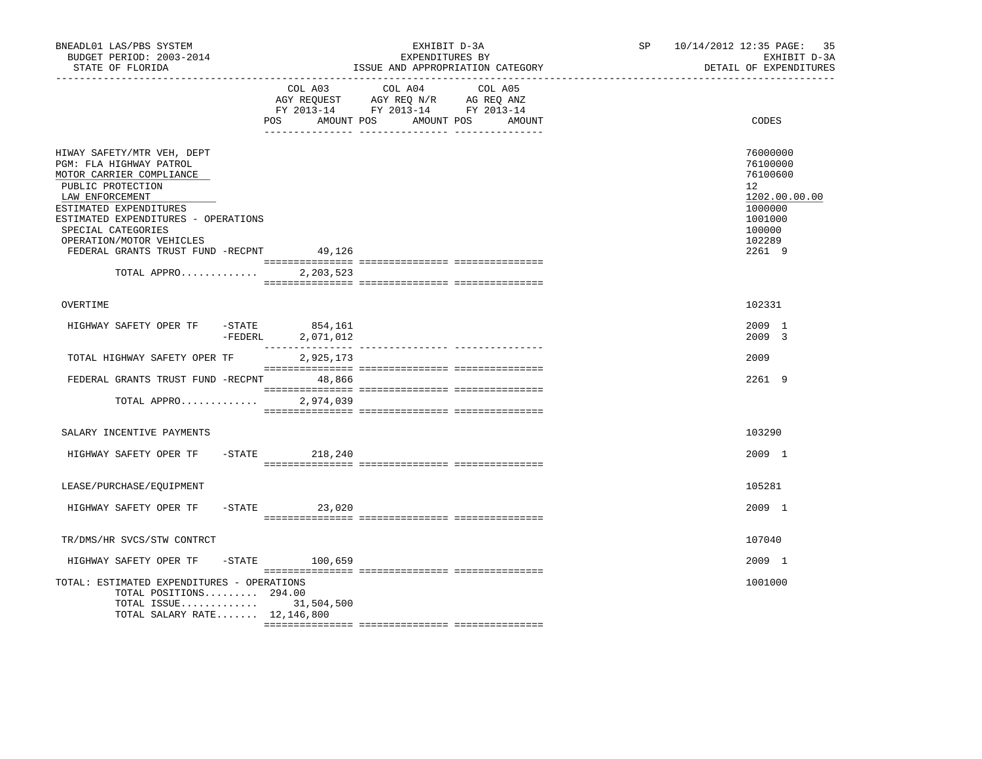| BNEADL01 LAS/PBS SYSTEM<br>BUDGET PERIOD: 2003-2014<br>STATE OF FLORIDA                                                                                                                                                                                                                                 |                                     | EXHIBIT D-3A<br>EXPENDITURES BY<br>ISSUE AND APPROPRIATION CATEGORY                                             |        | SP 10/14/2012 12:35 PAGE: 35<br>EXHIBIT D-3A<br>DETAIL OF EXPENDITURES                                      |
|---------------------------------------------------------------------------------------------------------------------------------------------------------------------------------------------------------------------------------------------------------------------------------------------------------|-------------------------------------|-----------------------------------------------------------------------------------------------------------------|--------|-------------------------------------------------------------------------------------------------------------|
|                                                                                                                                                                                                                                                                                                         | POS<br>AMOUNT POS                   | COL A03 COL A04 COL A05<br>AGY REQUEST AGY REQ N/R AG REQ ANZ<br>FY 2013-14 FY 2013-14 FY 2013-14<br>AMOUNT POS | AMOUNT | CODES                                                                                                       |
| HIWAY SAFETY/MTR VEH, DEPT<br>PGM: FLA HIGHWAY PATROL<br>MOTOR CARRIER COMPLIANCE<br>PUBLIC PROTECTION<br>LAW ENFORCEMENT<br>ESTIMATED EXPENDITURES<br>ESTIMATED EXPENDITURES - OPERATIONS<br>SPECIAL CATEGORIES<br>OPERATION/MOTOR VEHICLES<br>FEDERAL GRANTS TRUST FUND -RECPNT 49,126<br>TOTAL APPRO | 2,203,523                           |                                                                                                                 |        | 76000000<br>76100000<br>76100600<br>12<br>1202.00.00.00<br>1000000<br>1001000<br>100000<br>102289<br>2261 9 |
| OVERTIME                                                                                                                                                                                                                                                                                                |                                     |                                                                                                                 |        | 102331                                                                                                      |
| HIGHWAY SAFETY OPER TF                                                                                                                                                                                                                                                                                  | -STATE 854,161<br>-FEDERL 2,071,012 |                                                                                                                 |        | 2009 1<br>2009 3                                                                                            |
| TOTAL HIGHWAY SAFETY OPER TF                                                                                                                                                                                                                                                                            | 2,925,173                           |                                                                                                                 |        | 2009                                                                                                        |
| FEDERAL GRANTS TRUST FUND -RECPNT 48,866                                                                                                                                                                                                                                                                |                                     |                                                                                                                 |        | 2261 9                                                                                                      |
| TOTAL APPRO                                                                                                                                                                                                                                                                                             | 2,974,039                           |                                                                                                                 |        |                                                                                                             |
| SALARY INCENTIVE PAYMENTS                                                                                                                                                                                                                                                                               |                                     |                                                                                                                 |        | 103290                                                                                                      |
| HIGHWAY SAFETY OPER TF -STATE 218,240                                                                                                                                                                                                                                                                   |                                     |                                                                                                                 |        | 2009 1                                                                                                      |
| LEASE/PURCHASE/EQUIPMENT                                                                                                                                                                                                                                                                                |                                     |                                                                                                                 |        | 105281                                                                                                      |
| HIGHWAY SAFETY OPER TF                                                                                                                                                                                                                                                                                  | $-STATE$ 23,020                     |                                                                                                                 |        | 2009 1                                                                                                      |
|                                                                                                                                                                                                                                                                                                         |                                     |                                                                                                                 |        |                                                                                                             |
| TR/DMS/HR SVCS/STW CONTRCT                                                                                                                                                                                                                                                                              |                                     |                                                                                                                 |        | 107040                                                                                                      |
| HIGHWAY SAFETY OPER TF                                                                                                                                                                                                                                                                                  | $-STATE$ 100,659                    |                                                                                                                 |        | 2009 1                                                                                                      |
| TOTAL: ESTIMATED EXPENDITURES - OPERATIONS<br>TOTAL POSITIONS 294.00<br>TOTAL ISSUE 31,504,500<br>TOTAL SALARY RATE $12,146,800$                                                                                                                                                                        |                                     |                                                                                                                 |        | 1001000                                                                                                     |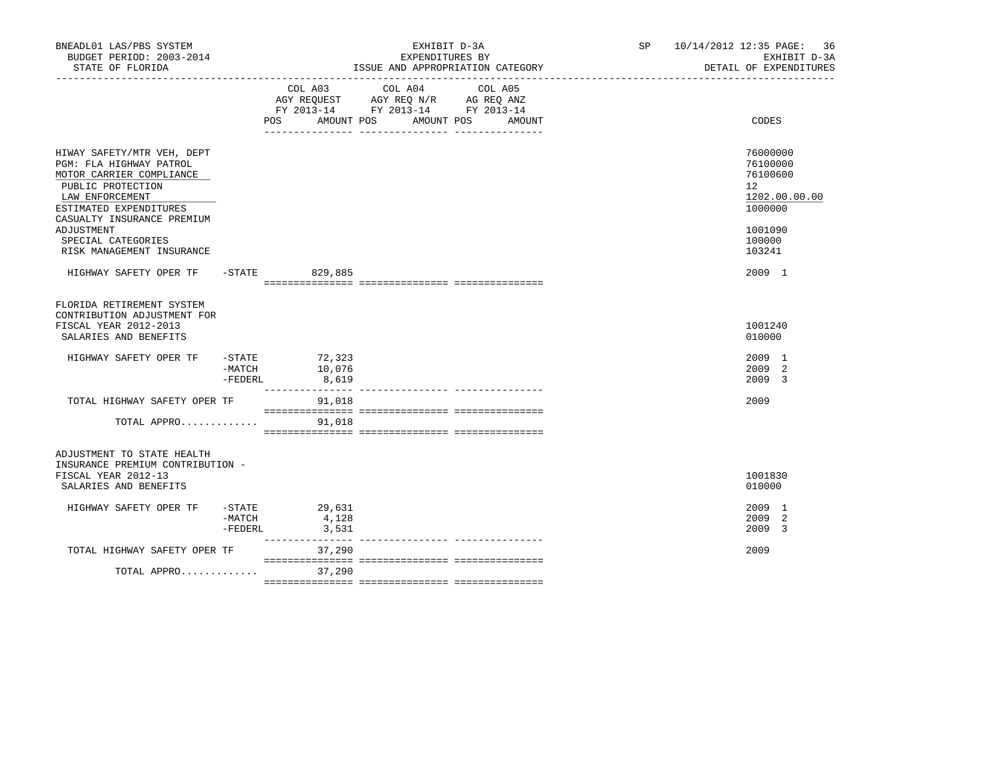| BNEADL01 LAS/PBS SYSTEM<br>BUDGET PERIOD: 2003-2014<br>STATE OF FLORIDA                                                                             |                        |                                   | EXHIBIT D-3A<br>EXPENDITURES BY<br>ISSUE AND APPROPRIATION CATEGORY                                                              | SP 10/14/2012 12:35 PAGE: 36<br>EXHIBIT D-3A<br>DETAIL OF EXPENDITURES |
|-----------------------------------------------------------------------------------------------------------------------------------------------------|------------------------|-----------------------------------|----------------------------------------------------------------------------------------------------------------------------------|------------------------------------------------------------------------|
|                                                                                                                                                     |                        | COL A03                           | COL A04<br>COL A05<br>AGY REQUEST AGY REQ N/R AG REQ ANZ<br>FY 2013-14 FY 2013-14 FY 2013-14<br>POS AMOUNT POS AMOUNT POS AMOUNT | CODES                                                                  |
|                                                                                                                                                     |                        |                                   |                                                                                                                                  |                                                                        |
| HIWAY SAFETY/MTR VEH, DEPT<br>PGM: FLA HIGHWAY PATROL<br>MOTOR CARRIER COMPLIANCE<br>PUBLIC PROTECTION<br>LAW ENFORCEMENT<br>ESTIMATED EXPENDITURES |                        |                                   |                                                                                                                                  | 76000000<br>76100000<br>76100600<br>12<br>1202.00.00.00<br>1000000     |
| CASUALTY INSURANCE PREMIUM<br>ADJUSTMENT<br>SPECIAL CATEGORIES<br>RISK MANAGEMENT INSURANCE                                                         |                        |                                   |                                                                                                                                  | 1001090<br>100000<br>103241                                            |
| HIGHWAY SAFETY OPER TF                                                                                                                              |                        | -STATE 829,885                    |                                                                                                                                  | 2009 1                                                                 |
| FLORIDA RETIREMENT SYSTEM<br>CONTRIBUTION ADJUSTMENT FOR<br>FISCAL YEAR 2012-2013<br>SALARIES AND BENEFITS                                          |                        |                                   |                                                                                                                                  | 1001240<br>010000                                                      |
| HIGHWAY SAFETY OPER TF                                                                                                                              | $-MATCH$<br>$-$ FEDERL | -STATE 72,323<br>10,076<br>8,619  |                                                                                                                                  | 2009 1<br>2009 2<br>2009 3                                             |
| TOTAL HIGHWAY SAFETY OPER TF                                                                                                                        |                        | 91,018                            |                                                                                                                                  | 2009                                                                   |
| TOTAL APPRO                                                                                                                                         |                        | 91,018                            |                                                                                                                                  |                                                                        |
| ADJUSTMENT TO STATE HEALTH<br>INSURANCE PREMIUM CONTRIBUTION -<br>FISCAL YEAR 2012-13<br>SALARIES AND BENEFITS                                      |                        |                                   |                                                                                                                                  | 1001830<br>010000                                                      |
| HIGHWAY SAFETY OPER TF                                                                                                                              | -MATCH<br>$-$ FEDERL   | $-STATE$ 29,631<br>4,128<br>3,531 |                                                                                                                                  | 2009 1<br>2009 2<br>2009 3                                             |
| TOTAL HIGHWAY SAFETY OPER TF                                                                                                                        |                        | 37,290                            | --------------- ---------------                                                                                                  | 2009                                                                   |
| TOTAL APPRO                                                                                                                                         |                        | 37,290                            |                                                                                                                                  |                                                                        |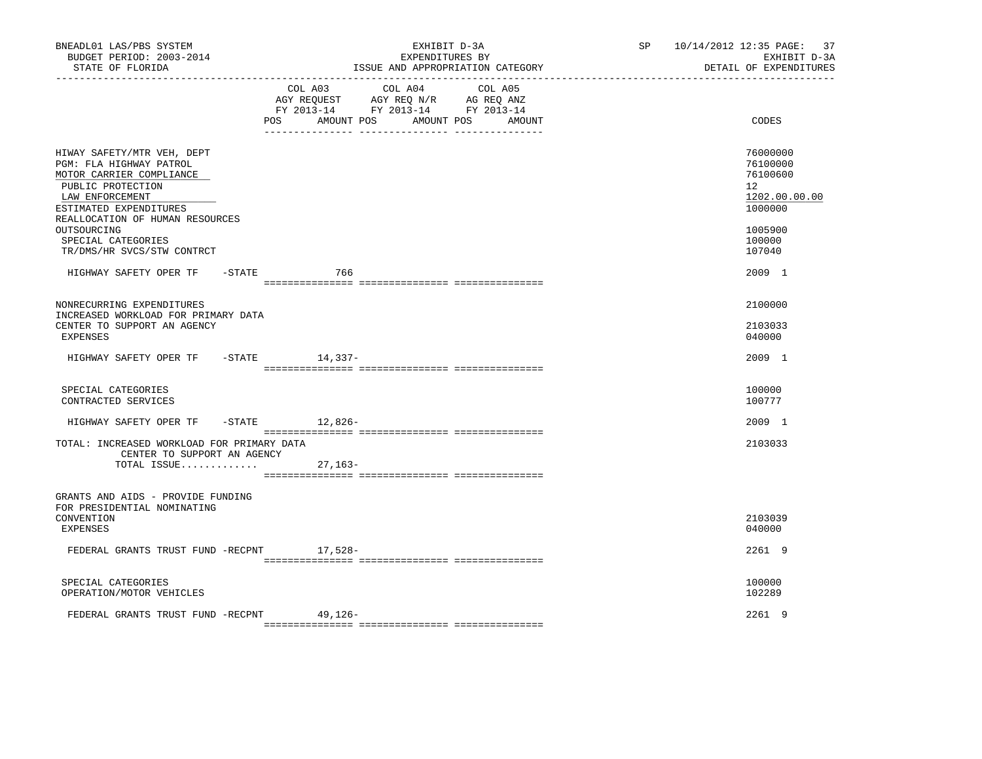| COL A03 COL A04 COL A05<br>$\begin{tabular}{lllllllll} \bf AGY \,\, & & & & & & & \\ \bf AGY \,\, & & & & & & \\ \bf FY \,\, & & & & & & \\ \bf FY \,\, & & & & & & \\ \bf PY \,\, & & & & & \\ \bf ZQ \, & & & & & & \\ \bf ZQ \, & & & & & & \\ \bf ZQ \, & & & & & & \\ \bf ZQ \, & & & & & & \\ \bf ZQ \, & & & & & & \\ \bf ZQ \, & & & & & & \\ \bf ZQ \, & & & & & & \\ \bf ZQ \, & & & & & & \\ \bf ZQ \, & & & & & & \\ \bf ZQ \, & & & & & & \\ \bf ZQ \, & & & & &$<br>AMOUNT POS<br>AMOUNT POS<br>CODES<br>POS<br>AMOUNT<br>76000000<br>HIWAY SAFETY/MTR VEH, DEPT<br>PGM: FLA HIGHWAY PATROL<br>76100000<br>MOTOR CARRIER COMPLIANCE<br>76100600<br>12 <sup>°</sup><br>PUBLIC PROTECTION<br>1202.00.00.00<br>LAW ENFORCEMENT<br>1000000<br>ESTIMATED EXPENDITURES<br>REALLOCATION OF HUMAN RESOURCES<br>OUTSOURCING<br>1005900<br>SPECIAL CATEGORIES<br>100000<br>TR/DMS/HR SVCS/STW CONTRCT<br>107040<br>HIGHWAY SAFETY OPER TF - STATE<br>2009 1<br>766<br>NONRECURRING EXPENDITURES<br>2100000<br>INCREASED WORKLOAD FOR PRIMARY DATA<br>CENTER TO SUPPORT AN AGENCY<br>2103033<br>EXPENSES<br>040000<br>2009 1<br>HIGHWAY SAFETY OPER TF<br>-STATE 14,337-<br>SPECIAL CATEGORIES<br>100000<br>CONTRACTED SERVICES<br>100777<br>HIGHWAY SAFETY OPER TF<br>-STATE 12,826-<br>2009 1<br>TOTAL: INCREASED WORKLOAD FOR PRIMARY DATA<br>2103033<br>CENTER TO SUPPORT AN AGENCY<br>TOTAL ISSUE<br>$27,163-$<br>GRANTS AND AIDS - PROVIDE FUNDING<br>FOR PRESIDENTIAL NOMINATING<br>CONVENTION<br>2103039<br>EXPENSES<br>040000<br>FEDERAL GRANTS TRUST FUND -RECPNT 17,528-<br>2261 9<br>SPECIAL CATEGORIES<br>100000<br>102289<br>OPERATION/MOTOR VEHICLES<br>FEDERAL GRANTS TRUST FUND -RECPNT<br>2261 9<br>49,126- | BNEADL01 LAS/PBS SYSTEM<br>BUDGET PERIOD: 2003-2014<br>STATE OF FLORIDA | EXHIBIT D-3A<br>EXPENDITURES BY<br>ISSUE AND APPROPRIATION CATEGORY | SP 10/14/2012 12:35 PAGE: 37<br>EXHIBIT D-3A<br>DETAIL OF EXPENDITURES |
|----------------------------------------------------------------------------------------------------------------------------------------------------------------------------------------------------------------------------------------------------------------------------------------------------------------------------------------------------------------------------------------------------------------------------------------------------------------------------------------------------------------------------------------------------------------------------------------------------------------------------------------------------------------------------------------------------------------------------------------------------------------------------------------------------------------------------------------------------------------------------------------------------------------------------------------------------------------------------------------------------------------------------------------------------------------------------------------------------------------------------------------------------------------------------------------------------------------------------------------------------------------------------------------------------------------------------------------------------------------------------------------------------------------------------------------------------------------------------------------------------------------------------------------------------------------------------------------------------------------------------------------------------------------------------------------------------------------------------------|-------------------------------------------------------------------------|---------------------------------------------------------------------|------------------------------------------------------------------------|
|                                                                                                                                                                                                                                                                                                                                                                                                                                                                                                                                                                                                                                                                                                                                                                                                                                                                                                                                                                                                                                                                                                                                                                                                                                                                                                                                                                                                                                                                                                                                                                                                                                                                                                                                  |                                                                         |                                                                     |                                                                        |
|                                                                                                                                                                                                                                                                                                                                                                                                                                                                                                                                                                                                                                                                                                                                                                                                                                                                                                                                                                                                                                                                                                                                                                                                                                                                                                                                                                                                                                                                                                                                                                                                                                                                                                                                  |                                                                         |                                                                     |                                                                        |
|                                                                                                                                                                                                                                                                                                                                                                                                                                                                                                                                                                                                                                                                                                                                                                                                                                                                                                                                                                                                                                                                                                                                                                                                                                                                                                                                                                                                                                                                                                                                                                                                                                                                                                                                  |                                                                         |                                                                     |                                                                        |
|                                                                                                                                                                                                                                                                                                                                                                                                                                                                                                                                                                                                                                                                                                                                                                                                                                                                                                                                                                                                                                                                                                                                                                                                                                                                                                                                                                                                                                                                                                                                                                                                                                                                                                                                  |                                                                         |                                                                     |                                                                        |
|                                                                                                                                                                                                                                                                                                                                                                                                                                                                                                                                                                                                                                                                                                                                                                                                                                                                                                                                                                                                                                                                                                                                                                                                                                                                                                                                                                                                                                                                                                                                                                                                                                                                                                                                  |                                                                         |                                                                     |                                                                        |
|                                                                                                                                                                                                                                                                                                                                                                                                                                                                                                                                                                                                                                                                                                                                                                                                                                                                                                                                                                                                                                                                                                                                                                                                                                                                                                                                                                                                                                                                                                                                                                                                                                                                                                                                  |                                                                         |                                                                     |                                                                        |
|                                                                                                                                                                                                                                                                                                                                                                                                                                                                                                                                                                                                                                                                                                                                                                                                                                                                                                                                                                                                                                                                                                                                                                                                                                                                                                                                                                                                                                                                                                                                                                                                                                                                                                                                  |                                                                         |                                                                     |                                                                        |
|                                                                                                                                                                                                                                                                                                                                                                                                                                                                                                                                                                                                                                                                                                                                                                                                                                                                                                                                                                                                                                                                                                                                                                                                                                                                                                                                                                                                                                                                                                                                                                                                                                                                                                                                  |                                                                         |                                                                     |                                                                        |
|                                                                                                                                                                                                                                                                                                                                                                                                                                                                                                                                                                                                                                                                                                                                                                                                                                                                                                                                                                                                                                                                                                                                                                                                                                                                                                                                                                                                                                                                                                                                                                                                                                                                                                                                  |                                                                         |                                                                     |                                                                        |
|                                                                                                                                                                                                                                                                                                                                                                                                                                                                                                                                                                                                                                                                                                                                                                                                                                                                                                                                                                                                                                                                                                                                                                                                                                                                                                                                                                                                                                                                                                                                                                                                                                                                                                                                  |                                                                         |                                                                     |                                                                        |
|                                                                                                                                                                                                                                                                                                                                                                                                                                                                                                                                                                                                                                                                                                                                                                                                                                                                                                                                                                                                                                                                                                                                                                                                                                                                                                                                                                                                                                                                                                                                                                                                                                                                                                                                  |                                                                         |                                                                     |                                                                        |
|                                                                                                                                                                                                                                                                                                                                                                                                                                                                                                                                                                                                                                                                                                                                                                                                                                                                                                                                                                                                                                                                                                                                                                                                                                                                                                                                                                                                                                                                                                                                                                                                                                                                                                                                  |                                                                         |                                                                     |                                                                        |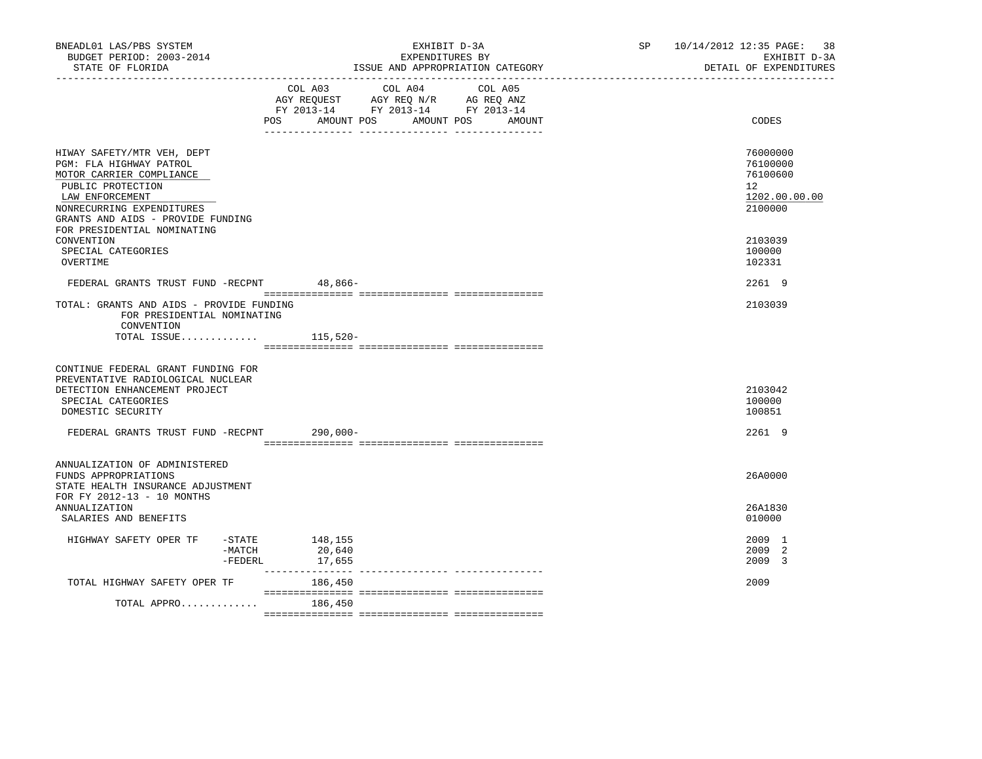| BNEADL01 LAS/PBS SYSTEM<br>BUDGET PERIOD: 2003-2014<br>STATE OF FLORIDA                                                                                                                     | EXHIBIT D-3A<br>EXPENDITURES BY<br>ISSUE AND APPROPRIATION CATEGORY                                                                                                                                                                                       | <b>SP</b><br>10/14/2012 12:35 PAGE:<br>DETAIL OF EXPENDITURES | 38<br>EXHIBIT D-3A |
|---------------------------------------------------------------------------------------------------------------------------------------------------------------------------------------------|-----------------------------------------------------------------------------------------------------------------------------------------------------------------------------------------------------------------------------------------------------------|---------------------------------------------------------------|--------------------|
|                                                                                                                                                                                             | COL A03 COL A04 COL A05<br>AGY REQUEST AGY REQ N/R AG REQ ANZ<br>FY 2013-14 FY 2013-14 FY 2013-14<br>POS FOR THE POST OF THE STATE STATE STATE STATE STATE STATE STATE STATE STATE STATE STATE STATE STATE STATE ST<br>AMOUNT POS<br>AMOUNT POS<br>AMOUNT | CODES                                                         |                    |
| HIWAY SAFETY/MTR VEH, DEPT<br>PGM: FLA HIGHWAY PATROL<br>MOTOR CARRIER COMPLIANCE<br>PUBLIC PROTECTION<br>LAW ENFORCEMENT<br>NONRECURRING EXPENDITURES<br>GRANTS AND AIDS - PROVIDE FUNDING |                                                                                                                                                                                                                                                           | 76000000<br>76100000<br>76100600<br>12<br>2100000             | 1202.00.00.00      |
| FOR PRESIDENTIAL NOMINATING<br>CONVENTION<br>SPECIAL CATEGORIES<br>OVERTIME                                                                                                                 |                                                                                                                                                                                                                                                           | 2103039<br>100000<br>102331                                   |                    |
| FEDERAL GRANTS TRUST FUND -RECPNT 48,866-                                                                                                                                                   |                                                                                                                                                                                                                                                           | 2261 9                                                        |                    |
| TOTAL: GRANTS AND AIDS - PROVIDE FUNDING<br>FOR PRESIDENTIAL NOMINATING<br>CONVENTION<br>TOTAL ISSUE $115,520-$                                                                             |                                                                                                                                                                                                                                                           | 2103039                                                       |                    |
| CONTINUE FEDERAL GRANT FUNDING FOR<br>PREVENTATIVE RADIOLOGICAL NUCLEAR<br>DETECTION ENHANCEMENT PROJECT<br>SPECIAL CATEGORIES<br>DOMESTIC SECURITY                                         |                                                                                                                                                                                                                                                           | 2103042<br>100000<br>100851                                   |                    |
| FEDERAL GRANTS TRUST FUND -RECPNT                                                                                                                                                           | 290,000-                                                                                                                                                                                                                                                  | 2261 9                                                        |                    |
| ANNUALIZATION OF ADMINISTERED<br>FUNDS APPROPRIATIONS<br>STATE HEALTH INSURANCE ADJUSTMENT<br>FOR FY 2012-13 - 10 MONTHS                                                                    |                                                                                                                                                                                                                                                           | 26A0000                                                       |                    |
| <b>ANNUALIZATION</b><br>SALARIES AND BENEFITS                                                                                                                                               |                                                                                                                                                                                                                                                           | 26A1830<br>010000                                             |                    |
| HIGHWAY SAFETY OPER TF<br>$-MATCH$<br>-FEDERL                                                                                                                                               | $-$ STATE $148, 155$<br>20,640<br>17,655                                                                                                                                                                                                                  | 2009 1<br>2009 2<br>2009 3                                    |                    |
| TOTAL HIGHWAY SAFETY OPER TF                                                                                                                                                                | 186,450                                                                                                                                                                                                                                                   | 2009                                                          |                    |
| TOTAL APPRO                                                                                                                                                                                 | 186,450                                                                                                                                                                                                                                                   |                                                               |                    |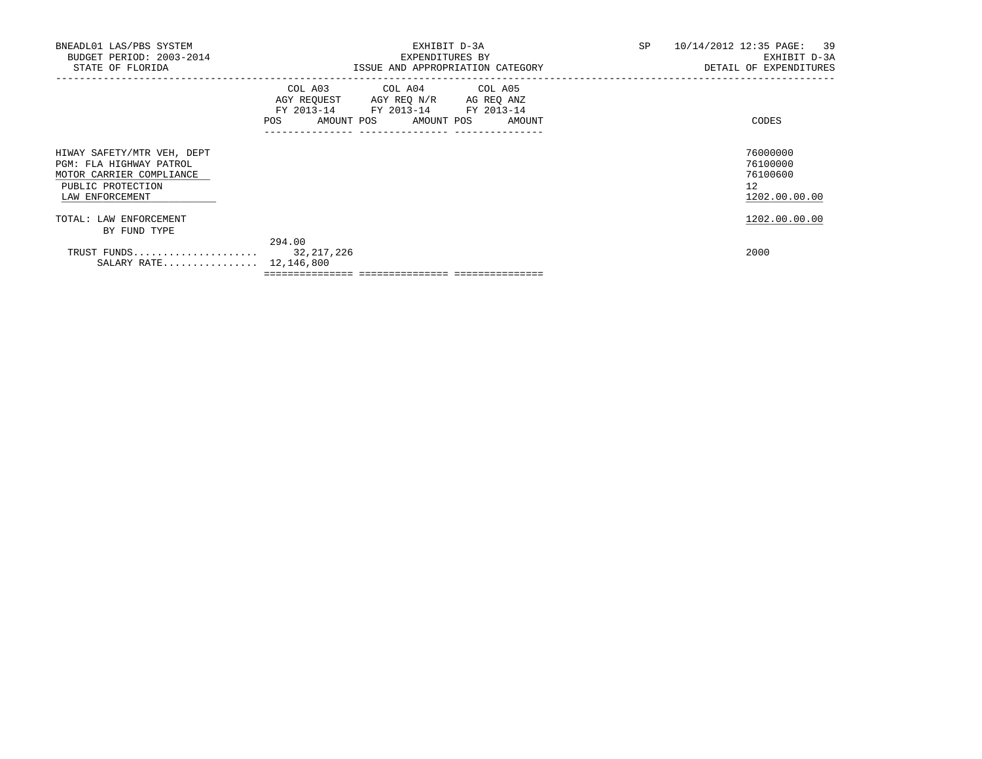| BNEADL01 LAS/PBS SYSTEM<br>BUDGET PERIOD: 2003-2014<br>STATE OF FLORIDA                                                   | EXHIBIT D-3A<br>EXPENDITURES BY<br>ISSUE AND APPROPRIATION CATEGORY                                                                   | SP<br>10/14/2012 12:35 PAGE: 39<br>EXHIBIT D-3A<br>DETAIL OF EXPENDITURES |
|---------------------------------------------------------------------------------------------------------------------------|---------------------------------------------------------------------------------------------------------------------------------------|---------------------------------------------------------------------------|
|                                                                                                                           | COL A03 COL A04 COL A05<br>AGY REQUEST AGY REQ N/R AG REQ ANZ<br>FY 2013-14 FY 2013-14 FY 2013-14<br>POS AMOUNT POS AMOUNT POS AMOUNT | CODES                                                                     |
| HIWAY SAFETY/MTR VEH, DEPT<br>PGM: FLA HIGHWAY PATROL<br>MOTOR CARRIER COMPLIANCE<br>PUBLIC PROTECTION<br>LAW ENFORCEMENT |                                                                                                                                       | 76000000<br>76100000<br>76100600<br>12<br>1202.00.00.00                   |
| TOTAL: LAW ENFORCEMENT<br>BY FUND TYPE                                                                                    |                                                                                                                                       | 1202.00.00.00                                                             |
| SALARY RATE $12,146,800$                                                                                                  | 294.00                                                                                                                                | 2000                                                                      |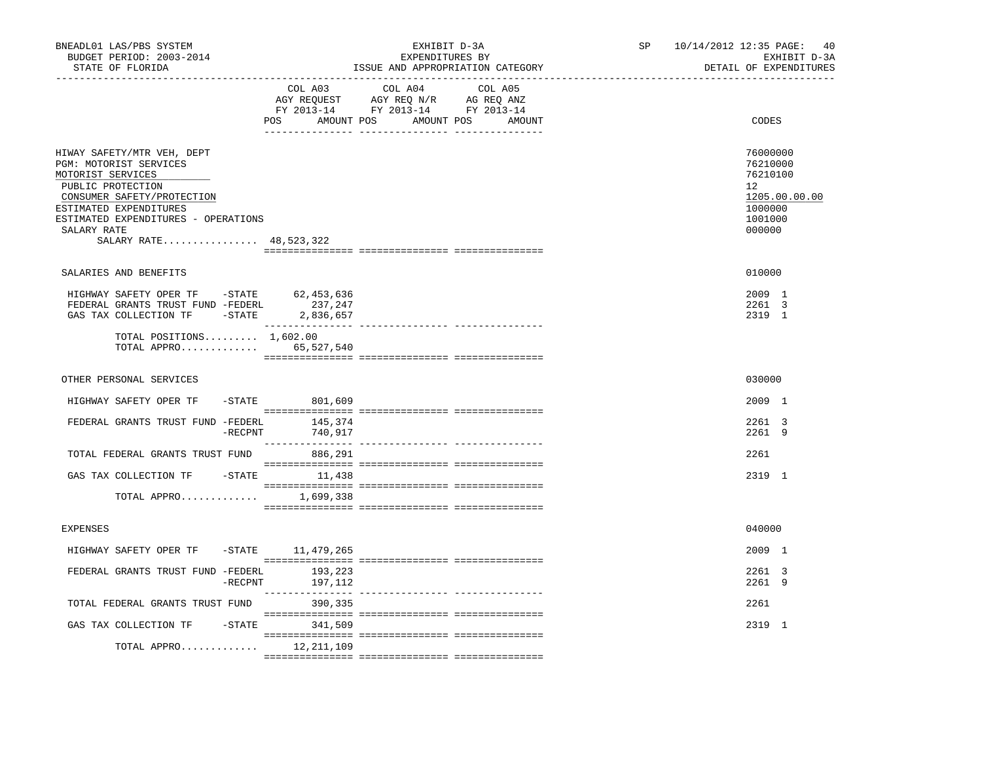| BNEADL01 LAS/PBS SYSTEM<br>BUDGET PERIOD: 2003-2014<br>STATE OF FLORIDA<br>------------------                                                                                                                                          |                    | EXHIBIT D-3A<br>EXPENDITURES BY<br>ISSUE AND APPROPRIATION CATEGORY | SP and the set of the set of the set of the set of the set of the set of the set of the set of the set of the set of the set of the set of the set of the set of the set of the set of the set of the set of the set of the se | 10/14/2012 12:35 PAGE: 40<br>EXHIBIT D-3A<br>DETAIL OF EXPENDITURES                                  |
|----------------------------------------------------------------------------------------------------------------------------------------------------------------------------------------------------------------------------------------|--------------------|---------------------------------------------------------------------|--------------------------------------------------------------------------------------------------------------------------------------------------------------------------------------------------------------------------------|------------------------------------------------------------------------------------------------------|
|                                                                                                                                                                                                                                        | COL A03            | COL A04 COL A05<br>POS AMOUNT POS AMOUNT POS<br>AMOUNT              |                                                                                                                                                                                                                                | CODES                                                                                                |
| HIWAY SAFETY/MTR VEH, DEPT<br>PGM: MOTORIST SERVICES<br>MOTORIST SERVICES<br>PUBLIC PROTECTION<br>CONSUMER SAFETY/PROTECTION<br>ESTIMATED EXPENDITURES<br>ESTIMATED EXPENDITURES - OPERATIONS<br>SALARY RATE<br>SALARY RATE 48,523,322 |                    |                                                                     |                                                                                                                                                                                                                                | 76000000<br>76210000<br>76210100<br>12 <sup>°</sup><br>1205.00.00.00<br>1000000<br>1001000<br>000000 |
| SALARIES AND BENEFITS                                                                                                                                                                                                                  |                    |                                                                     |                                                                                                                                                                                                                                | 010000                                                                                               |
| HIGHWAY SAFETY OPER TF -STATE 62,453,636<br>FEDERAL GRANTS TRUST FUND -FEDERL 237, 247<br>GAS TAX COLLECTION TF - STATE 2,836,657                                                                                                      |                    |                                                                     |                                                                                                                                                                                                                                | 2009 1<br>2261 3<br>2319 1                                                                           |
| TOTAL POSITIONS $1,602.00$<br>TOTAL APPRO 65,527,540                                                                                                                                                                                   |                    |                                                                     |                                                                                                                                                                                                                                |                                                                                                      |
| OTHER PERSONAL SERVICES                                                                                                                                                                                                                |                    |                                                                     |                                                                                                                                                                                                                                | 030000                                                                                               |
| HIGHWAY SAFETY OPER TF                                                                                                                                                                                                                 | $-$ STATE 801,609  |                                                                     |                                                                                                                                                                                                                                | 2009 1                                                                                               |
| FEDERAL GRANTS TRUST FUND -FEDERL<br>$-$ RECPNT                                                                                                                                                                                        | 145,374<br>740,917 |                                                                     |                                                                                                                                                                                                                                | 2261 3<br>2261 9                                                                                     |
| TOTAL FEDERAL GRANTS TRUST FUND 886,291                                                                                                                                                                                                |                    |                                                                     |                                                                                                                                                                                                                                | 2261                                                                                                 |
| GAS TAX COLLECTION TF                                                                                                                                                                                                                  | $-STATE$ 11,438    |                                                                     |                                                                                                                                                                                                                                | 2319 1                                                                                               |
| TOTAL APPRO 1,699,338                                                                                                                                                                                                                  |                    |                                                                     |                                                                                                                                                                                                                                |                                                                                                      |
| <b>EXPENSES</b>                                                                                                                                                                                                                        |                    |                                                                     |                                                                                                                                                                                                                                | 040000                                                                                               |
| HIGHWAY SAFETY OPER TF                                                                                                                                                                                                                 | -STATE 11,479,265  |                                                                     |                                                                                                                                                                                                                                | 2009 1                                                                                               |
| FEDERAL GRANTS TRUST FUND -FEDERL<br>$-$ RECPNT                                                                                                                                                                                        | 193,223<br>197,112 |                                                                     |                                                                                                                                                                                                                                | 2261 3<br>2261 9                                                                                     |
| TOTAL FEDERAL GRANTS TRUST FUND                                                                                                                                                                                                        | 390,335            |                                                                     |                                                                                                                                                                                                                                | 2261                                                                                                 |
| GAS TAX COLLECTION TF                                                                                                                                                                                                                  | -STATE 341,509     |                                                                     |                                                                                                                                                                                                                                | 2319 1                                                                                               |
| TOTAL APPRO $12,211,109$                                                                                                                                                                                                               |                    |                                                                     |                                                                                                                                                                                                                                |                                                                                                      |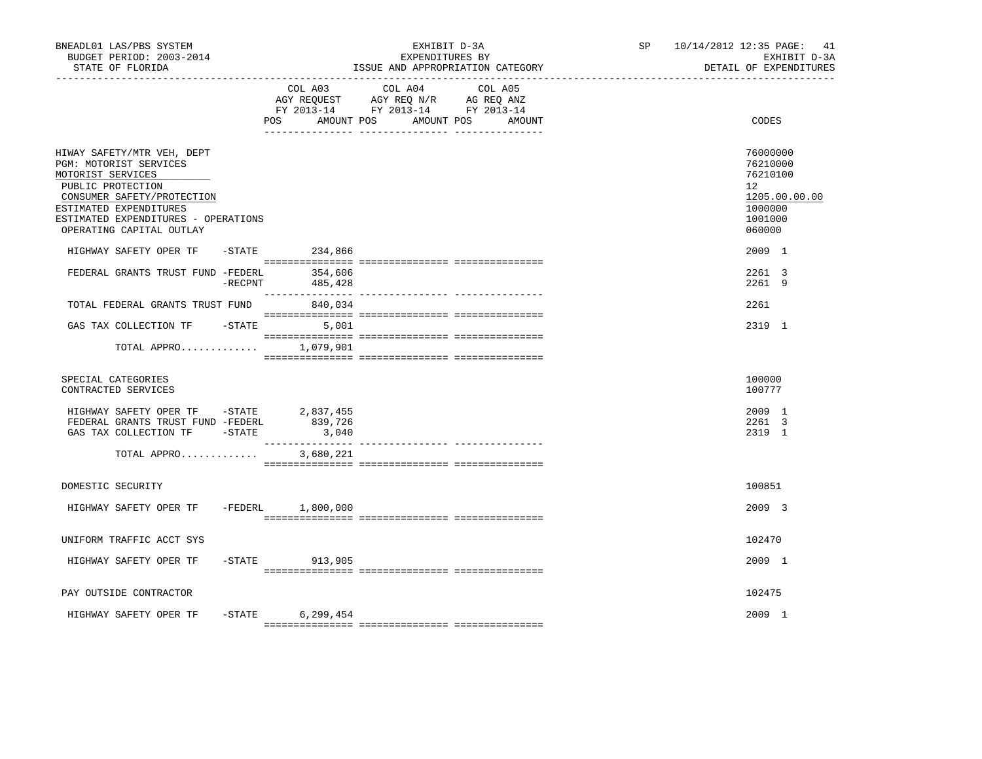| BNEADL01 LAS/PBS SYSTEM<br>BUDGET PERIOD: 2003-2014<br>STATE OF FLORIDA                                                                                                                                                   | EXHIBIT D-3A<br>EXPENDITURES BY<br>ISSUE AND APPROPRIATION CATEGORY |                   |                                                                                                                           |         | SP <sub>2</sub> | 10/14/2012 12:35 PAGE: 41<br>EXHIBIT D-3A<br>DETAIL OF EXPENDITURES                                  |
|---------------------------------------------------------------------------------------------------------------------------------------------------------------------------------------------------------------------------|---------------------------------------------------------------------|-------------------|---------------------------------------------------------------------------------------------------------------------------|---------|-----------------|------------------------------------------------------------------------------------------------------|
|                                                                                                                                                                                                                           |                                                                     | POS               | COL A03 COL A04<br>AGY REQUEST AGY REQ N/R AG REQ ANZ<br>FY 2013-14 FY 2013-14 FY 2013-14<br>AMOUNT POS AMOUNT POS AMOUNT | COL A05 |                 | CODES                                                                                                |
| HIWAY SAFETY/MTR VEH, DEPT<br>PGM: MOTORIST SERVICES<br>MOTORIST SERVICES<br>PUBLIC PROTECTION<br>CONSUMER SAFETY/PROTECTION<br>ESTIMATED EXPENDITURES<br>ESTIMATED EXPENDITURES - OPERATIONS<br>OPERATING CAPITAL OUTLAY |                                                                     |                   |                                                                                                                           |         |                 | 76000000<br>76210000<br>76210100<br>12 <sup>°</sup><br>1205.00.00.00<br>1000000<br>1001000<br>060000 |
| HIGHWAY SAFETY OPER TF - STATE 234,866<br>FEDERAL GRANTS TRUST FUND -FEDERL 354,606                                                                                                                                       |                                                                     | - RECPNT 485,428  |                                                                                                                           |         |                 | 2009 1<br>2261 3<br>2261 9                                                                           |
| TOTAL FEDERAL GRANTS TRUST FUND 840,034                                                                                                                                                                                   |                                                                     |                   |                                                                                                                           |         |                 | 2261                                                                                                 |
| GAS TAX COLLECTION TF - STATE 5,001                                                                                                                                                                                       |                                                                     |                   |                                                                                                                           |         |                 | 2319 1                                                                                               |
| TOTAL APPRO 1,079,901                                                                                                                                                                                                     |                                                                     |                   |                                                                                                                           |         |                 |                                                                                                      |
| SPECIAL CATEGORIES<br>CONTRACTED SERVICES                                                                                                                                                                                 |                                                                     |                   |                                                                                                                           |         |                 | 100000<br>100777                                                                                     |
| HIGHWAY SAFETY OPER TF -STATE 2,837,455<br>FEDERAL GRANTS TRUST FUND -FEDERL<br>GAS TAX COLLECTION TF -STATE                                                                                                              |                                                                     | 839,726<br>3,040  |                                                                                                                           |         |                 | 2009 1<br>2261 3<br>2319 1                                                                           |
| TOTAL APPRO                                                                                                                                                                                                               |                                                                     | 3,680,221         |                                                                                                                           |         |                 |                                                                                                      |
| DOMESTIC SECURITY                                                                                                                                                                                                         |                                                                     |                   |                                                                                                                           |         |                 | 100851                                                                                               |
| HIGHWAY SAFETY OPER TF -FEDERL 1,800,000                                                                                                                                                                                  |                                                                     |                   |                                                                                                                           |         |                 | 2009 3                                                                                               |
| UNIFORM TRAFFIC ACCT SYS                                                                                                                                                                                                  |                                                                     |                   |                                                                                                                           |         |                 | 102470                                                                                               |
| HIGHWAY SAFETY OPER TF                                                                                                                                                                                                    |                                                                     | $-$ STATE 913,905 |                                                                                                                           |         |                 | 2009 1                                                                                               |
| PAY OUTSIDE CONTRACTOR                                                                                                                                                                                                    |                                                                     |                   |                                                                                                                           |         |                 | 102475                                                                                               |
| HIGHWAY SAFETY OPER TF                                                                                                                                                                                                    | $-$ STATE                                                           | 6,299,454         |                                                                                                                           |         |                 | 2009 1                                                                                               |
|                                                                                                                                                                                                                           |                                                                     |                   |                                                                                                                           |         |                 |                                                                                                      |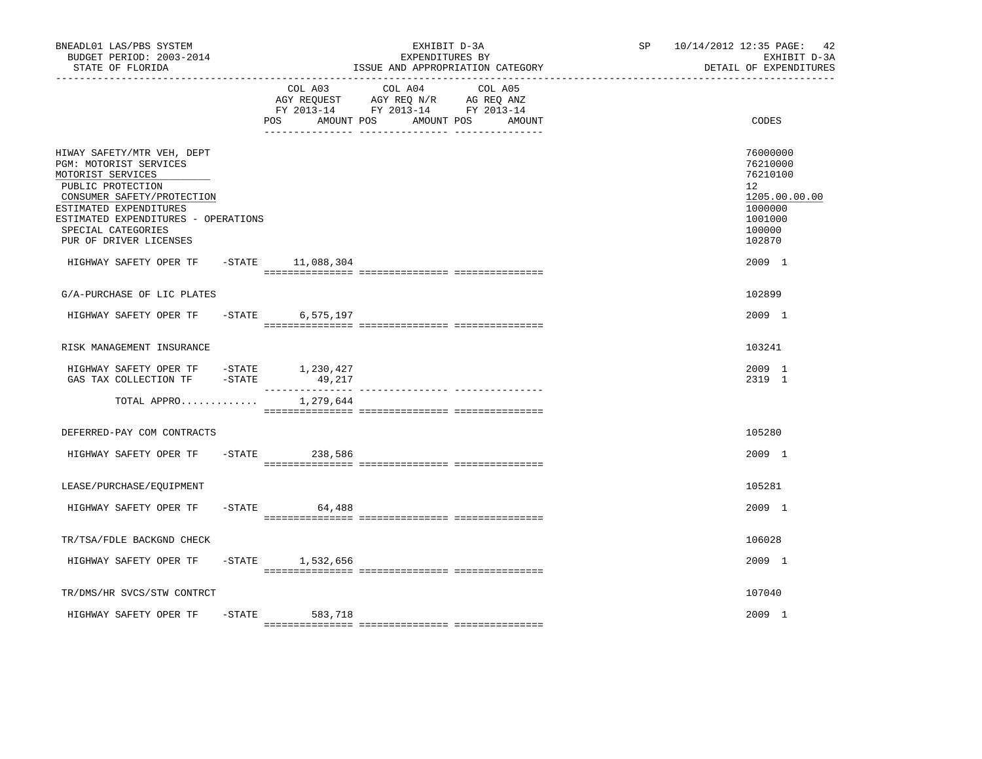| BNEADL01 LAS/PBS SYSTEM<br>BUDGET PERIOD: 2003-2014<br>STATE OF FLORIDA                                                                                                                                                                       | EXHIBIT D-3A<br>EXPENDITURES BY<br>ISSUE AND APPROPRIATION CATEGORY |                              | SP <sub>2</sub>                                                                                                      | 10/14/2012 12:35 PAGE: 42<br>EXHIBIT D-3A<br>DETAIL OF EXPENDITURES |                                                                                                             |
|-----------------------------------------------------------------------------------------------------------------------------------------------------------------------------------------------------------------------------------------------|---------------------------------------------------------------------|------------------------------|----------------------------------------------------------------------------------------------------------------------|---------------------------------------------------------------------|-------------------------------------------------------------------------------------------------------------|
|                                                                                                                                                                                                                                               |                                                                     | COL A03<br>AMOUNT POS<br>POS | COL A04<br>COL A05<br>AGY REQUEST AGY REQ N/R AG REQ ANZ<br>FY 2013-14 FY 2013-14 FY 2013-14<br>AMOUNT POS<br>AMOUNT |                                                                     | CODES                                                                                                       |
| HIWAY SAFETY/MTR VEH, DEPT<br>PGM: MOTORIST SERVICES<br>MOTORIST SERVICES<br>PUBLIC PROTECTION<br>CONSUMER SAFETY/PROTECTION<br>ESTIMATED EXPENDITURES<br>ESTIMATED EXPENDITURES - OPERATIONS<br>SPECIAL CATEGORIES<br>PUR OF DRIVER LICENSES |                                                                     |                              |                                                                                                                      |                                                                     | 76000000<br>76210000<br>76210100<br>$12^{\circ}$<br>1205.00.00.00<br>1000000<br>1001000<br>100000<br>102870 |
| HIGHWAY SAFETY OPER TF                                                                                                                                                                                                                        |                                                                     | -STATE 11,088,304            |                                                                                                                      |                                                                     | 2009 1                                                                                                      |
| G/A-PURCHASE OF LIC PLATES                                                                                                                                                                                                                    |                                                                     |                              |                                                                                                                      |                                                                     | 102899                                                                                                      |
| HIGHWAY SAFETY OPER TF -STATE 6,575,197                                                                                                                                                                                                       |                                                                     |                              |                                                                                                                      |                                                                     | 2009 1                                                                                                      |
| RISK MANAGEMENT INSURANCE                                                                                                                                                                                                                     |                                                                     |                              |                                                                                                                      |                                                                     | 103241                                                                                                      |
| HIGHWAY SAFETY OPER TF -STATE 1,230,427<br>GAS TAX COLLECTION TF - STATE                                                                                                                                                                      |                                                                     | 49,217                       |                                                                                                                      |                                                                     | 2009 1<br>2319 1                                                                                            |
| TOTAL APPRO                                                                                                                                                                                                                                   |                                                                     | 1,279,644                    |                                                                                                                      |                                                                     |                                                                                                             |
| DEFERRED-PAY COM CONTRACTS                                                                                                                                                                                                                    |                                                                     |                              |                                                                                                                      |                                                                     | 105280                                                                                                      |
| HIGHWAY SAFETY OPER TF                                                                                                                                                                                                                        |                                                                     | $-STATE$ 238,586             |                                                                                                                      |                                                                     | 2009 1                                                                                                      |
| LEASE/PURCHASE/EQUIPMENT                                                                                                                                                                                                                      |                                                                     |                              |                                                                                                                      |                                                                     | 105281                                                                                                      |
| HIGHWAY SAFETY OPER TF                                                                                                                                                                                                                        | $-$ STATE                                                           | 64,488                       |                                                                                                                      |                                                                     | 2009 1                                                                                                      |
| TR/TSA/FDLE BACKGND CHECK                                                                                                                                                                                                                     |                                                                     |                              |                                                                                                                      |                                                                     | 106028                                                                                                      |
| HIGHWAY SAFETY OPER TF                                                                                                                                                                                                                        |                                                                     | $-$ STATE 1,532,656          |                                                                                                                      |                                                                     | 2009 1                                                                                                      |
| TR/DMS/HR SVCS/STW CONTRCT                                                                                                                                                                                                                    |                                                                     |                              |                                                                                                                      |                                                                     | 107040                                                                                                      |
| HIGHWAY SAFETY OPER TF                                                                                                                                                                                                                        |                                                                     | -STATE 583,718               |                                                                                                                      |                                                                     | 2009 1                                                                                                      |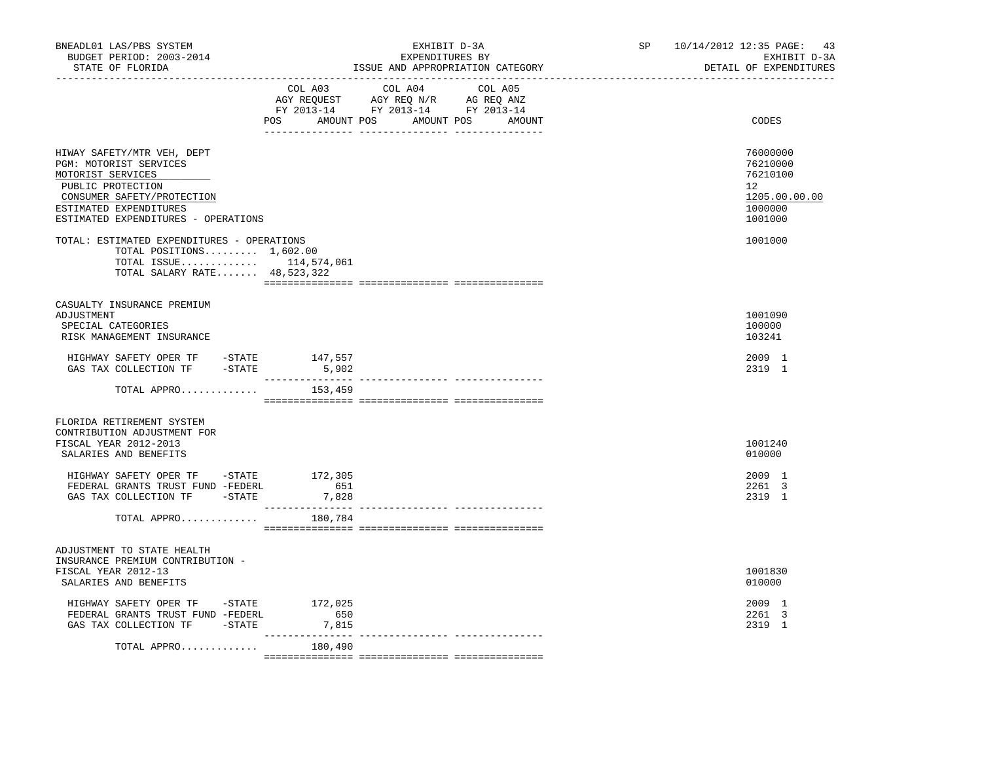| STATE OF FLORIDA                                                                                                                                                                              | EXPENDITURES BY<br>ISSUE AND APPROPRIATION CATEGORY                                                                                         | EXHIBIT D-3A<br>DETAIL OF EXPENDITURES                                        |
|-----------------------------------------------------------------------------------------------------------------------------------------------------------------------------------------------|---------------------------------------------------------------------------------------------------------------------------------------------|-------------------------------------------------------------------------------|
|                                                                                                                                                                                               | COL A03<br>COL A04<br>COL A05<br>AGY REQUEST AGY REQ N/R AG REQ ANZ<br>FY 2013-14 FY 2013-14 FY 2013-14<br>POS AMOUNT POS AMOUNT POS AMOUNT | CODES                                                                         |
| HIWAY SAFETY/MTR VEH, DEPT<br>PGM: MOTORIST SERVICES<br>MOTORIST SERVICES<br>PUBLIC PROTECTION<br>CONSUMER SAFETY/PROTECTION<br>ESTIMATED EXPENDITURES<br>ESTIMATED EXPENDITURES - OPERATIONS |                                                                                                                                             | 76000000<br>76210000<br>76210100<br>12<br>1205.00.00.00<br>1000000<br>1001000 |
| TOTAL: ESTIMATED EXPENDITURES - OPERATIONS<br>TOTAL POSITIONS $1,602.00$<br>TOTAL ISSUE $114,574,061$<br>TOTAL SALARY RATE 48,523,322                                                         |                                                                                                                                             | 1001000                                                                       |
| CASUALTY INSURANCE PREMIUM<br>ADJUSTMENT<br>SPECIAL CATEGORIES<br>RISK MANAGEMENT INSURANCE                                                                                                   |                                                                                                                                             | 1001090<br>100000<br>103241                                                   |
| HIGHWAY SAFETY OPER TF - STATE<br>GAS TAX COLLECTION TF -STATE                                                                                                                                | 147,557<br>5,902                                                                                                                            | 2009 1<br>2319 1                                                              |
| TOTAL APPRO                                                                                                                                                                                   | 153,459                                                                                                                                     |                                                                               |
| FLORIDA RETIREMENT SYSTEM<br>CONTRIBUTION ADJUSTMENT FOR<br>FISCAL YEAR 2012-2013<br>SALARIES AND BENEFITS                                                                                    |                                                                                                                                             | 1001240<br>010000                                                             |
| HIGHWAY SAFETY OPER TF -STATE 172,305<br>FEDERAL GRANTS TRUST FUND -FEDERL<br>GAS TAX COLLECTION TF - STATE                                                                                   | 651<br>7,828<br>---------                                                                                                                   | 2009 1<br>2261 3<br>2319 1                                                    |
| TOTAL APPRO                                                                                                                                                                                   | 180,784                                                                                                                                     |                                                                               |
| ADJUSTMENT TO STATE HEALTH<br>INSURANCE PREMIUM CONTRIBUTION -<br>FISCAL YEAR 2012-13<br>SALARIES AND BENEFITS                                                                                |                                                                                                                                             | 1001830<br>010000                                                             |
| HIGHWAY SAFETY OPER TF -STATE 172,025<br>FEDERAL GRANTS TRUST FUND -FEDERL<br>GAS TAX COLLECTION TF - STATE                                                                                   | 650<br>7,815<br>. <u>.</u> .<br>_____________________________________                                                                       | 2009 1<br>2261 3<br>2319 1                                                    |
| TOTAL APPRO                                                                                                                                                                                   | 180,490                                                                                                                                     |                                                                               |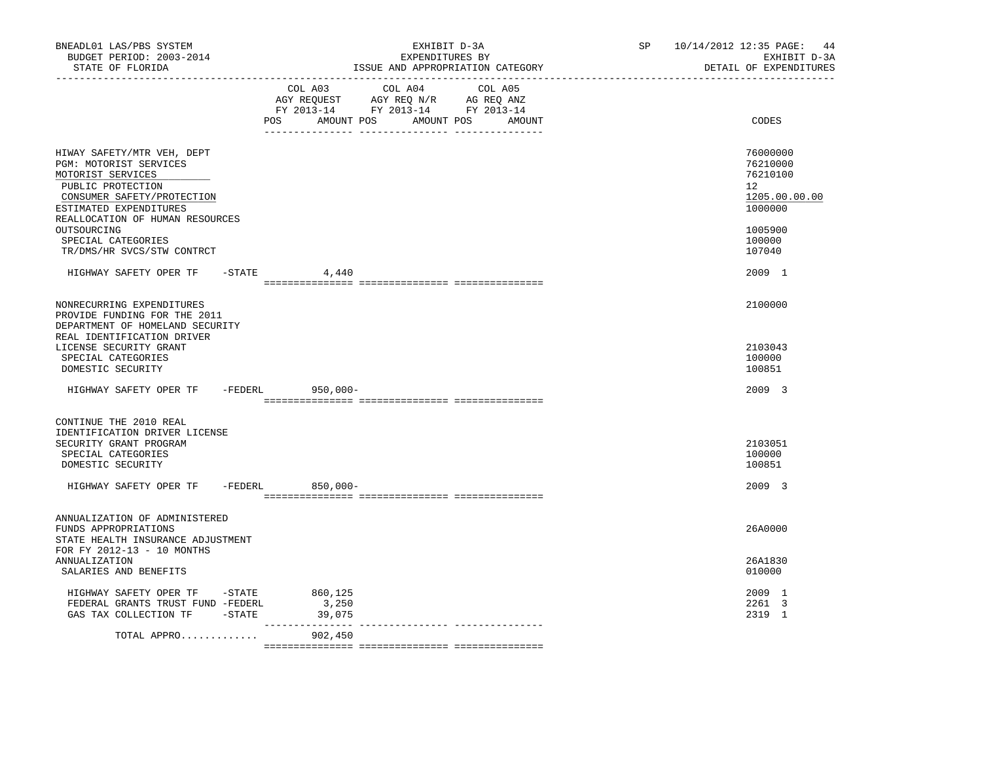| BNEADL01 LAS/PBS SYSTEM<br>BUDGET PERIOD: 2003-2014<br>STATE OF FLORIDA<br>---------------                                                                                                                                     | EXHIBIT D-3A<br>EXPENDITURES BY<br>ISSUE AND APPROPRIATION CATEGORY                                                                   | SP 10/14/2012 12:35 PAGE: 44<br>EXHIBIT D-3A<br>DETAIL OF EXPENDITURES                  |
|--------------------------------------------------------------------------------------------------------------------------------------------------------------------------------------------------------------------------------|---------------------------------------------------------------------------------------------------------------------------------------|-----------------------------------------------------------------------------------------|
|                                                                                                                                                                                                                                | COL A03 COL A04 COL A05<br>AGY REQUEST AGY REQ N/R AG REQ ANZ<br>FY 2013-14 FY 2013-14 FY 2013-14<br>POS AMOUNT POS AMOUNT POS AMOUNT | CODES                                                                                   |
| HIWAY SAFETY/MTR VEH, DEPT<br>PGM: MOTORIST SERVICES<br>MOTORIST SERVICES<br>PUBLIC PROTECTION<br>CONSUMER SAFETY/PROTECTION<br>ESTIMATED EXPENDITURES<br>REALLOCATION OF HUMAN RESOURCES<br>OUTSOURCING<br>SPECIAL CATEGORIES |                                                                                                                                       | 76000000<br>76210000<br>76210100<br>12<br>1205.00.00.00<br>1000000<br>1005900<br>100000 |
| TR/DMS/HR SVCS/STW CONTRCT<br>HIGHWAY SAFETY OPER TF -STATE 4,440                                                                                                                                                              |                                                                                                                                       | 107040<br>2009 1                                                                        |
| NONRECURRING EXPENDITURES<br>PROVIDE FUNDING FOR THE 2011<br>DEPARTMENT OF HOMELAND SECURITY<br>REAL IDENTIFICATION DRIVER<br>LICENSE SECURITY GRANT<br>SPECIAL CATEGORIES                                                     |                                                                                                                                       | 2100000<br>2103043<br>100000                                                            |
| DOMESTIC SECURITY<br>HIGHWAY SAFETY OPER TF -FEDERL 950,000-                                                                                                                                                                   |                                                                                                                                       | 100851<br>2009 3                                                                        |
| CONTINUE THE 2010 REAL<br>IDENTIFICATION DRIVER LICENSE<br>SECURITY GRANT PROGRAM<br>SPECIAL CATEGORIES<br>DOMESTIC SECURITY<br>HIGHWAY SAFETY OPER TF -FEDERL 850,000-                                                        |                                                                                                                                       | 2103051<br>100000<br>100851<br>2009 3                                                   |
| ANNUALIZATION OF ADMINISTERED<br>FUNDS APPROPRIATIONS                                                                                                                                                                          |                                                                                                                                       | 26A0000                                                                                 |
| STATE HEALTH INSURANCE ADJUSTMENT<br>FOR FY 2012-13 - 10 MONTHS<br>ANNUALIZATION<br>SALARIES AND BENEFITS                                                                                                                      |                                                                                                                                       | 26A1830<br>010000                                                                       |
| HIGHWAY SAFETY OPER TF -STATE<br>FEDERAL GRANTS TRUST FUND -FEDERL<br>GAS TAX COLLECTION TF - STATE                                                                                                                            | 860,125<br>3,250<br>39,075                                                                                                            | 2009 1<br>2261 3<br>2319 1                                                              |
| TOTAL APPRO                                                                                                                                                                                                                    | 902,450                                                                                                                               |                                                                                         |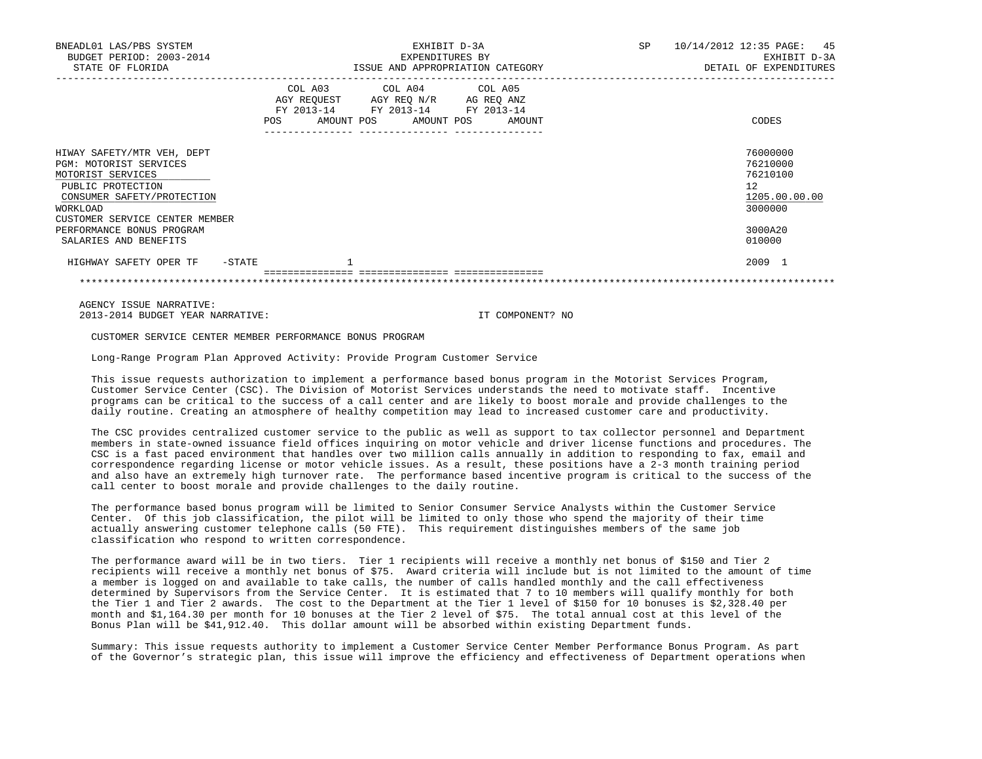| BNEADL01 LAS/PBS SYSTEM<br>BUDGET PERIOD: 2003-2014<br>STATE OF FLORIDA                                                                                                    | EXHIBIT D-3A<br>EXPENDITURES BY<br>ISSUE AND APPROPRIATION CATEGORY                                                                                                                                                                                 | SP<br>10/14/2012 12:35 PAGE: 45<br>EXHIBIT D-3A<br>DETAIL OF EXPENDITURES |
|----------------------------------------------------------------------------------------------------------------------------------------------------------------------------|-----------------------------------------------------------------------------------------------------------------------------------------------------------------------------------------------------------------------------------------------------|---------------------------------------------------------------------------|
|                                                                                                                                                                            | COL A03 COL A04 COL A05<br>AGY REQUEST AGY REQ N/R AG REQ ANZ<br>FY 2013-14 FY 2013-14 FY 2013-14<br>AMOUNT POS AMOUNT POS AMOUNT<br>POS FOR THE POST OF THE POST OF THE POST OF THE POST OF THE POST OF THE POST OF THE POST OF THE POST OF THE PO | CODES                                                                     |
| HIWAY SAFETY/MTR VEH, DEPT<br>PGM: MOTORIST SERVICES<br>MOTORIST SERVICES<br>PUBLIC PROTECTION<br>CONSUMER SAFETY/PROTECTION<br>WORKLOAD<br>CUSTOMER SERVICE CENTER MEMBER |                                                                                                                                                                                                                                                     | 76000000<br>76210000<br>76210100<br>12<br>1205.00.00.00<br>3000000        |
| PERFORMANCE BONUS PROGRAM<br>SALARIES AND BENEFITS                                                                                                                         |                                                                                                                                                                                                                                                     | 3000A20<br>010000                                                         |
| HIGHWAY SAFETY OPER TF<br>-STATE                                                                                                                                           |                                                                                                                                                                                                                                                     | 2009 1                                                                    |

\*\*\*\*\*\*\*\*\*\*\*\*\*\*\*\*\*\*\*\*\*\*\*\*\*\*\*\*\*\*\*\*\*\*\*\*\*\*\*\*\*\*\*\*\*\*\*\*\*\*\*\*\*\*\*\*\*\*\*\*\*\*\*\*\*\*\*\*\*\*\*\*\*\*\*\*\*\*\*\*\*\*\*\*\*\*\*\*\*\*\*\*\*\*\*\*\*\*\*\*\*\*\*\*\*\*\*\*\*\*\*\*\*\*\*\*\*\*\*\*\*\*\*\*\*\*\*

 AGENCY ISSUE NARRATIVE: 2013-2014 BUDGET YEAR NARRATIVE: IT COMPONENT? NO

CUSTOMER SERVICE CENTER MEMBER PERFORMANCE BONUS PROGRAM

Long-Range Program Plan Approved Activity: Provide Program Customer Service

 This issue requests authorization to implement a performance based bonus program in the Motorist Services Program, Customer Service Center (CSC). The Division of Motorist Services understands the need to motivate staff. Incentive programs can be critical to the success of a call center and are likely to boost morale and provide challenges to the daily routine. Creating an atmosphere of healthy competition may lead to increased customer care and productivity.

 The CSC provides centralized customer service to the public as well as support to tax collector personnel and Department members in state-owned issuance field offices inquiring on motor vehicle and driver license functions and procedures. The CSC is a fast paced environment that handles over two million calls annually in addition to responding to fax, email and correspondence regarding license or motor vehicle issues. As a result, these positions have a 2-3 month training period and also have an extremely high turnover rate. The performance based incentive program is critical to the success of the call center to boost morale and provide challenges to the daily routine.

 The performance based bonus program will be limited to Senior Consumer Service Analysts within the Customer Service Center. Of this job classification, the pilot will be limited to only those who spend the majority of their time actually answering customer telephone calls (50 FTE). This requirement distinguishes members of the same job classification who respond to written correspondence.

 The performance award will be in two tiers. Tier 1 recipients will receive a monthly net bonus of \$150 and Tier 2 recipients will receive a monthly net bonus of \$75. Award criteria will include but is not limited to the amount of time a member is logged on and available to take calls, the number of calls handled monthly and the call effectiveness determined by Supervisors from the Service Center. It is estimated that 7 to 10 members will qualify monthly for both the Tier 1 and Tier 2 awards. The cost to the Department at the Tier 1 level of \$150 for 10 bonuses is \$2,328.40 per month and \$1,164.30 per month for 10 bonuses at the Tier 2 level of \$75. The total annual cost at this level of the Bonus Plan will be \$41,912.40. This dollar amount will be absorbed within existing Department funds.

 Summary: This issue requests authority to implement a Customer Service Center Member Performance Bonus Program. As part of the Governor's strategic plan, this issue will improve the efficiency and effectiveness of Department operations when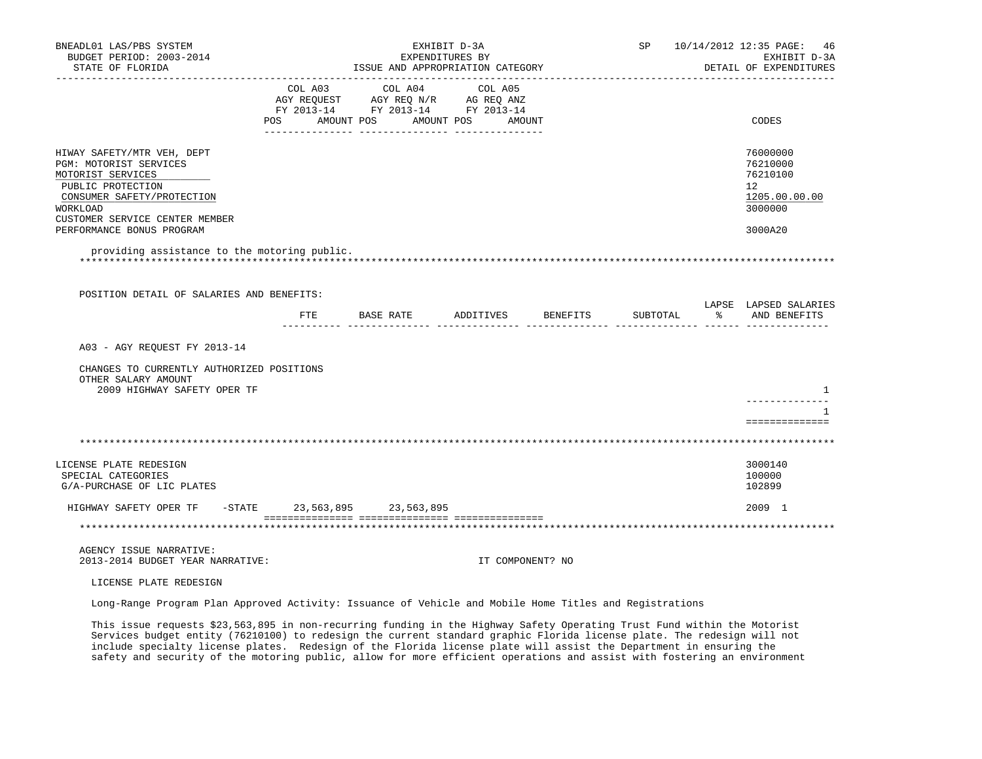| BNEADL01 LAS/PBS SYSTEM<br>BUDGET PERIOD: 2003-2014<br>STATE OF FLORIDA<br>__________________                                                                              |                                                                                                     | EXHIBIT D-3A<br>EXPENDITURES BY<br>ISSUE AND APPROPRIATION CATEGORY |                  |          | SP 10/14/2012 12:35 PAGE: 46<br>EXHIBIT D-3A<br>DETAIL OF EXPENDITURES |
|----------------------------------------------------------------------------------------------------------------------------------------------------------------------------|-----------------------------------------------------------------------------------------------------|---------------------------------------------------------------------|------------------|----------|------------------------------------------------------------------------|
|                                                                                                                                                                            | AGY REQUEST AGY REQ N/R AG REQ ANZ<br>FY 2013-14 FY 2013-14 FY 2013-14<br>POS AMOUNT POS AMOUNT POS | COL A03 COL A04 COL A05                                             | AMOUNT           |          | CODES                                                                  |
| HIWAY SAFETY/MTR VEH, DEPT<br>PGM: MOTORIST SERVICES<br>MOTORIST SERVICES<br>PUBLIC PROTECTION<br>CONSUMER SAFETY/PROTECTION<br>WORKLOAD<br>CUSTOMER SERVICE CENTER MEMBER |                                                                                                     |                                                                     |                  |          | 76000000<br>76210000<br>76210100<br>12<br>1205.00.00.00<br>3000000     |
| PERFORMANCE BONUS PROGRAM<br>providing assistance to the motoring public.                                                                                                  |                                                                                                     |                                                                     |                  |          | 3000A20                                                                |
| POSITION DETAIL OF SALARIES AND BENEFITS:                                                                                                                                  |                                                                                                     | FTE BASE RATE ADDITIVES BENEFITS                                    |                  | SUBTOTAL | LAPSE LAPSED SALARIES<br>% AND BENEFITS                                |
| A03 - AGY REQUEST FY 2013-14                                                                                                                                               |                                                                                                     |                                                                     |                  |          |                                                                        |
| CHANGES TO CURRENTLY AUTHORIZED POSITIONS<br>OTHER SALARY AMOUNT<br>2009 HIGHWAY SAFETY OPER TF                                                                            |                                                                                                     |                                                                     |                  |          | - 1                                                                    |
|                                                                                                                                                                            |                                                                                                     |                                                                     |                  |          | -1<br>==============                                                   |
|                                                                                                                                                                            |                                                                                                     |                                                                     |                  |          |                                                                        |
| LICENSE PLATE REDESIGN<br>SPECIAL CATEGORIES<br>G/A-PURCHASE OF LIC PLATES                                                                                                 |                                                                                                     |                                                                     |                  |          | 3000140<br>100000<br>102899                                            |
| HIGHWAY SAFETY OPER TF -STATE 23,563,895 23,563,895                                                                                                                        |                                                                                                     |                                                                     |                  |          | 2009 1                                                                 |
|                                                                                                                                                                            |                                                                                                     |                                                                     |                  |          |                                                                        |
| AGENCY ISSUE NARRATIVE:<br>2013-2014 BUDGET YEAR NARRATIVE:                                                                                                                |                                                                                                     |                                                                     | IT COMPONENT? NO |          |                                                                        |
| LICENSE PLATE REDESIGN                                                                                                                                                     |                                                                                                     |                                                                     |                  |          |                                                                        |
| Long-Range Program Plan Approved Activity: Issuance of Vehicle and Mobile Home Titles and Registrations                                                                    |                                                                                                     |                                                                     |                  |          |                                                                        |

 This issue requests \$23,563,895 in non-recurring funding in the Highway Safety Operating Trust Fund within the Motorist Services budget entity (76210100) to redesign the current standard graphic Florida license plate. The redesign will not include specialty license plates. Redesign of the Florida license plate will assist the Department in ensuring the safety and security of the motoring public, allow for more efficient operations and assist with fostering an environment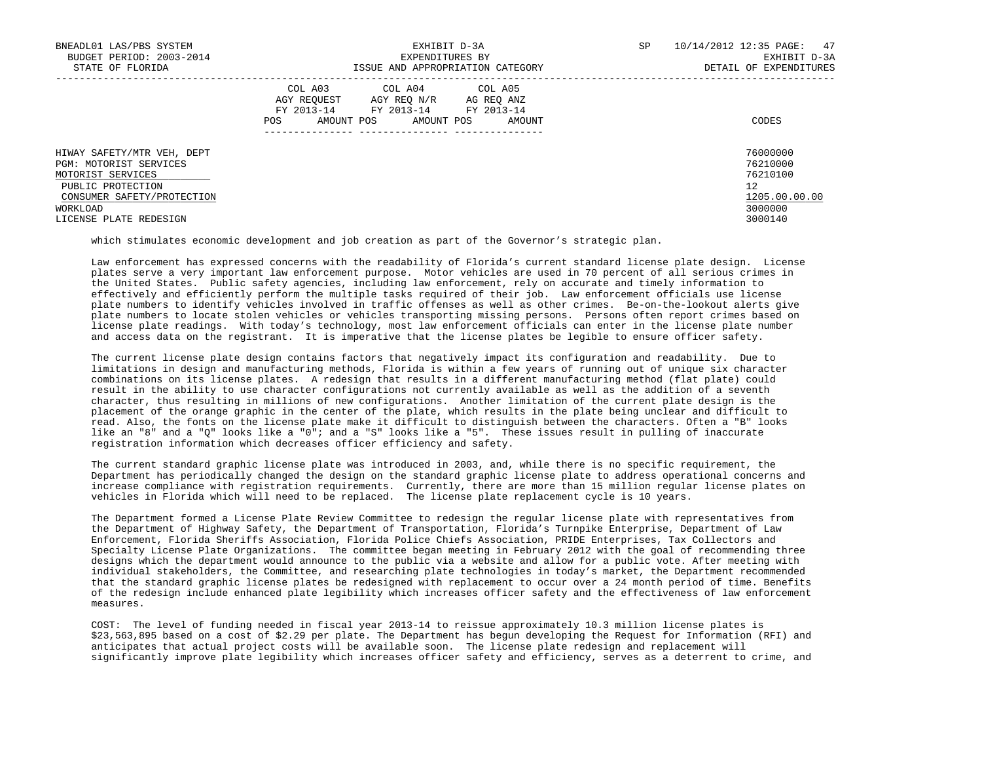| BNEADL01 LAS/PBS SYSTEM<br>BUDGET PERIOD: 2003-2014<br>STATE OF FLORIDA                                                                                            | EXHIBIT D-3A<br>EXPENDITURES BY<br>ISSUE AND APPROPRIATION CATEGORY                                                                                        | SP<br>10/14/2012 12:35 PAGE: 47<br>EXHIBIT D-3A<br>DETAIL OF EXPENDITURES     |
|--------------------------------------------------------------------------------------------------------------------------------------------------------------------|------------------------------------------------------------------------------------------------------------------------------------------------------------|-------------------------------------------------------------------------------|
|                                                                                                                                                                    | COL A03 COL A04 COL A05<br>AGY REOUEST<br>AGY REO N/R<br>AG REO ANZ<br>FY 2013-14<br>FY 2013-14<br>FY 2013-14<br>AMOUNT POS<br>AMOUNT POS<br>POS<br>AMOUNT | CODES                                                                         |
| HIWAY SAFETY/MTR VEH, DEPT<br>PGM: MOTORIST SERVICES<br>MOTORIST SERVICES<br>PUBLIC PROTECTION<br>CONSUMER SAFETY/PROTECTION<br>WORKLOAD<br>LICENSE PLATE REDESIGN |                                                                                                                                                            | 76000000<br>76210000<br>76210100<br>12<br>1205.00.00.00<br>3000000<br>3000140 |

which stimulates economic development and job creation as part of the Governor's strategic plan.

 Law enforcement has expressed concerns with the readability of Florida's current standard license plate design. License plates serve a very important law enforcement purpose. Motor vehicles are used in 70 percent of all serious crimes in the United States. Public safety agencies, including law enforcement, rely on accurate and timely information to effectively and efficiently perform the multiple tasks required of their job. Law enforcement officials use license plate numbers to identify vehicles involved in traffic offenses as well as other crimes. Be-on-the-lookout alerts give plate numbers to locate stolen vehicles or vehicles transporting missing persons. Persons often report crimes based on license plate readings. With today's technology, most law enforcement officials can enter in the license plate number and access data on the registrant. It is imperative that the license plates be legible to ensure officer safety.

 The current license plate design contains factors that negatively impact its configuration and readability. Due to limitations in design and manufacturing methods, Florida is within a few years of running out of unique six character combinations on its license plates. A redesign that results in a different manufacturing method (flat plate) could result in the ability to use character configurations not currently available as well as the addition of a seventh character, thus resulting in millions of new configurations. Another limitation of the current plate design is the placement of the orange graphic in the center of the plate, which results in the plate being unclear and difficult to read. Also, the fonts on the license plate make it difficult to distinguish between the characters. Often a "B" looks like an "8" and a "Q" looks like a "0"; and a "S" looks like a "5". These issues result in pulling of inaccurate registration information which decreases officer efficiency and safety.

 The current standard graphic license plate was introduced in 2003, and, while there is no specific requirement, the Department has periodically changed the design on the standard graphic license plate to address operational concerns and increase compliance with registration requirements. Currently, there are more than 15 million regular license plates on vehicles in Florida which will need to be replaced. The license plate replacement cycle is 10 years.

 The Department formed a License Plate Review Committee to redesign the regular license plate with representatives from the Department of Highway Safety, the Department of Transportation, Florida's Turnpike Enterprise, Department of Law Enforcement, Florida Sheriffs Association, Florida Police Chiefs Association, PRIDE Enterprises, Tax Collectors and Specialty License Plate Organizations. The committee began meeting in February 2012 with the goal of recommending three designs which the department would announce to the public via a website and allow for a public vote. After meeting with individual stakeholders, the Committee, and researching plate technologies in today's market, the Department recommended that the standard graphic license plates be redesigned with replacement to occur over a 24 month period of time. Benefits of the redesign include enhanced plate legibility which increases officer safety and the effectiveness of law enforcement measures.

 COST: The level of funding needed in fiscal year 2013-14 to reissue approximately 10.3 million license plates is \$23,563,895 based on a cost of \$2.29 per plate. The Department has begun developing the Request for Information (RFI) and anticipates that actual project costs will be available soon. The license plate redesign and replacement will significantly improve plate legibility which increases officer safety and efficiency, serves as a deterrent to crime, and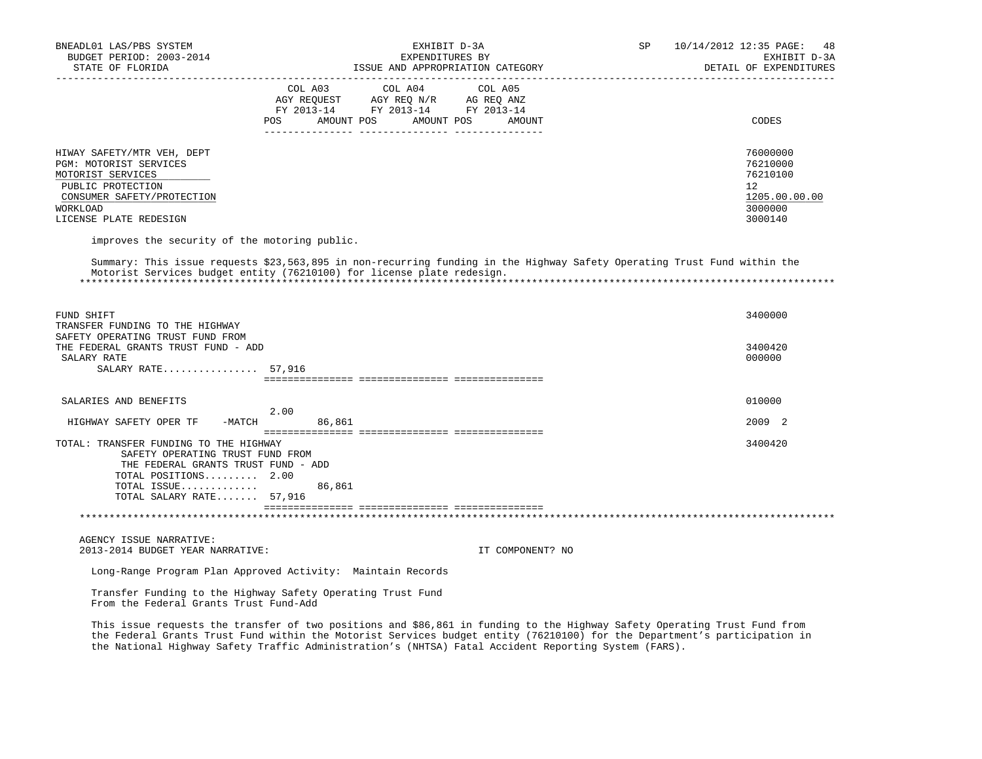| BNEADL01 LAS/PBS SYSTEM                                                                                                                                                                                                                                |         | EXHIBIT D-3A                       | SP                               | 10/14/2012 12:35 PAGE:<br>48 |                        |
|--------------------------------------------------------------------------------------------------------------------------------------------------------------------------------------------------------------------------------------------------------|---------|------------------------------------|----------------------------------|------------------------------|------------------------|
| BUDGET PERIOD: 2003-2014<br>STATE OF FLORIDA                                                                                                                                                                                                           |         | EXPENDITURES BY                    |                                  | EXHIBIT D-3A                 |                        |
|                                                                                                                                                                                                                                                        |         |                                    | ISSUE AND APPROPRIATION CATEGORY |                              | DETAIL OF EXPENDITURES |
|                                                                                                                                                                                                                                                        | COL A03 | COL A04                            | COL A05                          |                              |                        |
|                                                                                                                                                                                                                                                        |         | AGY REQUEST AGY REQ N/R AG REQ ANZ |                                  |                              |                        |
|                                                                                                                                                                                                                                                        |         | FY 2013-14 FY 2013-14 FY 2013-14   |                                  |                              |                        |
|                                                                                                                                                                                                                                                        |         | POS AMOUNT POS AMOUNT POS          | AMOUNT                           |                              | CODES                  |
|                                                                                                                                                                                                                                                        |         |                                    |                                  |                              |                        |
| HIWAY SAFETY/MTR VEH, DEPT                                                                                                                                                                                                                             |         |                                    |                                  |                              | 76000000               |
| PGM: MOTORIST SERVICES                                                                                                                                                                                                                                 |         |                                    |                                  |                              | 76210000               |
| MOTORIST SERVICES                                                                                                                                                                                                                                      |         |                                    |                                  |                              | 76210100               |
| PUBLIC PROTECTION<br>CONSUMER SAFETY/PROTECTION                                                                                                                                                                                                        |         |                                    |                                  |                              | 12<br>1205.00.00.00    |
| WORKLOAD                                                                                                                                                                                                                                               |         |                                    |                                  |                              | 3000000                |
| LICENSE PLATE REDESIGN                                                                                                                                                                                                                                 |         |                                    |                                  |                              | 3000140                |
|                                                                                                                                                                                                                                                        |         |                                    |                                  |                              |                        |
| improves the security of the motoring public.                                                                                                                                                                                                          |         |                                    |                                  |                              |                        |
| Summary: This issue requests \$23,563,895 in non-recurring funding in the Highway Safety Operating Trust Fund within the                                                                                                                               |         |                                    |                                  |                              |                        |
| Motorist Services budget entity (76210100) for license plate redesign.                                                                                                                                                                                 |         |                                    |                                  |                              |                        |
|                                                                                                                                                                                                                                                        |         |                                    |                                  |                              |                        |
|                                                                                                                                                                                                                                                        |         |                                    |                                  |                              |                        |
| FUND SHIFT                                                                                                                                                                                                                                             |         |                                    |                                  |                              | 3400000                |
| TRANSFER FUNDING TO THE HIGHWAY                                                                                                                                                                                                                        |         |                                    |                                  |                              |                        |
| SAFETY OPERATING TRUST FUND FROM                                                                                                                                                                                                                       |         |                                    |                                  |                              |                        |
| THE FEDERAL GRANTS TRUST FUND - ADD                                                                                                                                                                                                                    |         |                                    |                                  |                              | 3400420                |
| SALARY RATE                                                                                                                                                                                                                                            |         |                                    |                                  |                              | 000000                 |
| SALARY RATE 57,916                                                                                                                                                                                                                                     |         |                                    |                                  |                              |                        |
|                                                                                                                                                                                                                                                        |         |                                    |                                  |                              |                        |
| SALARIES AND BENEFITS                                                                                                                                                                                                                                  |         |                                    |                                  |                              | 010000                 |
|                                                                                                                                                                                                                                                        | 2.00    |                                    |                                  |                              |                        |
| HIGHWAY SAFETY OPER TF<br>-MATCH                                                                                                                                                                                                                       | 86,861  |                                    |                                  |                              | 2009 2                 |
| TOTAL: TRANSFER FUNDING TO THE HIGHWAY                                                                                                                                                                                                                 |         |                                    |                                  |                              | 3400420                |
| SAFETY OPERATING TRUST FUND FROM                                                                                                                                                                                                                       |         |                                    |                                  |                              |                        |
| THE FEDERAL GRANTS TRUST FUND - ADD                                                                                                                                                                                                                    |         |                                    |                                  |                              |                        |
| TOTAL POSITIONS 2.00                                                                                                                                                                                                                                   |         |                                    |                                  |                              |                        |
| TOTAL ISSUE                                                                                                                                                                                                                                            | 86,861  |                                    |                                  |                              |                        |
| TOTAL SALARY RATE 57,916                                                                                                                                                                                                                               |         |                                    |                                  |                              |                        |
|                                                                                                                                                                                                                                                        |         |                                    |                                  |                              |                        |
|                                                                                                                                                                                                                                                        |         |                                    |                                  |                              |                        |
| AGENCY ISSUE NARRATIVE:                                                                                                                                                                                                                                |         |                                    |                                  |                              |                        |
| 2013-2014 BUDGET YEAR NARRATIVE:                                                                                                                                                                                                                       |         |                                    | IT COMPONENT? NO                 |                              |                        |
| Long-Range Program Plan Approved Activity: Maintain Records                                                                                                                                                                                            |         |                                    |                                  |                              |                        |
| Transfer Funding to the Highway Safety Operating Trust Fund                                                                                                                                                                                            |         |                                    |                                  |                              |                        |
| From the Federal Grants Trust Fund-Add                                                                                                                                                                                                                 |         |                                    |                                  |                              |                        |
|                                                                                                                                                                                                                                                        |         |                                    |                                  |                              |                        |
| This issue requests the transfer of two positions and \$86,861 in funding to the Highway Safety Operating Trust Fund from<br>the Federal Grants Trust Fund within the Motorist Services budget entity (76210100) for the Department's participation in |         |                                    |                                  |                              |                        |
| the National Highway Safety Traffic Administration's (NHTSA) Fatal Accident Reporting System (FARS).                                                                                                                                                   |         |                                    |                                  |                              |                        |
|                                                                                                                                                                                                                                                        |         |                                    |                                  |                              |                        |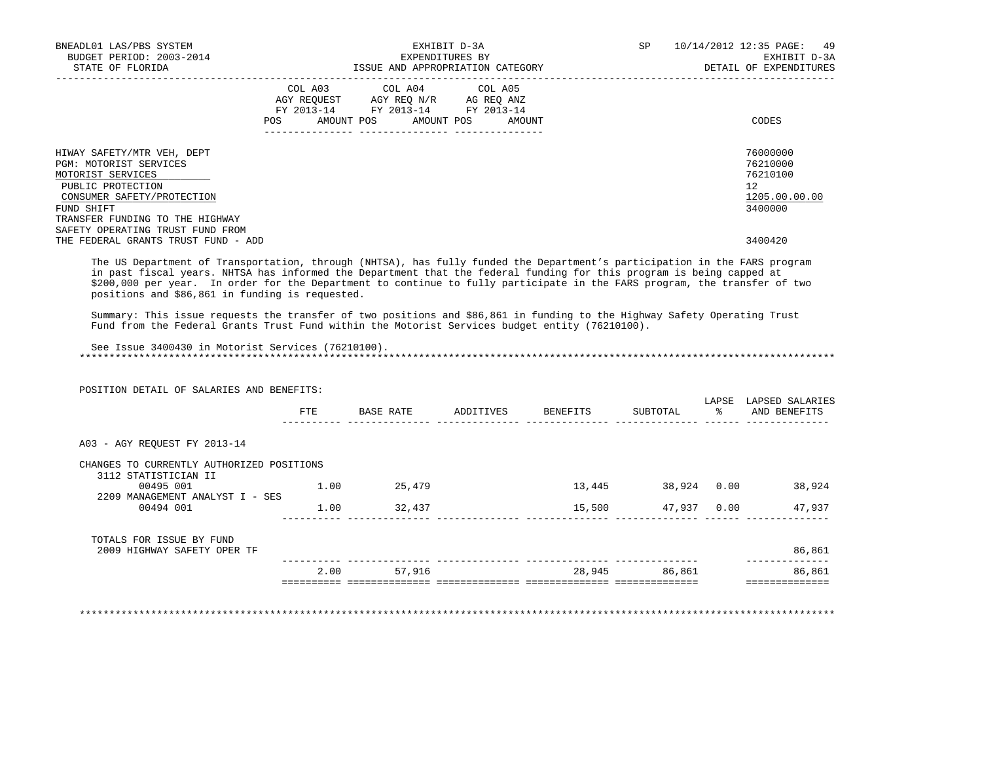| BNEADL01 LAS/PBS SYSTEM<br>BUDGET PERIOD: 2003-2014<br>STATE OF FLORIDA                                                                                                                                                                                  | EXHIBIT D-3A<br>EXPENDITURES BY<br>ISSUE AND APPROPRIATION CATEGORY                                                                         | 10/14/2012 12:35 PAGE: 49<br>SP<br>EXHIBIT D-3A<br>DETAIL OF EXPENDITURES     |
|----------------------------------------------------------------------------------------------------------------------------------------------------------------------------------------------------------------------------------------------------------|---------------------------------------------------------------------------------------------------------------------------------------------|-------------------------------------------------------------------------------|
|                                                                                                                                                                                                                                                          | COL A03 COL A04 COL A05<br>AGY REQUEST AGY REQ N/R AG REQ ANZ<br>FY 2013-14 FY 2013-14 FY 2013-14<br>AMOUNT POS AMOUNT POS<br>POS<br>AMOUNT | CODES                                                                         |
| HIWAY SAFETY/MTR VEH, DEPT<br>PGM: MOTORIST SERVICES<br>MOTORIST SERVICES<br>PUBLIC PROTECTION<br>CONSUMER SAFETY/PROTECTION<br>FUND SHIFT<br>TRANSFER FUNDING TO THE HIGHWAY<br>SAFETY OPERATING TRUST FUND FROM<br>THE FEDERAL GRANTS TRUST FUND - ADD |                                                                                                                                             | 76000000<br>76210000<br>76210100<br>12<br>1205.00.00.00<br>3400000<br>3400420 |

 The US Department of Transportation, through (NHTSA), has fully funded the Department's participation in the FARS program in past fiscal years. NHTSA has informed the Department that the federal funding for this program is being capped at \$200,000 per year. In order for the Department to continue to fully participate in the FARS program, the transfer of two positions and \$86,861 in funding is requested.

 Summary: This issue requests the transfer of two positions and \$86,861 in funding to the Highway Safety Operating Trust Fund from the Federal Grants Trust Fund within the Motorist Services budget entity (76210100).

 See Issue 3400430 in Motorist Services (76210100). \*\*\*\*\*\*\*\*\*\*\*\*\*\*\*\*\*\*\*\*\*\*\*\*\*\*\*\*\*\*\*\*\*\*\*\*\*\*\*\*\*\*\*\*\*\*\*\*\*\*\*\*\*\*\*\*\*\*\*\*\*\*\*\*\*\*\*\*\*\*\*\*\*\*\*\*\*\*\*\*\*\*\*\*\*\*\*\*\*\*\*\*\*\*\*\*\*\*\*\*\*\*\*\*\*\*\*\*\*\*\*\*\*\*\*\*\*\*\*\*\*\*\*\*\*\*\*

POSITION DETAIL OF SALARIES AND BENEFITS:

|                                              | FTE  | BASE RATE | ADDITIVES | BENEFITS | SUBTOTAL | LAPSE<br>ႜ | LAPSED SALARIES<br>AND BENEFITS |
|----------------------------------------------|------|-----------|-----------|----------|----------|------------|---------------------------------|
| A03 - AGY REOUEST FY 2013-14                 |      |           |           |          |          |            |                                 |
| CHANGES TO CURRENTLY AUTHORIZED POSITIONS    |      |           |           |          |          |            |                                 |
| 3112 STATISTICIAN II<br>00495 001            | 1.00 | 25,479    |           | 13,445   | 38,924   | 0.00       | 38,924                          |
| 2209 MANAGEMENT ANALYST I - SES<br>00494 001 | 1.00 | 32,437    |           | 15,500   | 47,937   | 0.00       | 47,937                          |
| TOTALS FOR ISSUE BY FUND                     |      |           |           |          |          |            |                                 |
| 2009 HIGHWAY SAFETY OPER TF                  |      |           |           |          |          |            | 86,861                          |
|                                              | 2.00 | 57,916    |           | 28,945   | 86,861   |            | 86,861                          |
|                                              |      |           |           |          |          |            |                                 |

\*\*\*\*\*\*\*\*\*\*\*\*\*\*\*\*\*\*\*\*\*\*\*\*\*\*\*\*\*\*\*\*\*\*\*\*\*\*\*\*\*\*\*\*\*\*\*\*\*\*\*\*\*\*\*\*\*\*\*\*\*\*\*\*\*\*\*\*\*\*\*\*\*\*\*\*\*\*\*\*\*\*\*\*\*\*\*\*\*\*\*\*\*\*\*\*\*\*\*\*\*\*\*\*\*\*\*\*\*\*\*\*\*\*\*\*\*\*\*\*\*\*\*\*\*\*\*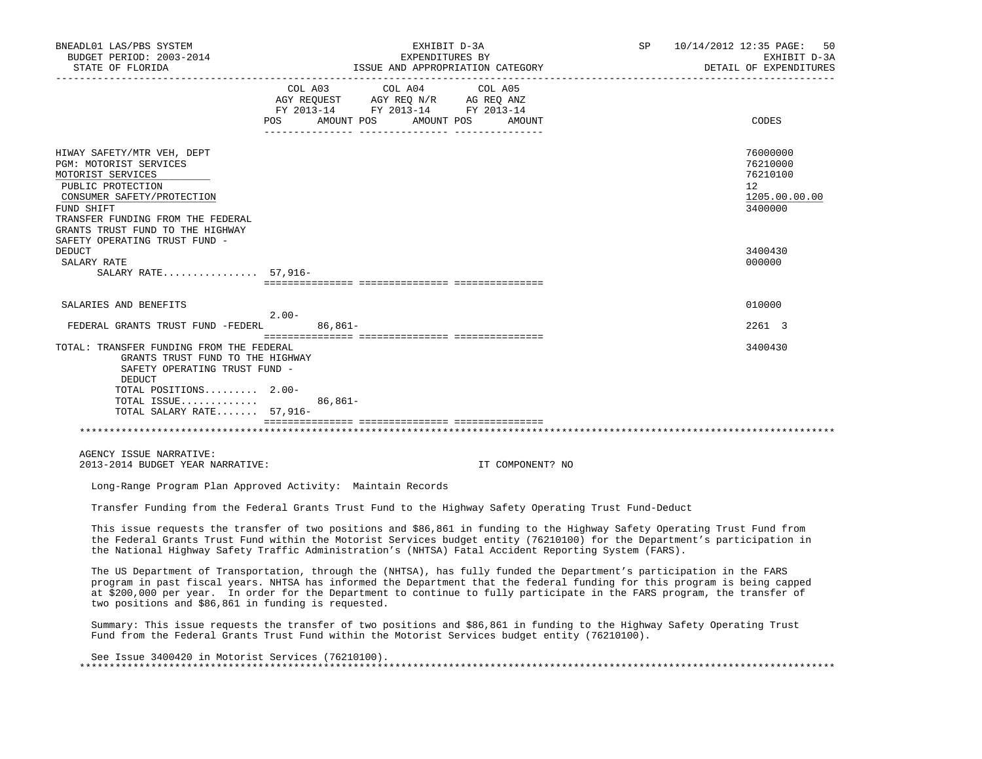| BNEADL01 LAS/PBS SYSTEM<br>BUDGET PERIOD: 2003-2014<br>STATE OF FLORIDA<br>____________________                                                                                                                     | EXHIBIT D-3A<br>EXPENDITURES BY<br>ISSUE AND APPROPRIATION CATEGORY<br>___________________________                                                                                                                                                                                                                                                                             | SP<br>10/14/2012 12:35 PAGE:<br>50<br>EXHIBIT D-3A<br>DETAIL OF EXPENDITURES    |
|---------------------------------------------------------------------------------------------------------------------------------------------------------------------------------------------------------------------|--------------------------------------------------------------------------------------------------------------------------------------------------------------------------------------------------------------------------------------------------------------------------------------------------------------------------------------------------------------------------------|---------------------------------------------------------------------------------|
|                                                                                                                                                                                                                     | COL A03 COL A04 COL A05<br>$\begin{tabular}{lllllll} \bf AGY \,\, &\bf REGUEST \,\, &\bf AGY \,\, &\bf REQ \,\, &\bf N/R \,\, &\bf AG \,\, &\bf REQ \,\, &\bf ANZ \,\, \\ \bf FY \,\, &\bf 2013-14 \,\, &\bf FY \,\, &\bf 2013-14 \,\, &\bf FY \,\, &\bf 2013-14 \end{tabular}$<br>POS AMOUNT POS AMOUNT POS<br>AMOUNT                                                         | CODES                                                                           |
| HIWAY SAFETY/MTR VEH, DEPT<br>PGM: MOTORIST SERVICES<br>MOTORIST SERVICES<br>PUBLIC PROTECTION<br>CONSUMER SAFETY/PROTECTION<br>FUND SHIFT<br>TRANSFER FUNDING FROM THE FEDERAL<br>GRANTS TRUST FUND TO THE HIGHWAY |                                                                                                                                                                                                                                                                                                                                                                                | 76000000<br>76210000<br>76210100<br>12 <sup>°</sup><br>1205.00.00.00<br>3400000 |
| SAFETY OPERATING TRUST FUND -<br>DEDUCT<br>SALARY RATE<br>SALARY RATE 57,916-                                                                                                                                       |                                                                                                                                                                                                                                                                                                                                                                                | 3400430<br>000000                                                               |
|                                                                                                                                                                                                                     |                                                                                                                                                                                                                                                                                                                                                                                |                                                                                 |
| SALARIES AND BENEFITS                                                                                                                                                                                               | $2.00-$                                                                                                                                                                                                                                                                                                                                                                        | 010000                                                                          |
| FEDERAL GRANTS TRUST FUND -FEDERL                                                                                                                                                                                   | $86,861-$                                                                                                                                                                                                                                                                                                                                                                      | 2261 3                                                                          |
| TOTAL: TRANSFER FUNDING FROM THE FEDERAL<br>GRANTS TRUST FUND TO THE HIGHWAY<br>SAFETY OPERATING TRUST FUND -<br>DEDUCT<br>TOTAL POSITIONS 2.00-<br>TOTAL ISSUE<br>TOTAL SALARY RATE 57,916-                        | $86,861-$                                                                                                                                                                                                                                                                                                                                                                      | 3400430                                                                         |
|                                                                                                                                                                                                                     |                                                                                                                                                                                                                                                                                                                                                                                |                                                                                 |
| AGENCY ISSUE NARRATIVE:<br>2013-2014 BUDGET YEAR NARRATIVE:                                                                                                                                                         | IT COMPONENT? NO                                                                                                                                                                                                                                                                                                                                                               |                                                                                 |
|                                                                                                                                                                                                                     | Long-Range Program Plan Approved Activity: Maintain Records                                                                                                                                                                                                                                                                                                                    |                                                                                 |
|                                                                                                                                                                                                                     | Transfer Funding from the Federal Grants Trust Fund to the Highway Safety Operating Trust Fund-Deduct                                                                                                                                                                                                                                                                          |                                                                                 |
|                                                                                                                                                                                                                     | This issue requests the transfer of two positions and \$86,861 in funding to the Highway Safety Operating Trust Fund from<br>the Federal Grants Trust Fund within the Motorist Services budget entity (76210100) for the Department's participation in<br>the National Highway Safety Traffic Administration's (NHTSA) Fatal Accident Reporting System (FARS).                 |                                                                                 |
| two positions and \$86,861 in funding is requested.                                                                                                                                                                 | The US Department of Transportation, through the (NHTSA), has fully funded the Department's participation in the FARS<br>program in past fiscal years. NHTSA has informed the Department that the federal funding for this program is being capped<br>at \$200,000 per year. In order for the Department to continue to fully participate in the FARS program, the transfer of |                                                                                 |
|                                                                                                                                                                                                                     | Summary: This issue requests the transfer of two positions and \$86,861 in funding to the Highway Safety Operating Trust<br>Fund from the Federal Grants Trust Fund within the Motorist Services budget entity (76210100).                                                                                                                                                     |                                                                                 |

 See Issue 3400420 in Motorist Services (76210100). \*\*\*\*\*\*\*\*\*\*\*\*\*\*\*\*\*\*\*\*\*\*\*\*\*\*\*\*\*\*\*\*\*\*\*\*\*\*\*\*\*\*\*\*\*\*\*\*\*\*\*\*\*\*\*\*\*\*\*\*\*\*\*\*\*\*\*\*\*\*\*\*\*\*\*\*\*\*\*\*\*\*\*\*\*\*\*\*\*\*\*\*\*\*\*\*\*\*\*\*\*\*\*\*\*\*\*\*\*\*\*\*\*\*\*\*\*\*\*\*\*\*\*\*\*\*\*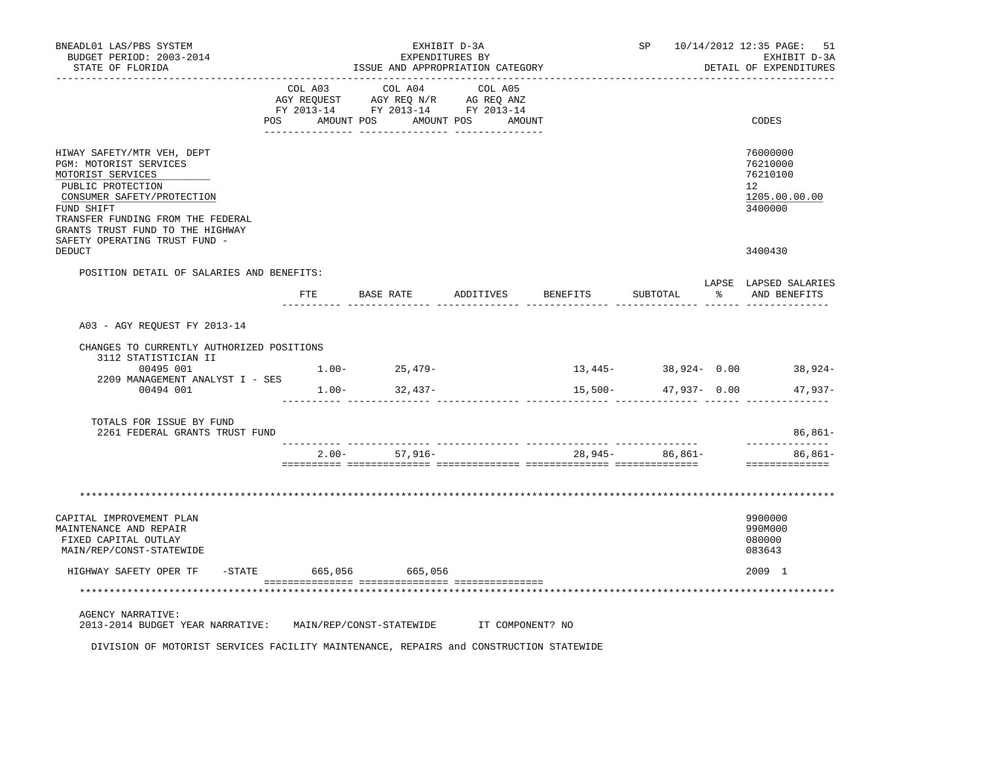| BNEADL01 LAS/PBS SYSTEM<br>BUDGET PERIOD: 2003-2014<br>STATE OF FLORIDA                                                                                                                                                                              | EXHIBIT D-3A<br>EXPENDITURES BY<br>ISSUE AND APPROPRIATION CATEGORY |                                                                                                                                                                                                                              |                   |                                                 |                                               |               | SP 10/14/2012 12:35 PAGE:<br>-51<br>EXHIBIT D-3A<br>DETAIL OF EXPENDITURES |
|------------------------------------------------------------------------------------------------------------------------------------------------------------------------------------------------------------------------------------------------------|---------------------------------------------------------------------|------------------------------------------------------------------------------------------------------------------------------------------------------------------------------------------------------------------------------|-------------------|-------------------------------------------------|-----------------------------------------------|---------------|----------------------------------------------------------------------------|
|                                                                                                                                                                                                                                                      | POS AMOUNT POS                                                      | COL A03 COL A04 COL A05<br>$\begin{tabular}{lllllll} \bf AGY \;\; RegUEST & \tt AGY \;\; REG \;\; N/R & \tt AG \;\; REG \;\; ANZ \\ \hline \tt FY \;\; 2013-14 & \tt FY \;\; 2013-14 & \tt FY \;\; 2013-14 \\ \end{tabular}$ | AMOUNT POS AMOUNT |                                                 |                                               |               | CODES                                                                      |
| HIWAY SAFETY/MTR VEH, DEPT<br>PGM: MOTORIST SERVICES<br>MOTORIST SERVICES<br>PUBLIC PROTECTION<br>CONSUMER SAFETY/PROTECTION<br>FUND SHIFT<br>TRANSFER FUNDING FROM THE FEDERAL<br>GRANTS TRUST FUND TO THE HIGHWAY<br>SAFETY OPERATING TRUST FUND - |                                                                     |                                                                                                                                                                                                                              |                   |                                                 |                                               |               | 76000000<br>76210000<br>76210100<br>12<br>1205.00.00.00<br>3400000         |
| DEDUCT                                                                                                                                                                                                                                               |                                                                     |                                                                                                                                                                                                                              |                   |                                                 |                                               |               | 3400430                                                                    |
| POSITION DETAIL OF SALARIES AND BENEFITS:                                                                                                                                                                                                            | FTE                                                                 | BASE RATE                                                                                                                                                                                                                    | ADDITIVES         | <b>BENEFITS</b>                                 | SUBTOTAL                                      | $\frac{1}{6}$ | LAPSE LAPSED SALARIES<br>AND BENEFITS                                      |
| A03 - AGY REQUEST FY 2013-14                                                                                                                                                                                                                         |                                                                     |                                                                                                                                                                                                                              |                   |                                                 |                                               |               |                                                                            |
| CHANGES TO CURRENTLY AUTHORIZED POSITIONS                                                                                                                                                                                                            |                                                                     |                                                                                                                                                                                                                              |                   |                                                 |                                               |               |                                                                            |
| 3112 STATISTICIAN II                                                                                                                                                                                                                                 |                                                                     |                                                                                                                                                                                                                              |                   |                                                 |                                               |               |                                                                            |
| 00495 001<br>2209 MANAGEMENT ANALYST I - SES<br>00494 001                                                                                                                                                                                            |                                                                     | $1.00 - 25,479 -$<br>$1.00 - 32,437 -$                                                                                                                                                                                       |                   | $15,500-$<br>__________________________________ | 47,937- 0.00                                  |               | $13,445-$ 38,924- 0.00 38,924-<br>$47,937-$                                |
| TOTALS FOR ISSUE BY FUND<br>2261 FEDERAL GRANTS TRUST FUND                                                                                                                                                                                           |                                                                     |                                                                                                                                                                                                                              |                   |                                                 |                                               |               | $86,861-$                                                                  |
|                                                                                                                                                                                                                                                      | $2.00 -$                                                            | 57,916-                                                                                                                                                                                                                      |                   |                                                 | __________ _______________<br>28,945- 86,861- |               | ----------<br>86,861-<br>==============                                    |
|                                                                                                                                                                                                                                                      |                                                                     |                                                                                                                                                                                                                              |                   |                                                 |                                               |               |                                                                            |
|                                                                                                                                                                                                                                                      |                                                                     |                                                                                                                                                                                                                              |                   |                                                 |                                               |               |                                                                            |
| CAPITAL IMPROVEMENT PLAN<br>MAINTENANCE AND REPAIR<br>FIXED CAPITAL OUTLAY<br>MAIN/REP/CONST-STATEWIDE                                                                                                                                               |                                                                     |                                                                                                                                                                                                                              |                   |                                                 |                                               |               | 9900000<br>990M000<br>080000<br>083643                                     |
| HIGHWAY SAFETY OPER TF                                                                                                                                                                                                                               |                                                                     | -STATE 665,056 665,056                                                                                                                                                                                                       |                   |                                                 |                                               |               | 2009 1                                                                     |
|                                                                                                                                                                                                                                                      |                                                                     |                                                                                                                                                                                                                              |                   |                                                 |                                               |               |                                                                            |
| <b>AGENCY NARRATIVE:</b><br>2013-2014 BUDGET YEAR NARRATIVE:                                                                                                                                                                                         |                                                                     | MAIN/REP/CONST-STATEWIDE                                                                                                                                                                                                     | IT COMPONENT? NO  |                                                 |                                               |               |                                                                            |

DIVISION OF MOTORIST SERVICES FACILITY MAINTENANCE, REPAIRS and CONSTRUCTION STATEWIDE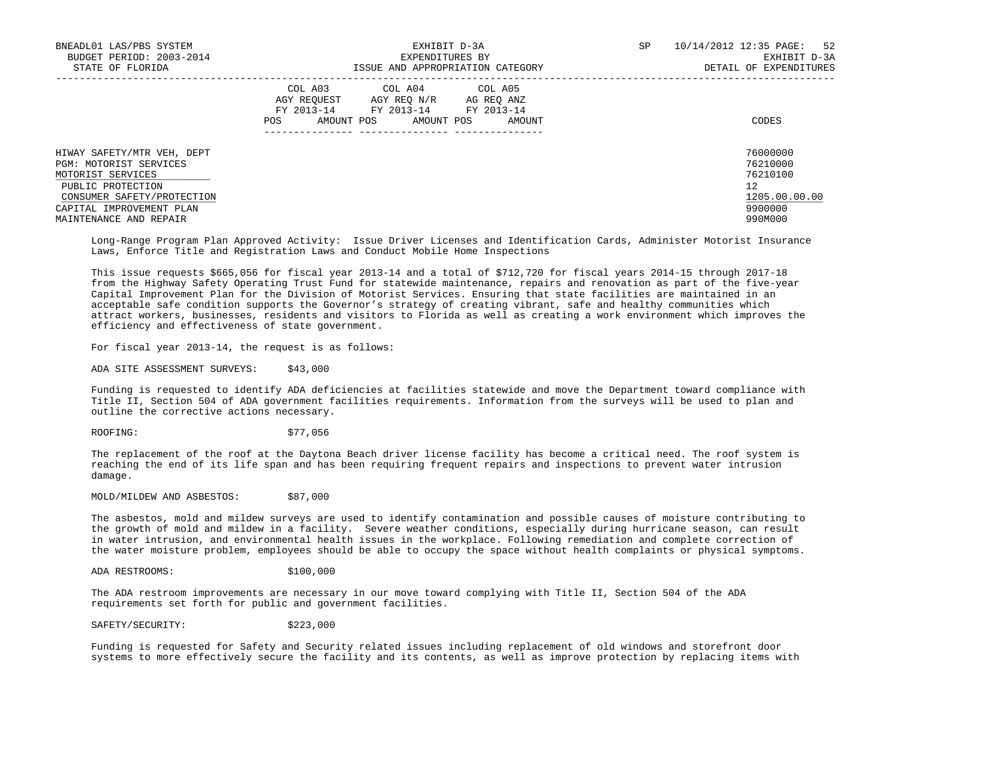| BNEADL01 LAS/PBS SYSTEM<br>BUDGET PERIOD: 2003-2014<br>STATE OF FLORIDA                                                                                                            | EXHIBIT D-3A<br>EXPENDITURES BY<br>ISSUE AND APPROPRIATION CATEGORY                                                                               | SP<br>10/14/2012 12:35 PAGE: 52<br>EXHIBIT D-3A<br>DETAIL OF EXPENDITURES     |
|------------------------------------------------------------------------------------------------------------------------------------------------------------------------------------|---------------------------------------------------------------------------------------------------------------------------------------------------|-------------------------------------------------------------------------------|
|                                                                                                                                                                                    | COL A03 COL A04 COL A05<br>AGY REOUEST<br>AGY REO N/R AG REO ANZ<br>FY 2013-14 FY 2013-14 FY 2013-14<br>POS<br>AMOUNT POS<br>AMOUNT POS<br>AMOUNT | CODES                                                                         |
| HIWAY SAFETY/MTR VEH, DEPT<br>PGM: MOTORIST SERVICES<br>MOTORIST SERVICES<br>PUBLIC PROTECTION<br>CONSUMER SAFETY/PROTECTION<br>CAPITAL IMPROVEMENT PLAN<br>MAINTENANCE AND REPAIR |                                                                                                                                                   | 76000000<br>76210000<br>76210100<br>12<br>1205.00.00.00<br>9900000<br>990M000 |

 Long-Range Program Plan Approved Activity: Issue Driver Licenses and Identification Cards, Administer Motorist Insurance Laws, Enforce Title and Registration Laws and Conduct Mobile Home Inspections

 This issue requests \$665,056 for fiscal year 2013-14 and a total of \$712,720 for fiscal years 2014-15 through 2017-18 from the Highway Safety Operating Trust Fund for statewide maintenance, repairs and renovation as part of the five-year Capital Improvement Plan for the Division of Motorist Services. Ensuring that state facilities are maintained in an acceptable safe condition supports the Governor's strategy of creating vibrant, safe and healthy communities which attract workers, businesses, residents and visitors to Florida as well as creating a work environment which improves the efficiency and effectiveness of state government.

For fiscal year 2013-14, the request is as follows:

ADA SITE ASSESSMENT SURVEYS: \$43,000

 Funding is requested to identify ADA deficiencies at facilities statewide and move the Department toward compliance with Title II, Section 504 of ADA government facilities requirements. Information from the surveys will be used to plan and outline the corrective actions necessary.

ROOFING: \$77,056

 The replacement of the roof at the Daytona Beach driver license facility has become a critical need. The roof system is reaching the end of its life span and has been requiring frequent repairs and inspections to prevent water intrusion damage.

MOLD/MILDEW AND ASBESTOS: \$87,000

 The asbestos, mold and mildew surveys are used to identify contamination and possible causes of moisture contributing to the growth of mold and mildew in a facility. Severe weather conditions, especially during hurricane season, can result in water intrusion, and environmental health issues in the workplace. Following remediation and complete correction of the water moisture problem, employees should be able to occupy the space without health complaints or physical symptoms.

ADA RESTROOMS: \$100,000

 The ADA restroom improvements are necessary in our move toward complying with Title II, Section 504 of the ADA requirements set forth for public and government facilities.

SAFETY/SECURITY: \$223,000

 Funding is requested for Safety and Security related issues including replacement of old windows and storefront door systems to more effectively secure the facility and its contents, as well as improve protection by replacing items with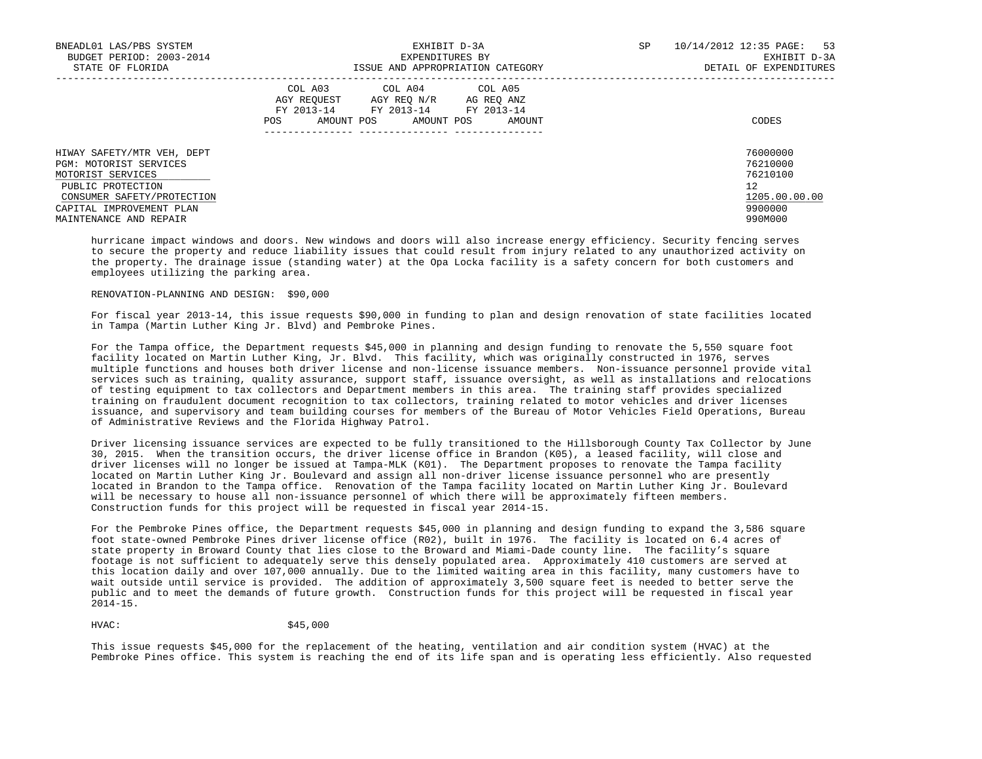| BNEADL01 LAS/PBS SYSTEM<br>BUDGET PERIOD: 2003-2014                                                                                                                                | EXHIBIT D-3A<br>EXPENDITURES BY                                                                                                                      | 10/14/2012 12:35 PAGE: 53<br>SP<br>EXHIBIT D-3A                               |
|------------------------------------------------------------------------------------------------------------------------------------------------------------------------------------|------------------------------------------------------------------------------------------------------------------------------------------------------|-------------------------------------------------------------------------------|
| STATE OF FLORIDA                                                                                                                                                                   | ISSUE AND APPROPRIATION CATEGORY                                                                                                                     | DETAIL OF EXPENDITURES                                                        |
|                                                                                                                                                                                    | COL A03 COL A04 COL A05<br>AGY REOUEST<br>AGY REO N/R<br>AG REO ANZ<br>FY 2013-14 FY 2013-14 FY 2013-14<br>POS<br>AMOUNT POS<br>AMOUNT POS<br>AMOUNT | CODES                                                                         |
| HIWAY SAFETY/MTR VEH, DEPT<br>PGM: MOTORIST SERVICES<br>MOTORIST SERVICES<br>PUBLIC PROTECTION<br>CONSUMER SAFETY/PROTECTION<br>CAPITAL IMPROVEMENT PLAN<br>MAINTENANCE AND REPAIR |                                                                                                                                                      | 76000000<br>76210000<br>76210100<br>12<br>1205.00.00.00<br>9900000<br>990M000 |

 hurricane impact windows and doors. New windows and doors will also increase energy efficiency. Security fencing serves to secure the property and reduce liability issues that could result from injury related to any unauthorized activity on the property. The drainage issue (standing water) at the Opa Locka facility is a safety concern for both customers and employees utilizing the parking area.

# RENOVATION-PLANNING AND DESIGN: \$90,000

 For fiscal year 2013-14, this issue requests \$90,000 in funding to plan and design renovation of state facilities located in Tampa (Martin Luther King Jr. Blvd) and Pembroke Pines.

 For the Tampa office, the Department requests \$45,000 in planning and design funding to renovate the 5,550 square foot facility located on Martin Luther King, Jr. Blvd. This facility, which was originally constructed in 1976, serves multiple functions and houses both driver license and non-license issuance members. Non-issuance personnel provide vital services such as training, quality assurance, support staff, issuance oversight, as well as installations and relocations of testing equipment to tax collectors and Department members in this area. The training staff provides specialized training on fraudulent document recognition to tax collectors, training related to motor vehicles and driver licenses issuance, and supervisory and team building courses for members of the Bureau of Motor Vehicles Field Operations, Bureau of Administrative Reviews and the Florida Highway Patrol.

 Driver licensing issuance services are expected to be fully transitioned to the Hillsborough County Tax Collector by June 30, 2015. When the transition occurs, the driver license office in Brandon (K05), a leased facility, will close and driver licenses will no longer be issued at Tampa-MLK (K01). The Department proposes to renovate the Tampa facility located on Martin Luther King Jr. Boulevard and assign all non-driver license issuance personnel who are presently located in Brandon to the Tampa office. Renovation of the Tampa facility located on Martin Luther King Jr. Boulevard will be necessary to house all non-issuance personnel of which there will be approximately fifteen members. Construction funds for this project will be requested in fiscal year 2014-15.

 For the Pembroke Pines office, the Department requests \$45,000 in planning and design funding to expand the 3,586 square foot state-owned Pembroke Pines driver license office (R02), built in 1976. The facility is located on 6.4 acres of state property in Broward County that lies close to the Broward and Miami-Dade county line. The facility's square footage is not sufficient to adequately serve this densely populated area. Approximately 410 customers are served at this location daily and over 107,000 annually. Due to the limited waiting area in this facility, many customers have to wait outside until service is provided. The addition of approximately 3,500 square feet is needed to better serve the public and to meet the demands of future growth. Construction funds for this project will be requested in fiscal year 2014-15.

# HVAC: \$45,000

 This issue requests \$45,000 for the replacement of the heating, ventilation and air condition system (HVAC) at the Pembroke Pines office. This system is reaching the end of its life span and is operating less efficiently. Also requested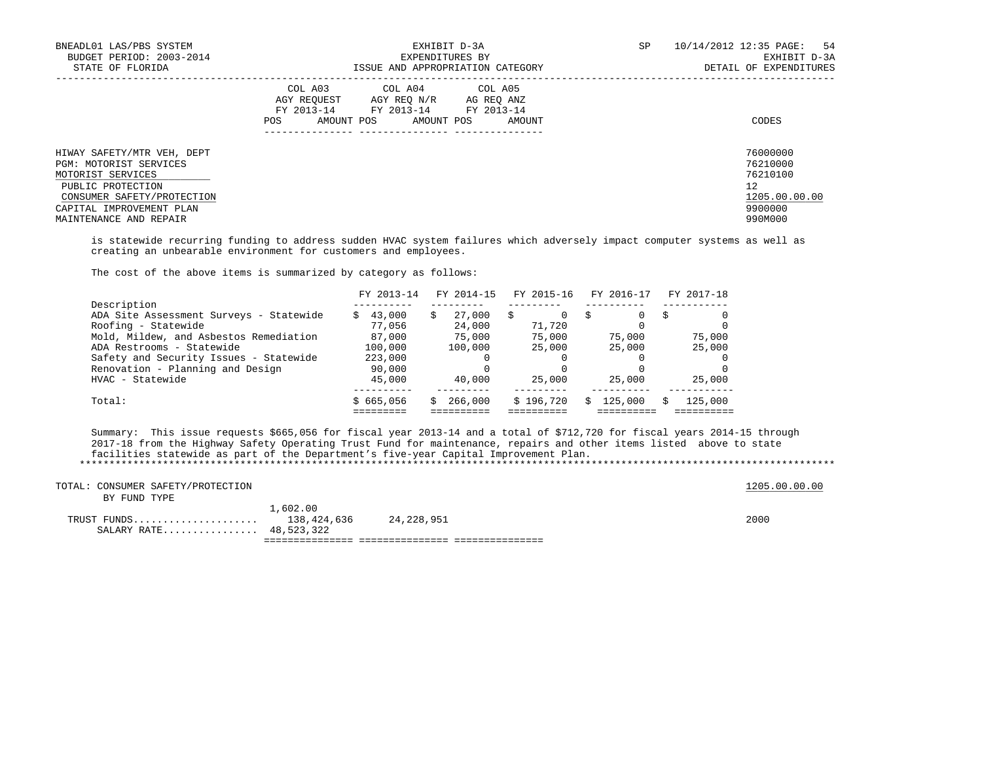| BNEADL01 LAS/PBS SYSTEM<br>BUDGET PERIOD: 2003-2014<br>STATE OF FLORIDA                                                                                                            | EXHIBIT D-3A<br>EXPENDITURES BY<br>ISSUE AND APPROPRIATION CATEGORY                                                                                     | SP<br>10/14/2012 12:35 PAGE: 54<br>EXHIBIT D-3A<br>DETAIL OF EXPENDITURES     |
|------------------------------------------------------------------------------------------------------------------------------------------------------------------------------------|---------------------------------------------------------------------------------------------------------------------------------------------------------|-------------------------------------------------------------------------------|
|                                                                                                                                                                                    | COL A03 COL A04 COL A05<br>AGY REOUEST<br>AGY REO N/R<br>AG REO ANZ<br>FY 2013-14<br>FY 2013-14 FY 2013-14<br>AMOUNT POS<br>AMOUNT POS<br>POS<br>AMOUNT | CODES                                                                         |
| HIWAY SAFETY/MTR VEH, DEPT<br>PGM: MOTORIST SERVICES<br>MOTORIST SERVICES<br>PUBLIC PROTECTION<br>CONSUMER SAFETY/PROTECTION<br>CAPITAL IMPROVEMENT PLAN<br>MAINTENANCE AND REPAIR |                                                                                                                                                         | 76000000<br>76210000<br>76210100<br>12<br>1205.00.00.00<br>9900000<br>990M000 |

 is statewide recurring funding to address sudden HVAC system failures which adversely impact computer systems as well as creating an unbearable environment for customers and employees.

The cost of the above items is summarized by category as follows:

|                                         | FY 2013-14   | FY 2014-15   | FY 2015-16 | FY 2016-17 | FY 2017-18 |
|-----------------------------------------|--------------|--------------|------------|------------|------------|
| Description                             |              |              |            |            |            |
| ADA Site Assessment Surveys - Statewide | 43,000<br>S. | 27,000<br>S. |            | 0          |            |
| Roofing - Statewide                     | 77,056       | 24,000       | 71,720     |            |            |
| Mold, Mildew, and Asbestos Remediation  | 87,000       | 75,000       | 75,000     | 75,000     | 75,000     |
| ADA Restrooms - Statewide               | 100,000      | 100,000      | 25,000     | 25,000     | 25,000     |
| Safety and Security Issues - Statewide  | 223,000      |              |            |            |            |
| Renovation - Planning and Design        | 90,000       |              |            |            |            |
| HVAC - Statewide                        | 45,000       | 40,000       | 25,000     | 25,000     | 25,000     |
| Total:                                  | \$665,056    | \$266,000    | \$196,720  | 125,000    | 125,000    |
|                                         |              |              |            |            |            |

 Summary: This issue requests \$665,056 for fiscal year 2013-14 and a total of \$712,720 for fiscal years 2014-15 through 2017-18 from the Highway Safety Operating Trust Fund for maintenance, repairs and other items listed above to state facilities statewide as part of the Department's five-year Capital Improvement Plan. \*\*\*\*\*\*\*\*\*\*\*\*\*\*\*\*\*\*\*\*\*\*\*\*\*\*\*\*\*\*\*\*\*\*\*\*\*\*\*\*\*\*\*\*\*\*\*\*\*\*\*\*\*\*\*\*\*\*\*\*\*\*\*\*\*\*\*\*\*\*\*\*\*\*\*\*\*\*\*\*\*\*\*\*\*\*\*\*\*\*\*\*\*\*\*\*\*\*\*\*\*\*\*\*\*\*\*\*\*\*\*\*\*\*\*\*\*\*\*\*\*\*\*\*\*\*\*

| TOTAL: CONSUMER SAFETY/PROTECTION<br>BY FUND TYPE |          |            | 1205.00.00.00 |
|---------------------------------------------------|----------|------------|---------------|
| TRUST FUNDS 138,424,636<br>SALARY RATE 48,523,322 | 1,602.00 | 24,228,951 | 2000          |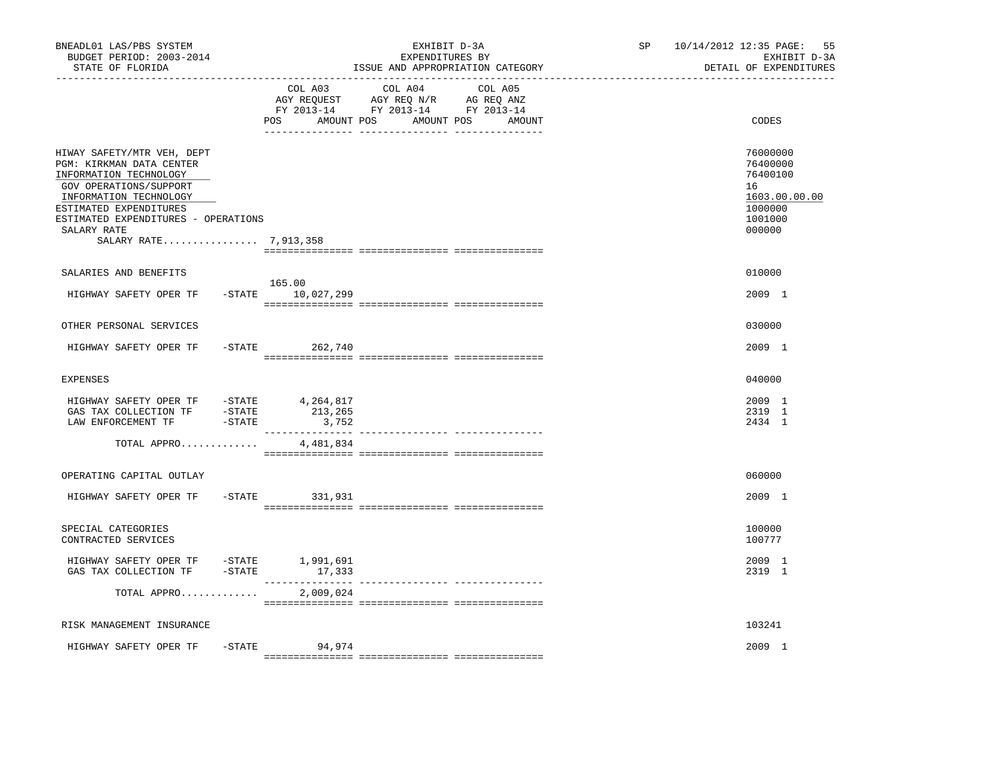| BNEADL01 LAS/PBS SYSTEM<br>BUDGET PERIOD: 2003-2014<br>STATE OF FLORIDA<br>----------------                                                                                                                                                   |           | _____________________________        | EXHIBIT D-3A<br>EXPENDITURES BY<br>ISSUE AND APPROPRIATION CATEGORY                                                  | SP | 55<br>10/14/2012 12:35 PAGE:<br>EXHIBIT D-3A<br>DETAIL OF EXPENDITURES                  |
|-----------------------------------------------------------------------------------------------------------------------------------------------------------------------------------------------------------------------------------------------|-----------|--------------------------------------|----------------------------------------------------------------------------------------------------------------------|----|-----------------------------------------------------------------------------------------|
|                                                                                                                                                                                                                                               |           | COL A03<br>POS<br>AMOUNT POS         | COL A04<br>COL A05<br>AGY REQUEST AGY REQ N/R AG REQ ANZ<br>FY 2013-14 FY 2013-14 FY 2013-14<br>AMOUNT POS<br>AMOUNT |    | CODES                                                                                   |
| HIWAY SAFETY/MTR VEH, DEPT<br>PGM: KIRKMAN DATA CENTER<br>INFORMATION TECHNOLOGY<br>GOV OPERATIONS/SUPPORT<br>INFORMATION TECHNOLOGY<br>ESTIMATED EXPENDITURES<br>ESTIMATED EXPENDITURES - OPERATIONS<br>SALARY RATE<br>SALARY RATE 7,913,358 |           |                                      |                                                                                                                      |    | 76000000<br>76400000<br>76400100<br>16<br>1603.00.00.00<br>1000000<br>1001000<br>000000 |
| SALARIES AND BENEFITS<br>HIGHWAY SAFETY OPER TF                                                                                                                                                                                               |           | 165.00<br>-STATE 10,027,299          |                                                                                                                      |    | 010000<br>2009 1                                                                        |
| OTHER PERSONAL SERVICES<br>HIGHWAY SAFETY OPER TF                                                                                                                                                                                             | $-STATE$  | 262,740                              |                                                                                                                      |    | 030000<br>2009 1                                                                        |
| <b>EXPENSES</b>                                                                                                                                                                                                                               |           |                                      |                                                                                                                      |    | 040000                                                                                  |
| HIGHWAY SAFETY OPER TF - STATE 4,264,817<br>GAS TAX COLLECTION TF - STATE<br>LAW ENFORCEMENT TF                                                                                                                                               | -STATE    | 213,265<br>3,752<br>________________ |                                                                                                                      |    | 2009 1<br>2319 1<br>2434 1                                                              |
| TOTAL APPRO                                                                                                                                                                                                                                   |           | 4,481,834                            |                                                                                                                      |    |                                                                                         |
| OPERATING CAPITAL OUTLAY                                                                                                                                                                                                                      |           |                                      |                                                                                                                      |    | 060000                                                                                  |
| HIGHWAY SAFETY OPER TF                                                                                                                                                                                                                        | $-$ STATE | 331,931                              |                                                                                                                      |    | 2009 1                                                                                  |
| SPECIAL CATEGORIES<br>CONTRACTED SERVICES                                                                                                                                                                                                     |           |                                      |                                                                                                                      |    | 100000<br>100777                                                                        |
| HIGHWAY SAFETY OPER TF -STATE 1,991,691<br>GAS TAX COLLECTION TF                                                                                                                                                                              | -STATE    | 17,333<br>________________           | ---------------- ----------------                                                                                    |    | 2009 1<br>2319 1                                                                        |
| TOTAL APPRO                                                                                                                                                                                                                                   |           | 2,009,024                            |                                                                                                                      |    |                                                                                         |
| RISK MANAGEMENT INSURANCE                                                                                                                                                                                                                     |           |                                      |                                                                                                                      |    | 103241                                                                                  |
| HIGHWAY SAFETY OPER TF                                                                                                                                                                                                                        | $-$ STATE | 94,974                               |                                                                                                                      |    | 2009 1                                                                                  |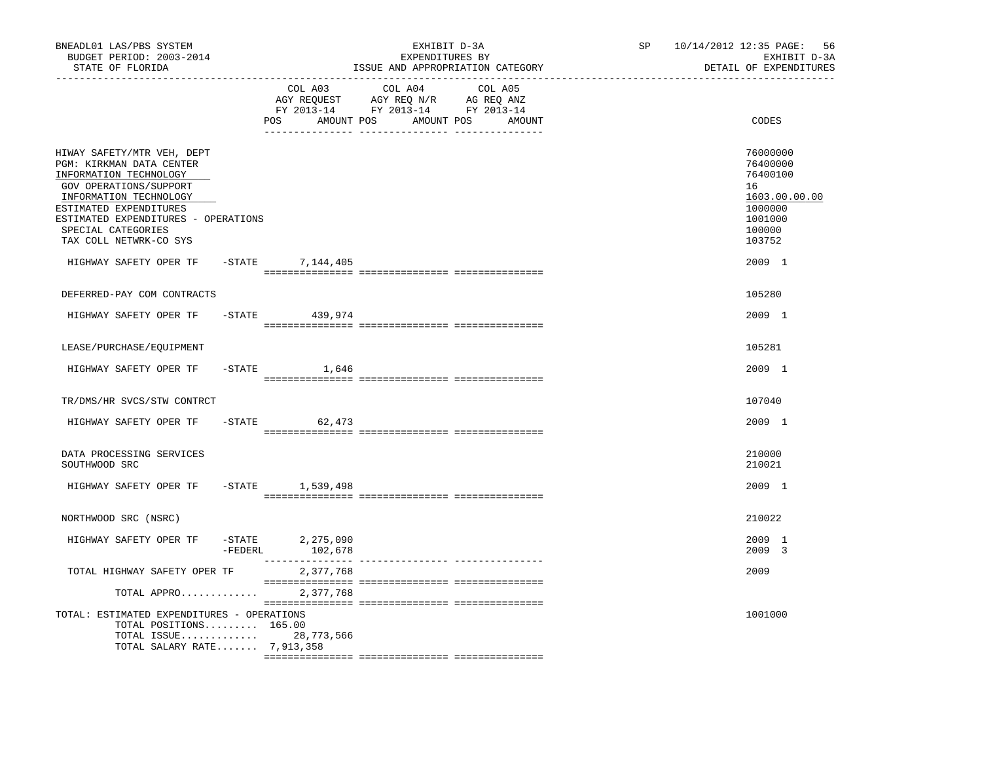| BNEADL01 LAS/PBS SYSTEM<br>BUDGET PERIOD: 2003-2014<br>STATE OF FLORIDA<br>-----------------                                                                                                                                                          |                             | EXHIBIT D-3A<br>EXPENDITURES BY<br>ISSUE AND APPROPRIATION CATEGORY                                                                                                                                                                                                                  | SP and the set of the set of the set of the set of the set of the set of the set of the set of the set of the set of the set of the set of the set of the set of the set of the set of the set of the set of the set of the se | 10/14/2012 12:35 PAGE:<br>56<br>EXHIBIT D-3A<br>DETAIL OF EXPENDITURES                            |
|-------------------------------------------------------------------------------------------------------------------------------------------------------------------------------------------------------------------------------------------------------|-----------------------------|--------------------------------------------------------------------------------------------------------------------------------------------------------------------------------------------------------------------------------------------------------------------------------------|--------------------------------------------------------------------------------------------------------------------------------------------------------------------------------------------------------------------------------|---------------------------------------------------------------------------------------------------|
|                                                                                                                                                                                                                                                       | COL A03                     | COL A04 COL A05<br>$\begin{tabular}{lllllll} \bf AGY \;\; REQUEST \hspace{1cm} AGY \;\; REQ \;\; N/R \hspace{1cm} AG \;\; REQ \;\; ANZ \\ \hline \tt FY \;\; 2013-14 \hspace{1cm} FY \;\; 2013-14 \hspace{1cm} FY \;\; 2013-14 \end{tabular}$<br>POS AMOUNT POS AMOUNT POS<br>AMOUNT |                                                                                                                                                                                                                                | CODES                                                                                             |
| HIWAY SAFETY/MTR VEH, DEPT<br>PGM: KIRKMAN DATA CENTER<br>INFORMATION TECHNOLOGY<br>GOV OPERATIONS/SUPPORT<br>INFORMATION TECHNOLOGY<br>ESTIMATED EXPENDITURES<br>ESTIMATED EXPENDITURES - OPERATIONS<br>SPECIAL CATEGORIES<br>TAX COLL NETWRK-CO SYS |                             |                                                                                                                                                                                                                                                                                      |                                                                                                                                                                                                                                | 76000000<br>76400000<br>76400100<br>16<br>1603.00.00.00<br>1000000<br>1001000<br>100000<br>103752 |
| HIGHWAY SAFETY OPER TF - STATE 7, 144, 405                                                                                                                                                                                                            |                             |                                                                                                                                                                                                                                                                                      |                                                                                                                                                                                                                                | 2009 1                                                                                            |
| DEFERRED-PAY COM CONTRACTS                                                                                                                                                                                                                            |                             |                                                                                                                                                                                                                                                                                      |                                                                                                                                                                                                                                | 105280                                                                                            |
| HIGHWAY SAFETY OPER TF                                                                                                                                                                                                                                | $-$ STATE 439, 974          |                                                                                                                                                                                                                                                                                      |                                                                                                                                                                                                                                | 2009 1                                                                                            |
| LEASE/PURCHASE/EQUIPMENT                                                                                                                                                                                                                              |                             |                                                                                                                                                                                                                                                                                      |                                                                                                                                                                                                                                | 105281                                                                                            |
| HIGHWAY SAFETY OPER TF                                                                                                                                                                                                                                | $-$ STATE $1,646$           |                                                                                                                                                                                                                                                                                      |                                                                                                                                                                                                                                | 2009 1                                                                                            |
| TR/DMS/HR SVCS/STW CONTRCT                                                                                                                                                                                                                            |                             |                                                                                                                                                                                                                                                                                      |                                                                                                                                                                                                                                | 107040                                                                                            |
| HIGHWAY SAFETY OPER TF                                                                                                                                                                                                                                | $-STATE$ 62,473             |                                                                                                                                                                                                                                                                                      |                                                                                                                                                                                                                                | 2009 1                                                                                            |
| DATA PROCESSING SERVICES<br>SOUTHWOOD SRC                                                                                                                                                                                                             |                             |                                                                                                                                                                                                                                                                                      |                                                                                                                                                                                                                                | 210000<br>210021                                                                                  |
| HIGHWAY SAFETY OPER TF - STATE 1,539,498                                                                                                                                                                                                              |                             |                                                                                                                                                                                                                                                                                      |                                                                                                                                                                                                                                | 2009 1                                                                                            |
| NORTHWOOD SRC (NSRC)                                                                                                                                                                                                                                  |                             |                                                                                                                                                                                                                                                                                      |                                                                                                                                                                                                                                | 210022                                                                                            |
| HIGHWAY SAFETY OPER TF<br>-FEDERL                                                                                                                                                                                                                     | -STATE 2,275,090<br>102,678 |                                                                                                                                                                                                                                                                                      |                                                                                                                                                                                                                                | 2009 1<br>2009 3                                                                                  |
| TOTAL HIGHWAY SAFETY OPER TF                                                                                                                                                                                                                          | 2,377,768                   |                                                                                                                                                                                                                                                                                      |                                                                                                                                                                                                                                | 2009                                                                                              |
| TOTAL APPRO                                                                                                                                                                                                                                           | 2,377,768                   |                                                                                                                                                                                                                                                                                      |                                                                                                                                                                                                                                |                                                                                                   |
| TOTAL: ESTIMATED EXPENDITURES - OPERATIONS<br>TOTAL POSITIONS 165.00<br>TOTAL ISSUE 28,773,566<br>TOTAL SALARY RATE 7,913,358                                                                                                                         |                             |                                                                                                                                                                                                                                                                                      |                                                                                                                                                                                                                                | 1001000                                                                                           |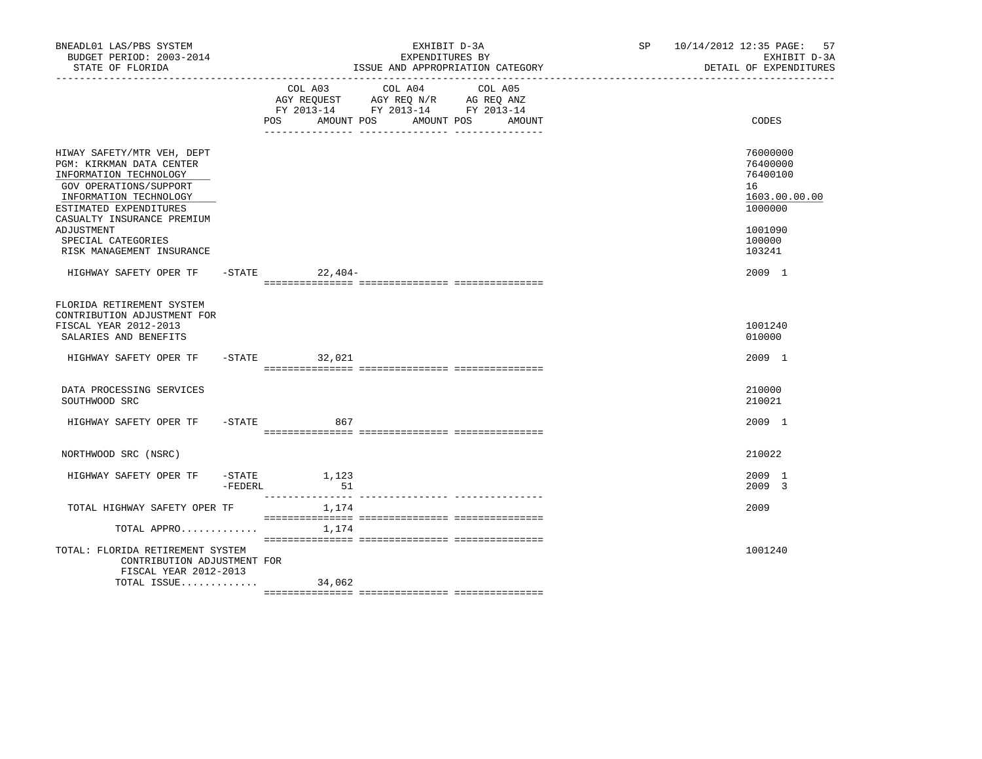| BNEADL01 LAS/PBS SYSTEM<br>BUDGET PERIOD: 2003-2014<br>STATE OF FLORIDA                                                                                                                      |            |                                              | EXHIBIT D-3A<br>EXPENDITURES BY<br>ISSUE AND APPROPRIATION CATEGORY                                                  | SP 10/14/2012 12:35 PAGE: 57<br>EXHIBIT D-3A<br>DETAIL OF EXPENDITURES |
|----------------------------------------------------------------------------------------------------------------------------------------------------------------------------------------------|------------|----------------------------------------------|----------------------------------------------------------------------------------------------------------------------|------------------------------------------------------------------------|
|                                                                                                                                                                                              |            | COL A03<br>AMOUNT POS<br>POS                 | COL A04<br>COL A05<br>AGY REQUEST AGY REQ N/R AG REQ ANZ<br>FY 2013-14 FY 2013-14 FY 2013-14<br>AMOUNT POS<br>AMOUNT | CODES                                                                  |
| HIWAY SAFETY/MTR VEH, DEPT<br>PGM: KIRKMAN DATA CENTER<br>INFORMATION TECHNOLOGY<br>GOV OPERATIONS/SUPPORT<br>INFORMATION TECHNOLOGY<br>ESTIMATED EXPENDITURES<br>CASUALTY INSURANCE PREMIUM |            |                                              |                                                                                                                      | 76000000<br>76400000<br>76400100<br>16<br>1603.00.00.00<br>1000000     |
| ADJUSTMENT<br>SPECIAL CATEGORIES<br>RISK MANAGEMENT INSURANCE                                                                                                                                |            |                                              |                                                                                                                      | 1001090<br>100000<br>103241                                            |
| HIGHWAY SAFETY OPER TF                                                                                                                                                                       |            | $-$ STATE 22, 404 -                          |                                                                                                                      | 2009 1                                                                 |
| FLORIDA RETIREMENT SYSTEM<br>CONTRIBUTION ADJUSTMENT FOR<br>FISCAL YEAR 2012-2013<br>SALARIES AND BENEFITS                                                                                   |            |                                              |                                                                                                                      | 1001240<br>010000                                                      |
| HIGHWAY SAFETY OPER TF - STATE 32,021                                                                                                                                                        |            |                                              |                                                                                                                      | 2009 1                                                                 |
| DATA PROCESSING SERVICES<br>SOUTHWOOD SRC                                                                                                                                                    |            |                                              |                                                                                                                      | 210000<br>210021                                                       |
| HIGHWAY SAFETY OPER TF                                                                                                                                                                       | $-$ STATE  | 867                                          |                                                                                                                      | 2009 1                                                                 |
| NORTHWOOD SRC (NSRC)                                                                                                                                                                         |            |                                              |                                                                                                                      | 210022                                                                 |
| HIGHWAY SAFETY OPER TF                                                                                                                                                                       | $-$ FEDERL | $-$ STATE $1, 123$<br>51<br>---------------- |                                                                                                                      | 2009 1<br>2009 3                                                       |
| TOTAL HIGHWAY SAFETY OPER TF                                                                                                                                                                 |            | 1,174                                        |                                                                                                                      | 2009                                                                   |
| TOTAL APPRO                                                                                                                                                                                  |            | 1,174                                        |                                                                                                                      |                                                                        |
| TOTAL: FLORIDA RETIREMENT SYSTEM<br>CONTRIBUTION ADJUSTMENT FOR<br>FISCAL YEAR 2012-2013                                                                                                     |            |                                              |                                                                                                                      | 1001240                                                                |
| TOTAL ISSUE                                                                                                                                                                                  |            | 34,062                                       |                                                                                                                      |                                                                        |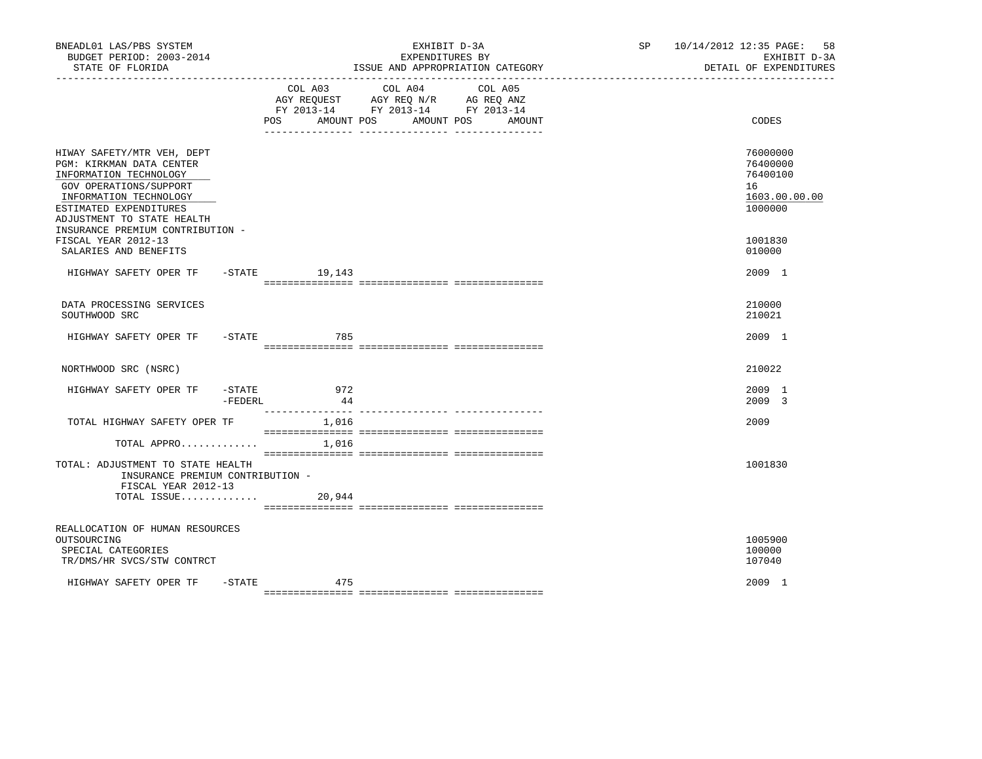| BNEADL01 LAS/PBS SYSTEM<br>BUDGET PERIOD: 2003-2014<br>STATE OF FLORIDA                                                                                                                      |                        |                              | EXHIBIT D-3A<br>EXPENDITURES BY<br>ISSUE AND APPROPRIATION CATEGORY                                                  | SP 10/14/2012 12:35 PAGE:<br>58<br>EXHIBIT D-3A<br>DETAIL OF EXPENDITURES |
|----------------------------------------------------------------------------------------------------------------------------------------------------------------------------------------------|------------------------|------------------------------|----------------------------------------------------------------------------------------------------------------------|---------------------------------------------------------------------------|
|                                                                                                                                                                                              |                        | COL A03<br>AMOUNT POS<br>POS | COL A04<br>COL A05<br>AGY REQUEST AGY REQ N/R AG REQ ANZ<br>FY 2013-14 FY 2013-14 FY 2013-14<br>AMOUNT POS<br>AMOUNT | CODES                                                                     |
| HIWAY SAFETY/MTR VEH, DEPT<br>PGM: KIRKMAN DATA CENTER<br>INFORMATION TECHNOLOGY<br>GOV OPERATIONS/SUPPORT<br>INFORMATION TECHNOLOGY<br>ESTIMATED EXPENDITURES<br>ADJUSTMENT TO STATE HEALTH |                        |                              |                                                                                                                      | 76000000<br>76400000<br>76400100<br>16<br>1603.00.00.00<br>1000000        |
| INSURANCE PREMIUM CONTRIBUTION -<br>FISCAL YEAR 2012-13<br>SALARIES AND BENEFITS                                                                                                             |                        |                              |                                                                                                                      | 1001830<br>010000                                                         |
| HIGHWAY SAFETY OPER TF -STATE 19,143                                                                                                                                                         |                        |                              |                                                                                                                      | 2009 1                                                                    |
| DATA PROCESSING SERVICES<br>SOUTHWOOD SRC                                                                                                                                                    |                        |                              |                                                                                                                      | 210000<br>210021                                                          |
| HIGHWAY SAFETY OPER TF - STATE                                                                                                                                                               |                        | 785                          |                                                                                                                      | 2009 1                                                                    |
| NORTHWOOD SRC (NSRC)                                                                                                                                                                         |                        |                              |                                                                                                                      | 210022                                                                    |
| HIGHWAY SAFETY OPER TF                                                                                                                                                                       | $-$ STATE<br>$-FEDERL$ | 972<br>44                    |                                                                                                                      | 2009 1<br>2009 3                                                          |
| TOTAL HIGHWAY SAFETY OPER TF                                                                                                                                                                 |                        | 1,016                        |                                                                                                                      | 2009                                                                      |
| TOTAL APPRO                                                                                                                                                                                  |                        | 1,016                        |                                                                                                                      |                                                                           |
| TOTAL: ADJUSTMENT TO STATE HEALTH<br>INSURANCE PREMIUM CONTRIBUTION -<br>FISCAL YEAR 2012-13                                                                                                 |                        |                              |                                                                                                                      | 1001830                                                                   |
| TOTAL ISSUE                                                                                                                                                                                  |                        | 20,944                       |                                                                                                                      |                                                                           |
| REALLOCATION OF HUMAN RESOURCES<br>OUTSOURCING<br>SPECIAL CATEGORIES<br>TR/DMS/HR SVCS/STW CONTRCT                                                                                           |                        |                              |                                                                                                                      | 1005900<br>100000<br>107040                                               |
| HIGHWAY SAFETY OPER TF - STATE                                                                                                                                                               |                        | 475                          |                                                                                                                      | 2009 1                                                                    |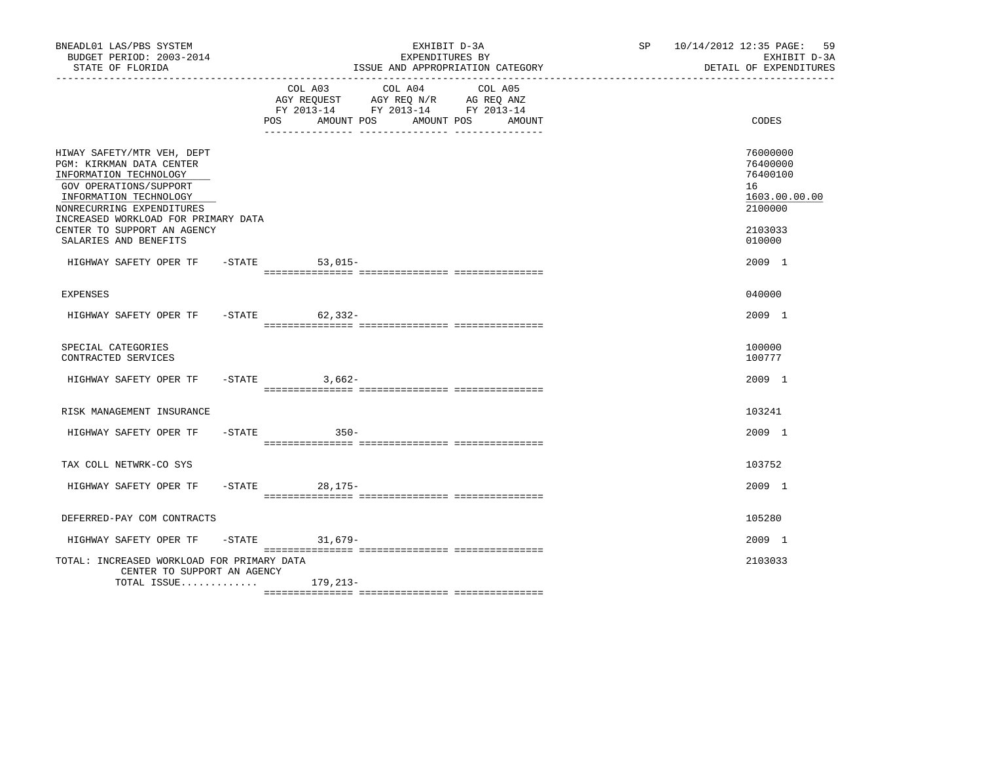| BNEADL01 LAS/PBS SYSTEM<br>BUDGET PERIOD: 2003-2014<br>STATE OF FLORIDA                                                                                                                                                                 |     |                                                                                      | EXHIBIT D-3A<br>EXPENDITURES BY | ISSUE AND APPROPRIATION CATEGORY | SP 10/14/2012 12:35 PAGE: 59<br>EXHIBIT D-3A<br>DETAIL OF EXPENDITURES        |  |
|-----------------------------------------------------------------------------------------------------------------------------------------------------------------------------------------------------------------------------------------|-----|--------------------------------------------------------------------------------------|---------------------------------|----------------------------------|-------------------------------------------------------------------------------|--|
|                                                                                                                                                                                                                                         | POS | AGY REQUEST AGY REQ N/R AG REQ ANZ<br>FY 2013-14 FY 2013-14 FY 2013-14<br>AMOUNT POS | COL A03 COL A04 COL A05         | AMOUNT POS<br>AMOUNT             | CODES                                                                         |  |
| HIWAY SAFETY/MTR VEH, DEPT<br>PGM: KIRKMAN DATA CENTER<br>INFORMATION TECHNOLOGY<br>GOV OPERATIONS/SUPPORT<br>INFORMATION TECHNOLOGY<br>NONRECURRING EXPENDITURES<br>INCREASED WORKLOAD FOR PRIMARY DATA<br>CENTER TO SUPPORT AN AGENCY |     |                                                                                      |                                 |                                  | 76000000<br>76400000<br>76400100<br>16<br>1603.00.00.00<br>2100000<br>2103033 |  |
| SALARIES AND BENEFITS<br>HIGHWAY SAFETY OPER TF - STATE                                                                                                                                                                                 |     | $53,015-$                                                                            |                                 |                                  | 010000<br>2009 1                                                              |  |
| <b>EXPENSES</b>                                                                                                                                                                                                                         |     |                                                                                      |                                 |                                  | 040000                                                                        |  |
| HIGHWAY SAFETY OPER TF -STATE 62,332-                                                                                                                                                                                                   |     |                                                                                      |                                 |                                  | 2009 1                                                                        |  |
| SPECIAL CATEGORIES<br>CONTRACTED SERVICES                                                                                                                                                                                               |     |                                                                                      |                                 |                                  | 100000<br>100777                                                              |  |
| HIGHWAY SAFETY OPER TF                                                                                                                                                                                                                  |     | $-STATE$ 3,662-                                                                      |                                 |                                  | 2009 1                                                                        |  |
| RISK MANAGEMENT INSURANCE                                                                                                                                                                                                               |     |                                                                                      |                                 |                                  | 103241                                                                        |  |
| HIGHWAY SAFETY OPER TF - STATE                                                                                                                                                                                                          |     | $350-$                                                                               |                                 |                                  | 2009 1                                                                        |  |
| TAX COLL NETWRK-CO SYS                                                                                                                                                                                                                  |     |                                                                                      |                                 |                                  | 103752                                                                        |  |
| HIGHWAY SAFETY OPER TF                                                                                                                                                                                                                  |     | -STATE 28, 175-                                                                      |                                 |                                  | $2009$ 1                                                                      |  |
| DEFERRED-PAY COM CONTRACTS                                                                                                                                                                                                              |     |                                                                                      |                                 |                                  | 105280                                                                        |  |
| HIGHWAY SAFETY OPER TF -STATE 31,679-                                                                                                                                                                                                   |     |                                                                                      |                                 |                                  | 2009 1                                                                        |  |
| TOTAL: INCREASED WORKLOAD FOR PRIMARY DATA<br>CENTER TO SUPPORT AN AGENCY                                                                                                                                                               |     |                                                                                      |                                 |                                  | 2103033                                                                       |  |
| TOTAL ISSUE $179,213-$                                                                                                                                                                                                                  |     |                                                                                      |                                 |                                  |                                                                               |  |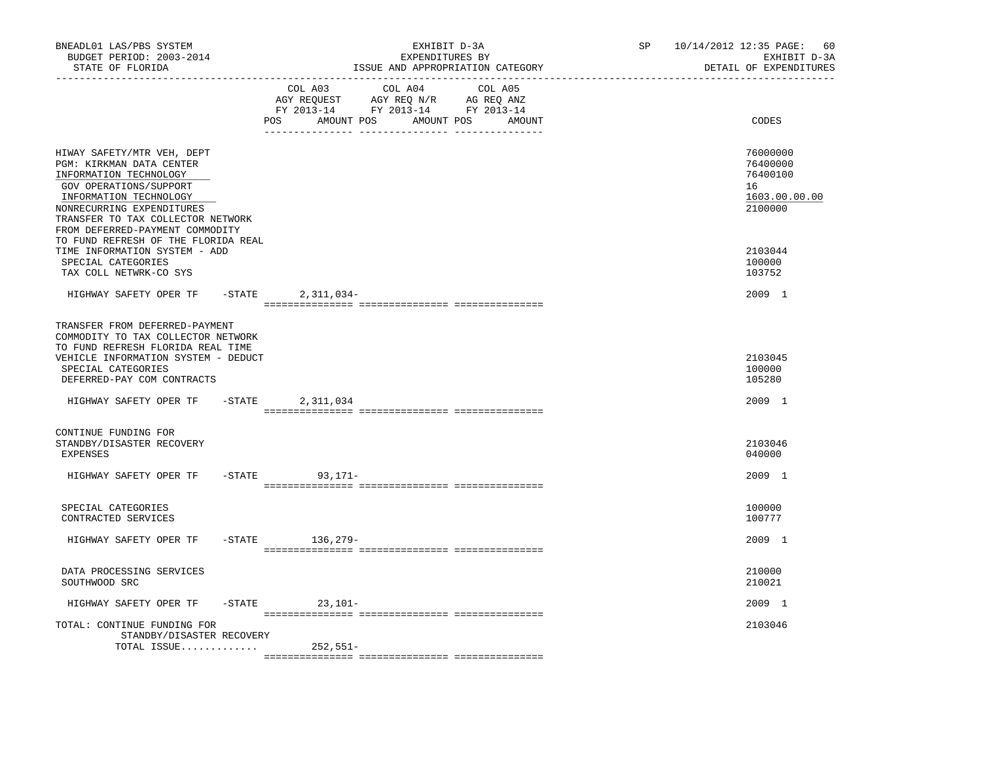| BNEADL01 LAS/PBS SYSTEM<br>BUDGET PERIOD: 2003-2014<br>STATE OF FLORIDA<br>---------------                                                                                                                                                | EXHIBIT D-3A<br>EXPENDITURES BY<br>ISSUE AND APPROPRIATION CATEGORY                                                                   | SP and the set of the set of the set of the set of the set of the set of the set of the set of the set of the set of the set of the set of the set of the set of the set of the set of the set of the set of the set of the se | 10/14/2012 12:35 PAGE:<br>60<br>EXHIBIT D-3A<br>DETAIL OF EXPENDITURES |
|-------------------------------------------------------------------------------------------------------------------------------------------------------------------------------------------------------------------------------------------|---------------------------------------------------------------------------------------------------------------------------------------|--------------------------------------------------------------------------------------------------------------------------------------------------------------------------------------------------------------------------------|------------------------------------------------------------------------|
|                                                                                                                                                                                                                                           | COL A03 COL A04 COL A05<br>AGY REQUEST AGY REQ N/R AG REQ ANZ<br>FY 2013-14 FY 2013-14 FY 2013-14<br>POS AMOUNT POS AMOUNT POS AMOUNT |                                                                                                                                                                                                                                | CODES                                                                  |
| HIWAY SAFETY/MTR VEH, DEPT<br>PGM: KIRKMAN DATA CENTER<br>INFORMATION TECHNOLOGY<br>GOV OPERATIONS/SUPPORT<br>INFORMATION TECHNOLOGY<br>NONRECURRING EXPENDITURES<br>TRANSFER TO TAX COLLECTOR NETWORK<br>FROM DEFERRED-PAYMENT COMMODITY |                                                                                                                                       |                                                                                                                                                                                                                                | 76000000<br>76400000<br>76400100<br>16<br>1603.00.00.00<br>2100000     |
| TO FUND REFRESH OF THE FLORIDA REAL<br>TIME INFORMATION SYSTEM - ADD<br>SPECIAL CATEGORIES<br>TAX COLL NETWRK-CO SYS                                                                                                                      |                                                                                                                                       |                                                                                                                                                                                                                                | 2103044<br>100000<br>103752                                            |
| HIGHWAY SAFETY OPER TF -STATE 2,311,034-                                                                                                                                                                                                  |                                                                                                                                       |                                                                                                                                                                                                                                | 2009 1                                                                 |
| TRANSFER FROM DEFERRED-PAYMENT<br>COMMODITY TO TAX COLLECTOR NETWORK<br>TO FUND REFRESH FLORIDA REAL TIME<br>VEHICLE INFORMATION SYSTEM - DEDUCT<br>SPECIAL CATEGORIES<br>DEFERRED-PAY COM CONTRACTS<br>HIGHWAY SAFETY OPER TF - STATE    | 2,311,034                                                                                                                             |                                                                                                                                                                                                                                | 2103045<br>100000<br>105280<br>2009 1                                  |
| CONTINUE FUNDING FOR<br>STANDBY/DISASTER RECOVERY<br><b>EXPENSES</b>                                                                                                                                                                      |                                                                                                                                       |                                                                                                                                                                                                                                | 2103046<br>040000                                                      |
| HIGHWAY SAFETY OPER TF                                                                                                                                                                                                                    | $-STATE$ 93, 171-                                                                                                                     |                                                                                                                                                                                                                                | 2009 1                                                                 |
| SPECIAL CATEGORIES<br>CONTRACTED SERVICES                                                                                                                                                                                                 |                                                                                                                                       |                                                                                                                                                                                                                                | 100000<br>100777                                                       |
| HIGHWAY SAFETY OPER TF                                                                                                                                                                                                                    | -STATE 136,279-                                                                                                                       |                                                                                                                                                                                                                                | 2009 1                                                                 |
| DATA PROCESSING SERVICES<br>SOUTHWOOD SRC                                                                                                                                                                                                 |                                                                                                                                       |                                                                                                                                                                                                                                | 210000<br>210021                                                       |
| HIGHWAY SAFETY OPER TF                                                                                                                                                                                                                    | $-STATE$ 23, 101-                                                                                                                     |                                                                                                                                                                                                                                | 2009 1                                                                 |
| TOTAL: CONTINUE FUNDING FOR<br>STANDBY/DISASTER RECOVERY<br>TOTAL ISSUE                                                                                                                                                                   | 252,551-                                                                                                                              |                                                                                                                                                                                                                                | 2103046                                                                |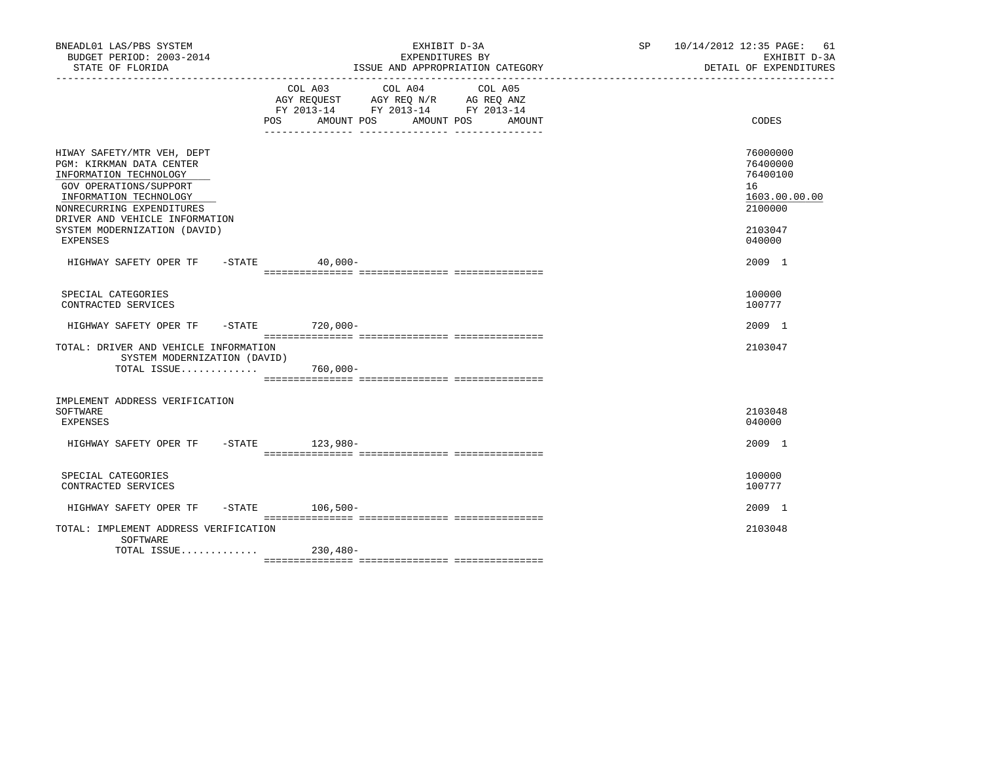| BNEADL01 LAS/PBS SYSTEM<br>BUDGET PERIOD: 2003-2014<br>STATE OF FLORIDA                                                                                                                                                                         | EXHIBIT D-3A<br>EXPENDITURES BY<br>ISSUE AND APPROPRIATION CATEGORY<br>__________________________________                                         | SP 10/14/2012 12:35 PAGE: 61<br>EXHIBIT D-3A<br>DETAIL OF EXPENDITURES                  |
|-------------------------------------------------------------------------------------------------------------------------------------------------------------------------------------------------------------------------------------------------|---------------------------------------------------------------------------------------------------------------------------------------------------|-----------------------------------------------------------------------------------------|
|                                                                                                                                                                                                                                                 | COL A03<br>COL A04<br>COL A05<br>AGY REQUEST AGY REQ N/R AG REQ ANZ<br>FY 2013-14 FY 2013-14 FY 2013-14<br>POS AMOUNT POS<br>AMOUNT POS<br>AMOUNT | CODES                                                                                   |
| HIWAY SAFETY/MTR VEH, DEPT<br>PGM: KIRKMAN DATA CENTER<br>INFORMATION TECHNOLOGY<br>GOV OPERATIONS/SUPPORT<br>INFORMATION TECHNOLOGY<br>NONRECURRING EXPENDITURES<br>DRIVER AND VEHICLE INFORMATION<br>SYSTEM MODERNIZATION (DAVID)<br>EXPENSES |                                                                                                                                                   | 76000000<br>76400000<br>76400100<br>16<br>1603.00.00.00<br>2100000<br>2103047<br>040000 |
| HIGHWAY SAFETY OPER TF -STATE 40,000-                                                                                                                                                                                                           |                                                                                                                                                   | 2009 1                                                                                  |
| SPECIAL CATEGORIES<br>CONTRACTED SERVICES                                                                                                                                                                                                       |                                                                                                                                                   | 100000<br>100777                                                                        |
| HIGHWAY SAFETY OPER TF -STATE 720,000-                                                                                                                                                                                                          |                                                                                                                                                   | 2009 1                                                                                  |
| TOTAL: DRIVER AND VEHICLE INFORMATION<br>SYSTEM MODERNIZATION (DAVID)<br>TOTAL ISSUE 760,000-                                                                                                                                                   |                                                                                                                                                   | 2103047                                                                                 |
| IMPLEMENT ADDRESS VERIFICATION<br>SOFTWARE<br>EXPENSES                                                                                                                                                                                          |                                                                                                                                                   | 2103048<br>040000                                                                       |
| HIGHWAY SAFETY OPER TF -STATE 123,980-                                                                                                                                                                                                          |                                                                                                                                                   | 2009 1                                                                                  |
| SPECIAL CATEGORIES<br>CONTRACTED SERVICES                                                                                                                                                                                                       |                                                                                                                                                   | 100000<br>100777                                                                        |
| HIGHWAY SAFETY OPER TF -STATE 106,500-                                                                                                                                                                                                          |                                                                                                                                                   | 2009 1                                                                                  |
| TOTAL: IMPLEMENT ADDRESS VERIFICATION<br>SOFTWARE                                                                                                                                                                                               |                                                                                                                                                   | 2103048                                                                                 |
| TOTAL ISSUE 230,480-                                                                                                                                                                                                                            |                                                                                                                                                   |                                                                                         |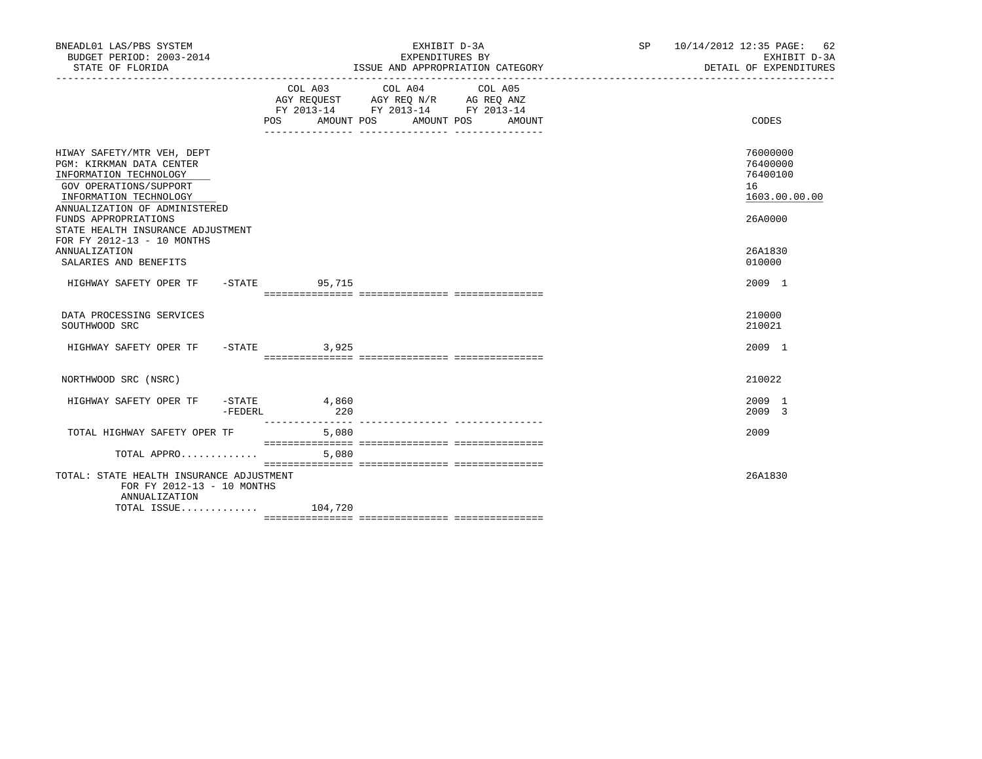| BNEADL01 LAS/PBS SYSTEM<br>BUDGET PERIOD: 2003-2014<br>STATE OF FLORIDA                                                                                                                                                                                          |                | EXHIBIT D-3A<br>EXPENDITURES BY<br>ISSUE AND APPROPRIATION CATEGORY                                                                        | SP 10/14/2012 12:35 PAGE: 62 | EXHIBIT D-3A<br>DETAIL OF EXPENDITURES                             |
|------------------------------------------------------------------------------------------------------------------------------------------------------------------------------------------------------------------------------------------------------------------|----------------|--------------------------------------------------------------------------------------------------------------------------------------------|------------------------------|--------------------------------------------------------------------|
|                                                                                                                                                                                                                                                                  | POS            | COL A03 COL A04<br>COL A05<br>AGY REQUEST AGY REQ N/R AG REQ ANZ<br>FY 2013-14 FY 2013-14 FY 2013-14<br>AMOUNT POS<br>AMOUNT POS<br>AMOUNT |                              | CODES                                                              |
| HIWAY SAFETY/MTR VEH, DEPT<br>PGM: KIRKMAN DATA CENTER<br>INFORMATION TECHNOLOGY<br>GOV OPERATIONS/SUPPORT<br>INFORMATION TECHNOLOGY<br>ANNUALIZATION OF ADMINISTERED<br>FUNDS APPROPRIATIONS<br>STATE HEALTH INSURANCE ADJUSTMENT<br>FOR FY 2012-13 - 10 MONTHS |                |                                                                                                                                            |                              | 76000000<br>76400000<br>76400100<br>16<br>1603.00.00.00<br>26A0000 |
| ANNUALIZATION<br>SALARIES AND BENEFITS                                                                                                                                                                                                                           |                |                                                                                                                                            |                              | 26A1830<br>010000                                                  |
| HIGHWAY SAFETY OPER TF - STATE 55,715                                                                                                                                                                                                                            |                |                                                                                                                                            |                              | 2009 1                                                             |
| DATA PROCESSING SERVICES<br>SOUTHWOOD SRC                                                                                                                                                                                                                        |                |                                                                                                                                            |                              | 210000<br>210021                                                   |
| HIGHWAY SAFETY OPER TF -STATE 3,925                                                                                                                                                                                                                              |                |                                                                                                                                            |                              | $2009$ 1                                                           |
| NORTHWOOD SRC (NSRC)                                                                                                                                                                                                                                             |                |                                                                                                                                            |                              | 210022                                                             |
| HIGHWAY SAFETY OPER TF -STATE 4,860                                                                                                                                                                                                                              | 220<br>-FEDERL |                                                                                                                                            |                              | 2009 1<br>2009 3                                                   |
| TOTAL HIGHWAY SAFETY OPER TF                                                                                                                                                                                                                                     | 5,080          |                                                                                                                                            |                              | 2009                                                               |
| TOTAL APPRO<br>TOTAL: STATE HEALTH INSURANCE ADJUSTMENT<br>FOR FY 2012-13 - 10 MONTHS<br>ANNUALIZATION<br>TOTAL ISSUE 104,720                                                                                                                                    | 5,080          |                                                                                                                                            |                              | 26A1830                                                            |
|                                                                                                                                                                                                                                                                  |                |                                                                                                                                            |                              |                                                                    |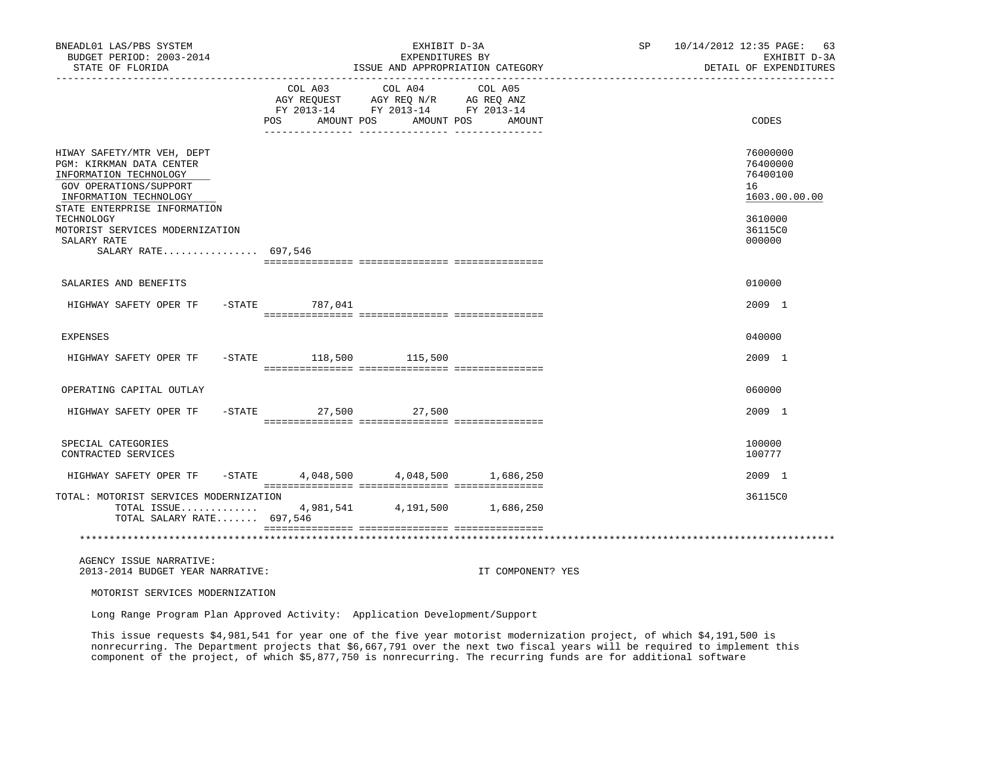| BNEADL01 LAS/PBS SYSTEM<br>BUDGET PERIOD: 2003-2014<br>STATE OF FLORIDA                                                                                                                                               | EXHIBIT D-3A<br>EXPENDITURES BY<br>ISSUE AND APPROPRIATION CATEGORY                                                          |                                                                                                                 |                   | SP 10/14/2012 12:35 PAGE: 63<br>EXHIBIT D-3A<br>DETAIL OF EXPENDITURES        |
|-----------------------------------------------------------------------------------------------------------------------------------------------------------------------------------------------------------------------|------------------------------------------------------------------------------------------------------------------------------|-----------------------------------------------------------------------------------------------------------------|-------------------|-------------------------------------------------------------------------------|
|                                                                                                                                                                                                                       | POS FOR THE POST OF THE STATE STATE STATE STATE STATE STATE STATE STATE STATE STATE STATE STATE STATE STATE ST<br>AMOUNT POS | COL A03 COL A04 COL A05<br>AGY REQUEST AGY REQ N/R AG REQ ANZ<br>FY 2013-14 FY 2013-14 FY 2013-14<br>AMOUNT POS | AMOUNT            | CODES                                                                         |
| HIWAY SAFETY/MTR VEH, DEPT<br>PGM: KIRKMAN DATA CENTER<br>INFORMATION TECHNOLOGY<br>GOV OPERATIONS/SUPPORT<br>INFORMATION TECHNOLOGY<br>STATE ENTERPRISE INFORMATION<br>TECHNOLOGY<br>MOTORIST SERVICES MODERNIZATION |                                                                                                                              |                                                                                                                 |                   | 76000000<br>76400000<br>76400100<br>16<br>1603.00.00.00<br>3610000<br>36115C0 |
| SALARY RATE<br>SALARY RATE 697,546                                                                                                                                                                                    |                                                                                                                              |                                                                                                                 |                   | 000000                                                                        |
|                                                                                                                                                                                                                       |                                                                                                                              |                                                                                                                 |                   |                                                                               |
| SALARIES AND BENEFITS                                                                                                                                                                                                 |                                                                                                                              |                                                                                                                 |                   | 010000                                                                        |
| HIGHWAY SAFETY OPER TF - STATE 787,041                                                                                                                                                                                |                                                                                                                              |                                                                                                                 |                   | 2009 1                                                                        |
| <b>EXPENSES</b>                                                                                                                                                                                                       |                                                                                                                              |                                                                                                                 |                   | 040000                                                                        |
| HIGHWAY SAFETY OPER TF                                                                                                                                                                                                | -STATE 118,500 115,500                                                                                                       |                                                                                                                 |                   | 2009 1                                                                        |
| OPERATING CAPITAL OUTLAY                                                                                                                                                                                              |                                                                                                                              |                                                                                                                 |                   | 060000                                                                        |
| HIGHWAY SAFETY OPER TF                                                                                                                                                                                                | -STATE 27,500 27,500                                                                                                         |                                                                                                                 |                   | 2009 1                                                                        |
| SPECIAL CATEGORIES<br>CONTRACTED SERVICES                                                                                                                                                                             |                                                                                                                              |                                                                                                                 |                   | 100000<br>100777                                                              |
| HIGHWAY SAFETY OPER TF                                                                                                                                                                                                | $-$ STATE 4,048,500 4,048,500 1,686,250                                                                                      |                                                                                                                 |                   | 2009 1                                                                        |
| TOTAL: MOTORIST SERVICES MODERNIZATION<br>TOTAL ISSUE 4,981,541 4,191,500 1,686,250<br>TOTAL SALARY RATE 697,546                                                                                                      |                                                                                                                              |                                                                                                                 |                   | 36115C0                                                                       |
|                                                                                                                                                                                                                       |                                                                                                                              |                                                                                                                 |                   |                                                                               |
| AGENCY ISSUE NARRATIVE:<br>2013-2014 BUDGET YEAR NARRATIVE:                                                                                                                                                           |                                                                                                                              |                                                                                                                 | IT COMPONENT? YES |                                                                               |
| MOTORIST SERVICES MODERNIZATION                                                                                                                                                                                       |                                                                                                                              |                                                                                                                 |                   |                                                                               |

Long Range Program Plan Approved Activity: Application Development/Support

 This issue requests \$4,981,541 for year one of the five year motorist modernization project, of which \$4,191,500 is nonrecurring. The Department projects that \$6,667,791 over the next two fiscal years will be required to implement this component of the project, of which \$5,877,750 is nonrecurring. The recurring funds are for additional software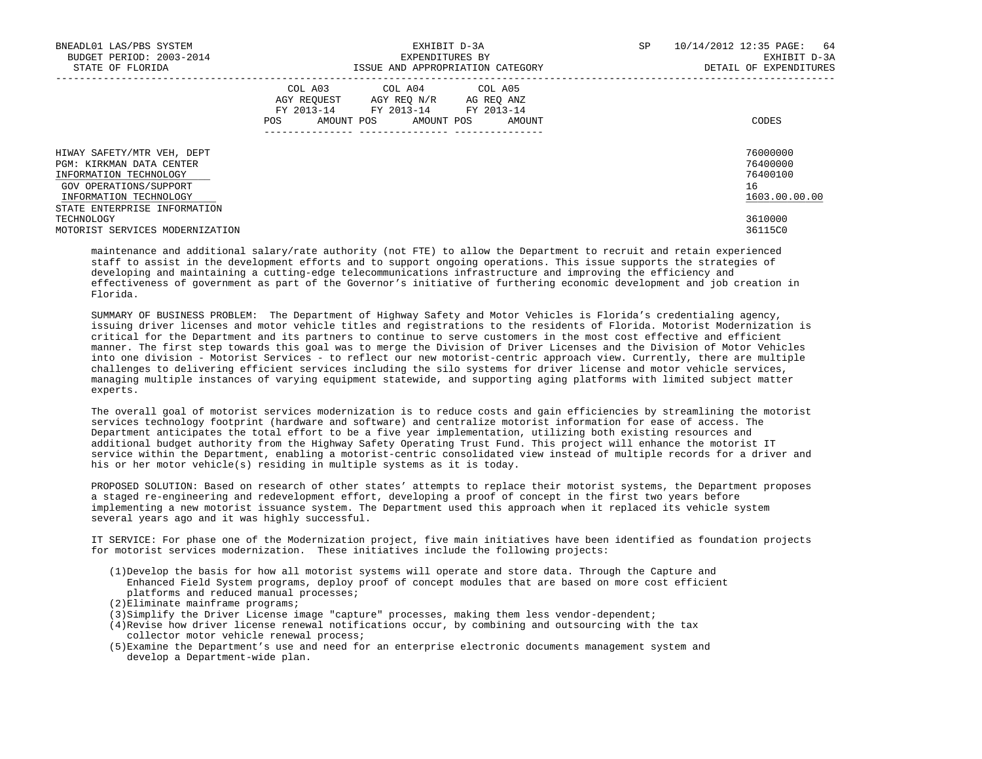| BNEADL01 LAS/PBS SYSTEM<br>BUDGET PERIOD: 2003-2014<br>STATE OF FLORIDA                                                                                              | EXHIBIT D-3A<br>EXPENDITURES BY<br>ISSUE AND APPROPRIATION CATEGORY                                                                            | 10/14/2012 12:35 PAGE: 64<br>SP<br>EXHIBIT D-3A<br>DETAIL OF EXPENDITURES |
|----------------------------------------------------------------------------------------------------------------------------------------------------------------------|------------------------------------------------------------------------------------------------------------------------------------------------|---------------------------------------------------------------------------|
|                                                                                                                                                                      | COL A03 COL A04 COL A05<br>AGY REQUEST AGY REO N/R AG REO ANZ<br>FY 2013-14 FY 2013-14 FY 2013-14<br>AMOUNT POS<br>AMOUNT POS<br>POS<br>AMOUNT | CODES                                                                     |
| HIWAY SAFETY/MTR VEH, DEPT<br>PGM: KIRKMAN DATA CENTER<br>INFORMATION TECHNOLOGY<br>GOV OPERATIONS/SUPPORT<br>INFORMATION TECHNOLOGY<br>STATE ENTERPRISE INFORMATION |                                                                                                                                                | 76000000<br>76400000<br>76400100<br>16<br>1603.00.00.00                   |
| TECHNOLOGY<br>MOTORIST SERVICES MODERNIZATION                                                                                                                        |                                                                                                                                                | 3610000<br>36115C0                                                        |

 maintenance and additional salary/rate authority (not FTE) to allow the Department to recruit and retain experienced staff to assist in the development efforts and to support ongoing operations. This issue supports the strategies of developing and maintaining a cutting-edge telecommunications infrastructure and improving the efficiency and effectiveness of government as part of the Governor's initiative of furthering economic development and job creation in Florida.

 SUMMARY OF BUSINESS PROBLEM: The Department of Highway Safety and Motor Vehicles is Florida's credentialing agency, issuing driver licenses and motor vehicle titles and registrations to the residents of Florida. Motorist Modernization is critical for the Department and its partners to continue to serve customers in the most cost effective and efficient manner. The first step towards this goal was to merge the Division of Driver Licenses and the Division of Motor Vehicles into one division - Motorist Services - to reflect our new motorist-centric approach view. Currently, there are multiple challenges to delivering efficient services including the silo systems for driver license and motor vehicle services, managing multiple instances of varying equipment statewide, and supporting aging platforms with limited subject matter experts.

 The overall goal of motorist services modernization is to reduce costs and gain efficiencies by streamlining the motorist services technology footprint (hardware and software) and centralize motorist information for ease of access. The Department anticipates the total effort to be a five year implementation, utilizing both existing resources and additional budget authority from the Highway Safety Operating Trust Fund. This project will enhance the motorist IT service within the Department, enabling a motorist-centric consolidated view instead of multiple records for a driver and his or her motor vehicle(s) residing in multiple systems as it is today.

 PROPOSED SOLUTION: Based on research of other states' attempts to replace their motorist systems, the Department proposes a staged re-engineering and redevelopment effort, developing a proof of concept in the first two years before implementing a new motorist issuance system. The Department used this approach when it replaced its vehicle system several years ago and it was highly successful.

 IT SERVICE: For phase one of the Modernization project, five main initiatives have been identified as foundation projects for motorist services modernization. These initiatives include the following projects:

- (1)Develop the basis for how all motorist systems will operate and store data. Through the Capture and Enhanced Field System programs, deploy proof of concept modules that are based on more cost efficient platforms and reduced manual processes;
- (2)Eliminate mainframe programs;
- (3)Simplify the Driver License image "capture" processes, making them less vendor-dependent;
- (4)Revise how driver license renewal notifications occur, by combining and outsourcing with the tax collector motor vehicle renewal process;
- (5)Examine the Department's use and need for an enterprise electronic documents management system and develop a Department-wide plan.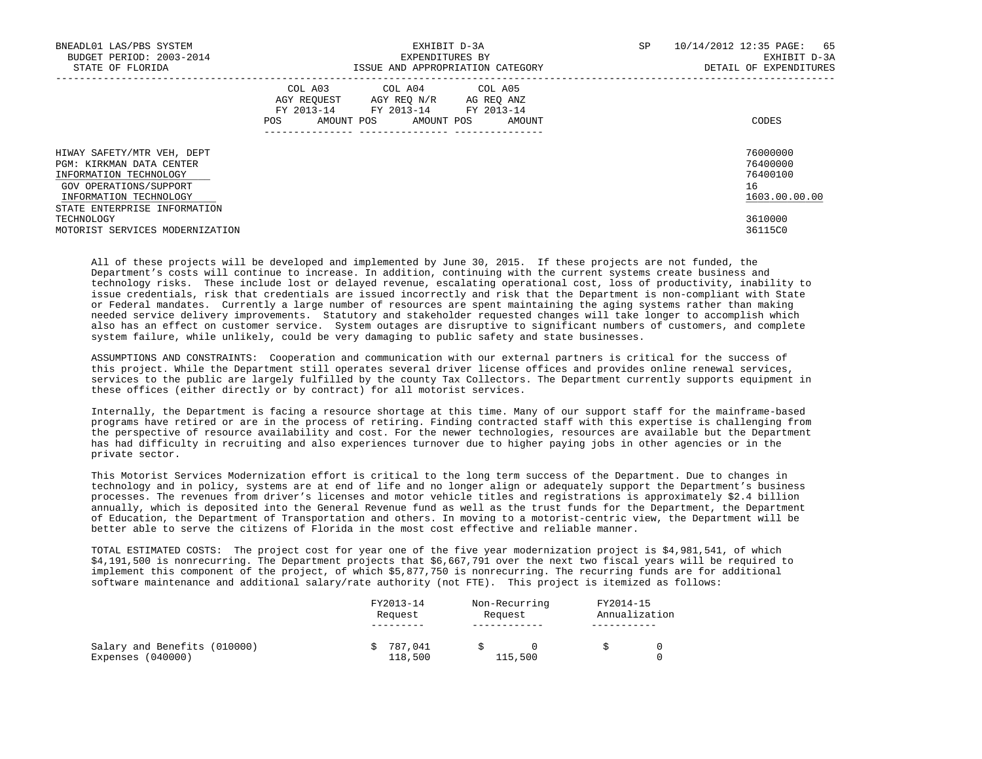| BNEADL01 LAS/PBS SYSTEM<br>BUDGET PERIOD: 2003-2014<br>STATE OF FLORIDA                                                              | EXHIBIT D-3A<br>EXPENDITURES BY<br>ISSUE AND APPROPRIATION CATEGORY                                                                      | 10/14/2012 12:35 PAGE: 65<br>SP.<br>EXHIBIT D-3A<br>DETAIL OF EXPENDITURES |
|--------------------------------------------------------------------------------------------------------------------------------------|------------------------------------------------------------------------------------------------------------------------------------------|----------------------------------------------------------------------------|
|                                                                                                                                      | COL A03 COL A04 COL A05<br>AGY REOUEST AGY REO N/R AG REO ANZ<br>FY 2013-14 FY 2013-14 FY 2013-14<br>POS<br>AMOUNT POS AMOUNT POS AMOUNT | CODES                                                                      |
| HIWAY SAFETY/MTR VEH, DEPT<br>PGM: KIRKMAN DATA CENTER<br>INFORMATION TECHNOLOGY<br>GOV OPERATIONS/SUPPORT<br>INFORMATION TECHNOLOGY |                                                                                                                                          | 76000000<br>76400000<br>76400100<br>16<br>1603.00.00.00                    |
| STATE ENTERPRISE INFORMATION<br>TECHNOLOGY<br>MOTORIST SERVICES MODERNIZATION                                                        |                                                                                                                                          | 3610000<br>36115C0                                                         |

 All of these projects will be developed and implemented by June 30, 2015. If these projects are not funded, the Department's costs will continue to increase. In addition, continuing with the current systems create business and technology risks. These include lost or delayed revenue, escalating operational cost, loss of productivity, inability to issue credentials, risk that credentials are issued incorrectly and risk that the Department is non-compliant with State or Federal mandates. Currently a large number of resources are spent maintaining the aging systems rather than making needed service delivery improvements. Statutory and stakeholder requested changes will take longer to accomplish which also has an effect on customer service. System outages are disruptive to significant numbers of customers, and complete system failure, while unlikely, could be very damaging to public safety and state businesses.

 ASSUMPTIONS AND CONSTRAINTS: Cooperation and communication with our external partners is critical for the success of this project. While the Department still operates several driver license offices and provides online renewal services, services to the public are largely fulfilled by the county Tax Collectors. The Department currently supports equipment in these offices (either directly or by contract) for all motorist services.

 Internally, the Department is facing a resource shortage at this time. Many of our support staff for the mainframe-based programs have retired or are in the process of retiring. Finding contracted staff with this expertise is challenging from the perspective of resource availability and cost. For the newer technologies, resources are available but the Department has had difficulty in recruiting and also experiences turnover due to higher paying jobs in other agencies or in the private sector.

 This Motorist Services Modernization effort is critical to the long term success of the Department. Due to changes in technology and in policy, systems are at end of life and no longer align or adequately support the Department's business processes. The revenues from driver's licenses and motor vehicle titles and registrations is approximately \$2.4 billion annually, which is deposited into the General Revenue fund as well as the trust funds for the Department, the Department of Education, the Department of Transportation and others. In moving to a motorist-centric view, the Department will be better able to serve the citizens of Florida in the most cost effective and reliable manner.

 TOTAL ESTIMATED COSTS: The project cost for year one of the five year modernization project is \$4,981,541, of which \$4,191,500 is nonrecurring. The Department projects that \$6,667,791 over the next two fiscal years will be required to implement this component of the project, of which \$5,877,750 is nonrecurring. The recurring funds are for additional software maintenance and additional salary/rate authority (not FTE). This project is itemized as follows:

| FY2013-14<br>Request | Non-Recurring<br>Request | FY2014-15<br>Annualization |  |
|----------------------|--------------------------|----------------------------|--|
|                      |                          |                            |  |
| 787,041<br>118,500   | 115,500                  |                            |  |
|                      |                          |                            |  |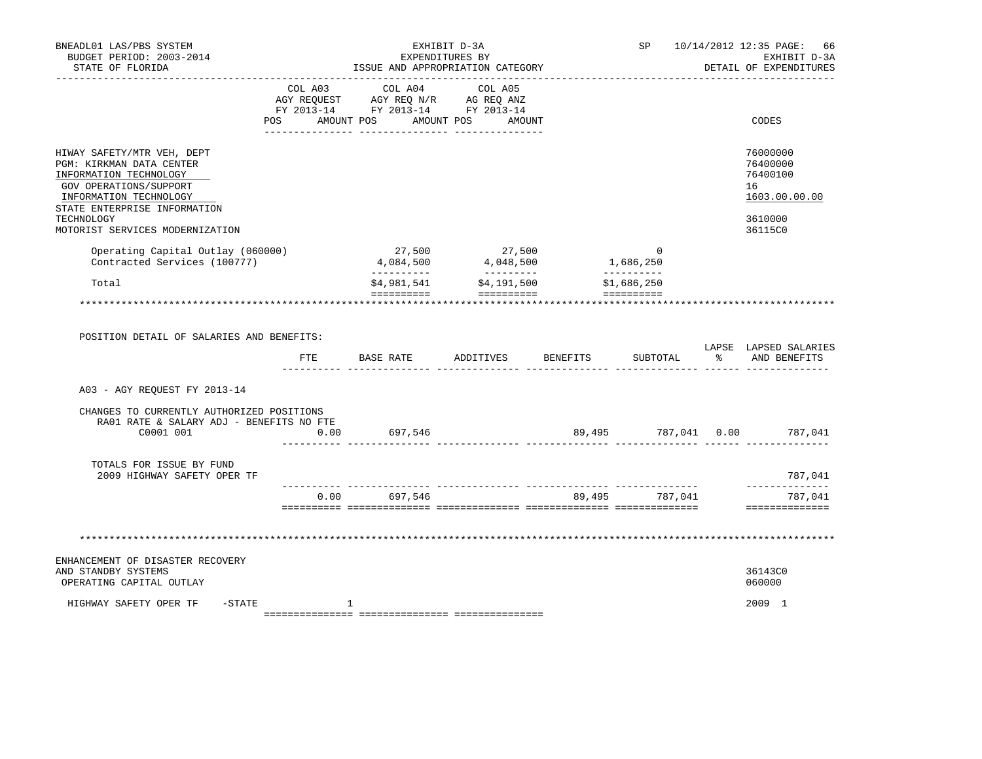| BNEADL01 LAS/PBS SYSTEM<br>BUDGET PERIOD: 2003-2014<br>STATE OF FLORIDA                                                                                              |            | EXHIBIT D-3A<br>EXPENDITURES BY<br>ISSUE AND APPROPRIATION CATEGORY                                                                                                                                                                 |                                 |                             |  | SP 10/14/2012 12:35 PAGE:<br>66<br>EXHIBIT D-3A<br>DETAIL OF EXPENDITURES |
|----------------------------------------------------------------------------------------------------------------------------------------------------------------------|------------|-------------------------------------------------------------------------------------------------------------------------------------------------------------------------------------------------------------------------------------|---------------------------------|-----------------------------|--|---------------------------------------------------------------------------|
|                                                                                                                                                                      | <b>POS</b> | COL A03 COL A04<br>$\begin{tabular}{lllllll} \bf AGY & \bf REQUEST & \bf AGY & \bf REQ & \tt M/R & \tt AG & \tt REQ & \tt ANZ \\ \bf FY & \tt 2013-14 & \tt FY & \tt 2013-14 & \tt FY & \tt 2013-14 \\ \end{tabular}$<br>AMOUNT POS | COL A05<br>AMOUNT POS<br>AMOUNT |                             |  | CODES                                                                     |
| HIWAY SAFETY/MTR VEH, DEPT<br>PGM: KIRKMAN DATA CENTER<br>INFORMATION TECHNOLOGY<br>GOV OPERATIONS/SUPPORT<br>INFORMATION TECHNOLOGY<br>STATE ENTERPRISE INFORMATION |            |                                                                                                                                                                                                                                     |                                 |                             |  | 76000000<br>76400000<br>76400100<br>16<br>1603.00.00.00                   |
| TECHNOLOGY<br>MOTORIST SERVICES MODERNIZATION                                                                                                                        |            |                                                                                                                                                                                                                                     |                                 |                             |  | 3610000<br>36115C0                                                        |
| Operating Capital Outlay (060000)<br>Contracted Services (100777)                                                                                                    |            | 27,500<br>4,084,500                                                                                                                                                                                                                 | 27,500<br>4,048,500             | $\overline{0}$<br>1,686,250 |  |                                                                           |
| Total                                                                                                                                                                |            | -----------<br>\$4,981,541                                                                                                                                                                                                          | __________<br>\$4,191,500       | __________<br>\$1,686,250   |  |                                                                           |
| POSITION DETAIL OF SALARIES AND BENEFITS:                                                                                                                            | FTE        | BASE RATE                                                                                                                                                                                                                           | ADDITIVES BENEFITS              | SUBTOTAL                    |  | LAPSE LAPSED SALARIES<br>% AND BENEFITS                                   |
| A03 - AGY REOUEST FY 2013-14                                                                                                                                         |            |                                                                                                                                                                                                                                     |                                 |                             |  |                                                                           |
| CHANGES TO CURRENTLY AUTHORIZED POSITIONS<br>RA01 RATE & SALARY ADJ - BENEFITS NO FTE<br>C0001 001                                                                   | 0.00       | 697,546                                                                                                                                                                                                                             |                                 |                             |  | 89,495 787,041 0.00 787,041                                               |
| TOTALS FOR ISSUE BY FUND<br>2009 HIGHWAY SAFETY OPER TF                                                                                                              |            |                                                                                                                                                                                                                                     |                                 |                             |  | 787,041<br>______________                                                 |
|                                                                                                                                                                      |            | $0.00$ 697,546                                                                                                                                                                                                                      |                                 | 89,495 787,041              |  | 787,041<br>==============                                                 |
|                                                                                                                                                                      |            |                                                                                                                                                                                                                                     |                                 |                             |  |                                                                           |
| ENHANCEMENT OF DISASTER RECOVERY<br>AND STANDBY SYSTEMS<br>OPERATING CAPITAL OUTLAY                                                                                  |            |                                                                                                                                                                                                                                     |                                 |                             |  | 36143C0<br>060000                                                         |
| HIGHWAY SAFETY OPER TF<br>-STATE                                                                                                                                     |            | 1                                                                                                                                                                                                                                   |                                 |                             |  | 2009 1                                                                    |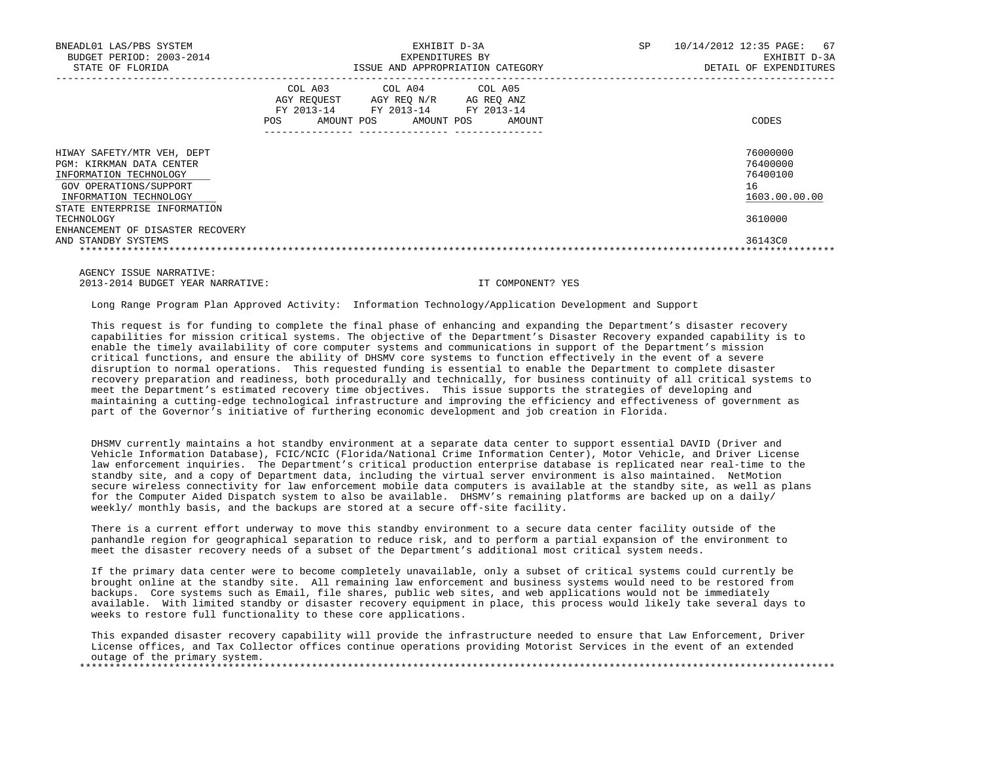| BNEADL01 LAS/PBS SYSTEM<br>BUDGET PERIOD: 2003-2014<br>STATE OF FLORIDA                                                                                              | EXHIBIT D-3A<br>EXPENDITURES BY<br>ISSUE AND APPROPRIATION CATEGORY                                                                                           | SP<br>10/14/2012 12:35 PAGE:<br>67<br>EXHIBIT D-3A<br>DETAIL OF EXPENDITURES |
|----------------------------------------------------------------------------------------------------------------------------------------------------------------------|---------------------------------------------------------------------------------------------------------------------------------------------------------------|------------------------------------------------------------------------------|
|                                                                                                                                                                      | COL A03<br>COL A04 COL A05<br>AGY REOUEST<br>AGY REO N/R<br>AG REO ANZ<br>FY 2013-14<br>FY 2013-14<br>FY 2013-14<br>AMOUNT POS<br>AMOUNT POS<br>POS<br>AMOUNT | CODES                                                                        |
| HIWAY SAFETY/MTR VEH, DEPT<br>PGM: KIRKMAN DATA CENTER<br>INFORMATION TECHNOLOGY<br>GOV OPERATIONS/SUPPORT<br>INFORMATION TECHNOLOGY<br>STATE ENTERPRISE INFORMATION |                                                                                                                                                               | 76000000<br>76400000<br>76400100<br>16<br>1603.00.00.00                      |
| TECHNOLOGY<br>ENHANCEMENT OF DISASTER RECOVERY<br>AND STANDBY SYSTEMS                                                                                                |                                                                                                                                                               | 3610000<br>36143C0                                                           |

 AGENCY ISSUE NARRATIVE: 2013-2014 BUDGET YEAR NARRATIVE: IT COMPONENT? YES

Long Range Program Plan Approved Activity: Information Technology/Application Development and Support

 This request is for funding to complete the final phase of enhancing and expanding the Department's disaster recovery capabilities for mission critical systems. The objective of the Department's Disaster Recovery expanded capability is to enable the timely availability of core computer systems and communications in support of the Department's mission critical functions, and ensure the ability of DHSMV core systems to function effectively in the event of a severe disruption to normal operations. This requested funding is essential to enable the Department to complete disaster recovery preparation and readiness, both procedurally and technically, for business continuity of all critical systems to meet the Department's estimated recovery time objectives. This issue supports the strategies of developing and maintaining a cutting-edge technological infrastructure and improving the efficiency and effectiveness of government as part of the Governor's initiative of furthering economic development and job creation in Florida.

 DHSMV currently maintains a hot standby environment at a separate data center to support essential DAVID (Driver and Vehicle Information Database), FCIC/NCIC (Florida/National Crime Information Center), Motor Vehicle, and Driver License law enforcement inquiries. The Department's critical production enterprise database is replicated near real-time to the standby site, and a copy of Department data, including the virtual server environment is also maintained. NetMotion secure wireless connectivity for law enforcement mobile data computers is available at the standby site, as well as plans for the Computer Aided Dispatch system to also be available. DHSMV's remaining platforms are backed up on a daily/ weekly/ monthly basis, and the backups are stored at a secure off-site facility.

 There is a current effort underway to move this standby environment to a secure data center facility outside of the panhandle region for geographical separation to reduce risk, and to perform a partial expansion of the environment to meet the disaster recovery needs of a subset of the Department's additional most critical system needs.

 If the primary data center were to become completely unavailable, only a subset of critical systems could currently be brought online at the standby site. All remaining law enforcement and business systems would need to be restored from backups. Core systems such as Email, file shares, public web sites, and web applications would not be immediately available. With limited standby or disaster recovery equipment in place, this process would likely take several days to weeks to restore full functionality to these core applications.

 This expanded disaster recovery capability will provide the infrastructure needed to ensure that Law Enforcement, Driver License offices, and Tax Collector offices continue operations providing Motorist Services in the event of an extended outage of the primary system. \*\*\*\*\*\*\*\*\*\*\*\*\*\*\*\*\*\*\*\*\*\*\*\*\*\*\*\*\*\*\*\*\*\*\*\*\*\*\*\*\*\*\*\*\*\*\*\*\*\*\*\*\*\*\*\*\*\*\*\*\*\*\*\*\*\*\*\*\*\*\*\*\*\*\*\*\*\*\*\*\*\*\*\*\*\*\*\*\*\*\*\*\*\*\*\*\*\*\*\*\*\*\*\*\*\*\*\*\*\*\*\*\*\*\*\*\*\*\*\*\*\*\*\*\*\*\*